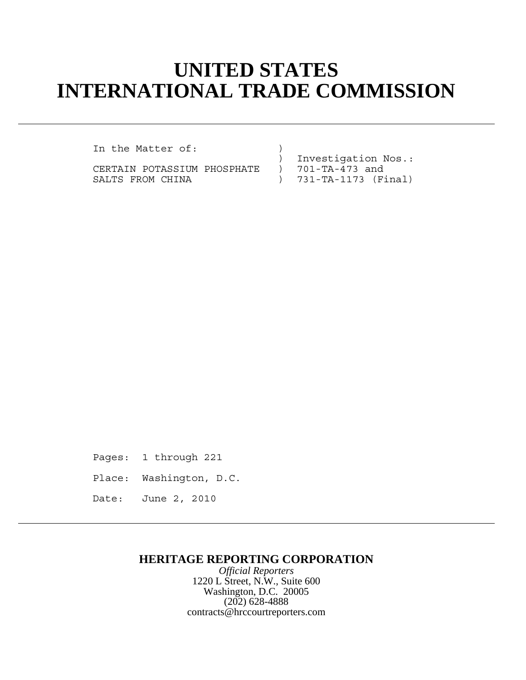# **UNITED STATES INTERNATIONAL TRADE COMMISSION**

In the Matter of:

CERTAIN POTASSIUM PHOSPHATE SALTS FROM CHINA (Final)

) Investigation Nos.:<br>) 701-TA-473 and

Pages: 1 through 221

Place: Washington, D.C.

Date: June 2, 2010

### **HERITAGE REPORTING CORPORATION**

*Official Reporters* 1220 L Street, N.W., Suite 600 Washington, D.C. 20005 (202) 628-4888 contracts@hrccourtreporters.com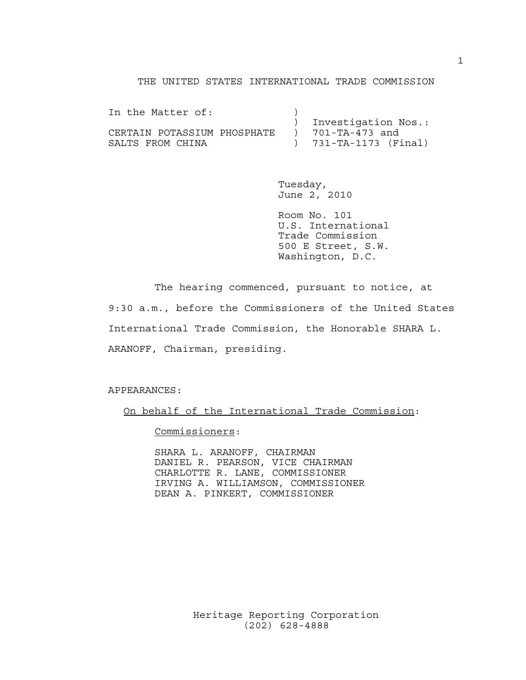#### THE UNITED STATES INTERNATIONAL TRADE COMMISSION

| In the Matter of:           |                       |
|-----------------------------|-----------------------|
|                             | ) Investigation Nos.: |
| CERTAIN POTASSIUM PHOSPHATE | ) 701-TA-473 and      |
| SALTS FROM CHINA            | ) 731-TA-1173 (Final) |

Tuesday, June 2, 2010

Room No. 101 U.S. International Trade Commission 500 E Street, S.W. Washington, D.C.

The hearing commenced, pursuant to notice, at 9:30 a.m., before the Commissioners of the United States International Trade Commission, the Honorable SHARA L. ARANOFF, Chairman, presiding.

APPEARANCES:

On behalf of the International Trade Commission:

Commissioners:

SHARA L. ARANOFF, CHAIRMAN DANIEL R. PEARSON, VICE CHAIRMAN CHARLOTTE R. LANE, COMMISSIONER IRVING A. WILLIAMSON, COMMISSIONER DEAN A. PINKERT, COMMISSIONER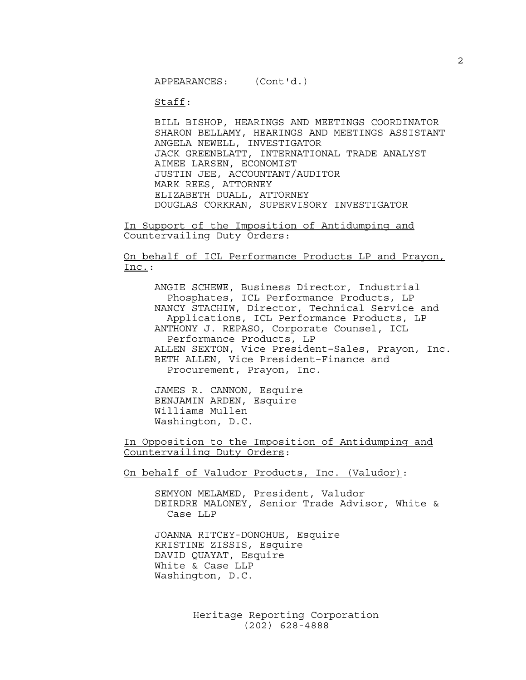APPEARANCES: (Cont'd.)

Staff:

BILL BISHOP, HEARINGS AND MEETINGS COORDINATOR SHARON BELLAMY, HEARINGS AND MEETINGS ASSISTANT ANGELA NEWELL, INVESTIGATOR JACK GREENBLATT, INTERNATIONAL TRADE ANALYST AIMEE LARSEN, ECONOMIST JUSTIN JEE, ACCOUNTANT/AUDITOR MARK REES, ATTORNEY ELIZABETH DUALL, ATTORNEY DOUGLAS CORKRAN, SUPERVISORY INVESTIGATOR

In Support of the Imposition of Antidumping and Countervailing Duty Orders:

On behalf of ICL Performance Products LP and Prayon, Inc.:

ANGIE SCHEWE, Business Director, Industrial Phosphates, ICL Performance Products, LP NANCY STACHIW, Director, Technical Service and Applications, ICL Performance Products, LP ANTHONY J. REPASO, Corporate Counsel, ICL Performance Products, LP ALLEN SEXTON, Vice President–Sales, Prayon, Inc. BETH ALLEN, Vice President–Finance and Procurement, Prayon, Inc.

JAMES R. CANNON, Esquire BENJAMIN ARDEN, Esquire Williams Mullen Washington, D.C.

In Opposition to the Imposition of Antidumping and Countervailing Duty Orders:

On behalf of Valudor Products, Inc. (Valudor):

SEMYON MELAMED, President, Valudor DEIRDRE MALONEY, Senior Trade Advisor, White & Case LLP

JOANNA RITCEY-DONOHUE, Esquire KRISTINE ZISSIS, Esquire DAVID QUAYAT, Esquire White & Case LLP Washington, D.C.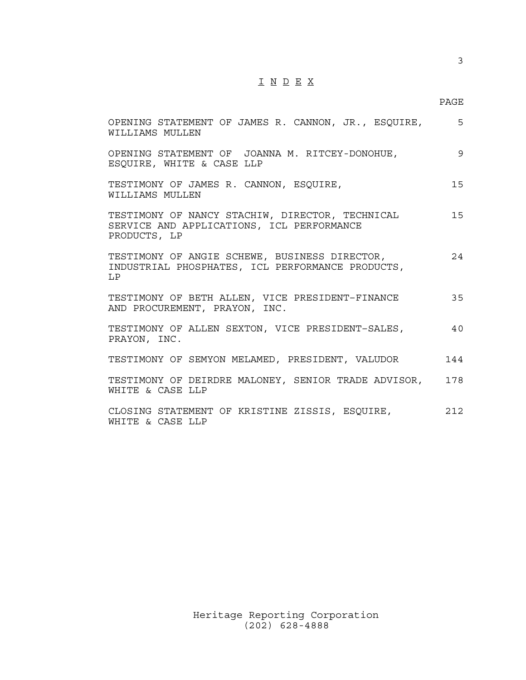## I N D E X

#### PAGE

| OPENING STATEMENT OF JAMES R. CANNON, JR., ESQUIRE, 5<br>WILLIAMS MULLEN                                     |     |
|--------------------------------------------------------------------------------------------------------------|-----|
| OPENING STATEMENT OF JOANNA M. RITCEY-DONOHUE,<br>ESQUIRE, WHITE & CASE LLP                                  | 9   |
| TESTIMONY OF JAMES R. CANNON, ESQUIRE,<br>WILLIAMS MULLEN                                                    | 15  |
| TESTIMONY OF NANCY STACHIW, DIRECTOR, TECHNICAL<br>SERVICE AND APPLICATIONS, ICL PERFORMANCE<br>PRODUCTS, LP | 15  |
| TESTIMONY OF ANGIE SCHEWE, BUSINESS DIRECTOR,<br>INDUSTRIAL PHOSPHATES, ICL PERFORMANCE PRODUCTS,<br>LP      | 24  |
| TESTIMONY OF BETH ALLEN, VICE PRESIDENT-FINANCE<br>AND PROCUREMENT, PRAYON, INC.                             | 35  |
| TESTIMONY OF ALLEN SEXTON, VICE PRESIDENT-SALES,<br>PRAYON, INC.                                             | 40  |
| TESTIMONY OF SEMYON MELAMED, PRESIDENT, VALUDOR                                                              | 144 |
| TESTIMONY OF DEIRDRE MALONEY, SENIOR TRADE ADVISOR, 178<br>WHITE & CASE LLP                                  |     |
| CLOSING STATEMENT OF KRISTINE ZISSIS, ESQUIRE,<br>WHITE & CASE LLP                                           | 212 |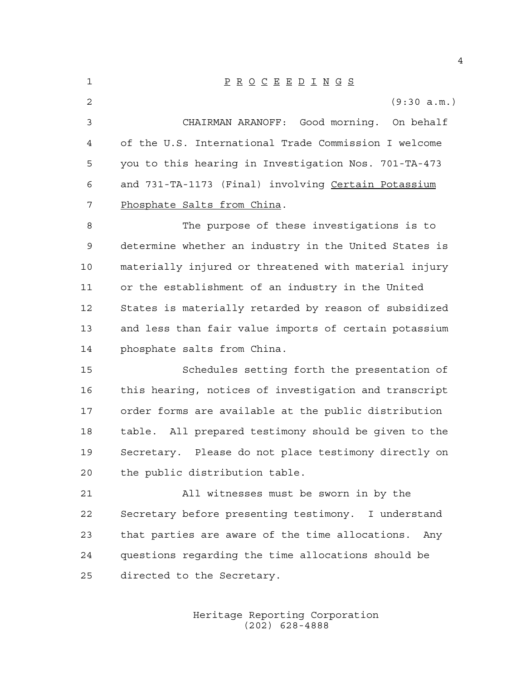P R O C E E D I N G S (9:30 a.m.) CHAIRMAN ARANOFF: Good morning. On behalf of the U.S. International Trade Commission I welcome you to this hearing in Investigation Nos. 701-TA-473 and 731-TA-1173 (Final) involving Certain Potassium Phosphate Salts from China. The purpose of these investigations is to determine whether an industry in the United States is materially injured or threatened with material injury or the establishment of an industry in the United States is materially retarded by reason of subsidized and less than fair value imports of certain potassium phosphate salts from China. Schedules setting forth the presentation of this hearing, notices of investigation and transcript order forms are available at the public distribution table. All prepared testimony should be given to the Secretary. Please do not place testimony directly on the public distribution table. All witnesses must be sworn in by the Secretary before presenting testimony. I understand that parties are aware of the time allocations. Any questions regarding the time allocations should be directed to the Secretary.

> Heritage Reporting Corporation (202) 628-4888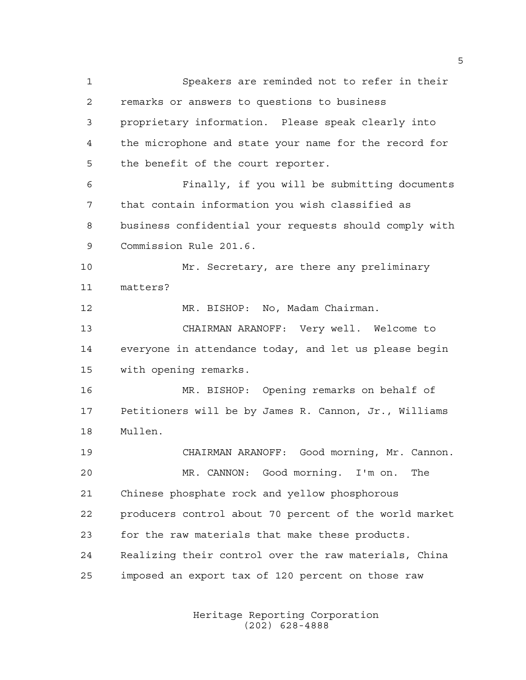Speakers are reminded not to refer in their remarks or answers to questions to business proprietary information. Please speak clearly into the microphone and state your name for the record for the benefit of the court reporter. Finally, if you will be submitting documents that contain information you wish classified as business confidential your requests should comply with Commission Rule 201.6. Mr. Secretary, are there any preliminary matters? MR. BISHOP: No, Madam Chairman. CHAIRMAN ARANOFF: Very well. Welcome to everyone in attendance today, and let us please begin with opening remarks. MR. BISHOP: Opening remarks on behalf of Petitioners will be by James R. Cannon, Jr., Williams Mullen. CHAIRMAN ARANOFF: Good morning, Mr. Cannon. MR. CANNON: Good morning. I'm on. The Chinese phosphate rock and yellow phosphorous producers control about 70 percent of the world market for the raw materials that make these products. Realizing their control over the raw materials, China imposed an export tax of 120 percent on those raw

> Heritage Reporting Corporation (202) 628-4888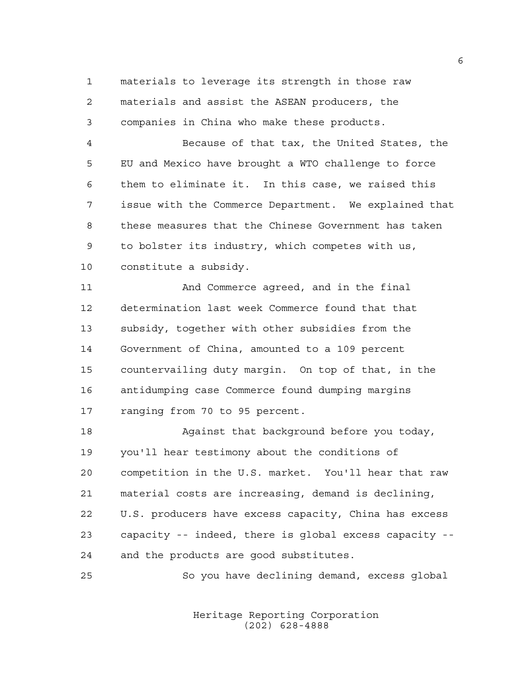materials to leverage its strength in those raw materials and assist the ASEAN producers, the companies in China who make these products.

 Because of that tax, the United States, the EU and Mexico have brought a WTO challenge to force them to eliminate it. In this case, we raised this issue with the Commerce Department. We explained that these measures that the Chinese Government has taken to bolster its industry, which competes with us, constitute a subsidy.

 And Commerce agreed, and in the final determination last week Commerce found that that subsidy, together with other subsidies from the Government of China, amounted to a 109 percent countervailing duty margin. On top of that, in the antidumping case Commerce found dumping margins ranging from 70 to 95 percent.

 Against that background before you today, you'll hear testimony about the conditions of competition in the U.S. market. You'll hear that raw material costs are increasing, demand is declining, U.S. producers have excess capacity, China has excess capacity -- indeed, there is global excess capacity -- and the products are good substitutes.

So you have declining demand, excess global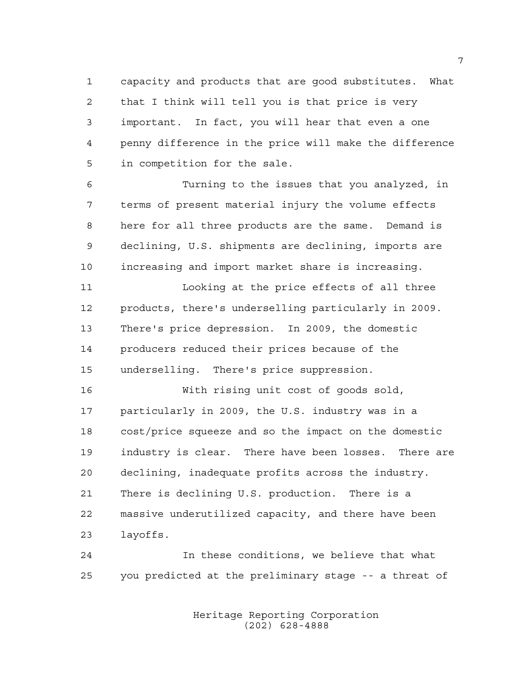capacity and products that are good substitutes. What that I think will tell you is that price is very important. In fact, you will hear that even a one penny difference in the price will make the difference in competition for the sale.

 Turning to the issues that you analyzed, in terms of present material injury the volume effects here for all three products are the same. Demand is declining, U.S. shipments are declining, imports are increasing and import market share is increasing.

 Looking at the price effects of all three products, there's underselling particularly in 2009. There's price depression. In 2009, the domestic producers reduced their prices because of the underselling. There's price suppression.

 With rising unit cost of goods sold, particularly in 2009, the U.S. industry was in a cost/price squeeze and so the impact on the domestic industry is clear. There have been losses. There are declining, inadequate profits across the industry. There is declining U.S. production. There is a massive underutilized capacity, and there have been layoffs.

 In these conditions, we believe that what you predicted at the preliminary stage -- a threat of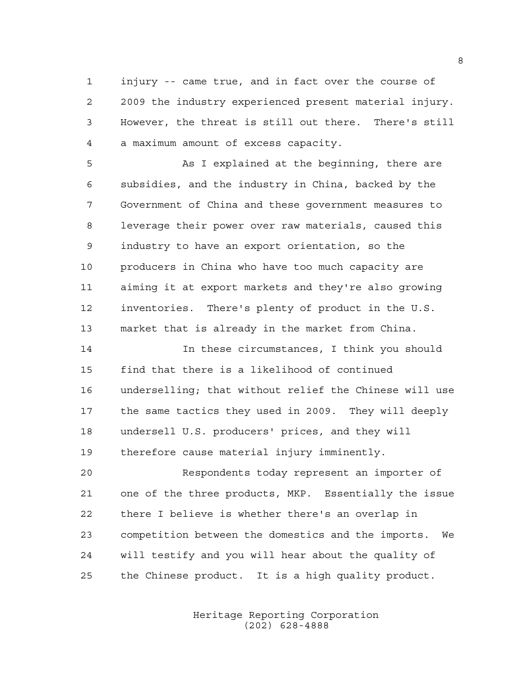injury -- came true, and in fact over the course of 2009 the industry experienced present material injury. However, the threat is still out there. There's still a maximum amount of excess capacity.

5 As I explained at the beginning, there are subsidies, and the industry in China, backed by the Government of China and these government measures to leverage their power over raw materials, caused this industry to have an export orientation, so the producers in China who have too much capacity are aiming it at export markets and they're also growing inventories. There's plenty of product in the U.S. market that is already in the market from China.

 In these circumstances, I think you should find that there is a likelihood of continued underselling; that without relief the Chinese will use the same tactics they used in 2009. They will deeply undersell U.S. producers' prices, and they will therefore cause material injury imminently.

 Respondents today represent an importer of one of the three products, MKP. Essentially the issue there I believe is whether there's an overlap in competition between the domestics and the imports. We will testify and you will hear about the quality of the Chinese product. It is a high quality product.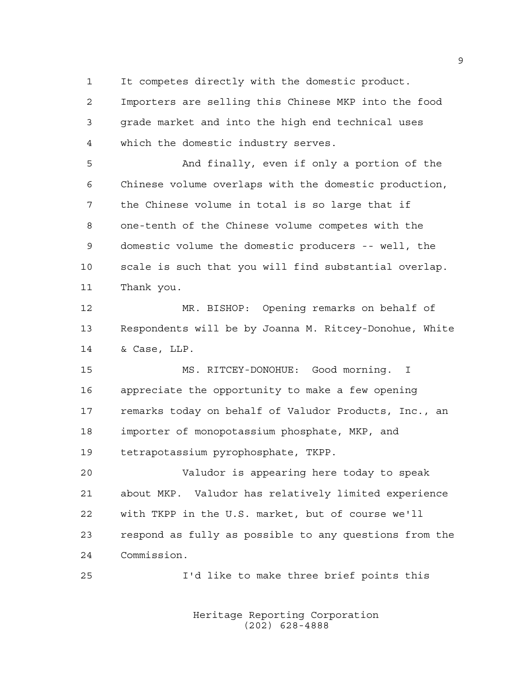It competes directly with the domestic product.

 Importers are selling this Chinese MKP into the food grade market and into the high end technical uses which the domestic industry serves.

 And finally, even if only a portion of the Chinese volume overlaps with the domestic production, the Chinese volume in total is so large that if one-tenth of the Chinese volume competes with the domestic volume the domestic producers -- well, the scale is such that you will find substantial overlap. Thank you.

 MR. BISHOP: Opening remarks on behalf of Respondents will be by Joanna M. Ritcey-Donohue, White & Case, LLP.

 MS. RITCEY-DONOHUE: Good morning. I appreciate the opportunity to make a few opening remarks today on behalf of Valudor Products, Inc., an importer of monopotassium phosphate, MKP, and tetrapotassium pyrophosphate, TKPP.

 Valudor is appearing here today to speak about MKP. Valudor has relatively limited experience with TKPP in the U.S. market, but of course we'll respond as fully as possible to any questions from the Commission.

I'd like to make three brief points this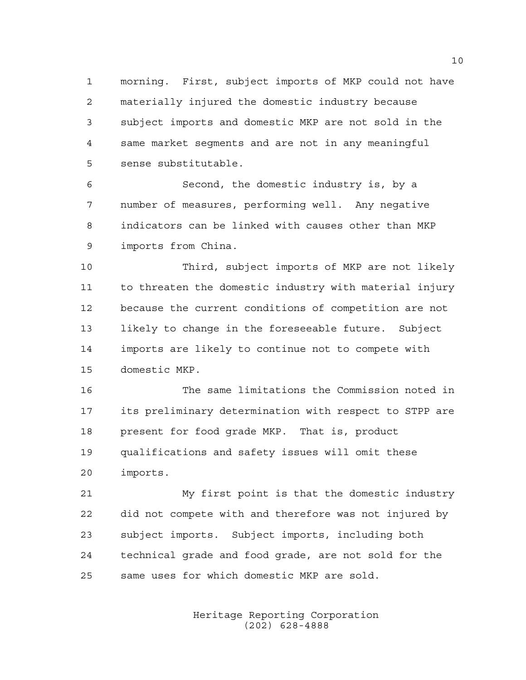morning. First, subject imports of MKP could not have materially injured the domestic industry because subject imports and domestic MKP are not sold in the same market segments and are not in any meaningful sense substitutable.

 Second, the domestic industry is, by a number of measures, performing well. Any negative indicators can be linked with causes other than MKP imports from China.

 Third, subject imports of MKP are not likely to threaten the domestic industry with material injury because the current conditions of competition are not likely to change in the foreseeable future. Subject imports are likely to continue not to compete with domestic MKP.

 The same limitations the Commission noted in its preliminary determination with respect to STPP are present for food grade MKP. That is, product qualifications and safety issues will omit these imports.

 My first point is that the domestic industry did not compete with and therefore was not injured by subject imports. Subject imports, including both technical grade and food grade, are not sold for the same uses for which domestic MKP are sold.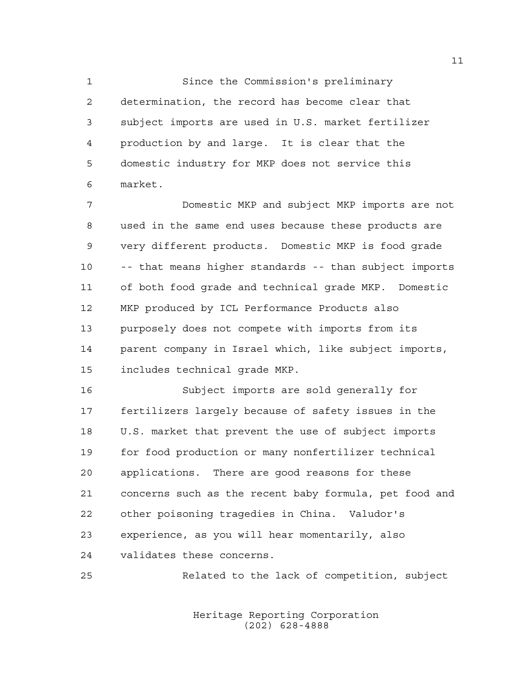Since the Commission's preliminary determination, the record has become clear that subject imports are used in U.S. market fertilizer production by and large. It is clear that the domestic industry for MKP does not service this market.

 Domestic MKP and subject MKP imports are not used in the same end uses because these products are very different products. Domestic MKP is food grade -- that means higher standards -- than subject imports of both food grade and technical grade MKP. Domestic MKP produced by ICL Performance Products also purposely does not compete with imports from its parent company in Israel which, like subject imports, includes technical grade MKP.

 Subject imports are sold generally for fertilizers largely because of safety issues in the U.S. market that prevent the use of subject imports for food production or many nonfertilizer technical applications. There are good reasons for these concerns such as the recent baby formula, pet food and other poisoning tragedies in China. Valudor's experience, as you will hear momentarily, also validates these concerns.

Related to the lack of competition, subject

Heritage Reporting Corporation (202) 628-4888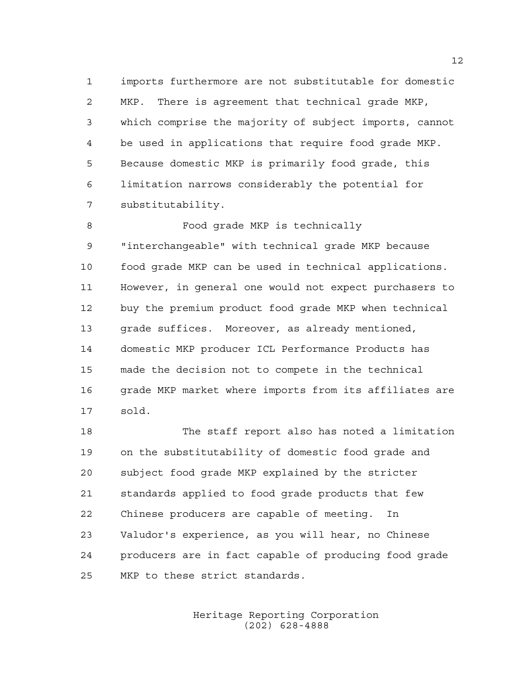imports furthermore are not substitutable for domestic MKP. There is agreement that technical grade MKP, which comprise the majority of subject imports, cannot be used in applications that require food grade MKP. Because domestic MKP is primarily food grade, this limitation narrows considerably the potential for substitutability.

 Food grade MKP is technically "interchangeable" with technical grade MKP because food grade MKP can be used in technical applications. However, in general one would not expect purchasers to buy the premium product food grade MKP when technical grade suffices. Moreover, as already mentioned, domestic MKP producer ICL Performance Products has made the decision not to compete in the technical grade MKP market where imports from its affiliates are sold.

 The staff report also has noted a limitation on the substitutability of domestic food grade and subject food grade MKP explained by the stricter standards applied to food grade products that few Chinese producers are capable of meeting. In Valudor's experience, as you will hear, no Chinese producers are in fact capable of producing food grade MKP to these strict standards.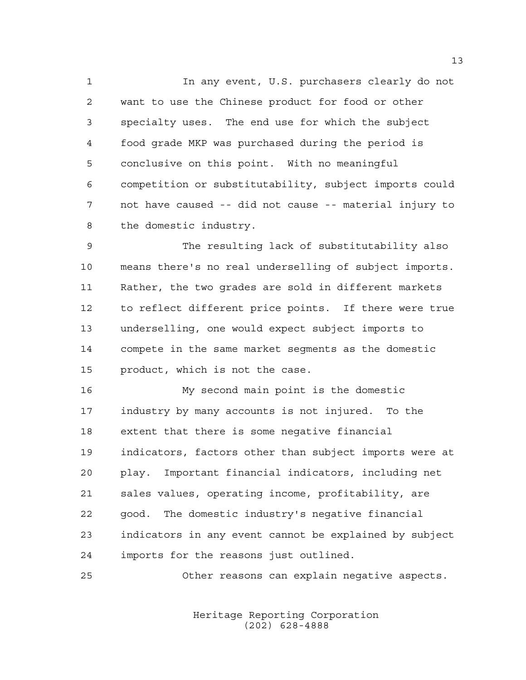In any event, U.S. purchasers clearly do not want to use the Chinese product for food or other specialty uses. The end use for which the subject food grade MKP was purchased during the period is conclusive on this point. With no meaningful competition or substitutability, subject imports could not have caused -- did not cause -- material injury to the domestic industry.

 The resulting lack of substitutability also means there's no real underselling of subject imports. Rather, the two grades are sold in different markets to reflect different price points. If there were true underselling, one would expect subject imports to compete in the same market segments as the domestic product, which is not the case.

 My second main point is the domestic industry by many accounts is not injured. To the extent that there is some negative financial indicators, factors other than subject imports were at play. Important financial indicators, including net sales values, operating income, profitability, are good. The domestic industry's negative financial indicators in any event cannot be explained by subject imports for the reasons just outlined.

Other reasons can explain negative aspects.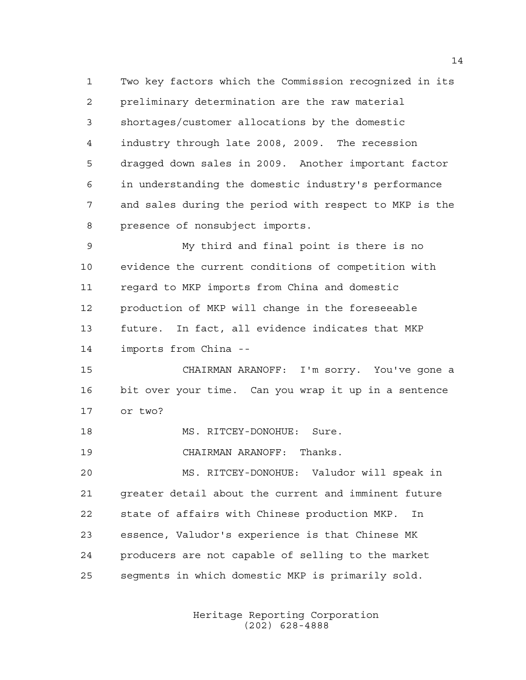Two key factors which the Commission recognized in its preliminary determination are the raw material shortages/customer allocations by the domestic industry through late 2008, 2009. The recession dragged down sales in 2009. Another important factor in understanding the domestic industry's performance and sales during the period with respect to MKP is the presence of nonsubject imports.

 My third and final point is there is no evidence the current conditions of competition with regard to MKP imports from China and domestic production of MKP will change in the foreseeable future. In fact, all evidence indicates that MKP imports from China --

 CHAIRMAN ARANOFF: I'm sorry. You've gone a bit over your time. Can you wrap it up in a sentence or two?

18 MS. RITCEY-DONOHUE: Sure.

CHAIRMAN ARANOFF: Thanks.

 MS. RITCEY-DONOHUE: Valudor will speak in greater detail about the current and imminent future state of affairs with Chinese production MKP. In essence, Valudor's experience is that Chinese MK producers are not capable of selling to the market segments in which domestic MKP is primarily sold.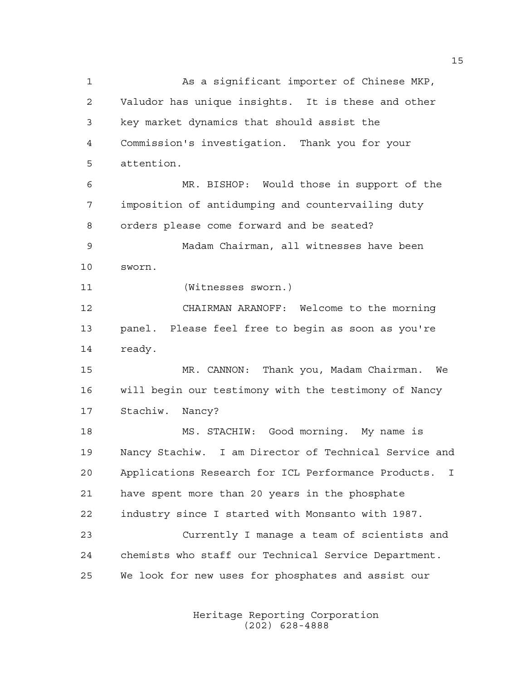As a significant importer of Chinese MKP, Valudor has unique insights. It is these and other key market dynamics that should assist the Commission's investigation. Thank you for your attention. MR. BISHOP: Would those in support of the imposition of antidumping and countervailing duty orders please come forward and be seated? Madam Chairman, all witnesses have been sworn. (Witnesses sworn.) CHAIRMAN ARANOFF: Welcome to the morning panel. Please feel free to begin as soon as you're 14 ready. MR. CANNON: Thank you, Madam Chairman. We will begin our testimony with the testimony of Nancy Stachiw. Nancy? MS. STACHIW: Good morning. My name is Nancy Stachiw. I am Director of Technical Service and Applications Research for ICL Performance Products. I have spent more than 20 years in the phosphate industry since I started with Monsanto with 1987. Currently I manage a team of scientists and chemists who staff our Technical Service Department. We look for new uses for phosphates and assist our

> Heritage Reporting Corporation (202) 628-4888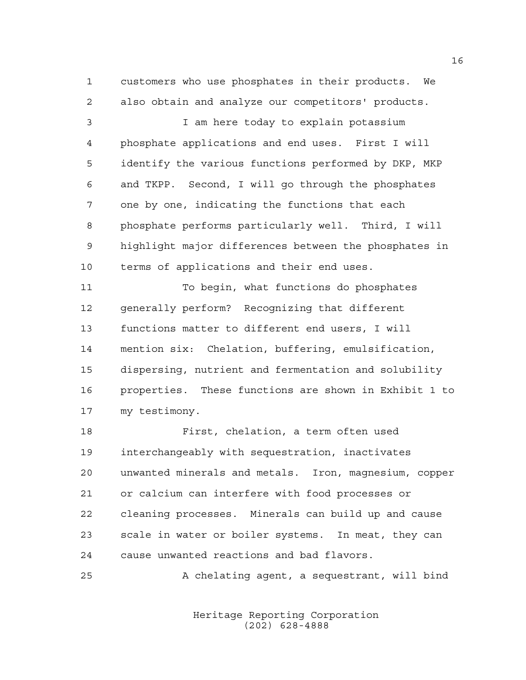customers who use phosphates in their products. We also obtain and analyze our competitors' products.

 I am here today to explain potassium phosphate applications and end uses. First I will identify the various functions performed by DKP, MKP and TKPP. Second, I will go through the phosphates one by one, indicating the functions that each phosphate performs particularly well. Third, I will highlight major differences between the phosphates in terms of applications and their end uses.

 To begin, what functions do phosphates generally perform? Recognizing that different functions matter to different end users, I will mention six: Chelation, buffering, emulsification, dispersing, nutrient and fermentation and solubility properties. These functions are shown in Exhibit 1 to my testimony.

 First, chelation, a term often used interchangeably with sequestration, inactivates unwanted minerals and metals. Iron, magnesium, copper or calcium can interfere with food processes or cleaning processes. Minerals can build up and cause scale in water or boiler systems. In meat, they can cause unwanted reactions and bad flavors.

A chelating agent, a sequestrant, will bind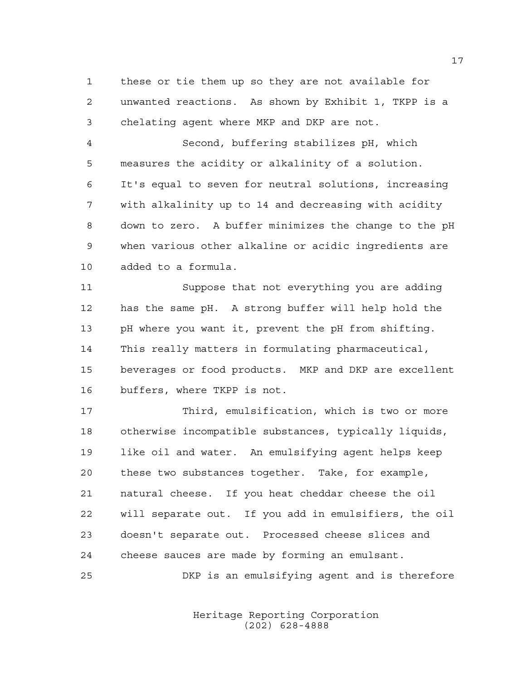these or tie them up so they are not available for unwanted reactions. As shown by Exhibit 1, TKPP is a chelating agent where MKP and DKP are not.

 Second, buffering stabilizes pH, which measures the acidity or alkalinity of a solution. It's equal to seven for neutral solutions, increasing with alkalinity up to 14 and decreasing with acidity down to zero. A buffer minimizes the change to the pH when various other alkaline or acidic ingredients are added to a formula.

 Suppose that not everything you are adding has the same pH. A strong buffer will help hold the pH where you want it, prevent the pH from shifting. This really matters in formulating pharmaceutical, beverages or food products. MKP and DKP are excellent buffers, where TKPP is not.

 Third, emulsification, which is two or more otherwise incompatible substances, typically liquids, like oil and water. An emulsifying agent helps keep these two substances together. Take, for example, natural cheese. If you heat cheddar cheese the oil will separate out. If you add in emulsifiers, the oil doesn't separate out. Processed cheese slices and cheese sauces are made by forming an emulsant.

DKP is an emulsifying agent and is therefore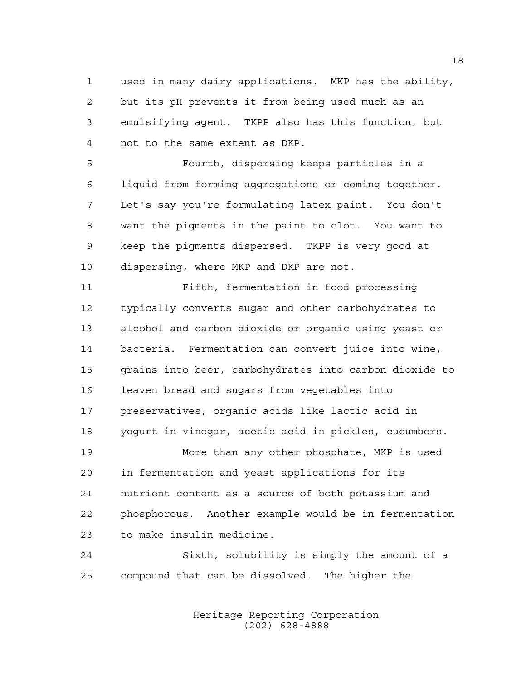used in many dairy applications. MKP has the ability, but its pH prevents it from being used much as an emulsifying agent. TKPP also has this function, but not to the same extent as DKP.

 Fourth, dispersing keeps particles in a liquid from forming aggregations or coming together. Let's say you're formulating latex paint. You don't want the pigments in the paint to clot. You want to keep the pigments dispersed. TKPP is very good at dispersing, where MKP and DKP are not.

 Fifth, fermentation in food processing typically converts sugar and other carbohydrates to alcohol and carbon dioxide or organic using yeast or bacteria. Fermentation can convert juice into wine, grains into beer, carbohydrates into carbon dioxide to leaven bread and sugars from vegetables into preservatives, organic acids like lactic acid in yogurt in vinegar, acetic acid in pickles, cucumbers. More than any other phosphate, MKP is used in fermentation and yeast applications for its

 nutrient content as a source of both potassium and phosphorous. Another example would be in fermentation to make insulin medicine.

 Sixth, solubility is simply the amount of a compound that can be dissolved. The higher the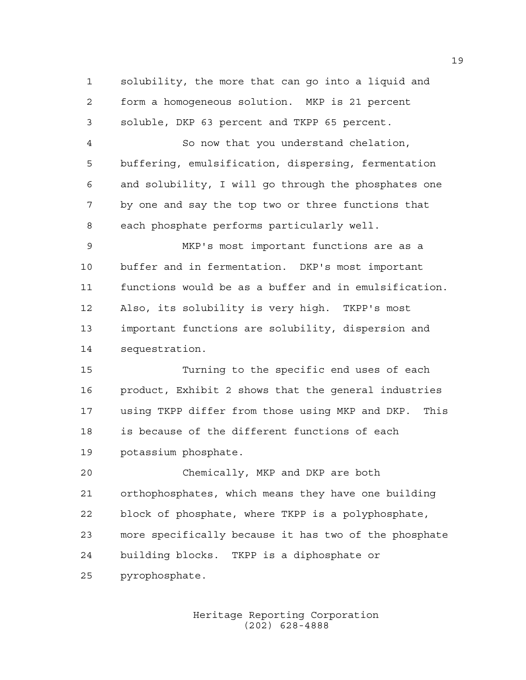solubility, the more that can go into a liquid and form a homogeneous solution. MKP is 21 percent soluble, DKP 63 percent and TKPP 65 percent.

 So now that you understand chelation, buffering, emulsification, dispersing, fermentation and solubility, I will go through the phosphates one by one and say the top two or three functions that each phosphate performs particularly well.

 MKP's most important functions are as a buffer and in fermentation. DKP's most important functions would be as a buffer and in emulsification. Also, its solubility is very high. TKPP's most important functions are solubility, dispersion and sequestration.

 Turning to the specific end uses of each product, Exhibit 2 shows that the general industries using TKPP differ from those using MKP and DKP. This is because of the different functions of each potassium phosphate.

 Chemically, MKP and DKP are both orthophosphates, which means they have one building block of phosphate, where TKPP is a polyphosphate, more specifically because it has two of the phosphate building blocks. TKPP is a diphosphate or pyrophosphate.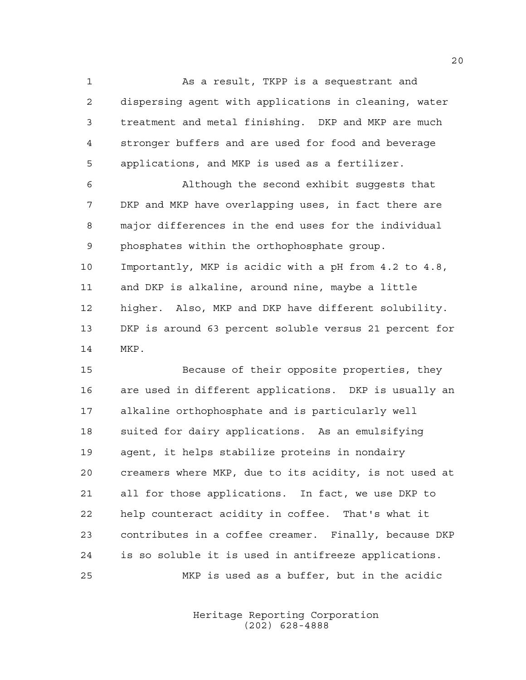As a result, TKPP is a sequestrant and dispersing agent with applications in cleaning, water treatment and metal finishing. DKP and MKP are much stronger buffers and are used for food and beverage applications, and MKP is used as a fertilizer.

 Although the second exhibit suggests that DKP and MKP have overlapping uses, in fact there are major differences in the end uses for the individual phosphates within the orthophosphate group. Importantly, MKP is acidic with a pH from 4.2 to 4.8, and DKP is alkaline, around nine, maybe a little higher. Also, MKP and DKP have different solubility. DKP is around 63 percent soluble versus 21 percent for MKP.

 Because of their opposite properties, they are used in different applications. DKP is usually an alkaline orthophosphate and is particularly well suited for dairy applications. As an emulsifying agent, it helps stabilize proteins in nondairy creamers where MKP, due to its acidity, is not used at all for those applications. In fact, we use DKP to help counteract acidity in coffee. That's what it contributes in a coffee creamer. Finally, because DKP is so soluble it is used in antifreeze applications. MKP is used as a buffer, but in the acidic

> Heritage Reporting Corporation (202) 628-4888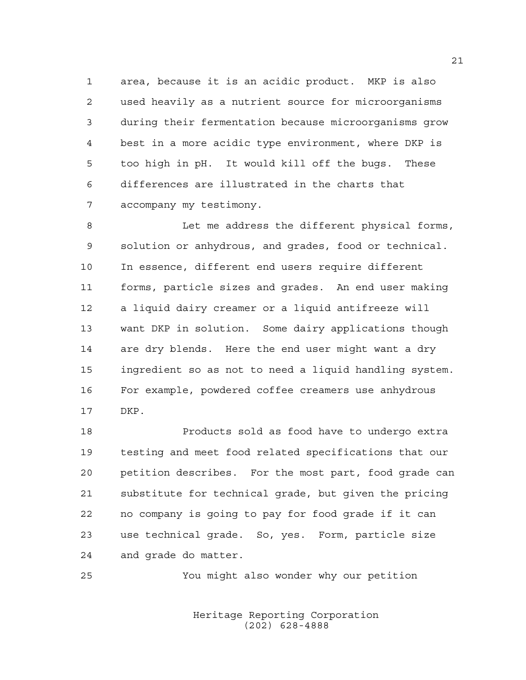area, because it is an acidic product. MKP is also used heavily as a nutrient source for microorganisms during their fermentation because microorganisms grow best in a more acidic type environment, where DKP is too high in pH. It would kill off the bugs. These differences are illustrated in the charts that accompany my testimony.

8 Let me address the different physical forms, solution or anhydrous, and grades, food or technical. In essence, different end users require different forms, particle sizes and grades. An end user making a liquid dairy creamer or a liquid antifreeze will want DKP in solution. Some dairy applications though are dry blends. Here the end user might want a dry ingredient so as not to need a liquid handling system. For example, powdered coffee creamers use anhydrous DKP.

 Products sold as food have to undergo extra testing and meet food related specifications that our petition describes. For the most part, food grade can substitute for technical grade, but given the pricing no company is going to pay for food grade if it can use technical grade. So, yes. Form, particle size and grade do matter.

You might also wonder why our petition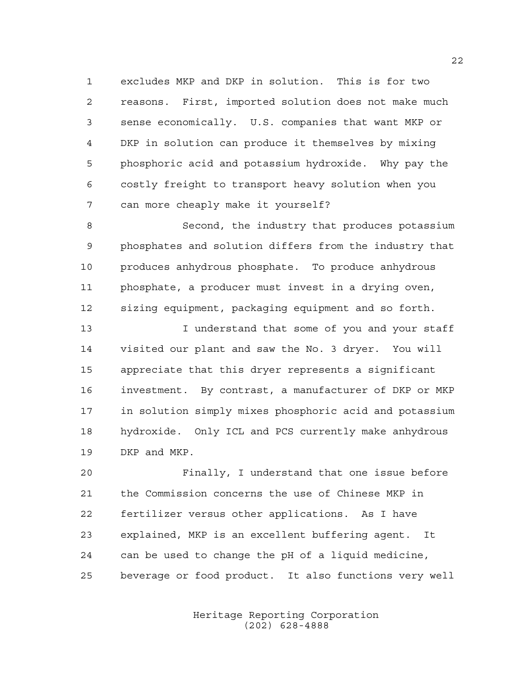excludes MKP and DKP in solution. This is for two reasons. First, imported solution does not make much sense economically. U.S. companies that want MKP or DKP in solution can produce it themselves by mixing phosphoric acid and potassium hydroxide. Why pay the costly freight to transport heavy solution when you can more cheaply make it yourself?

 Second, the industry that produces potassium phosphates and solution differs from the industry that produces anhydrous phosphate. To produce anhydrous phosphate, a producer must invest in a drying oven, sizing equipment, packaging equipment and so forth.

13 13 I understand that some of you and your staff visited our plant and saw the No. 3 dryer. You will appreciate that this dryer represents a significant investment. By contrast, a manufacturer of DKP or MKP in solution simply mixes phosphoric acid and potassium hydroxide. Only ICL and PCS currently make anhydrous DKP and MKP.

 Finally, I understand that one issue before the Commission concerns the use of Chinese MKP in fertilizer versus other applications. As I have explained, MKP is an excellent buffering agent. It can be used to change the pH of a liquid medicine, beverage or food product. It also functions very well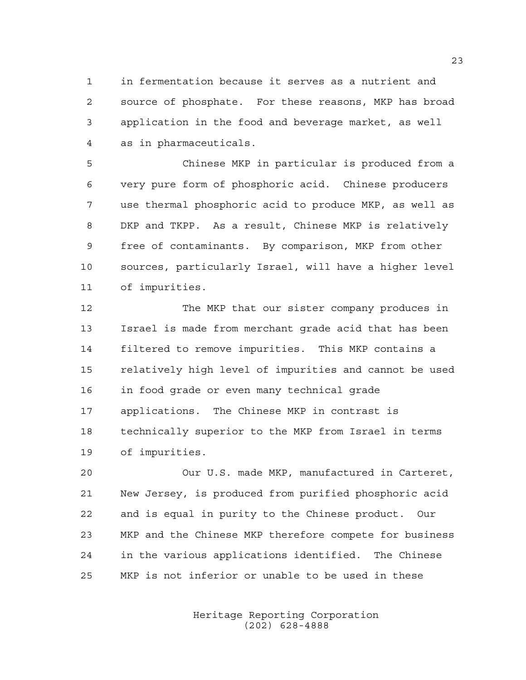in fermentation because it serves as a nutrient and source of phosphate. For these reasons, MKP has broad application in the food and beverage market, as well as in pharmaceuticals.

 Chinese MKP in particular is produced from a very pure form of phosphoric acid. Chinese producers use thermal phosphoric acid to produce MKP, as well as DKP and TKPP. As a result, Chinese MKP is relatively free of contaminants. By comparison, MKP from other sources, particularly Israel, will have a higher level of impurities.

 The MKP that our sister company produces in Israel is made from merchant grade acid that has been filtered to remove impurities. This MKP contains a relatively high level of impurities and cannot be used in food grade or even many technical grade applications. The Chinese MKP in contrast is technically superior to the MKP from Israel in terms of impurities.

 Our U.S. made MKP, manufactured in Carteret, New Jersey, is produced from purified phosphoric acid and is equal in purity to the Chinese product. Our MKP and the Chinese MKP therefore compete for business in the various applications identified. The Chinese MKP is not inferior or unable to be used in these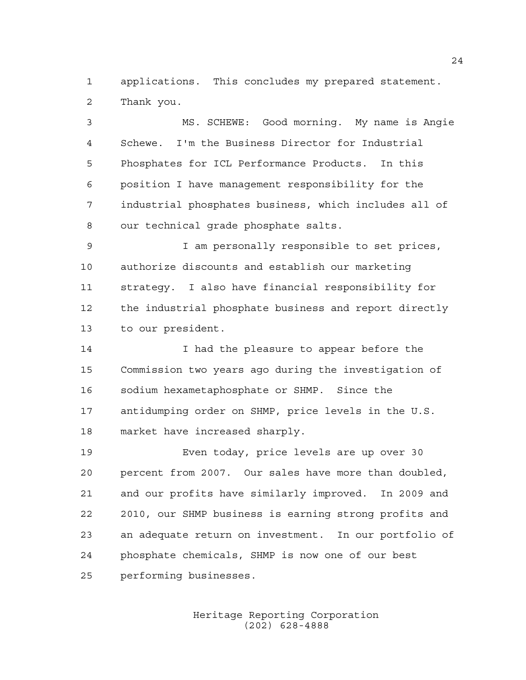applications. This concludes my prepared statement. Thank you.

 MS. SCHEWE: Good morning. My name is Angie Schewe. I'm the Business Director for Industrial Phosphates for ICL Performance Products. In this position I have management responsibility for the industrial phosphates business, which includes all of our technical grade phosphate salts. I am personally responsible to set prices, authorize discounts and establish our marketing strategy. I also have financial responsibility for the industrial phosphate business and report directly to our president. I had the pleasure to appear before the Commission two years ago during the investigation of

 sodium hexametaphosphate or SHMP. Since the antidumping order on SHMP, price levels in the U.S. market have increased sharply.

 Even today, price levels are up over 30 percent from 2007. Our sales have more than doubled, and our profits have similarly improved. In 2009 and 2010, our SHMP business is earning strong profits and an adequate return on investment. In our portfolio of phosphate chemicals, SHMP is now one of our best performing businesses.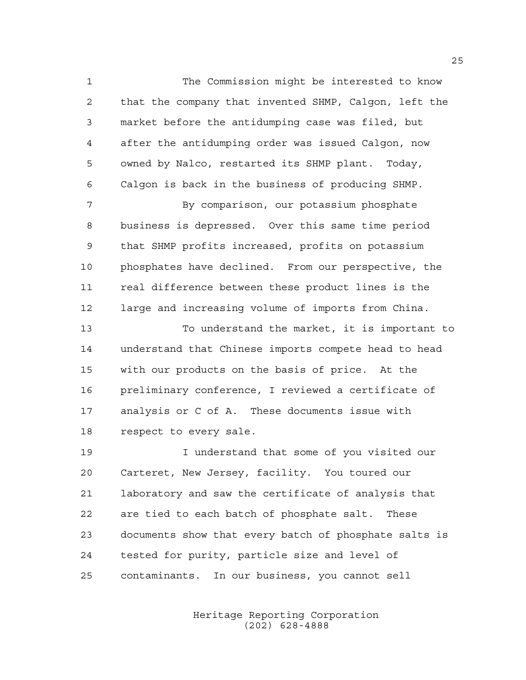The Commission might be interested to know that the company that invented SHMP, Calgon, left the market before the antidumping case was filed, but after the antidumping order was issued Calgon, now owned by Nalco, restarted its SHMP plant. Today, Calgon is back in the business of producing SHMP.

 By comparison, our potassium phosphate business is depressed. Over this same time period that SHMP profits increased, profits on potassium phosphates have declined. From our perspective, the real difference between these product lines is the large and increasing volume of imports from China.

 To understand the market, it is important to understand that Chinese imports compete head to head with our products on the basis of price. At the preliminary conference, I reviewed a certificate of analysis or C of A. These documents issue with respect to every sale.

 I understand that some of you visited our Carteret, New Jersey, facility. You toured our laboratory and saw the certificate of analysis that are tied to each batch of phosphate salt. These documents show that every batch of phosphate salts is tested for purity, particle size and level of contaminants. In our business, you cannot sell

> Heritage Reporting Corporation (202) 628-4888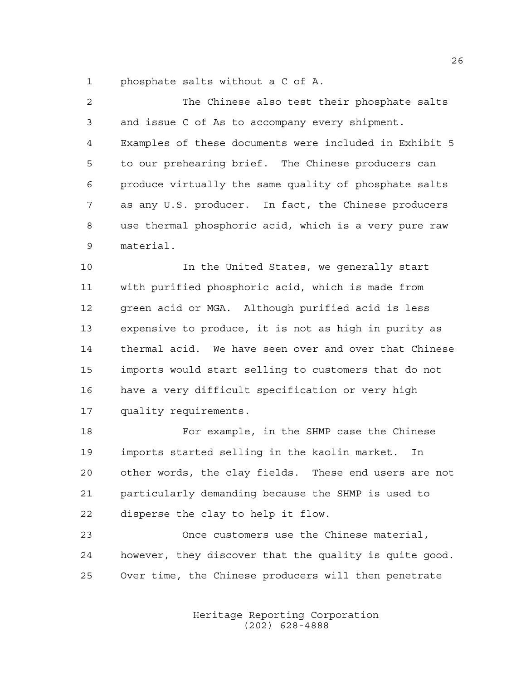phosphate salts without a C of A.

| $\overline{2}$ | The Chinese also test their phosphate salts            |
|----------------|--------------------------------------------------------|
| 3              | and issue C of As to accompany every shipment.         |
| 4              | Examples of these documents were included in Exhibit 5 |
| 5              | to our prehearing brief. The Chinese producers can     |
| 6              | produce virtually the same quality of phosphate salts  |
| 7              | as any U.S. producer. In fact, the Chinese producers   |
| 8              | use thermal phosphoric acid, which is a very pure raw  |
| 9              | material.                                              |
| 10             | In the United States, we generally start               |
| 11             | with purified phosphoric acid, which is made from      |
| 12             | green acid or MGA. Although purified acid is less      |
| 13             | expensive to produce, it is not as high in purity as   |
| 14             | thermal acid. We have seen over and over that Chinese  |
| 15             | imports would start selling to customers that do not   |
| 16             | have a very difficult specification or very high       |
| 17             | quality requirements.                                  |
| 18             | For example, in the SHMP case the Chinese              |
| 19             | imports started selling in the kaolin market.<br>In    |
|                |                                                        |

 other words, the clay fields. These end users are not particularly demanding because the SHMP is used to disperse the clay to help it flow.

 Once customers use the Chinese material, however, they discover that the quality is quite good. Over time, the Chinese producers will then penetrate

> Heritage Reporting Corporation (202) 628-4888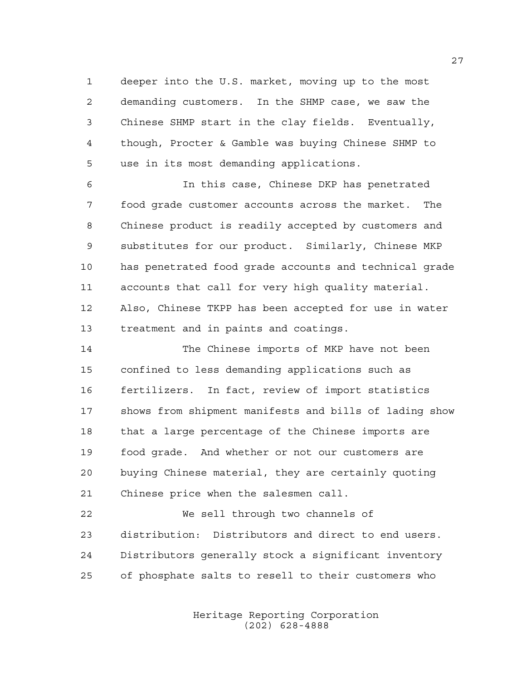deeper into the U.S. market, moving up to the most demanding customers. In the SHMP case, we saw the Chinese SHMP start in the clay fields. Eventually, though, Procter & Gamble was buying Chinese SHMP to use in its most demanding applications.

 In this case, Chinese DKP has penetrated food grade customer accounts across the market. The Chinese product is readily accepted by customers and substitutes for our product. Similarly, Chinese MKP has penetrated food grade accounts and technical grade accounts that call for very high quality material. Also, Chinese TKPP has been accepted for use in water treatment and in paints and coatings.

 The Chinese imports of MKP have not been confined to less demanding applications such as fertilizers. In fact, review of import statistics shows from shipment manifests and bills of lading show that a large percentage of the Chinese imports are food grade. And whether or not our customers are buying Chinese material, they are certainly quoting Chinese price when the salesmen call.

 We sell through two channels of distribution: Distributors and direct to end users. Distributors generally stock a significant inventory of phosphate salts to resell to their customers who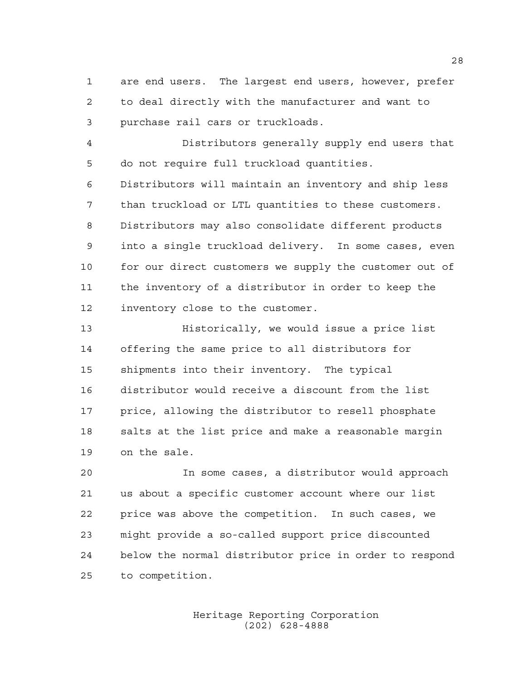are end users. The largest end users, however, prefer to deal directly with the manufacturer and want to purchase rail cars or truckloads.

 Distributors generally supply end users that do not require full truckload quantities.

 Distributors will maintain an inventory and ship less than truckload or LTL quantities to these customers. Distributors may also consolidate different products into a single truckload delivery. In some cases, even 10 for our direct customers we supply the customer out of the inventory of a distributor in order to keep the inventory close to the customer.

 Historically, we would issue a price list offering the same price to all distributors for shipments into their inventory. The typical distributor would receive a discount from the list price, allowing the distributor to resell phosphate salts at the list price and make a reasonable margin on the sale.

 In some cases, a distributor would approach us about a specific customer account where our list price was above the competition. In such cases, we might provide a so-called support price discounted below the normal distributor price in order to respond to competition.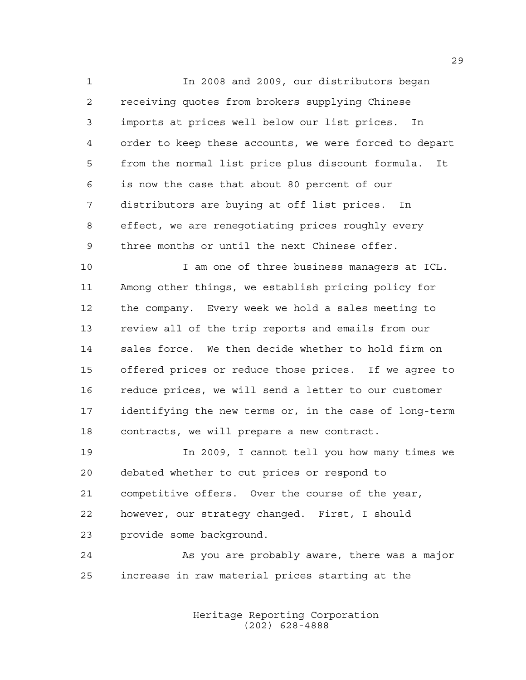In 2008 and 2009, our distributors began receiving quotes from brokers supplying Chinese imports at prices well below our list prices. In order to keep these accounts, we were forced to depart from the normal list price plus discount formula. It is now the case that about 80 percent of our distributors are buying at off list prices. In effect, we are renegotiating prices roughly every three months or until the next Chinese offer.

 I am one of three business managers at ICL. Among other things, we establish pricing policy for the company. Every week we hold a sales meeting to review all of the trip reports and emails from our sales force. We then decide whether to hold firm on offered prices or reduce those prices. If we agree to reduce prices, we will send a letter to our customer identifying the new terms or, in the case of long-term contracts, we will prepare a new contract.

 In 2009, I cannot tell you how many times we debated whether to cut prices or respond to competitive offers. Over the course of the year, however, our strategy changed. First, I should provide some background.

 As you are probably aware, there was a major increase in raw material prices starting at the

> Heritage Reporting Corporation (202) 628-4888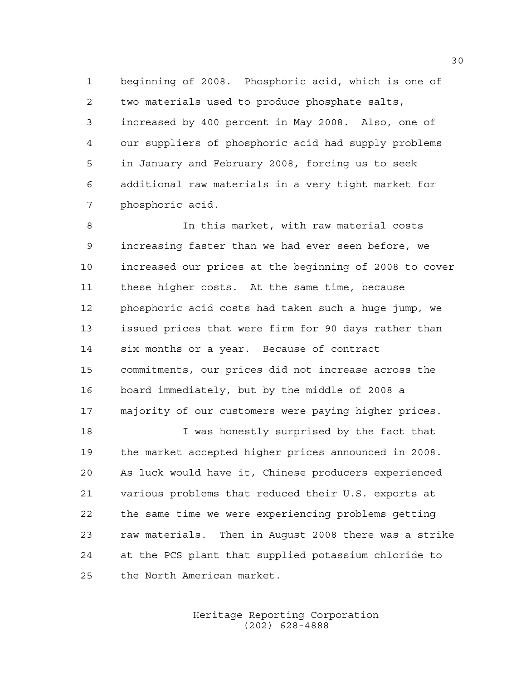beginning of 2008. Phosphoric acid, which is one of two materials used to produce phosphate salts, increased by 400 percent in May 2008. Also, one of our suppliers of phosphoric acid had supply problems in January and February 2008, forcing us to seek additional raw materials in a very tight market for phosphoric acid.

 In this market, with raw material costs increasing faster than we had ever seen before, we increased our prices at the beginning of 2008 to cover these higher costs. At the same time, because phosphoric acid costs had taken such a huge jump, we issued prices that were firm for 90 days rather than six months or a year. Because of contract commitments, our prices did not increase across the board immediately, but by the middle of 2008 a majority of our customers were paying higher prices.

18 I was honestly surprised by the fact that the market accepted higher prices announced in 2008. As luck would have it, Chinese producers experienced various problems that reduced their U.S. exports at the same time we were experiencing problems getting raw materials. Then in August 2008 there was a strike at the PCS plant that supplied potassium chloride to the North American market.

> Heritage Reporting Corporation (202) 628-4888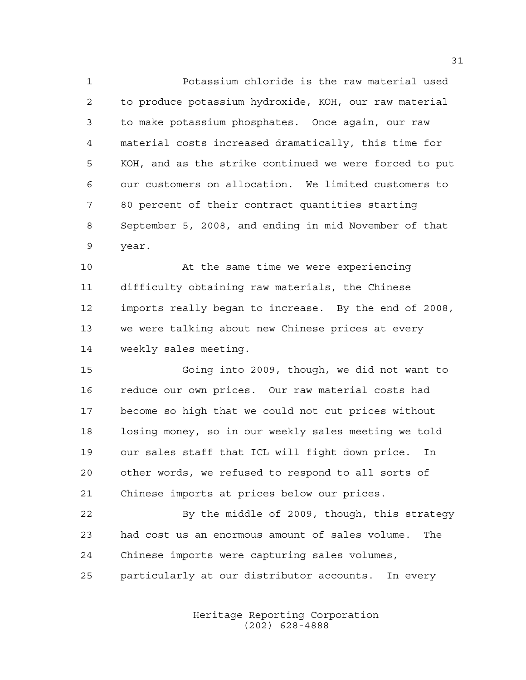Potassium chloride is the raw material used to produce potassium hydroxide, KOH, our raw material to make potassium phosphates. Once again, our raw material costs increased dramatically, this time for KOH, and as the strike continued we were forced to put our customers on allocation. We limited customers to 80 percent of their contract quantities starting September 5, 2008, and ending in mid November of that year.

 At the same time we were experiencing difficulty obtaining raw materials, the Chinese imports really began to increase. By the end of 2008, we were talking about new Chinese prices at every weekly sales meeting.

 Going into 2009, though, we did not want to reduce our own prices. Our raw material costs had become so high that we could not cut prices without losing money, so in our weekly sales meeting we told our sales staff that ICL will fight down price. In other words, we refused to respond to all sorts of Chinese imports at prices below our prices.

 By the middle of 2009, though, this strategy had cost us an enormous amount of sales volume. The Chinese imports were capturing sales volumes, particularly at our distributor accounts. In every

> Heritage Reporting Corporation (202) 628-4888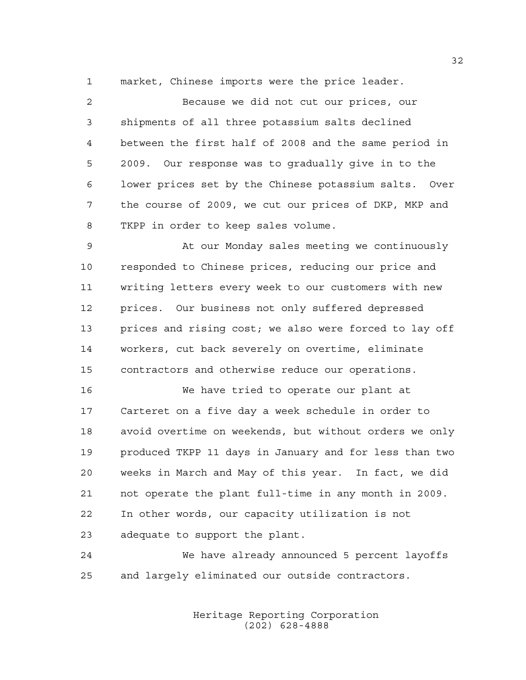market, Chinese imports were the price leader.

 Because we did not cut our prices, our shipments of all three potassium salts declined between the first half of 2008 and the same period in 2009. Our response was to gradually give in to the lower prices set by the Chinese potassium salts. Over the course of 2009, we cut our prices of DKP, MKP and TKPP in order to keep sales volume.

 At our Monday sales meeting we continuously responded to Chinese prices, reducing our price and writing letters every week to our customers with new prices. Our business not only suffered depressed prices and rising cost; we also were forced to lay off workers, cut back severely on overtime, eliminate contractors and otherwise reduce our operations.

 We have tried to operate our plant at Carteret on a five day a week schedule in order to avoid overtime on weekends, but without orders we only produced TKPP 11 days in January and for less than two weeks in March and May of this year. In fact, we did not operate the plant full-time in any month in 2009. In other words, our capacity utilization is not adequate to support the plant.

 We have already announced 5 percent layoffs and largely eliminated our outside contractors.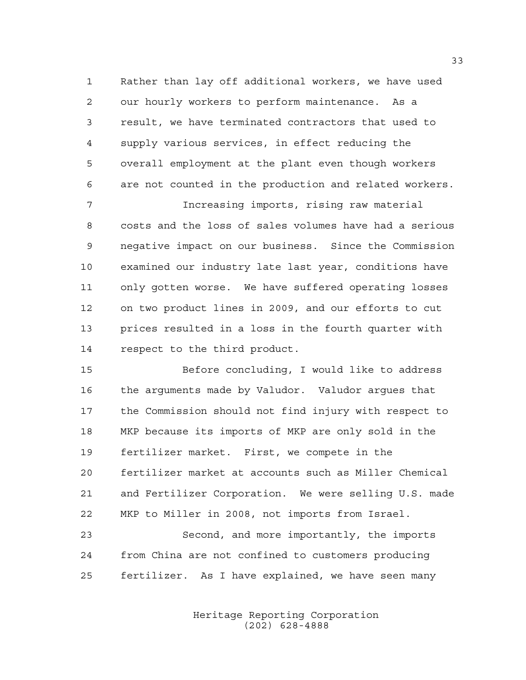Rather than lay off additional workers, we have used our hourly workers to perform maintenance. As a result, we have terminated contractors that used to supply various services, in effect reducing the overall employment at the plant even though workers are not counted in the production and related workers.

 Increasing imports, rising raw material costs and the loss of sales volumes have had a serious negative impact on our business. Since the Commission examined our industry late last year, conditions have only gotten worse. We have suffered operating losses on two product lines in 2009, and our efforts to cut prices resulted in a loss in the fourth quarter with respect to the third product.

 Before concluding, I would like to address the arguments made by Valudor. Valudor argues that the Commission should not find injury with respect to MKP because its imports of MKP are only sold in the fertilizer market. First, we compete in the fertilizer market at accounts such as Miller Chemical and Fertilizer Corporation. We were selling U.S. made MKP to Miller in 2008, not imports from Israel.

 Second, and more importantly, the imports from China are not confined to customers producing fertilizer. As I have explained, we have seen many

> Heritage Reporting Corporation (202) 628-4888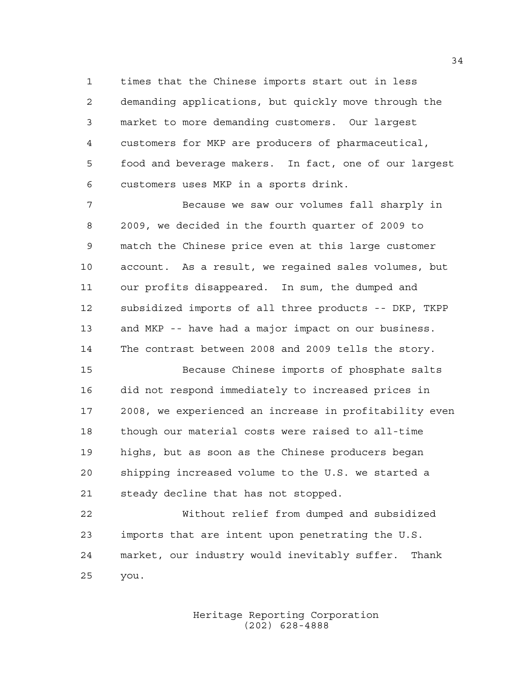times that the Chinese imports start out in less demanding applications, but quickly move through the market to more demanding customers. Our largest customers for MKP are producers of pharmaceutical, food and beverage makers. In fact, one of our largest customers uses MKP in a sports drink.

 Because we saw our volumes fall sharply in 2009, we decided in the fourth quarter of 2009 to match the Chinese price even at this large customer account. As a result, we regained sales volumes, but our profits disappeared. In sum, the dumped and subsidized imports of all three products -- DKP, TKPP and MKP -- have had a major impact on our business. The contrast between 2008 and 2009 tells the story.

 Because Chinese imports of phosphate salts did not respond immediately to increased prices in 2008, we experienced an increase in profitability even though our material costs were raised to all-time highs, but as soon as the Chinese producers began shipping increased volume to the U.S. we started a steady decline that has not stopped.

 Without relief from dumped and subsidized imports that are intent upon penetrating the U.S. market, our industry would inevitably suffer. Thank you.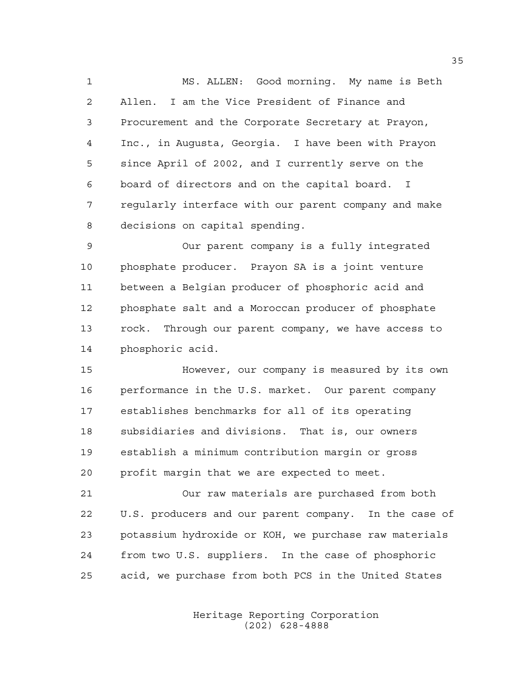MS. ALLEN: Good morning. My name is Beth Allen. I am the Vice President of Finance and Procurement and the Corporate Secretary at Prayon, Inc., in Augusta, Georgia. I have been with Prayon since April of 2002, and I currently serve on the board of directors and on the capital board. I regularly interface with our parent company and make decisions on capital spending.

 Our parent company is a fully integrated phosphate producer. Prayon SA is a joint venture between a Belgian producer of phosphoric acid and phosphate salt and a Moroccan producer of phosphate rock. Through our parent company, we have access to phosphoric acid.

 However, our company is measured by its own performance in the U.S. market. Our parent company establishes benchmarks for all of its operating subsidiaries and divisions. That is, our owners establish a minimum contribution margin or gross profit margin that we are expected to meet.

 Our raw materials are purchased from both U.S. producers and our parent company. In the case of potassium hydroxide or KOH, we purchase raw materials from two U.S. suppliers. In the case of phosphoric acid, we purchase from both PCS in the United States

> Heritage Reporting Corporation (202) 628-4888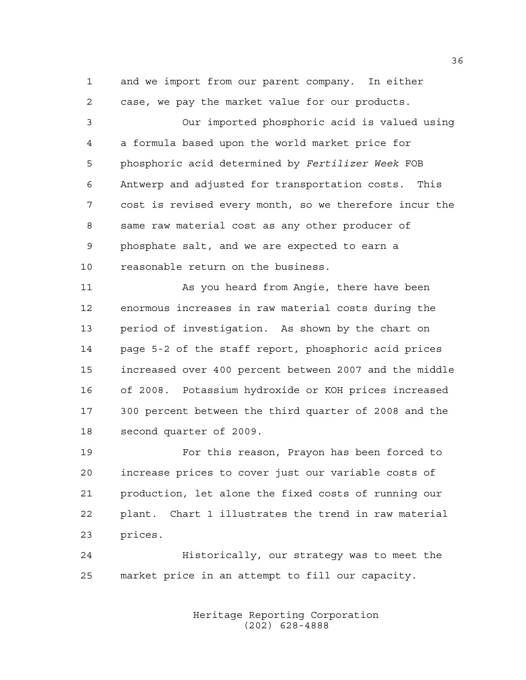and we import from our parent company. In either case, we pay the market value for our products.

 Our imported phosphoric acid is valued using a formula based upon the world market price for phosphoric acid determined by *Fertilizer Week* FOB Antwerp and adjusted for transportation costs. This cost is revised every month, so we therefore incur the same raw material cost as any other producer of phosphate salt, and we are expected to earn a reasonable return on the business.

 As you heard from Angie, there have been enormous increases in raw material costs during the period of investigation. As shown by the chart on page 5-2 of the staff report, phosphoric acid prices increased over 400 percent between 2007 and the middle of 2008. Potassium hydroxide or KOH prices increased 300 percent between the third quarter of 2008 and the second quarter of 2009.

 For this reason, Prayon has been forced to increase prices to cover just our variable costs of production, let alone the fixed costs of running our plant. Chart 1 illustrates the trend in raw material prices.

 Historically, our strategy was to meet the market price in an attempt to fill our capacity.

> Heritage Reporting Corporation (202) 628-4888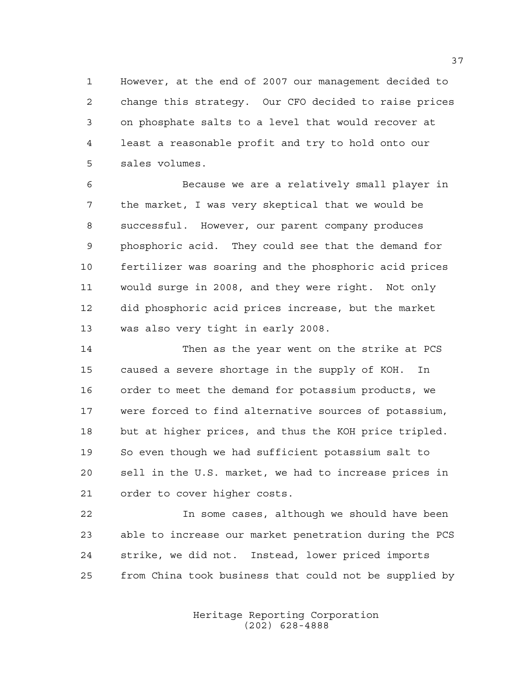However, at the end of 2007 our management decided to change this strategy. Our CFO decided to raise prices on phosphate salts to a level that would recover at least a reasonable profit and try to hold onto our sales volumes.

 Because we are a relatively small player in the market, I was very skeptical that we would be successful. However, our parent company produces phosphoric acid. They could see that the demand for fertilizer was soaring and the phosphoric acid prices would surge in 2008, and they were right. Not only did phosphoric acid prices increase, but the market was also very tight in early 2008.

 Then as the year went on the strike at PCS caused a severe shortage in the supply of KOH. In order to meet the demand for potassium products, we were forced to find alternative sources of potassium, but at higher prices, and thus the KOH price tripled. So even though we had sufficient potassium salt to sell in the U.S. market, we had to increase prices in order to cover higher costs.

 In some cases, although we should have been able to increase our market penetration during the PCS strike, we did not. Instead, lower priced imports from China took business that could not be supplied by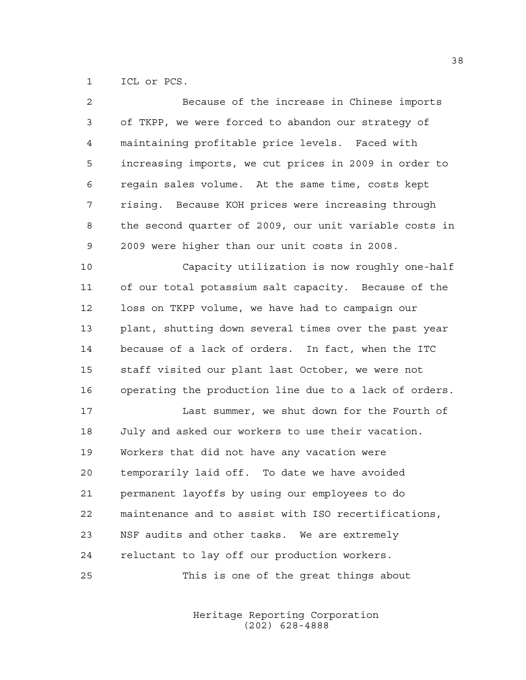ICL or PCS.

| 2  | Because of the increase in Chinese imports             |
|----|--------------------------------------------------------|
| 3  | of TKPP, we were forced to abandon our strategy of     |
| 4  | maintaining profitable price levels. Faced with        |
| 5  | increasing imports, we cut prices in 2009 in order to  |
| 6  | regain sales volume. At the same time, costs kept      |
| 7  | rising. Because KOH prices were increasing through     |
| 8  | the second quarter of 2009, our unit variable costs in |
| 9  | 2009 were higher than our unit costs in 2008.          |
| 10 | Capacity utilization is now roughly one-half           |
| 11 | of our total potassium salt capacity. Because of the   |
| 12 | loss on TKPP volume, we have had to campaign our       |
| 13 | plant, shutting down several times over the past year  |
| 14 | because of a lack of orders. In fact, when the ITC     |
| 15 | staff visited our plant last October, we were not      |
| 16 | operating the production line due to a lack of orders. |
| 17 | Last summer, we shut down for the Fourth of            |
| 18 | July and asked our workers to use their vacation.      |
| 19 | Workers that did not have any vacation were            |
| 20 | temporarily laid off. To date we have avoided          |
| 21 | permanent layoffs by using our employees to do         |
| 22 | maintenance and to assist with ISO recertifications,   |
| 23 | NSF audits and other tasks. We are extremely           |
| 24 | reluctant to lay off our production workers.           |
| 25 | This is one of the great things about                  |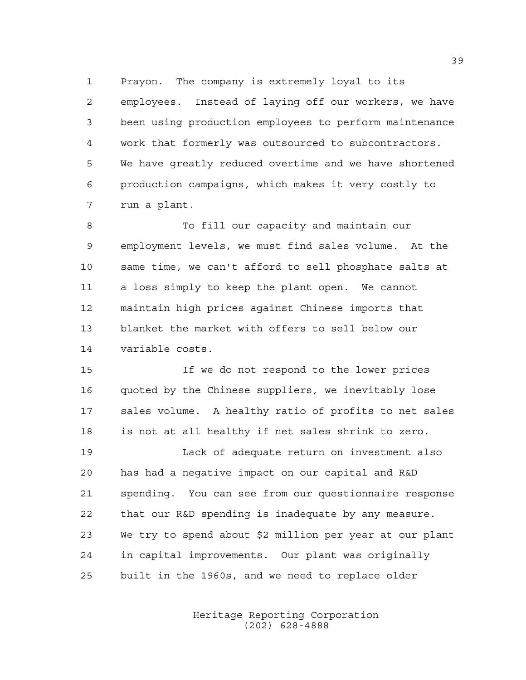Prayon. The company is extremely loyal to its employees. Instead of laying off our workers, we have been using production employees to perform maintenance work that formerly was outsourced to subcontractors. We have greatly reduced overtime and we have shortened production campaigns, which makes it very costly to run a plant.

 To fill our capacity and maintain our employment levels, we must find sales volume. At the same time, we can't afford to sell phosphate salts at a loss simply to keep the plant open. We cannot maintain high prices against Chinese imports that blanket the market with offers to sell below our variable costs.

 If we do not respond to the lower prices quoted by the Chinese suppliers, we inevitably lose sales volume. A healthy ratio of profits to net sales is not at all healthy if net sales shrink to zero.

 Lack of adequate return on investment also has had a negative impact on our capital and R&D spending. You can see from our questionnaire response that our R&D spending is inadequate by any measure. We try to spend about \$2 million per year at our plant in capital improvements. Our plant was originally built in the 1960s, and we need to replace older

> Heritage Reporting Corporation (202) 628-4888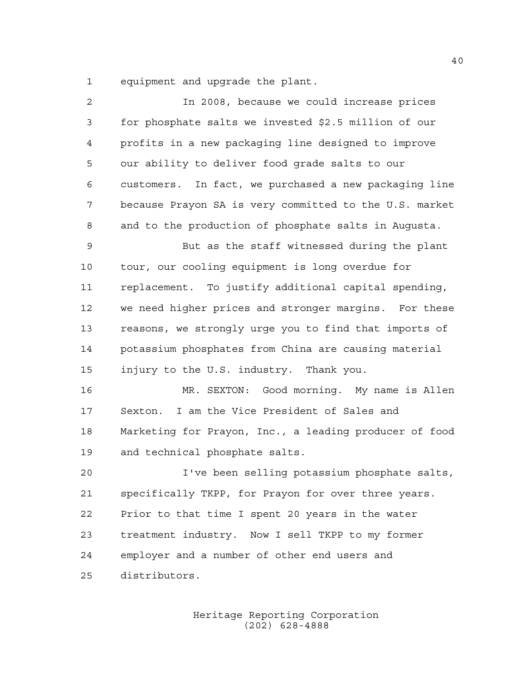equipment and upgrade the plant.

| 2  | In 2008, because we could increase prices              |
|----|--------------------------------------------------------|
| 3  | for phosphate salts we invested \$2.5 million of our   |
| 4  | profits in a new packaging line designed to improve    |
| 5  | our ability to deliver food grade salts to our         |
| 6  | customers. In fact, we purchased a new packaging line  |
| 7  | because Prayon SA is very committed to the U.S. market |
| 8  | and to the production of phosphate salts in Augusta.   |
| 9  | But as the staff witnessed during the plant            |
| 10 | tour, our cooling equipment is long overdue for        |
| 11 | replacement. To justify additional capital spending,   |
| 12 | we need higher prices and stronger margins. For these  |
| 13 | reasons, we strongly urge you to find that imports of  |
| 14 | potassium phosphates from China are causing material   |
| 15 | injury to the U.S. industry. Thank you.                |
| 16 | MR. SEXTON: Good morning. My name is Allen             |
| 17 | Sexton. I am the Vice President of Sales and           |
| 18 | Marketing for Prayon, Inc., a leading producer of food |
| 19 | and technical phosphate salts.                         |
| 20 | I've been selling potassium phosphate salts,           |
| 21 | specifically TKPP, for Prayon for over three years.    |
| 22 | Prior to that time I spent 20 years in the water       |
| 23 | treatment industry. Now I sell TKPP to my former       |
| 24 | employer and a number of other end users and           |
| 25 | distributors.                                          |
|    |                                                        |

Heritage Reporting Corporation (202) 628-4888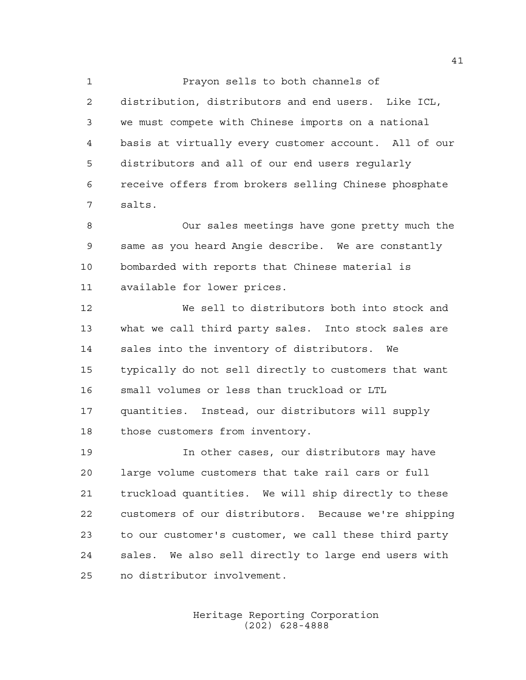Prayon sells to both channels of distribution, distributors and end users. Like ICL, we must compete with Chinese imports on a national basis at virtually every customer account. All of our distributors and all of our end users regularly receive offers from brokers selling Chinese phosphate salts.

 Our sales meetings have gone pretty much the same as you heard Angie describe. We are constantly bombarded with reports that Chinese material is available for lower prices.

 We sell to distributors both into stock and what we call third party sales. Into stock sales are sales into the inventory of distributors. We typically do not sell directly to customers that want small volumes or less than truckload or LTL quantities. Instead, our distributors will supply those customers from inventory.

 In other cases, our distributors may have large volume customers that take rail cars or full truckload quantities. We will ship directly to these customers of our distributors. Because we're shipping to our customer's customer, we call these third party sales. We also sell directly to large end users with no distributor involvement.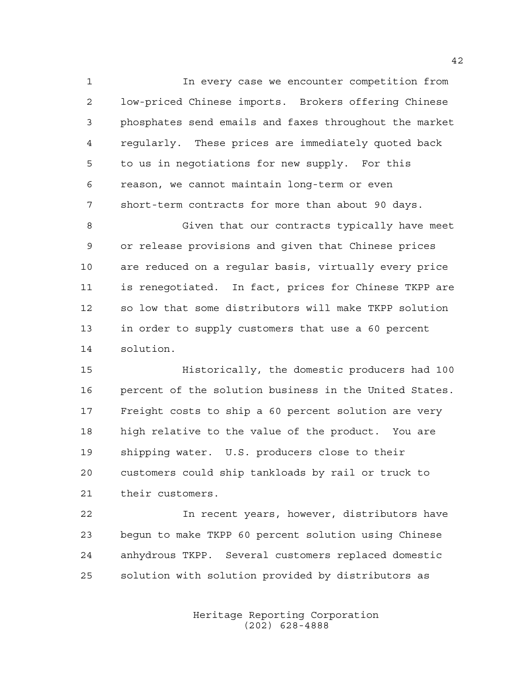In every case we encounter competition from low-priced Chinese imports. Brokers offering Chinese phosphates send emails and faxes throughout the market regularly. These prices are immediately quoted back to us in negotiations for new supply. For this reason, we cannot maintain long-term or even short-term contracts for more than about 90 days.

 Given that our contracts typically have meet or release provisions and given that Chinese prices are reduced on a regular basis, virtually every price is renegotiated. In fact, prices for Chinese TKPP are so low that some distributors will make TKPP solution in order to supply customers that use a 60 percent solution.

 Historically, the domestic producers had 100 percent of the solution business in the United States. Freight costs to ship a 60 percent solution are very high relative to the value of the product. You are shipping water. U.S. producers close to their customers could ship tankloads by rail or truck to their customers.

 In recent years, however, distributors have begun to make TKPP 60 percent solution using Chinese anhydrous TKPP. Several customers replaced domestic solution with solution provided by distributors as

> Heritage Reporting Corporation (202) 628-4888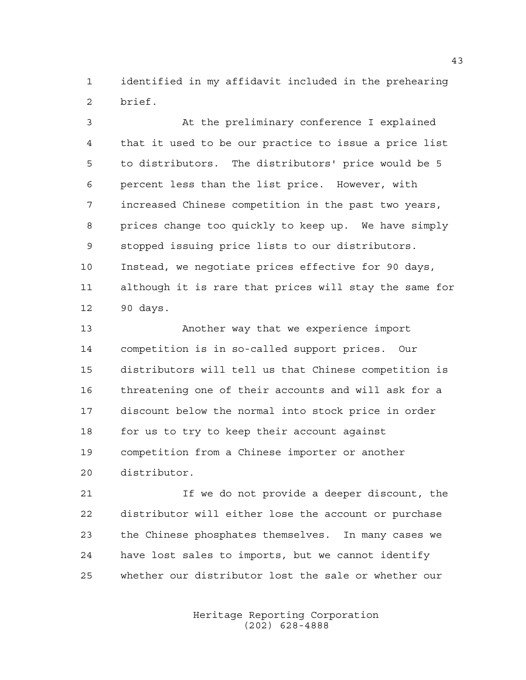identified in my affidavit included in the prehearing brief.

 At the preliminary conference I explained that it used to be our practice to issue a price list to distributors. The distributors' price would be 5 percent less than the list price. However, with increased Chinese competition in the past two years, prices change too quickly to keep up. We have simply stopped issuing price lists to our distributors. Instead, we negotiate prices effective for 90 days, although it is rare that prices will stay the same for 90 days.

 Another way that we experience import competition is in so-called support prices. Our distributors will tell us that Chinese competition is threatening one of their accounts and will ask for a discount below the normal into stock price in order for us to try to keep their account against competition from a Chinese importer or another distributor.

 If we do not provide a deeper discount, the distributor will either lose the account or purchase the Chinese phosphates themselves. In many cases we have lost sales to imports, but we cannot identify whether our distributor lost the sale or whether our

> Heritage Reporting Corporation (202) 628-4888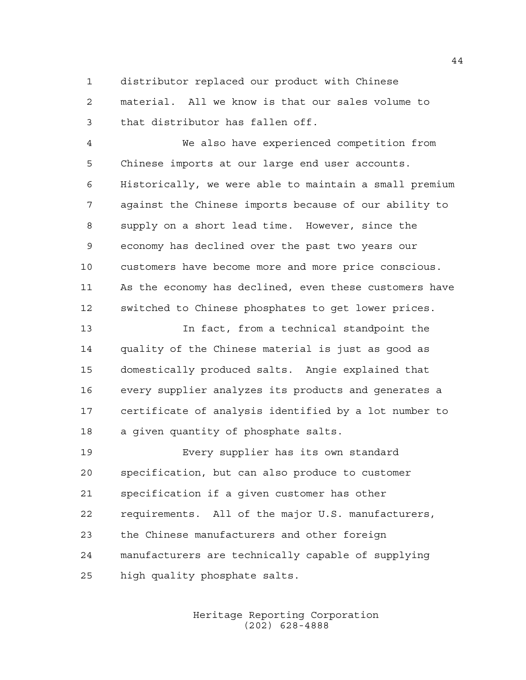distributor replaced our product with Chinese

 material. All we know is that our sales volume to that distributor has fallen off.

 We also have experienced competition from Chinese imports at our large end user accounts. Historically, we were able to maintain a small premium against the Chinese imports because of our ability to supply on a short lead time. However, since the economy has declined over the past two years our customers have become more and more price conscious. As the economy has declined, even these customers have switched to Chinese phosphates to get lower prices.

 In fact, from a technical standpoint the quality of the Chinese material is just as good as domestically produced salts. Angie explained that every supplier analyzes its products and generates a certificate of analysis identified by a lot number to a given quantity of phosphate salts.

 Every supplier has its own standard specification, but can also produce to customer specification if a given customer has other requirements. All of the major U.S. manufacturers, the Chinese manufacturers and other foreign manufacturers are technically capable of supplying high quality phosphate salts.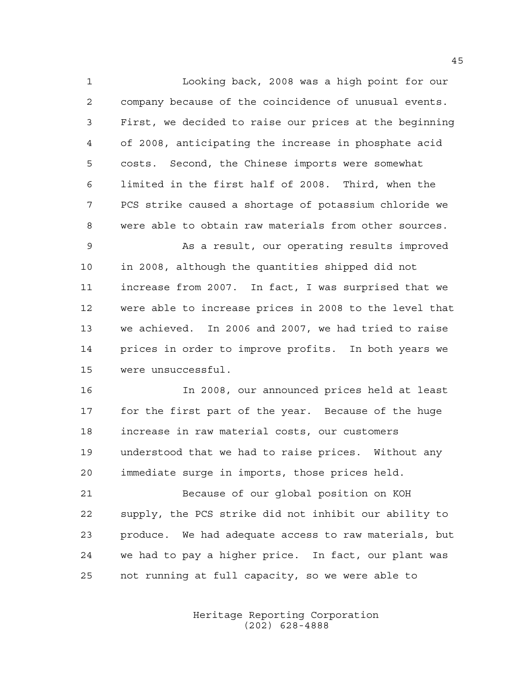Looking back, 2008 was a high point for our company because of the coincidence of unusual events. First, we decided to raise our prices at the beginning of 2008, anticipating the increase in phosphate acid costs. Second, the Chinese imports were somewhat limited in the first half of 2008. Third, when the PCS strike caused a shortage of potassium chloride we were able to obtain raw materials from other sources. As a result, our operating results improved in 2008, although the quantities shipped did not increase from 2007. In fact, I was surprised that we were able to increase prices in 2008 to the level that we achieved. In 2006 and 2007, we had tried to raise prices in order to improve profits. In both years we were unsuccessful.

 In 2008, our announced prices held at least for the first part of the year. Because of the huge increase in raw material costs, our customers understood that we had to raise prices. Without any immediate surge in imports, those prices held.

 Because of our global position on KOH supply, the PCS strike did not inhibit our ability to produce. We had adequate access to raw materials, but we had to pay a higher price. In fact, our plant was not running at full capacity, so we were able to

> Heritage Reporting Corporation (202) 628-4888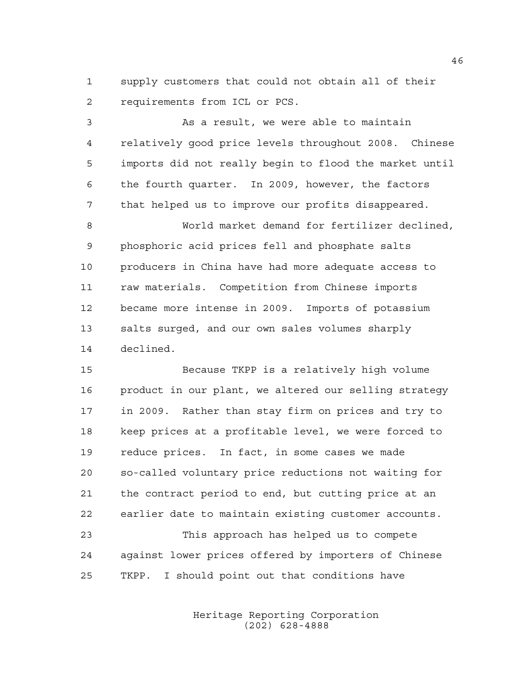supply customers that could not obtain all of their requirements from ICL or PCS.

 As a result, we were able to maintain relatively good price levels throughout 2008. Chinese imports did not really begin to flood the market until the fourth quarter. In 2009, however, the factors that helped us to improve our profits disappeared. World market demand for fertilizer declined, phosphoric acid prices fell and phosphate salts producers in China have had more adequate access to raw materials. Competition from Chinese imports became more intense in 2009. Imports of potassium salts surged, and our own sales volumes sharply declined.

 Because TKPP is a relatively high volume product in our plant, we altered our selling strategy in 2009. Rather than stay firm on prices and try to keep prices at a profitable level, we were forced to reduce prices. In fact, in some cases we made so-called voluntary price reductions not waiting for the contract period to end, but cutting price at an earlier date to maintain existing customer accounts.

 This approach has helped us to compete against lower prices offered by importers of Chinese TKPP. I should point out that conditions have

> Heritage Reporting Corporation (202) 628-4888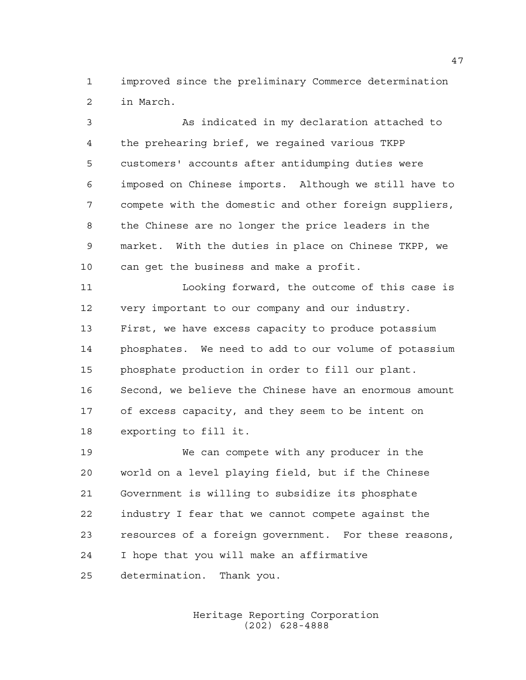improved since the preliminary Commerce determination in March.

 As indicated in my declaration attached to the prehearing brief, we regained various TKPP customers' accounts after antidumping duties were imposed on Chinese imports. Although we still have to compete with the domestic and other foreign suppliers, the Chinese are no longer the price leaders in the market. With the duties in place on Chinese TKPP, we can get the business and make a profit.

 Looking forward, the outcome of this case is very important to our company and our industry. First, we have excess capacity to produce potassium phosphates. We need to add to our volume of potassium phosphate production in order to fill our plant. Second, we believe the Chinese have an enormous amount of excess capacity, and they seem to be intent on exporting to fill it.

 We can compete with any producer in the world on a level playing field, but if the Chinese Government is willing to subsidize its phosphate industry I fear that we cannot compete against the resources of a foreign government. For these reasons, I hope that you will make an affirmative determination. Thank you.

> Heritage Reporting Corporation (202) 628-4888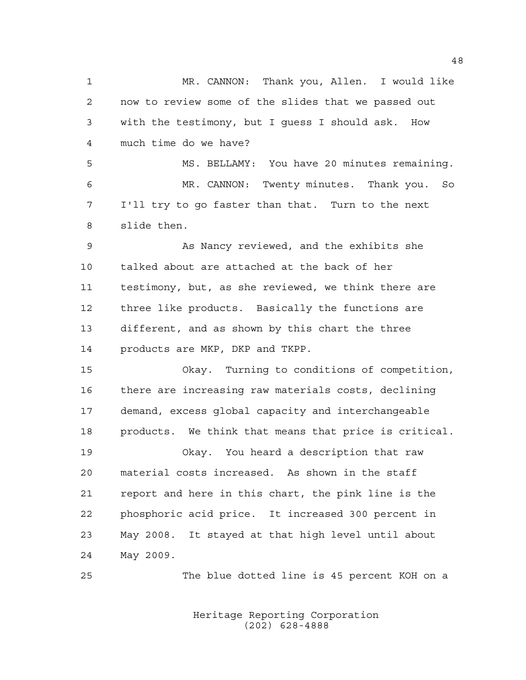1 MR. CANNON: Thank you, Allen. I would like now to review some of the slides that we passed out with the testimony, but I guess I should ask. How much time do we have? MS. BELLAMY: You have 20 minutes remaining. MR. CANNON: Twenty minutes. Thank you. So I'll try to go faster than that. Turn to the next slide then. As Nancy reviewed, and the exhibits she talked about are attached at the back of her testimony, but, as she reviewed, we think there are three like products. Basically the functions are different, and as shown by this chart the three products are MKP, DKP and TKPP. Okay. Turning to conditions of competition, there are increasing raw materials costs, declining demand, excess global capacity and interchangeable products. We think that means that price is critical. Okay. You heard a description that raw material costs increased. As shown in the staff report and here in this chart, the pink line is the phosphoric acid price. It increased 300 percent in May 2008. It stayed at that high level until about May 2009. The blue dotted line is 45 percent KOH on a

> Heritage Reporting Corporation (202) 628-4888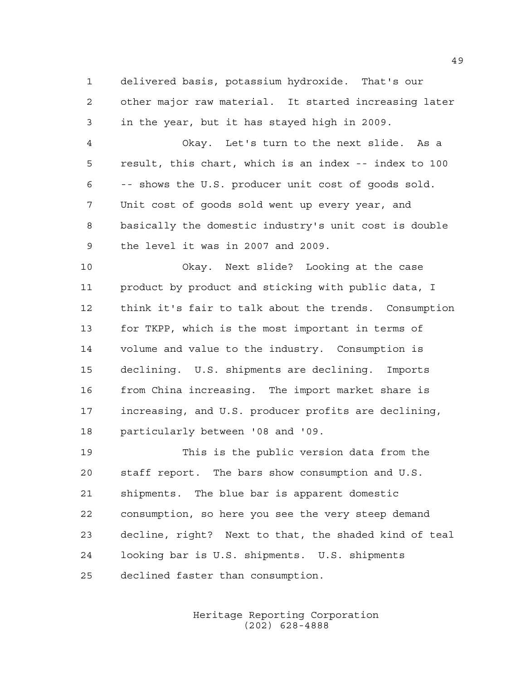delivered basis, potassium hydroxide. That's our other major raw material. It started increasing later in the year, but it has stayed high in 2009.

 Okay. Let's turn to the next slide. As a result, this chart, which is an index -- index to 100 -- shows the U.S. producer unit cost of goods sold. Unit cost of goods sold went up every year, and basically the domestic industry's unit cost is double the level it was in 2007 and 2009.

 Okay. Next slide? Looking at the case product by product and sticking with public data, I think it's fair to talk about the trends. Consumption for TKPP, which is the most important in terms of volume and value to the industry. Consumption is declining. U.S. shipments are declining. Imports from China increasing. The import market share is increasing, and U.S. producer profits are declining, particularly between '08 and '09.

 This is the public version data from the staff report. The bars show consumption and U.S. shipments. The blue bar is apparent domestic consumption, so here you see the very steep demand decline, right? Next to that, the shaded kind of teal looking bar is U.S. shipments. U.S. shipments declined faster than consumption.

> Heritage Reporting Corporation (202) 628-4888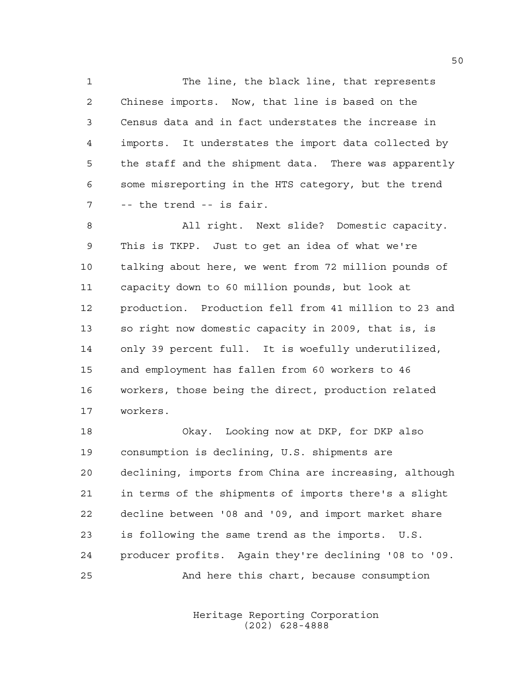1 The line, the black line, that represents Chinese imports. Now, that line is based on the Census data and in fact understates the increase in imports. It understates the import data collected by the staff and the shipment data. There was apparently some misreporting in the HTS category, but the trend -- the trend -- is fair.

 All right. Next slide? Domestic capacity. This is TKPP. Just to get an idea of what we're talking about here, we went from 72 million pounds of capacity down to 60 million pounds, but look at production. Production fell from 41 million to 23 and so right now domestic capacity in 2009, that is, is only 39 percent full. It is woefully underutilized, and employment has fallen from 60 workers to 46 workers, those being the direct, production related workers.

 Okay. Looking now at DKP, for DKP also consumption is declining, U.S. shipments are declining, imports from China are increasing, although in terms of the shipments of imports there's a slight decline between '08 and '09, and import market share is following the same trend as the imports. U.S. producer profits. Again they're declining '08 to '09. And here this chart, because consumption

> Heritage Reporting Corporation (202) 628-4888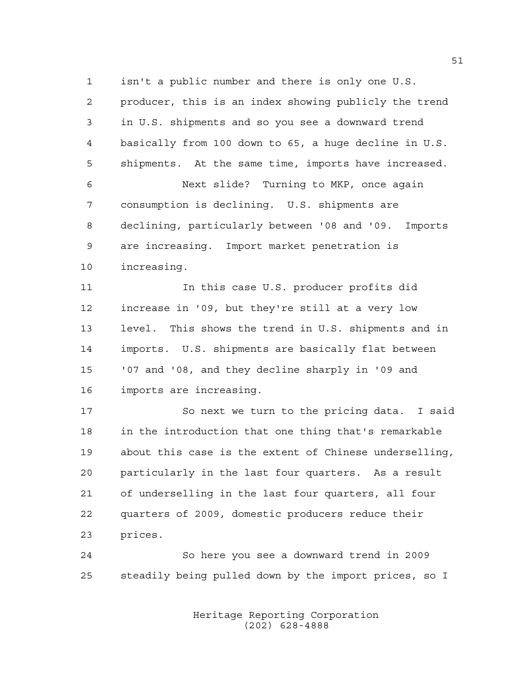isn't a public number and there is only one U.S. producer, this is an index showing publicly the trend in U.S. shipments and so you see a downward trend basically from 100 down to 65, a huge decline in U.S. shipments. At the same time, imports have increased.

 Next slide? Turning to MKP, once again consumption is declining. U.S. shipments are declining, particularly between '08 and '09. Imports are increasing. Import market penetration is increasing.

 In this case U.S. producer profits did increase in '09, but they're still at a very low level. This shows the trend in U.S. shipments and in imports. U.S. shipments are basically flat between '07 and '08, and they decline sharply in '09 and imports are increasing.

 So next we turn to the pricing data. I said in the introduction that one thing that's remarkable about this case is the extent of Chinese underselling, particularly in the last four quarters. As a result of underselling in the last four quarters, all four quarters of 2009, domestic producers reduce their prices.

 So here you see a downward trend in 2009 steadily being pulled down by the import prices, so I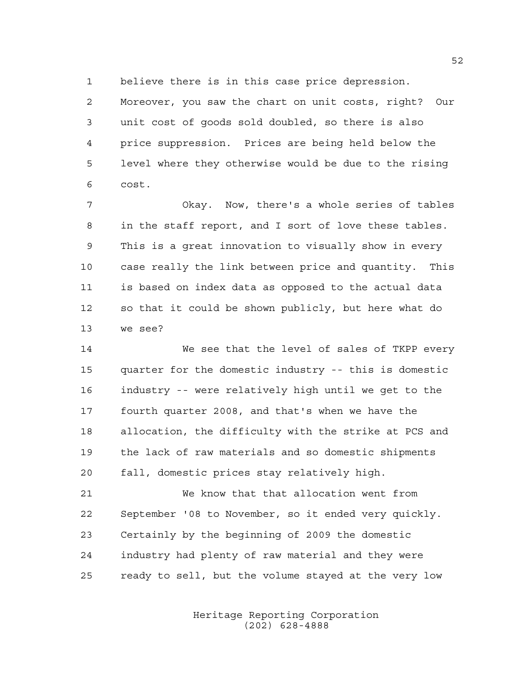believe there is in this case price depression.

 Moreover, you saw the chart on unit costs, right? Our unit cost of goods sold doubled, so there is also price suppression. Prices are being held below the level where they otherwise would be due to the rising cost.

 Okay. Now, there's a whole series of tables in the staff report, and I sort of love these tables. This is a great innovation to visually show in every case really the link between price and quantity. This is based on index data as opposed to the actual data so that it could be shown publicly, but here what do we see?

 We see that the level of sales of TKPP every quarter for the domestic industry -- this is domestic industry -- were relatively high until we get to the fourth quarter 2008, and that's when we have the allocation, the difficulty with the strike at PCS and the lack of raw materials and so domestic shipments fall, domestic prices stay relatively high.

 We know that that allocation went from September '08 to November, so it ended very quickly. Certainly by the beginning of 2009 the domestic industry had plenty of raw material and they were ready to sell, but the volume stayed at the very low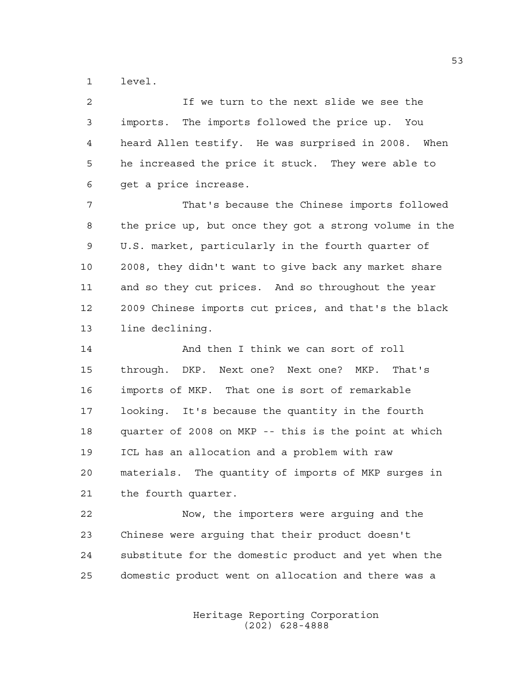level.

 If we turn to the next slide we see the imports. The imports followed the price up. You heard Allen testify. He was surprised in 2008. When he increased the price it stuck. They were able to get a price increase.

 That's because the Chinese imports followed the price up, but once they got a strong volume in the U.S. market, particularly in the fourth quarter of 2008, they didn't want to give back any market share and so they cut prices. And so throughout the year 2009 Chinese imports cut prices, and that's the black line declining.

 And then I think we can sort of roll through. DKP. Next one? Next one? MKP. That's imports of MKP. That one is sort of remarkable looking. It's because the quantity in the fourth quarter of 2008 on MKP -- this is the point at which ICL has an allocation and a problem with raw materials. The quantity of imports of MKP surges in the fourth quarter.

 Now, the importers were arguing and the Chinese were arguing that their product doesn't substitute for the domestic product and yet when the domestic product went on allocation and there was a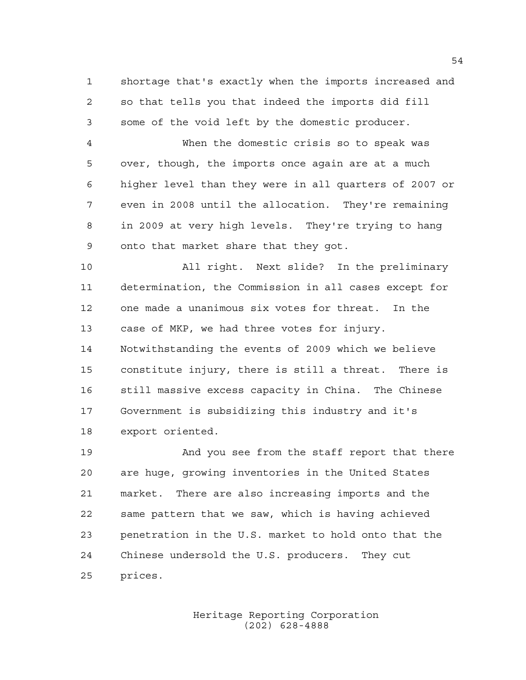shortage that's exactly when the imports increased and so that tells you that indeed the imports did fill some of the void left by the domestic producer.

 When the domestic crisis so to speak was over, though, the imports once again are at a much higher level than they were in all quarters of 2007 or even in 2008 until the allocation. They're remaining in 2009 at very high levels. They're trying to hang onto that market share that they got.

 All right. Next slide? In the preliminary determination, the Commission in all cases except for one made a unanimous six votes for threat. In the case of MKP, we had three votes for injury. Notwithstanding the events of 2009 which we believe constitute injury, there is still a threat. There is still massive excess capacity in China. The Chinese Government is subsidizing this industry and it's export oriented.

 And you see from the staff report that there are huge, growing inventories in the United States market. There are also increasing imports and the same pattern that we saw, which is having achieved penetration in the U.S. market to hold onto that the Chinese undersold the U.S. producers. They cut prices.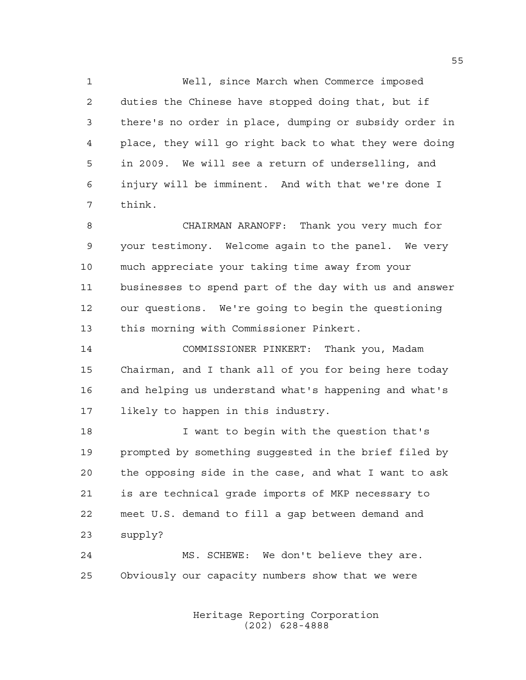Well, since March when Commerce imposed duties the Chinese have stopped doing that, but if there's no order in place, dumping or subsidy order in place, they will go right back to what they were doing in 2009. We will see a return of underselling, and injury will be imminent. And with that we're done I think.

 CHAIRMAN ARANOFF: Thank you very much for your testimony. Welcome again to the panel. We very much appreciate your taking time away from your businesses to spend part of the day with us and answer our questions. We're going to begin the questioning this morning with Commissioner Pinkert.

 COMMISSIONER PINKERT: Thank you, Madam Chairman, and I thank all of you for being here today and helping us understand what's happening and what's likely to happen in this industry.

 I want to begin with the question that's prompted by something suggested in the brief filed by the opposing side in the case, and what I want to ask is are technical grade imports of MKP necessary to meet U.S. demand to fill a gap between demand and supply?

 MS. SCHEWE: We don't believe they are. Obviously our capacity numbers show that we were

> Heritage Reporting Corporation (202) 628-4888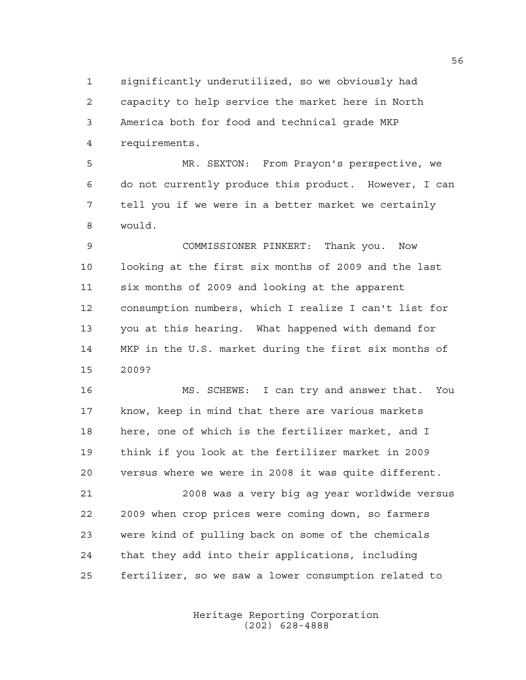significantly underutilized, so we obviously had capacity to help service the market here in North America both for food and technical grade MKP requirements.

 MR. SEXTON: From Prayon's perspective, we do not currently produce this product. However, I can tell you if we were in a better market we certainly would.

 COMMISSIONER PINKERT: Thank you. Now looking at the first six months of 2009 and the last six months of 2009 and looking at the apparent consumption numbers, which I realize I can't list for you at this hearing. What happened with demand for MKP in the U.S. market during the first six months of 2009?

 MS. SCHEWE: I can try and answer that. You know, keep in mind that there are various markets here, one of which is the fertilizer market, and I think if you look at the fertilizer market in 2009 versus where we were in 2008 it was quite different.

 2008 was a very big ag year worldwide versus 2009 when crop prices were coming down, so farmers were kind of pulling back on some of the chemicals that they add into their applications, including fertilizer, so we saw a lower consumption related to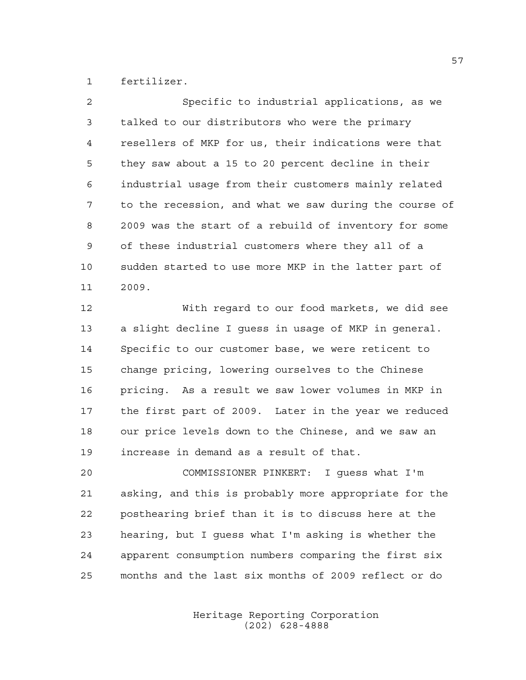fertilizer.

| $\mathfrak{D}$ | Specific to industrial applications, as we             |
|----------------|--------------------------------------------------------|
| 3              | talked to our distributors who were the primary        |
| 4              | resellers of MKP for us, their indications were that   |
| 5              | they saw about a 15 to 20 percent decline in their     |
| 6              | industrial usage from their customers mainly related   |
| 7              | to the recession, and what we saw during the course of |
| 8              | 2009 was the start of a rebuild of inventory for some  |
| 9              | of these industrial customers where they all of a      |
| 10             | sudden started to use more MKP in the latter part of   |
| 11             | 2009.                                                  |
|                |                                                        |

 With regard to our food markets, we did see a slight decline I guess in usage of MKP in general. Specific to our customer base, we were reticent to change pricing, lowering ourselves to the Chinese pricing. As a result we saw lower volumes in MKP in the first part of 2009. Later in the year we reduced our price levels down to the Chinese, and we saw an increase in demand as a result of that.

 COMMISSIONER PINKERT: I guess what I'm asking, and this is probably more appropriate for the posthearing brief than it is to discuss here at the hearing, but I guess what I'm asking is whether the apparent consumption numbers comparing the first six months and the last six months of 2009 reflect or do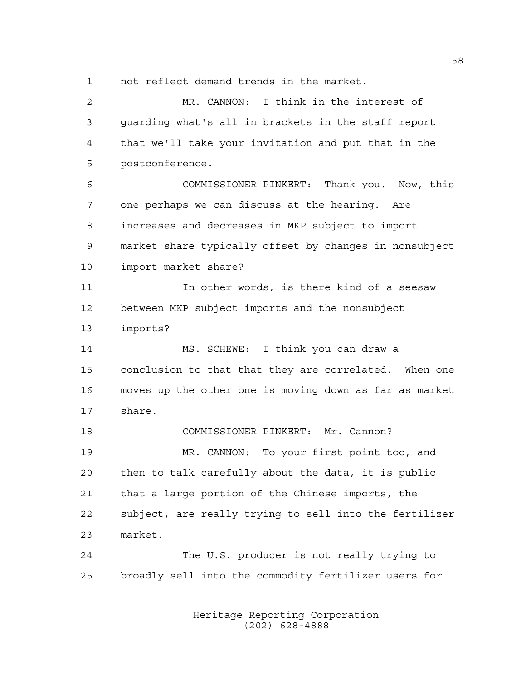not reflect demand trends in the market.

 MR. CANNON: I think in the interest of guarding what's all in brackets in the staff report that we'll take your invitation and put that in the postconference. COMMISSIONER PINKERT: Thank you. Now, this one perhaps we can discuss at the hearing. Are increases and decreases in MKP subject to import market share typically offset by changes in nonsubject import market share? In other words, is there kind of a seesaw between MKP subject imports and the nonsubject imports? MS. SCHEWE: I think you can draw a conclusion to that that they are correlated. When one moves up the other one is moving down as far as market share. COMMISSIONER PINKERT: Mr. Cannon? MR. CANNON: To your first point too, and then to talk carefully about the data, it is public that a large portion of the Chinese imports, the subject, are really trying to sell into the fertilizer market. The U.S. producer is not really trying to broadly sell into the commodity fertilizer users for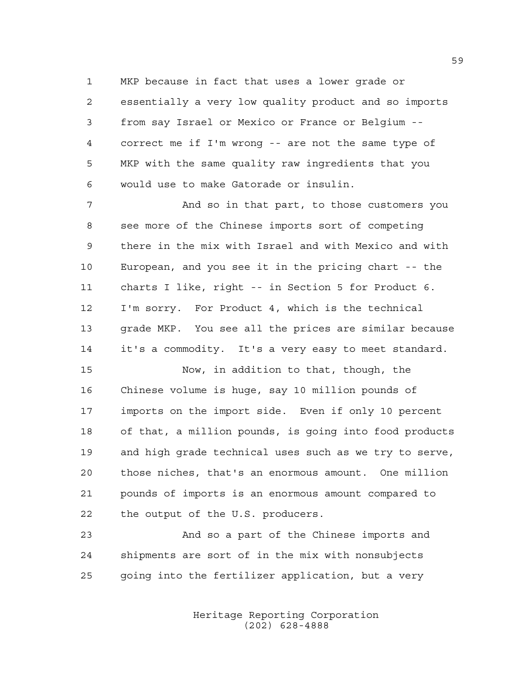MKP because in fact that uses a lower grade or essentially a very low quality product and so imports from say Israel or Mexico or France or Belgium -- correct me if I'm wrong -- are not the same type of MKP with the same quality raw ingredients that you would use to make Gatorade or insulin.

 And so in that part, to those customers you see more of the Chinese imports sort of competing there in the mix with Israel and with Mexico and with European, and you see it in the pricing chart -- the charts I like, right -- in Section 5 for Product 6. I'm sorry. For Product 4, which is the technical grade MKP. You see all the prices are similar because it's a commodity. It's a very easy to meet standard.

 Now, in addition to that, though, the Chinese volume is huge, say 10 million pounds of imports on the import side. Even if only 10 percent of that, a million pounds, is going into food products and high grade technical uses such as we try to serve, those niches, that's an enormous amount. One million pounds of imports is an enormous amount compared to the output of the U.S. producers.

 And so a part of the Chinese imports and shipments are sort of in the mix with nonsubjects going into the fertilizer application, but a very

> Heritage Reporting Corporation (202) 628-4888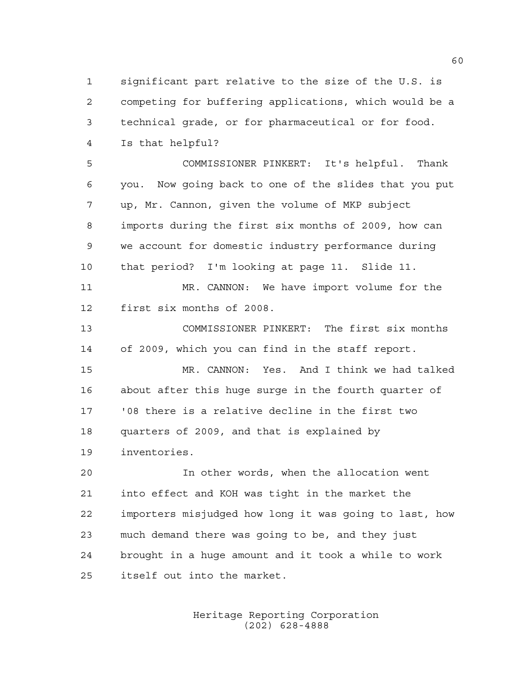significant part relative to the size of the U.S. is competing for buffering applications, which would be a technical grade, or for pharmaceutical or for food. Is that helpful?

 COMMISSIONER PINKERT: It's helpful. Thank you. Now going back to one of the slides that you put up, Mr. Cannon, given the volume of MKP subject imports during the first six months of 2009, how can we account for domestic industry performance during that period? I'm looking at page 11. Slide 11.

11 MR. CANNON: We have import volume for the first six months of 2008.

 COMMISSIONER PINKERT: The first six months of 2009, which you can find in the staff report.

 MR. CANNON: Yes. And I think we had talked about after this huge surge in the fourth quarter of '08 there is a relative decline in the first two quarters of 2009, and that is explained by inventories.

 In other words, when the allocation went into effect and KOH was tight in the market the importers misjudged how long it was going to last, how much demand there was going to be, and they just brought in a huge amount and it took a while to work itself out into the market.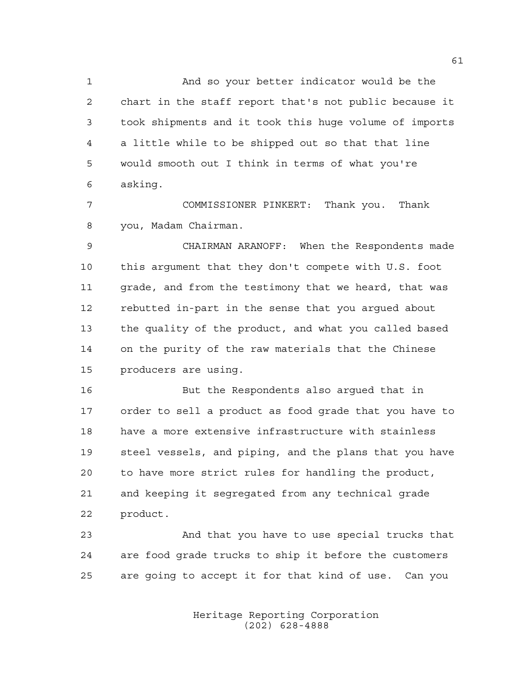And so your better indicator would be the chart in the staff report that's not public because it took shipments and it took this huge volume of imports a little while to be shipped out so that that line would smooth out I think in terms of what you're asking.

 COMMISSIONER PINKERT: Thank you. Thank you, Madam Chairman.

 CHAIRMAN ARANOFF: When the Respondents made this argument that they don't compete with U.S. foot grade, and from the testimony that we heard, that was rebutted in-part in the sense that you argued about the quality of the product, and what you called based on the purity of the raw materials that the Chinese producers are using.

 But the Respondents also argued that in order to sell a product as food grade that you have to have a more extensive infrastructure with stainless steel vessels, and piping, and the plans that you have to have more strict rules for handling the product, and keeping it segregated from any technical grade product.

 And that you have to use special trucks that are food grade trucks to ship it before the customers are going to accept it for that kind of use. Can you

> Heritage Reporting Corporation (202) 628-4888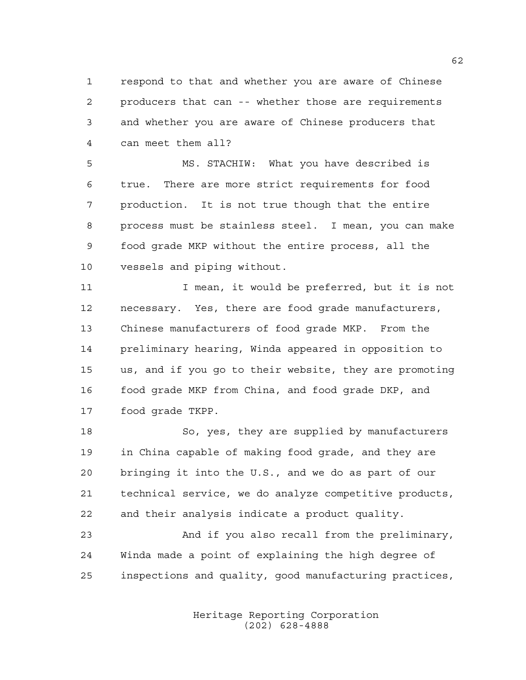respond to that and whether you are aware of Chinese producers that can -- whether those are requirements and whether you are aware of Chinese producers that can meet them all?

 MS. STACHIW: What you have described is true. There are more strict requirements for food production. It is not true though that the entire process must be stainless steel. I mean, you can make food grade MKP without the entire process, all the vessels and piping without.

11 11 I mean, it would be preferred, but it is not necessary. Yes, there are food grade manufacturers, Chinese manufacturers of food grade MKP. From the preliminary hearing, Winda appeared in opposition to us, and if you go to their website, they are promoting food grade MKP from China, and food grade DKP, and food grade TKPP.

 So, yes, they are supplied by manufacturers in China capable of making food grade, and they are bringing it into the U.S., and we do as part of our technical service, we do analyze competitive products, and their analysis indicate a product quality.

 And if you also recall from the preliminary, Winda made a point of explaining the high degree of inspections and quality, good manufacturing practices,

> Heritage Reporting Corporation (202) 628-4888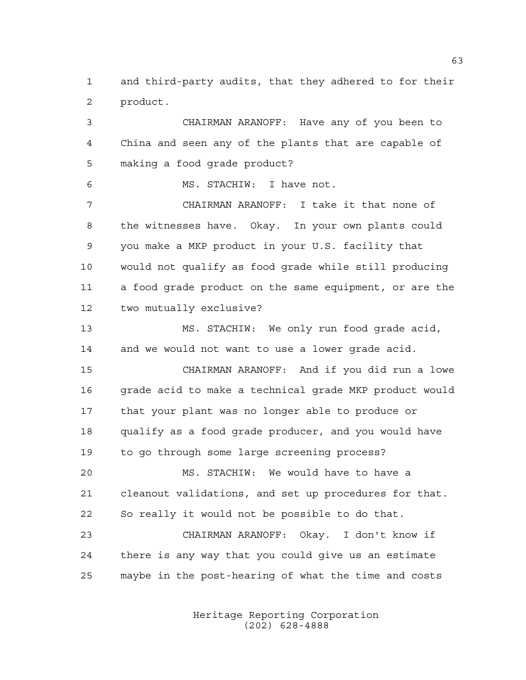and third-party audits, that they adhered to for their product.

 CHAIRMAN ARANOFF: Have any of you been to China and seen any of the plants that are capable of making a food grade product? MS. STACHIW: I have not. CHAIRMAN ARANOFF: I take it that none of the witnesses have. Okay. In your own plants could you make a MKP product in your U.S. facility that would not qualify as food grade while still producing a food grade product on the same equipment, or are the two mutually exclusive? MS. STACHIW: We only run food grade acid, and we would not want to use a lower grade acid. CHAIRMAN ARANOFF: And if you did run a lowe 16 grade acid to make a technical grade MKP product would that your plant was no longer able to produce or qualify as a food grade producer, and you would have to go through some large screening process? MS. STACHIW: We would have to have a cleanout validations, and set up procedures for that. So really it would not be possible to do that.

 CHAIRMAN ARANOFF: Okay. I don't know if there is any way that you could give us an estimate maybe in the post-hearing of what the time and costs

> Heritage Reporting Corporation (202) 628-4888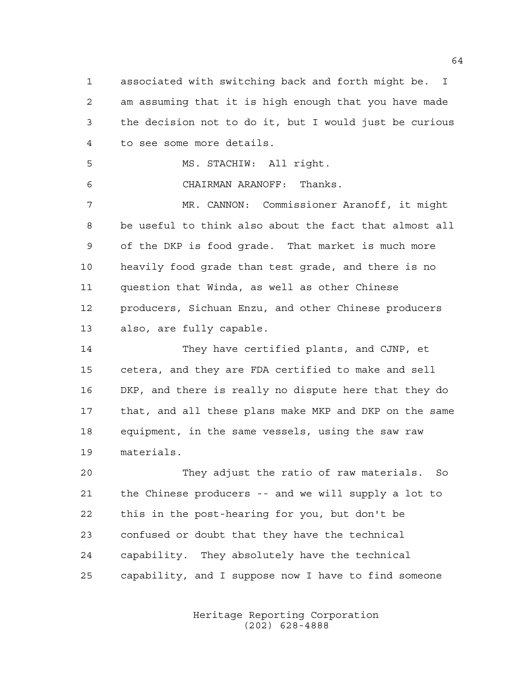associated with switching back and forth might be. I am assuming that it is high enough that you have made the decision not to do it, but I would just be curious to see some more details.

MS. STACHIW: All right.

CHAIRMAN ARANOFF: Thanks.

 MR. CANNON: Commissioner Aranoff, it might be useful to think also about the fact that almost all of the DKP is food grade. That market is much more heavily food grade than test grade, and there is no question that Winda, as well as other Chinese producers, Sichuan Enzu, and other Chinese producers also, are fully capable.

 They have certified plants, and CJNP, et cetera, and they are FDA certified to make and sell DKP, and there is really no dispute here that they do that, and all these plans make MKP and DKP on the same equipment, in the same vessels, using the saw raw materials.

 They adjust the ratio of raw materials. So the Chinese producers -- and we will supply a lot to this in the post-hearing for you, but don't be confused or doubt that they have the technical capability. They absolutely have the technical capability, and I suppose now I have to find someone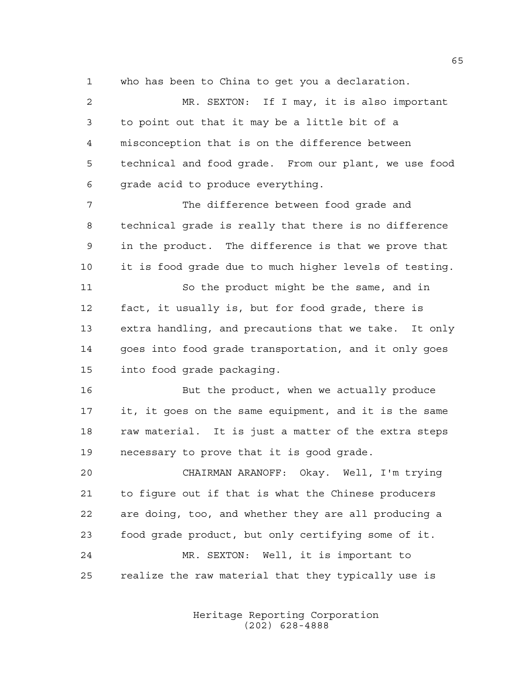who has been to China to get you a declaration.

 MR. SEXTON: If I may, it is also important to point out that it may be a little bit of a misconception that is on the difference between technical and food grade. From our plant, we use food grade acid to produce everything. The difference between food grade and technical grade is really that there is no difference in the product. The difference is that we prove that it is food grade due to much higher levels of testing. So the product might be the same, and in fact, it usually is, but for food grade, there is extra handling, and precautions that we take. It only goes into food grade transportation, and it only goes into food grade packaging. But the product, when we actually produce it, it goes on the same equipment, and it is the same raw material. It is just a matter of the extra steps necessary to prove that it is good grade. CHAIRMAN ARANOFF: Okay. Well, I'm trying to figure out if that is what the Chinese producers are doing, too, and whether they are all producing a food grade product, but only certifying some of it. MR. SEXTON: Well, it is important to realize the raw material that they typically use is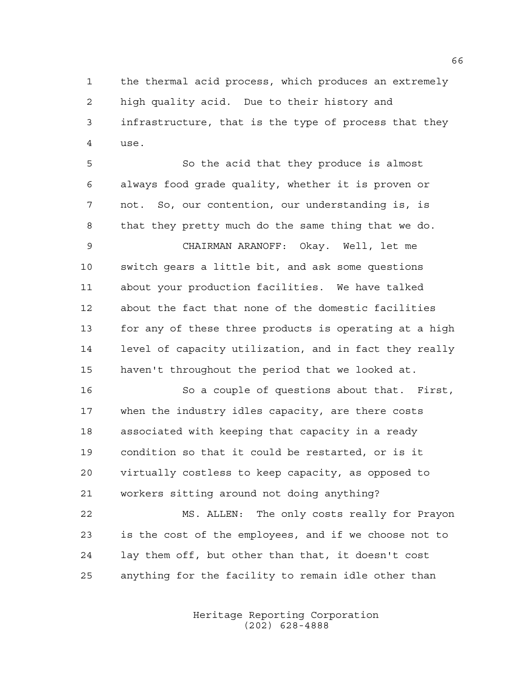the thermal acid process, which produces an extremely high quality acid. Due to their history and infrastructure, that is the type of process that they use.

 So the acid that they produce is almost always food grade quality, whether it is proven or not. So, our contention, our understanding is, is that they pretty much do the same thing that we do.

 CHAIRMAN ARANOFF: Okay. Well, let me switch gears a little bit, and ask some questions about your production facilities. We have talked about the fact that none of the domestic facilities for any of these three products is operating at a high level of capacity utilization, and in fact they really haven't throughout the period that we looked at.

 So a couple of questions about that. First, when the industry idles capacity, are there costs associated with keeping that capacity in a ready condition so that it could be restarted, or is it virtually costless to keep capacity, as opposed to workers sitting around not doing anything?

 MS. ALLEN: The only costs really for Prayon is the cost of the employees, and if we choose not to lay them off, but other than that, it doesn't cost anything for the facility to remain idle other than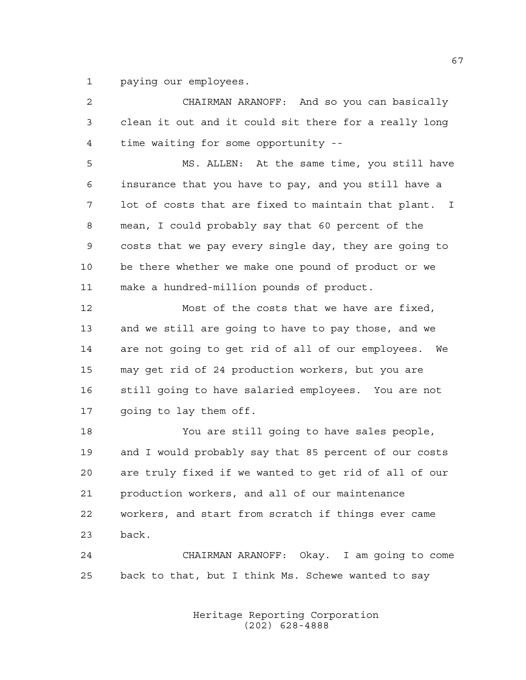paying our employees.

| 2  | CHAIRMAN ARANOFF: And so you can basically            |
|----|-------------------------------------------------------|
| 3  | clean it out and it could sit there for a really long |
| 4  | time waiting for some opportunity --                  |
| 5  | MS. ALLEN: At the same time, you still have           |
| 6  | insurance that you have to pay, and you still have a  |
| 7  | lot of costs that are fixed to maintain that plant. I |
| 8  | mean, I could probably say that 60 percent of the     |
| 9  | costs that we pay every single day, they are going to |
| 10 | be there whether we make one pound of product or we   |
| 11 | make a hundred-million pounds of product.             |
| 12 | Most of the costs that we have are fixed,             |
| 13 | and we still are going to have to pay those, and we   |
| 14 | are not going to get rid of all of our employees. We  |
| 15 | may get rid of 24 production workers, but you are     |
| 16 | still going to have salaried employees. You are not   |
| 17 | going to lay them off.                                |
| 18 | You are still going to have sales people,             |
| 19 | and I would probably say that 85 percent of our costs |
| 20 | are truly fixed if we wanted to get rid of all of our |
| 21 | production workers, and all of our maintenance        |
| 22 | workers, and start from scratch if things ever came   |
| 23 | back.                                                 |
| 24 | CHAIRMAN ARANOFF: Okay. I am going to come            |
| 25 | back to that, but I think Ms. Schewe wanted to say    |
|    |                                                       |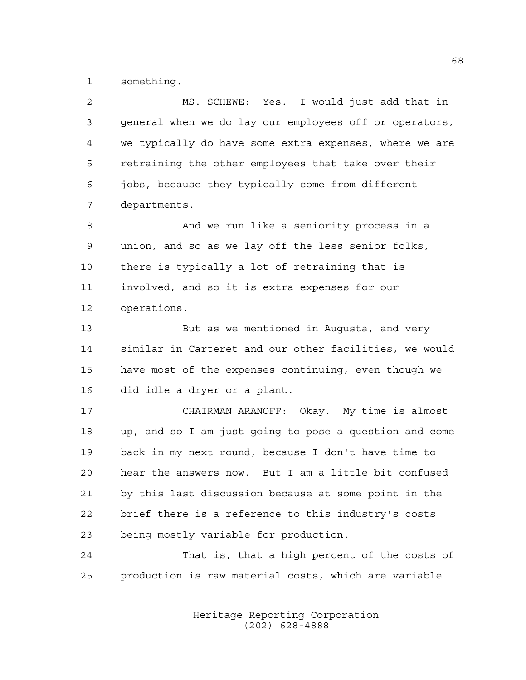something.

| $\overline{a}$ | MS. SCHEWE: Yes. I would just add that in              |
|----------------|--------------------------------------------------------|
| 3              | general when we do lay our employees off or operators, |
| 4              | we typically do have some extra expenses, where we are |
| 5              | retraining the other employees that take over their    |
| 6              | jobs, because they typically come from different       |
| 7              | departments.                                           |
| 8              | And we run like a seniority process in a               |
| 9              | union, and so as we lay off the less senior folks,     |
| 10             | there is typically a lot of retraining that is         |
| 11             | involved, and so it is extra expenses for our          |
| 12             | operations.                                            |
| 13             | But as we mentioned in Augusta, and very               |
| 14             | similar in Carteret and our other facilities, we would |
| 15             | have most of the expenses continuing, even though we   |
| 16             | did idle a dryer or a plant.                           |
| 17             | CHAIRMAN ARANOFF: Okay. My time is almost              |
| 18             | up, and so I am just going to pose a question and come |
| 19             | back in my next round, because I don't have time to    |
| 20             | hear the answers now. But I am a little bit confused   |
| 21             | by this last discussion because at some point in the   |
| 22             | brief there is a reference to this industry's costs    |
| 23             | being mostly variable for production.                  |
|                |                                                        |

 That is, that a high percent of the costs of production is raw material costs, which are variable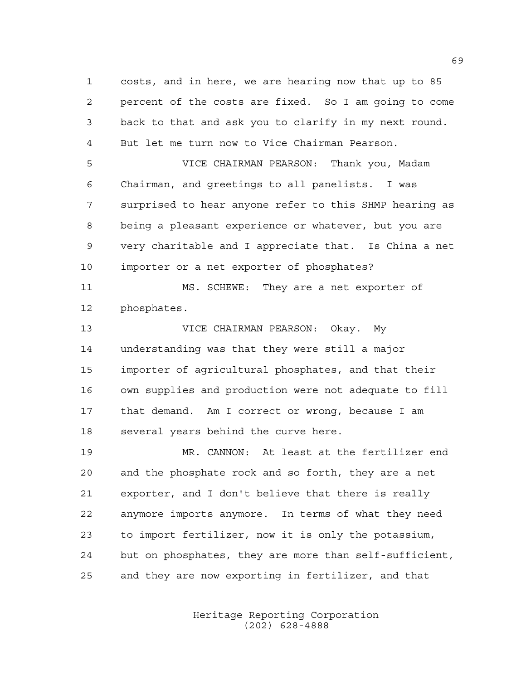costs, and in here, we are hearing now that up to 85 percent of the costs are fixed. So I am going to come back to that and ask you to clarify in my next round. But let me turn now to Vice Chairman Pearson.

 VICE CHAIRMAN PEARSON: Thank you, Madam Chairman, and greetings to all panelists. I was surprised to hear anyone refer to this SHMP hearing as being a pleasant experience or whatever, but you are very charitable and I appreciate that. Is China a net importer or a net exporter of phosphates?

 MS. SCHEWE: They are a net exporter of phosphates.

 VICE CHAIRMAN PEARSON: Okay. My understanding was that they were still a major importer of agricultural phosphates, and that their own supplies and production were not adequate to fill that demand. Am I correct or wrong, because I am several years behind the curve here.

 MR. CANNON: At least at the fertilizer end and the phosphate rock and so forth, they are a net exporter, and I don't believe that there is really anymore imports anymore. In terms of what they need to import fertilizer, now it is only the potassium, but on phosphates, they are more than self-sufficient, and they are now exporting in fertilizer, and that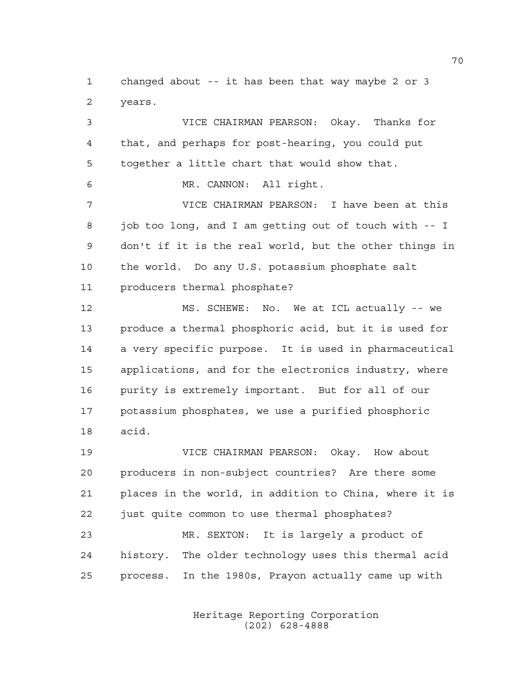changed about -- it has been that way maybe 2 or 3 years.

 VICE CHAIRMAN PEARSON: Okay. Thanks for that, and perhaps for post-hearing, you could put together a little chart that would show that. MR. CANNON: All right. VICE CHAIRMAN PEARSON: I have been at this job too long, and I am getting out of touch with -- I don't if it is the real world, but the other things in the world. Do any U.S. potassium phosphate salt producers thermal phosphate? MS. SCHEWE: No. We at ICL actually -- we produce a thermal phosphoric acid, but it is used for a very specific purpose. It is used in pharmaceutical applications, and for the electronics industry, where purity is extremely important. But for all of our potassium phosphates, we use a purified phosphoric acid.

 VICE CHAIRMAN PEARSON: Okay. How about producers in non-subject countries? Are there some places in the world, in addition to China, where it is just quite common to use thermal phosphates?

 MR. SEXTON: It is largely a product of history. The older technology uses this thermal acid process. In the 1980s, Prayon actually came up with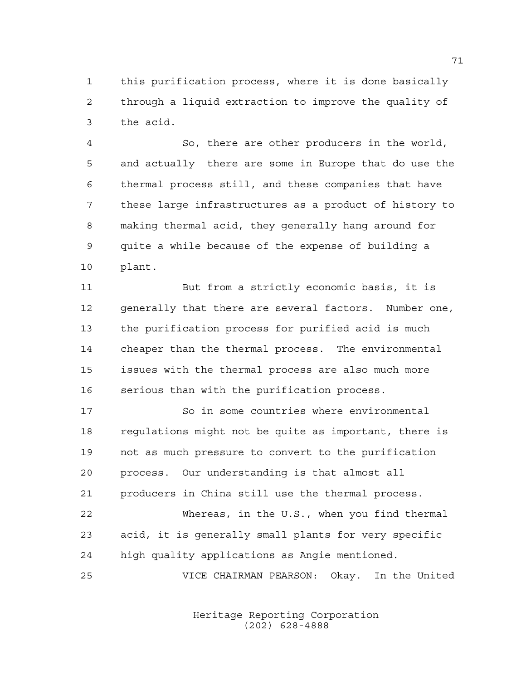this purification process, where it is done basically through a liquid extraction to improve the quality of the acid.

 So, there are other producers in the world, and actually there are some in Europe that do use the thermal process still, and these companies that have these large infrastructures as a product of history to making thermal acid, they generally hang around for quite a while because of the expense of building a plant.

 But from a strictly economic basis, it is generally that there are several factors. Number one, the purification process for purified acid is much cheaper than the thermal process. The environmental issues with the thermal process are also much more serious than with the purification process.

 So in some countries where environmental regulations might not be quite as important, there is not as much pressure to convert to the purification process. Our understanding is that almost all producers in China still use the thermal process. Whereas, in the U.S., when you find thermal acid, it is generally small plants for very specific

high quality applications as Angie mentioned.

VICE CHAIRMAN PEARSON: Okay. In the United

Heritage Reporting Corporation (202) 628-4888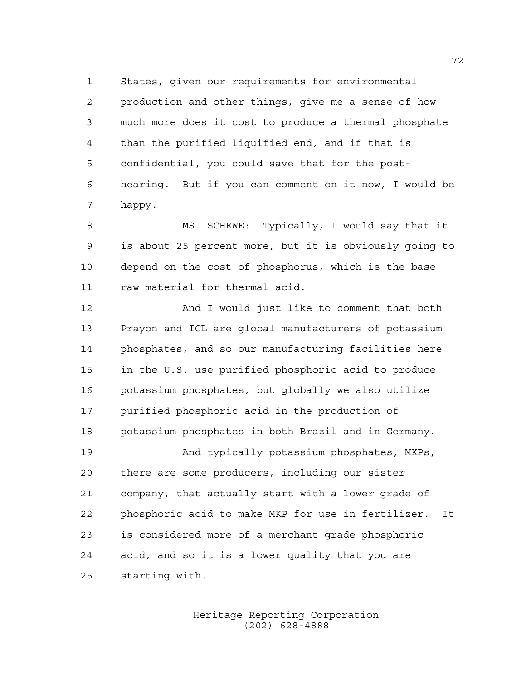States, given our requirements for environmental production and other things, give me a sense of how much more does it cost to produce a thermal phosphate than the purified liquified end, and if that is confidential, you could save that for the post- hearing. But if you can comment on it now, I would be happy.

 MS. SCHEWE: Typically, I would say that it is about 25 percent more, but it is obviously going to depend on the cost of phosphorus, which is the base raw material for thermal acid.

 And I would just like to comment that both Prayon and ICL are global manufacturers of potassium phosphates, and so our manufacturing facilities here in the U.S. use purified phosphoric acid to produce potassium phosphates, but globally we also utilize purified phosphoric acid in the production of potassium phosphates in both Brazil and in Germany. 19 And typically potassium phosphates, MKPs,

 there are some producers, including our sister company, that actually start with a lower grade of phosphoric acid to make MKP for use in fertilizer. It is considered more of a merchant grade phosphoric acid, and so it is a lower quality that you are starting with.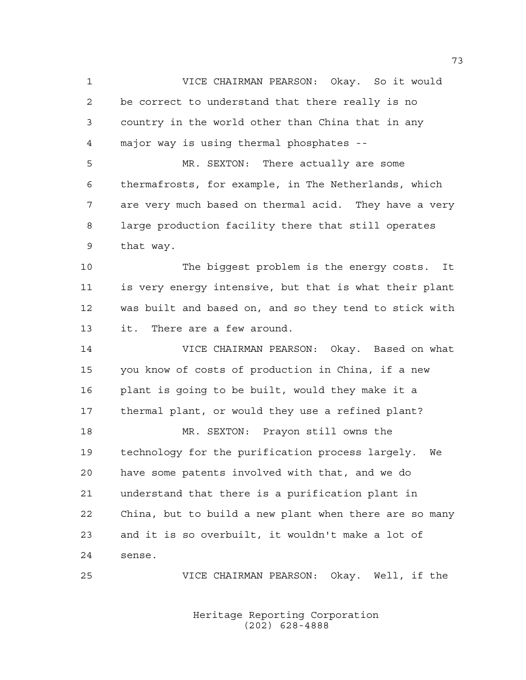VICE CHAIRMAN PEARSON: Okay. So it would be correct to understand that there really is no country in the world other than China that in any major way is using thermal phosphates -- MR. SEXTON: There actually are some thermafrosts, for example, in The Netherlands, which are very much based on thermal acid. They have a very large production facility there that still operates that way. The biggest problem is the energy costs. It is very energy intensive, but that is what their plant was built and based on, and so they tend to stick with it. There are a few around. VICE CHAIRMAN PEARSON: Okay. Based on what you know of costs of production in China, if a new plant is going to be built, would they make it a thermal plant, or would they use a refined plant? MR. SEXTON: Prayon still owns the technology for the purification process largely. We have some patents involved with that, and we do

 understand that there is a purification plant in China, but to build a new plant when there are so many and it is so overbuilt, it wouldn't make a lot of sense.

VICE CHAIRMAN PEARSON: Okay. Well, if the

Heritage Reporting Corporation (202) 628-4888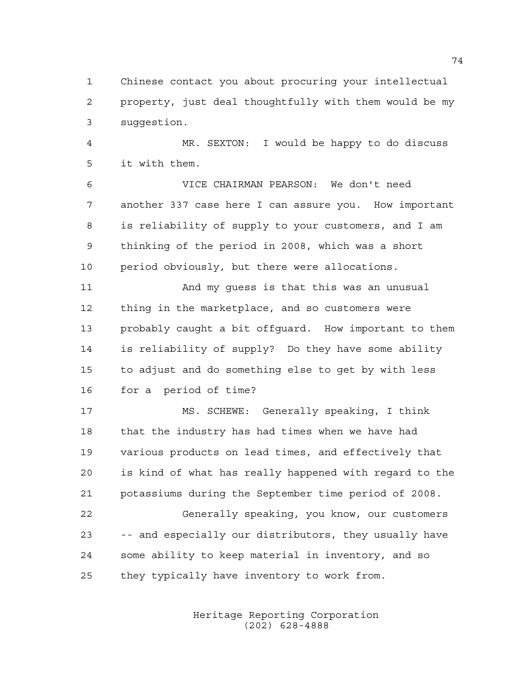Chinese contact you about procuring your intellectual property, just deal thoughtfully with them would be my suggestion.

 MR. SEXTON: I would be happy to do discuss it with them.

 VICE CHAIRMAN PEARSON: We don't need another 337 case here I can assure you. How important is reliability of supply to your customers, and I am thinking of the period in 2008, which was a short period obviously, but there were allocations.

 And my guess is that this was an unusual thing in the marketplace, and so customers were probably caught a bit offguard. How important to them is reliability of supply? Do they have some ability to adjust and do something else to get by with less for a period of time?

 MS. SCHEWE: Generally speaking, I think that the industry has had times when we have had various products on lead times, and effectively that is kind of what has really happened with regard to the potassiums during the September time period of 2008. Generally speaking, you know, our customers -- and especially our distributors, they usually have some ability to keep material in inventory, and so they typically have inventory to work from.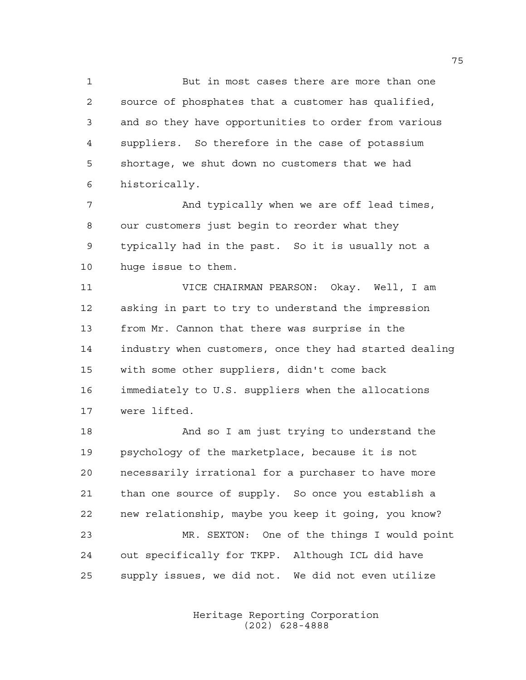But in most cases there are more than one source of phosphates that a customer has qualified, and so they have opportunities to order from various suppliers. So therefore in the case of potassium shortage, we shut down no customers that we had historically.

 And typically when we are off lead times, our customers just begin to reorder what they typically had in the past. So it is usually not a huge issue to them.

 VICE CHAIRMAN PEARSON: Okay. Well, I am asking in part to try to understand the impression from Mr. Cannon that there was surprise in the industry when customers, once they had started dealing with some other suppliers, didn't come back immediately to U.S. suppliers when the allocations were lifted.

 And so I am just trying to understand the psychology of the marketplace, because it is not necessarily irrational for a purchaser to have more than one source of supply. So once you establish a new relationship, maybe you keep it going, you know? MR. SEXTON: One of the things I would point out specifically for TKPP. Although ICL did have supply issues, we did not. We did not even utilize

> Heritage Reporting Corporation (202) 628-4888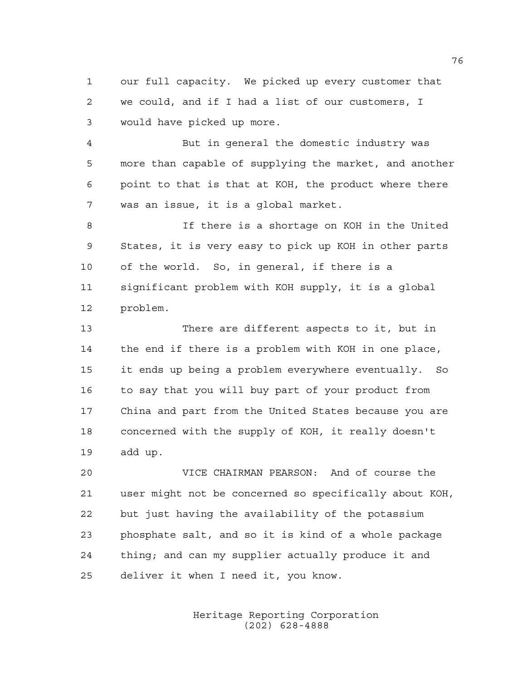our full capacity. We picked up every customer that we could, and if I had a list of our customers, I would have picked up more.

 But in general the domestic industry was more than capable of supplying the market, and another point to that is that at KOH, the product where there was an issue, it is a global market.

 If there is a shortage on KOH in the United States, it is very easy to pick up KOH in other parts of the world. So, in general, if there is a significant problem with KOH supply, it is a global problem.

 There are different aspects to it, but in the end if there is a problem with KOH in one place, it ends up being a problem everywhere eventually. So to say that you will buy part of your product from China and part from the United States because you are concerned with the supply of KOH, it really doesn't add up.

 VICE CHAIRMAN PEARSON: And of course the user might not be concerned so specifically about KOH, but just having the availability of the potassium phosphate salt, and so it is kind of a whole package thing; and can my supplier actually produce it and deliver it when I need it, you know.

> Heritage Reporting Corporation (202) 628-4888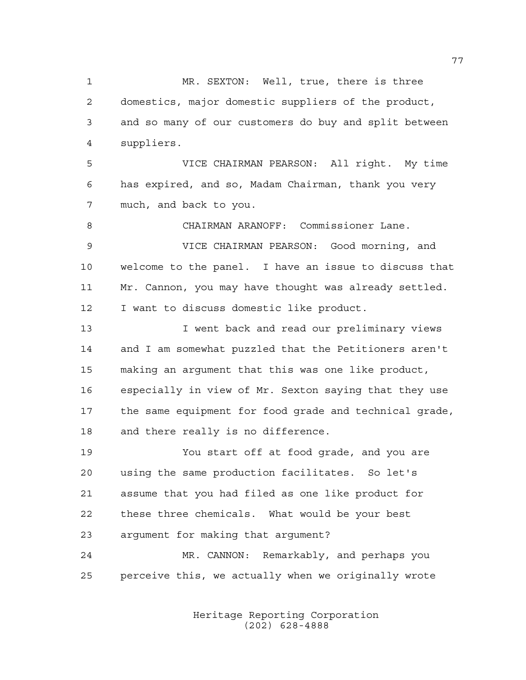MR. SEXTON: Well, true, there is three domestics, major domestic suppliers of the product, and so many of our customers do buy and split between suppliers. VICE CHAIRMAN PEARSON: All right. My time has expired, and so, Madam Chairman, thank you very much, and back to you. CHAIRMAN ARANOFF: Commissioner Lane. VICE CHAIRMAN PEARSON: Good morning, and welcome to the panel. I have an issue to discuss that Mr. Cannon, you may have thought was already settled. I want to discuss domestic like product. 13 I went back and read our preliminary views and I am somewhat puzzled that the Petitioners aren't making an argument that this was one like product, especially in view of Mr. Sexton saying that they use the same equipment for food grade and technical grade, and there really is no difference. You start off at food grade, and you are using the same production facilitates. So let's assume that you had filed as one like product for these three chemicals. What would be your best argument for making that argument? MR. CANNON: Remarkably, and perhaps you perceive this, we actually when we originally wrote

> Heritage Reporting Corporation (202) 628-4888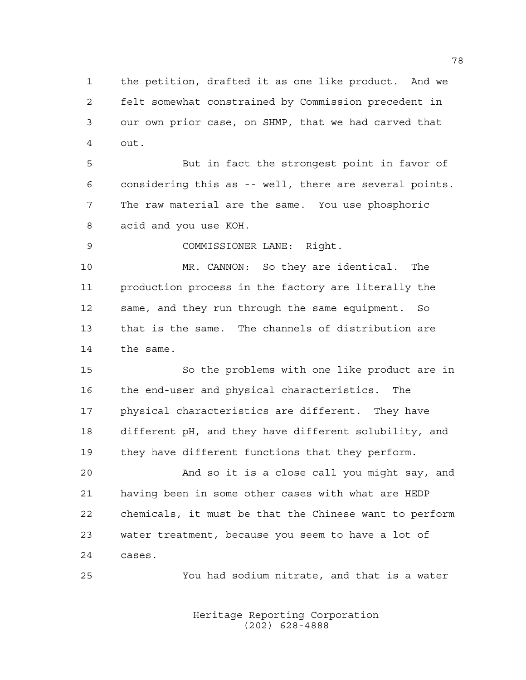the petition, drafted it as one like product. And we felt somewhat constrained by Commission precedent in our own prior case, on SHMP, that we had carved that out.

 But in fact the strongest point in favor of considering this as -- well, there are several points. The raw material are the same. You use phosphoric acid and you use KOH.

COMMISSIONER LANE: Right.

 MR. CANNON: So they are identical. The production process in the factory are literally the same, and they run through the same equipment. So that is the same. The channels of distribution are the same.

 So the problems with one like product are in the end-user and physical characteristics. The physical characteristics are different. They have different pH, and they have different solubility, and they have different functions that they perform.

 And so it is a close call you might say, and having been in some other cases with what are HEDP chemicals, it must be that the Chinese want to perform water treatment, because you seem to have a lot of cases.

You had sodium nitrate, and that is a water

Heritage Reporting Corporation (202) 628-4888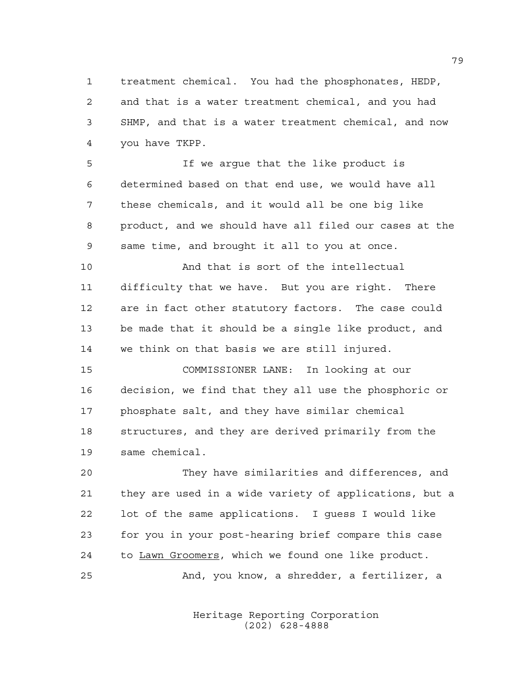treatment chemical. You had the phosphonates, HEDP, and that is a water treatment chemical, and you had SHMP, and that is a water treatment chemical, and now you have TKPP.

 If we argue that the like product is determined based on that end use, we would have all these chemicals, and it would all be one big like product, and we should have all filed our cases at the same time, and brought it all to you at once.

 And that is sort of the intellectual difficulty that we have. But you are right. There are in fact other statutory factors. The case could be made that it should be a single like product, and we think on that basis we are still injured.

 COMMISSIONER LANE: In looking at our decision, we find that they all use the phosphoric or phosphate salt, and they have similar chemical structures, and they are derived primarily from the same chemical.

 They have similarities and differences, and they are used in a wide variety of applications, but a lot of the same applications. I guess I would like for you in your post-hearing brief compare this case to Lawn Groomers, which we found one like product. And, you know, a shredder, a fertilizer, a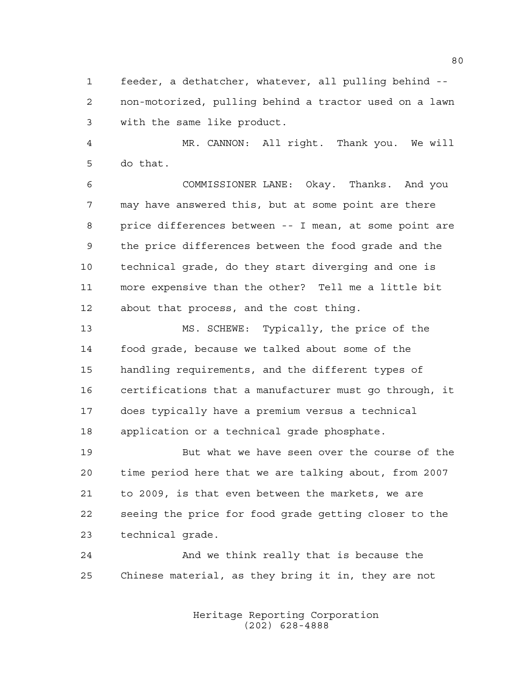feeder, a dethatcher, whatever, all pulling behind -- non-motorized, pulling behind a tractor used on a lawn with the same like product.

 MR. CANNON: All right. Thank you. We will do that.

 COMMISSIONER LANE: Okay. Thanks. And you may have answered this, but at some point are there price differences between -- I mean, at some point are the price differences between the food grade and the technical grade, do they start diverging and one is more expensive than the other? Tell me a little bit about that process, and the cost thing.

 MS. SCHEWE: Typically, the price of the food grade, because we talked about some of the handling requirements, and the different types of certifications that a manufacturer must go through, it does typically have a premium versus a technical application or a technical grade phosphate.

 But what we have seen over the course of the time period here that we are talking about, from 2007 to 2009, is that even between the markets, we are seeing the price for food grade getting closer to the technical grade.

 And we think really that is because the Chinese material, as they bring it in, they are not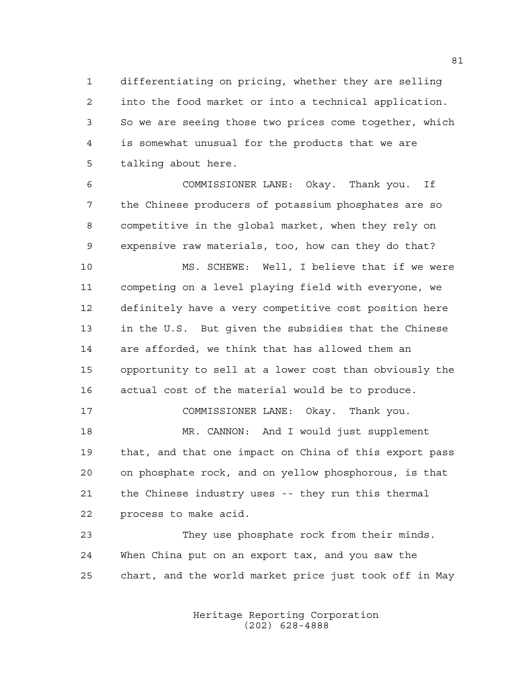differentiating on pricing, whether they are selling into the food market or into a technical application. So we are seeing those two prices come together, which is somewhat unusual for the products that we are talking about here.

 COMMISSIONER LANE: Okay. Thank you. If the Chinese producers of potassium phosphates are so competitive in the global market, when they rely on expensive raw materials, too, how can they do that?

 MS. SCHEWE: Well, I believe that if we were competing on a level playing field with everyone, we definitely have a very competitive cost position here in the U.S. But given the subsidies that the Chinese are afforded, we think that has allowed them an opportunity to sell at a lower cost than obviously the actual cost of the material would be to produce.

 COMMISSIONER LANE: Okay. Thank you. MR. CANNON: And I would just supplement that, and that one impact on China of this export pass on phosphate rock, and on yellow phosphorous, is that the Chinese industry uses -- they run this thermal process to make acid.

 They use phosphate rock from their minds. When China put on an export tax, and you saw the chart, and the world market price just took off in May

> Heritage Reporting Corporation (202) 628-4888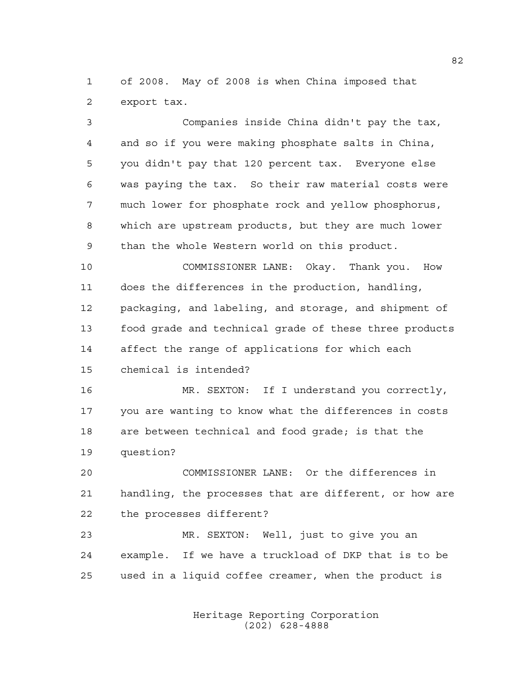of 2008. May of 2008 is when China imposed that export tax.

 Companies inside China didn't pay the tax, and so if you were making phosphate salts in China, you didn't pay that 120 percent tax. Everyone else was paying the tax. So their raw material costs were much lower for phosphate rock and yellow phosphorus, which are upstream products, but they are much lower than the whole Western world on this product.

 COMMISSIONER LANE: Okay. Thank you. How does the differences in the production, handling, packaging, and labeling, and storage, and shipment of food grade and technical grade of these three products affect the range of applications for which each chemical is intended?

 MR. SEXTON: If I understand you correctly, you are wanting to know what the differences in costs are between technical and food grade; is that the question?

 COMMISSIONER LANE: Or the differences in handling, the processes that are different, or how are the processes different?

 MR. SEXTON: Well, just to give you an example. If we have a truckload of DKP that is to be used in a liquid coffee creamer, when the product is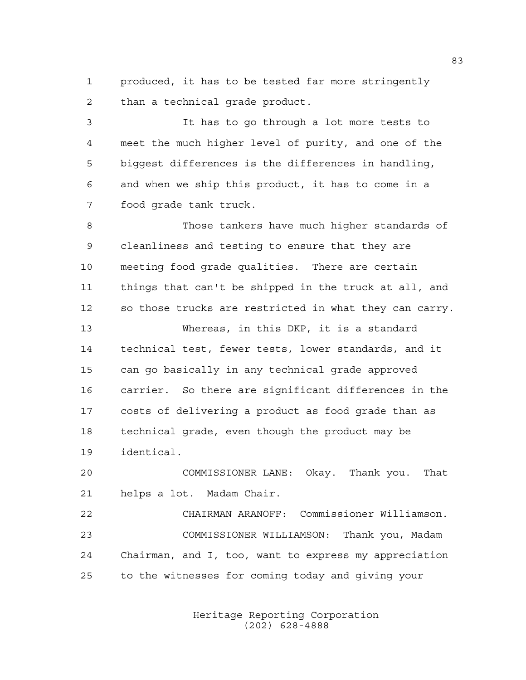produced, it has to be tested far more stringently than a technical grade product.

 It has to go through a lot more tests to meet the much higher level of purity, and one of the biggest differences is the differences in handling, and when we ship this product, it has to come in a food grade tank truck.

 Those tankers have much higher standards of cleanliness and testing to ensure that they are meeting food grade qualities. There are certain things that can't be shipped in the truck at all, and so those trucks are restricted in what they can carry.

 Whereas, in this DKP, it is a standard technical test, fewer tests, lower standards, and it can go basically in any technical grade approved carrier. So there are significant differences in the costs of delivering a product as food grade than as technical grade, even though the product may be identical.

 COMMISSIONER LANE: Okay. Thank you. That helps a lot. Madam Chair.

 CHAIRMAN ARANOFF: Commissioner Williamson. COMMISSIONER WILLIAMSON: Thank you, Madam Chairman, and I, too, want to express my appreciation to the witnesses for coming today and giving your

> Heritage Reporting Corporation (202) 628-4888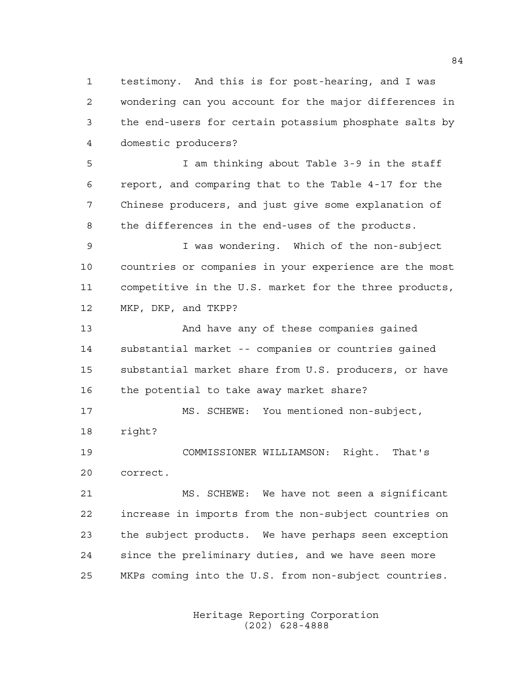testimony. And this is for post-hearing, and I was wondering can you account for the major differences in the end-users for certain potassium phosphate salts by domestic producers?

 I am thinking about Table 3-9 in the staff report, and comparing that to the Table 4-17 for the Chinese producers, and just give some explanation of the differences in the end-uses of the products.

 I was wondering. Which of the non-subject countries or companies in your experience are the most competitive in the U.S. market for the three products, MKP, DKP, and TKPP?

 And have any of these companies gained substantial market -- companies or countries gained substantial market share from U.S. producers, or have 16 the potential to take away market share?

 MS. SCHEWE: You mentioned non-subject, right?

 COMMISSIONER WILLIAMSON: Right. That's correct.

 MS. SCHEWE: We have not seen a significant increase in imports from the non-subject countries on the subject products. We have perhaps seen exception since the preliminary duties, and we have seen more MKPs coming into the U.S. from non-subject countries.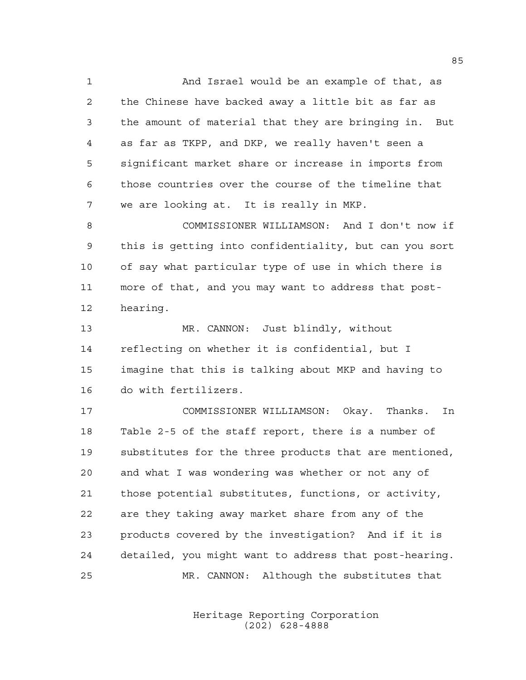And Israel would be an example of that, as the Chinese have backed away a little bit as far as the amount of material that they are bringing in. But as far as TKPP, and DKP, we really haven't seen a significant market share or increase in imports from those countries over the course of the timeline that we are looking at. It is really in MKP.

 COMMISSIONER WILLIAMSON: And I don't now if this is getting into confidentiality, but can you sort of say what particular type of use in which there is more of that, and you may want to address that post-hearing.

 MR. CANNON: Just blindly, without reflecting on whether it is confidential, but I imagine that this is talking about MKP and having to do with fertilizers.

 COMMISSIONER WILLIAMSON: Okay. Thanks. In Table 2-5 of the staff report, there is a number of substitutes for the three products that are mentioned, and what I was wondering was whether or not any of those potential substitutes, functions, or activity, are they taking away market share from any of the products covered by the investigation? And if it is detailed, you might want to address that post-hearing. MR. CANNON: Although the substitutes that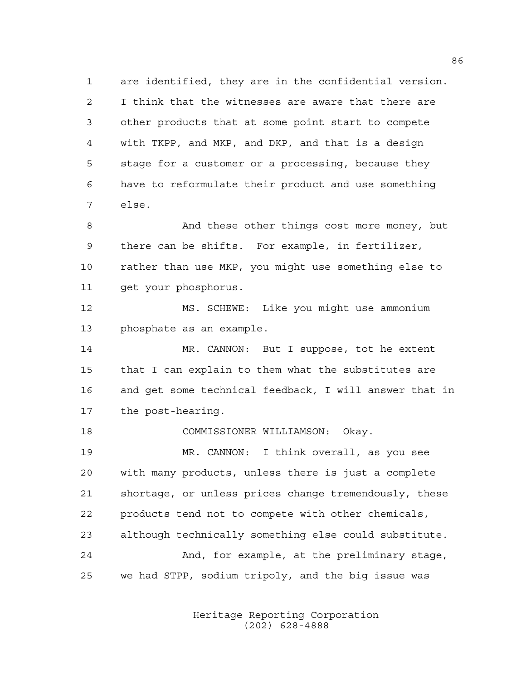are identified, they are in the confidential version. I think that the witnesses are aware that there are other products that at some point start to compete with TKPP, and MKP, and DKP, and that is a design stage for a customer or a processing, because they have to reformulate their product and use something else.

 And these other things cost more money, but there can be shifts. For example, in fertilizer, rather than use MKP, you might use something else to get your phosphorus.

 MS. SCHEWE: Like you might use ammonium phosphate as an example.

14 MR. CANNON: But I suppose, tot he extent that I can explain to them what the substitutes are and get some technical feedback, I will answer that in the post-hearing.

COMMISSIONER WILLIAMSON: Okay.

 MR. CANNON: I think overall, as you see with many products, unless there is just a complete shortage, or unless prices change tremendously, these products tend not to compete with other chemicals, although technically something else could substitute. And, for example, at the preliminary stage, we had STPP, sodium tripoly, and the big issue was

> Heritage Reporting Corporation (202) 628-4888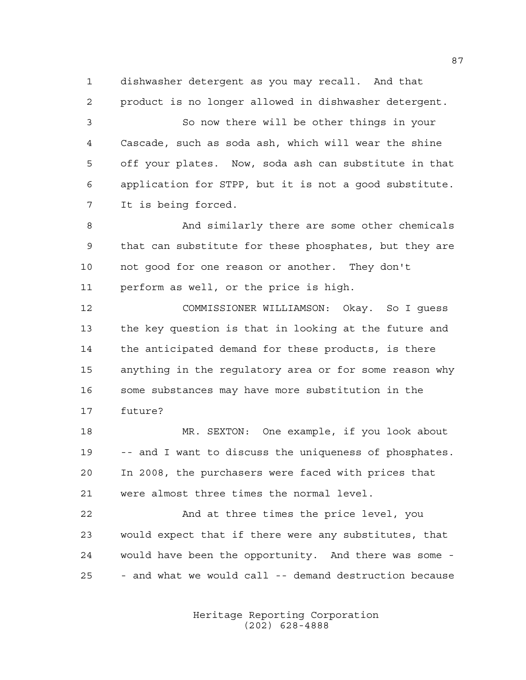dishwasher detergent as you may recall. And that product is no longer allowed in dishwasher detergent.

 So now there will be other things in your Cascade, such as soda ash, which will wear the shine off your plates. Now, soda ash can substitute in that application for STPP, but it is not a good substitute. It is being forced.

 And similarly there are some other chemicals that can substitute for these phosphates, but they are not good for one reason or another. They don't perform as well, or the price is high.

 COMMISSIONER WILLIAMSON: Okay. So I guess the key question is that in looking at the future and the anticipated demand for these products, is there anything in the regulatory area or for some reason why some substances may have more substitution in the future?

 MR. SEXTON: One example, if you look about -- and I want to discuss the uniqueness of phosphates. In 2008, the purchasers were faced with prices that were almost three times the normal level.

 And at three times the price level, you would expect that if there were any substitutes, that would have been the opportunity. And there was some - - and what we would call -- demand destruction because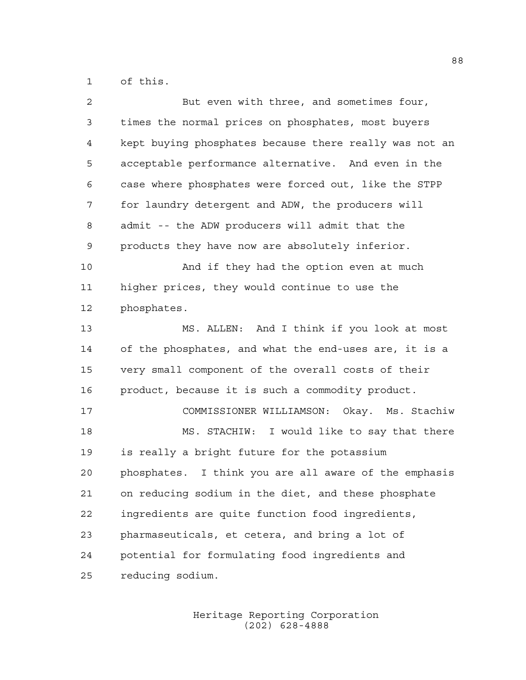of this.

| $\overline{a}$ | But even with three, and sometimes four,               |
|----------------|--------------------------------------------------------|
| 3              | times the normal prices on phosphates, most buyers     |
| $\overline{4}$ | kept buying phosphates because there really was not an |
| 5              | acceptable performance alternative. And even in the    |
| 6              | case where phosphates were forced out, like the STPP   |
| 7              | for laundry detergent and ADW, the producers will      |
| 8              | admit -- the ADW producers will admit that the         |
| 9              | products they have now are absolutely inferior.        |
| 10             | And if they had the option even at much                |
| 11             | higher prices, they would continue to use the          |
| 12             | phosphates.                                            |
| 13             | MS. ALLEN: And I think if you look at most             |
| 14             | of the phosphates, and what the end-uses are, it is a  |
| 15             | very small component of the overall costs of their     |
| 16             | product, because it is such a commodity product.       |
| 17             | COMMISSIONER WILLIAMSON: Okay. Ms. Stachiw             |
| 18             | MS. STACHIW: I would like to say that there            |
| 19             | is really a bright future for the potassium            |
| 20             | phosphates. I think you are all aware of the emphasis  |
| 21             | on reducing sodium in the diet, and these phosphate    |
| 22             | ingredients are quite function food ingredients,       |
| 23             | pharmaseuticals, et cetera, and bring a lot of         |
| 24             | potential for formulating food ingredients and         |
| 25             | reducing sodium.                                       |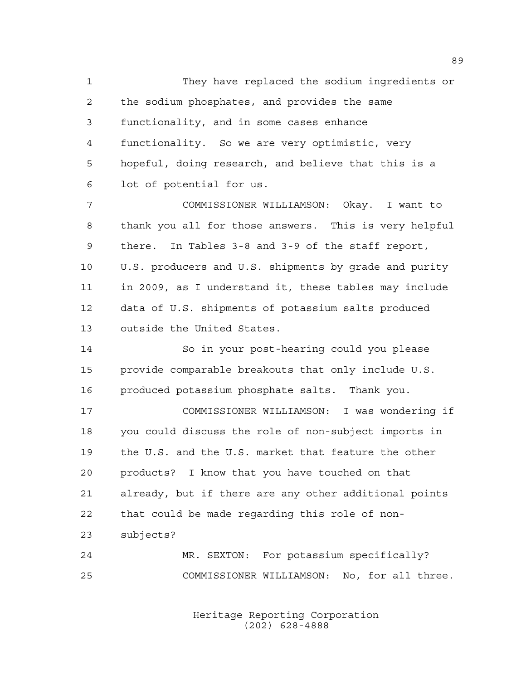They have replaced the sodium ingredients or the sodium phosphates, and provides the same functionality, and in some cases enhance functionality. So we are very optimistic, very hopeful, doing research, and believe that this is a lot of potential for us. COMMISSIONER WILLIAMSON: Okay. I want to thank you all for those answers. This is very helpful there. In Tables 3-8 and 3-9 of the staff report, U.S. producers and U.S. shipments by grade and purity in 2009, as I understand it, these tables may include data of U.S. shipments of potassium salts produced outside the United States. So in your post-hearing could you please provide comparable breakouts that only include U.S. produced potassium phosphate salts. Thank you. COMMISSIONER WILLIAMSON: I was wondering if you could discuss the role of non-subject imports in the U.S. and the U.S. market that feature the other products? I know that you have touched on that already, but if there are any other additional points that could be made regarding this role of non- subjects? MR. SEXTON: For potassium specifically? COMMISSIONER WILLIAMSON: No, for all three.

> Heritage Reporting Corporation (202) 628-4888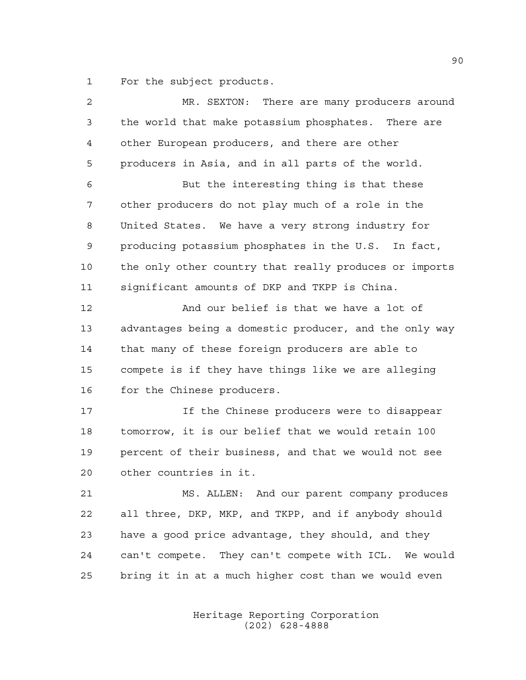For the subject products.

| $\overline{a}$ | MR. SEXTON: There are many producers around            |
|----------------|--------------------------------------------------------|
| 3              | the world that make potassium phosphates. There are    |
| 4              | other European producers, and there are other          |
| 5              | producers in Asia, and in all parts of the world.      |
| 6              | But the interesting thing is that these                |
| 7              | other producers do not play much of a role in the      |
| 8              | United States. We have a very strong industry for      |
| 9              | producing potassium phosphates in the U.S. In fact,    |
| 10             | the only other country that really produces or imports |
| 11             | significant amounts of DKP and TKPP is China.          |
| 12             | And our belief is that we have a lot of                |
| 13             | advantages being a domestic producer, and the only way |
| 14             | that many of these foreign producers are able to       |
| 15             | compete is if they have things like we are alleging    |
| 16             | for the Chinese producers.                             |
| 17             | If the Chinese producers were to disappear             |
| 18             | tomorrow, it is our belief that we would retain 100    |
| 19             | percent of their business, and that we would not see   |
| 20             | other countries in it.                                 |
| 21             | MS. ALLEN: And our parent company produces             |
| 22             | all three, DKP, MKP, and TKPP, and if anybody should   |
| 23             | have a good price advantage, they should, and they     |
| 24             | can't compete. They can't compete with ICL. We would   |
| 25             | bring it in at a much higher cost than we would even   |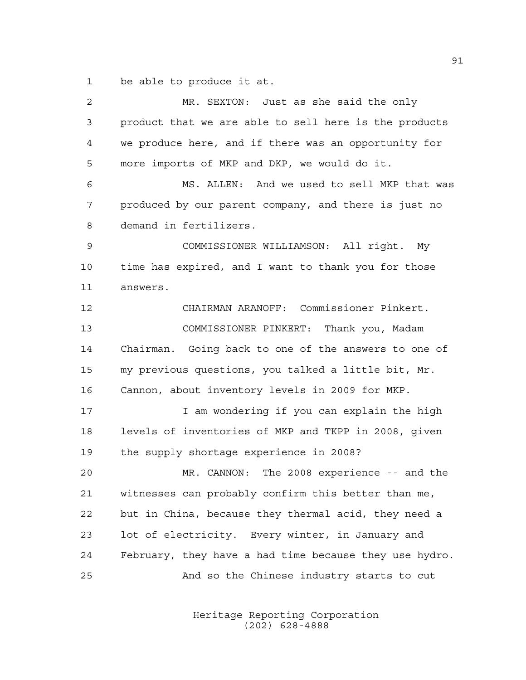be able to produce it at.

| 2  | MR. SEXTON: Just as she said the only                  |
|----|--------------------------------------------------------|
| 3  | product that we are able to sell here is the products  |
| 4  | we produce here, and if there was an opportunity for   |
| 5  | more imports of MKP and DKP, we would do it.           |
| 6  | MS. ALLEN: And we used to sell MKP that was            |
| 7  | produced by our parent company, and there is just no   |
| 8  | demand in fertilizers.                                 |
| 9  | COMMISSIONER WILLIAMSON: All right. My                 |
| 10 | time has expired, and I want to thank you for those    |
| 11 | answers.                                               |
| 12 | CHAIRMAN ARANOFF: Commissioner Pinkert.                |
| 13 | COMMISSIONER PINKERT: Thank you, Madam                 |
| 14 | Chairman. Going back to one of the answers to one of   |
| 15 | my previous questions, you talked a little bit, Mr.    |
| 16 | Cannon, about inventory levels in 2009 for MKP.        |
| 17 | I am wondering if you can explain the high             |
| 18 | levels of inventories of MKP and TKPP in 2008, given   |
| 19 | the supply shortage experience in 2008?                |
| 20 | MR. CANNON: The 2008 experience -- and the             |
| 21 | witnesses can probably confirm this better than me,    |
| 22 | but in China, because they thermal acid, they need a   |
| 23 | lot of electricity. Every winter, in January and       |
| 24 | February, they have a had time because they use hydro. |
| 25 | And so the Chinese industry starts to cut              |
|    |                                                        |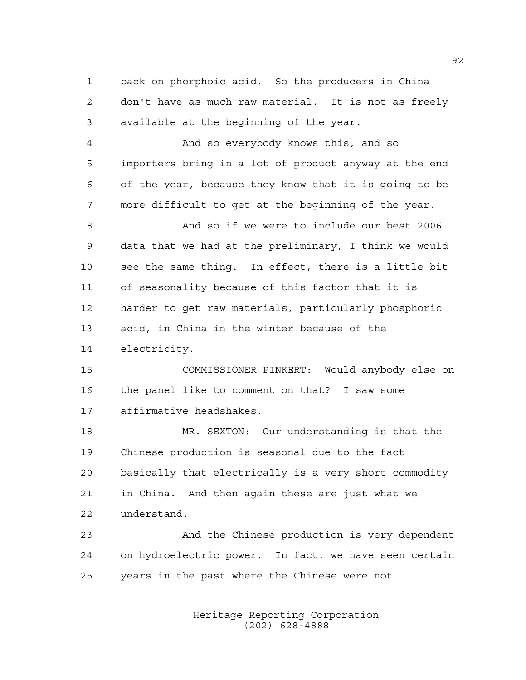back on phorphoic acid. So the producers in China don't have as much raw material. It is not as freely available at the beginning of the year.

 And so everybody knows this, and so importers bring in a lot of product anyway at the end of the year, because they know that it is going to be more difficult to get at the beginning of the year.

 And so if we were to include our best 2006 data that we had at the preliminary, I think we would see the same thing. In effect, there is a little bit of seasonality because of this factor that it is harder to get raw materials, particularly phosphoric acid, in China in the winter because of the electricity.

 COMMISSIONER PINKERT: Would anybody else on the panel like to comment on that? I saw some affirmative headshakes.

 MR. SEXTON: Our understanding is that the Chinese production is seasonal due to the fact basically that electrically is a very short commodity in China. And then again these are just what we understand.

 And the Chinese production is very dependent on hydroelectric power. In fact, we have seen certain years in the past where the Chinese were not

> Heritage Reporting Corporation (202) 628-4888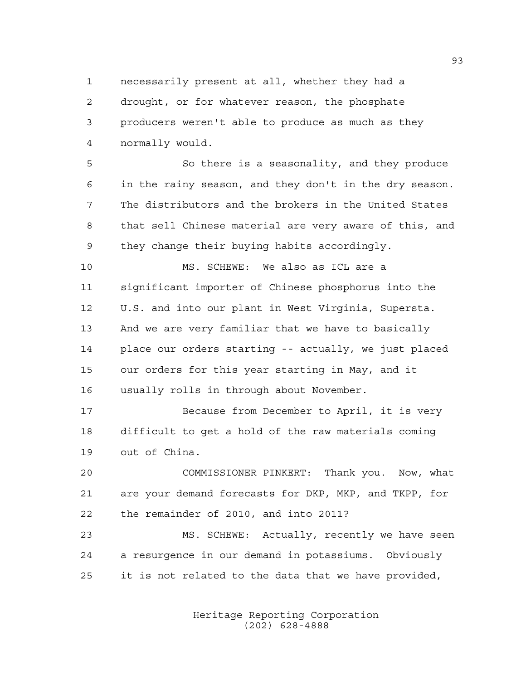necessarily present at all, whether they had a drought, or for whatever reason, the phosphate producers weren't able to produce as much as they normally would.

 So there is a seasonality, and they produce in the rainy season, and they don't in the dry season. The distributors and the brokers in the United States that sell Chinese material are very aware of this, and they change their buying habits accordingly.

 MS. SCHEWE: We also as ICL are a significant importer of Chinese phosphorus into the U.S. and into our plant in West Virginia, Supersta. And we are very familiar that we have to basically place our orders starting -- actually, we just placed our orders for this year starting in May, and it usually rolls in through about November.

 Because from December to April, it is very difficult to get a hold of the raw materials coming out of China.

 COMMISSIONER PINKERT: Thank you. Now, what are your demand forecasts for DKP, MKP, and TKPP, for the remainder of 2010, and into 2011?

 MS. SCHEWE: Actually, recently we have seen a resurgence in our demand in potassiums. Obviously it is not related to the data that we have provided,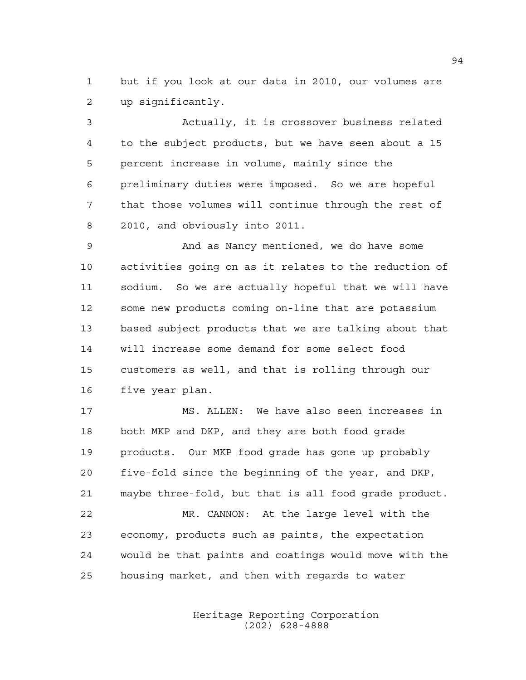but if you look at our data in 2010, our volumes are up significantly.

 Actually, it is crossover business related to the subject products, but we have seen about a 15 percent increase in volume, mainly since the preliminary duties were imposed. So we are hopeful that those volumes will continue through the rest of 2010, and obviously into 2011.

 And as Nancy mentioned, we do have some activities going on as it relates to the reduction of sodium. So we are actually hopeful that we will have some new products coming on-line that are potassium based subject products that we are talking about that will increase some demand for some select food customers as well, and that is rolling through our five year plan.

 MS. ALLEN: We have also seen increases in both MKP and DKP, and they are both food grade products. Our MKP food grade has gone up probably five-fold since the beginning of the year, and DKP, maybe three-fold, but that is all food grade product. MR. CANNON: At the large level with the economy, products such as paints, the expectation

would be that paints and coatings would move with the

housing market, and then with regards to water

Heritage Reporting Corporation (202) 628-4888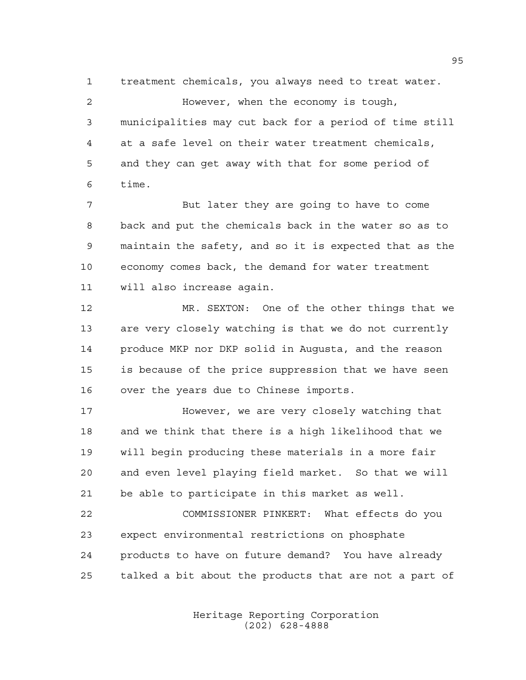treatment chemicals, you always need to treat water. However, when the economy is tough, municipalities may cut back for a period of time still at a safe level on their water treatment chemicals, and they can get away with that for some period of time.

 But later they are going to have to come back and put the chemicals back in the water so as to maintain the safety, and so it is expected that as the economy comes back, the demand for water treatment will also increase again.

 MR. SEXTON: One of the other things that we are very closely watching is that we do not currently produce MKP nor DKP solid in Augusta, and the reason is because of the price suppression that we have seen over the years due to Chinese imports.

 However, we are very closely watching that and we think that there is a high likelihood that we will begin producing these materials in a more fair and even level playing field market. So that we will be able to participate in this market as well.

 COMMISSIONER PINKERT: What effects do you expect environmental restrictions on phosphate products to have on future demand? You have already talked a bit about the products that are not a part of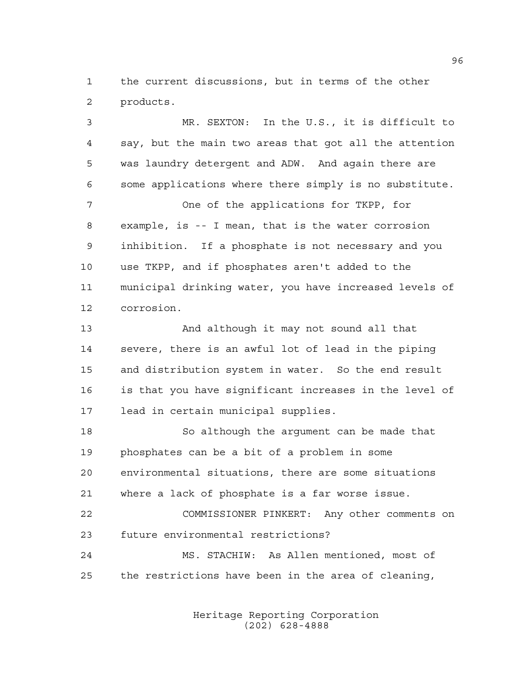the current discussions, but in terms of the other products.

 MR. SEXTON: In the U.S., it is difficult to say, but the main two areas that got all the attention was laundry detergent and ADW. And again there are some applications where there simply is no substitute. One of the applications for TKPP, for example, is -- I mean, that is the water corrosion inhibition. If a phosphate is not necessary and you use TKPP, and if phosphates aren't added to the municipal drinking water, you have increased levels of corrosion. And although it may not sound all that severe, there is an awful lot of lead in the piping and distribution system in water. So the end result is that you have significant increases in the level of lead in certain municipal supplies. So although the argument can be made that phosphates can be a bit of a problem in some environmental situations, there are some situations where a lack of phosphate is a far worse issue. COMMISSIONER PINKERT: Any other comments on future environmental restrictions? MS. STACHIW: As Allen mentioned, most of the restrictions have been in the area of cleaning,

> Heritage Reporting Corporation (202) 628-4888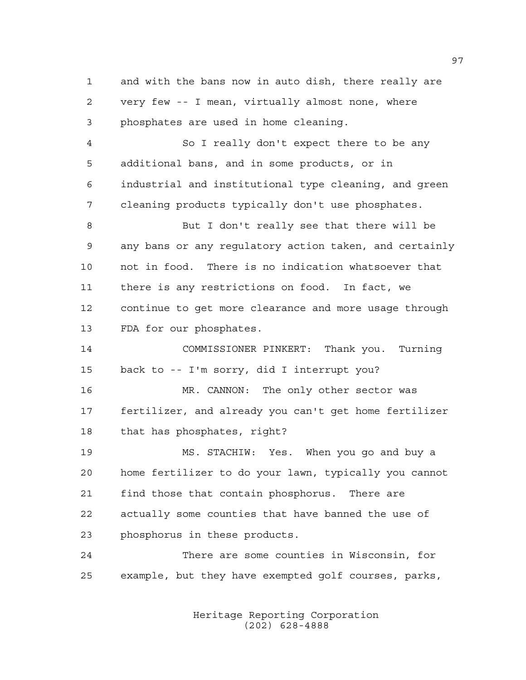and with the bans now in auto dish, there really are very few -- I mean, virtually almost none, where phosphates are used in home cleaning.

 So I really don't expect there to be any additional bans, and in some products, or in industrial and institutional type cleaning, and green cleaning products typically don't use phosphates.

 But I don't really see that there will be any bans or any regulatory action taken, and certainly not in food. There is no indication whatsoever that there is any restrictions on food. In fact, we continue to get more clearance and more usage through FDA for our phosphates.

 COMMISSIONER PINKERT: Thank you. Turning back to -- I'm sorry, did I interrupt you? MR. CANNON: The only other sector was fertilizer, and already you can't get home fertilizer that has phosphates, right?

 MS. STACHIW: Yes. When you go and buy a home fertilizer to do your lawn, typically you cannot find those that contain phosphorus. There are actually some counties that have banned the use of phosphorus in these products.

 There are some counties in Wisconsin, for example, but they have exempted golf courses, parks,

> Heritage Reporting Corporation (202) 628-4888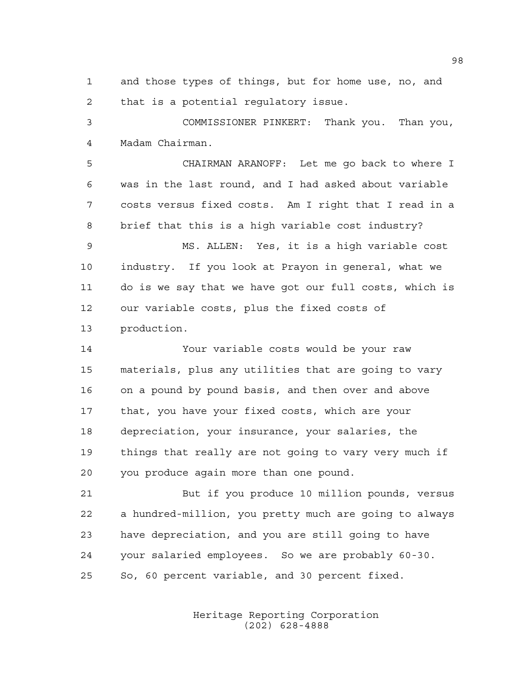and those types of things, but for home use, no, and that is a potential regulatory issue.

 COMMISSIONER PINKERT: Thank you. Than you, Madam Chairman.

 CHAIRMAN ARANOFF: Let me go back to where I was in the last round, and I had asked about variable costs versus fixed costs. Am I right that I read in a brief that this is a high variable cost industry?

 MS. ALLEN: Yes, it is a high variable cost industry. If you look at Prayon in general, what we do is we say that we have got our full costs, which is our variable costs, plus the fixed costs of production.

 Your variable costs would be your raw materials, plus any utilities that are going to vary on a pound by pound basis, and then over and above that, you have your fixed costs, which are your depreciation, your insurance, your salaries, the things that really are not going to vary very much if you produce again more than one pound.

 But if you produce 10 million pounds, versus a hundred-million, you pretty much are going to always have depreciation, and you are still going to have your salaried employees. So we are probably 60-30. So, 60 percent variable, and 30 percent fixed.

> Heritage Reporting Corporation (202) 628-4888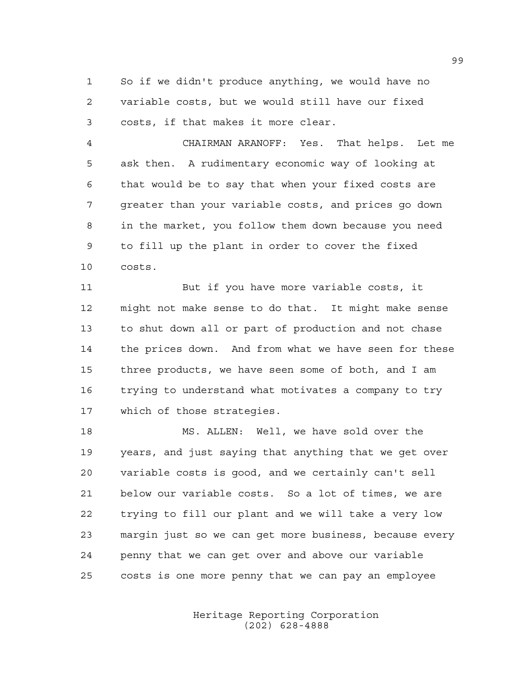So if we didn't produce anything, we would have no variable costs, but we would still have our fixed costs, if that makes it more clear.

 CHAIRMAN ARANOFF: Yes. That helps. Let me ask then. A rudimentary economic way of looking at that would be to say that when your fixed costs are greater than your variable costs, and prices go down in the market, you follow them down because you need to fill up the plant in order to cover the fixed costs.

 But if you have more variable costs, it might not make sense to do that. It might make sense to shut down all or part of production and not chase the prices down. And from what we have seen for these three products, we have seen some of both, and I am trying to understand what motivates a company to try which of those strategies.

 MS. ALLEN: Well, we have sold over the years, and just saying that anything that we get over variable costs is good, and we certainly can't sell below our variable costs. So a lot of times, we are trying to fill our plant and we will take a very low margin just so we can get more business, because every penny that we can get over and above our variable costs is one more penny that we can pay an employee

> Heritage Reporting Corporation (202) 628-4888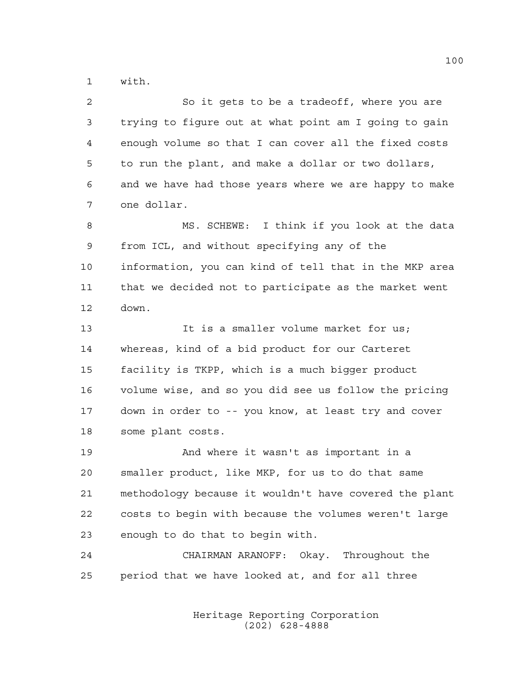with.

| 2  | So it gets to be a tradeoff, where you are             |
|----|--------------------------------------------------------|
| 3  | trying to figure out at what point am I going to gain  |
| 4  | enough volume so that I can cover all the fixed costs  |
| 5  | to run the plant, and make a dollar or two dollars,    |
| 6  | and we have had those years where we are happy to make |
| 7  | one dollar.                                            |
| 8  | MS. SCHEWE: I think if you look at the data            |
| 9  | from ICL, and without specifying any of the            |
| 10 | information, you can kind of tell that in the MKP area |
| 11 | that we decided not to participate as the market went  |
| 12 | down.                                                  |
| 13 | It is a smaller volume market for us;                  |
| 14 | whereas, kind of a bid product for our Carteret        |
| 15 | facility is TKPP, which is a much bigger product       |
| 16 | volume wise, and so you did see us follow the pricing  |
| 17 | down in order to -- you know, at least try and cover   |
| 18 | some plant costs.                                      |
| 19 | And where it wasn't as important in a                  |
| 20 | smaller product, like MKP, for us to do that same      |
| 21 | methodology because it wouldn't have covered the plant |
| 22 | costs to begin with because the volumes weren't large  |
| 23 | enough to do that to begin with.                       |
| 24 | Okay.<br>Throughout the<br>CHAIRMAN ARANOFF:           |

period that we have looked at, and for all three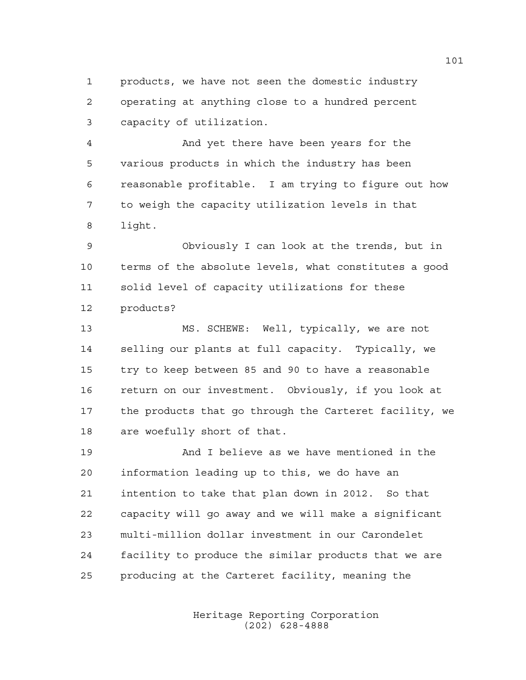products, we have not seen the domestic industry operating at anything close to a hundred percent capacity of utilization.

 And yet there have been years for the various products in which the industry has been reasonable profitable. I am trying to figure out how to weigh the capacity utilization levels in that light.

 Obviously I can look at the trends, but in terms of the absolute levels, what constitutes a good solid level of capacity utilizations for these products?

 MS. SCHEWE: Well, typically, we are not selling our plants at full capacity. Typically, we try to keep between 85 and 90 to have a reasonable return on our investment. Obviously, if you look at the products that go through the Carteret facility, we are woefully short of that.

 And I believe as we have mentioned in the information leading up to this, we do have an intention to take that plan down in 2012. So that capacity will go away and we will make a significant multi-million dollar investment in our Carondelet facility to produce the similar products that we are producing at the Carteret facility, meaning the

> Heritage Reporting Corporation (202) 628-4888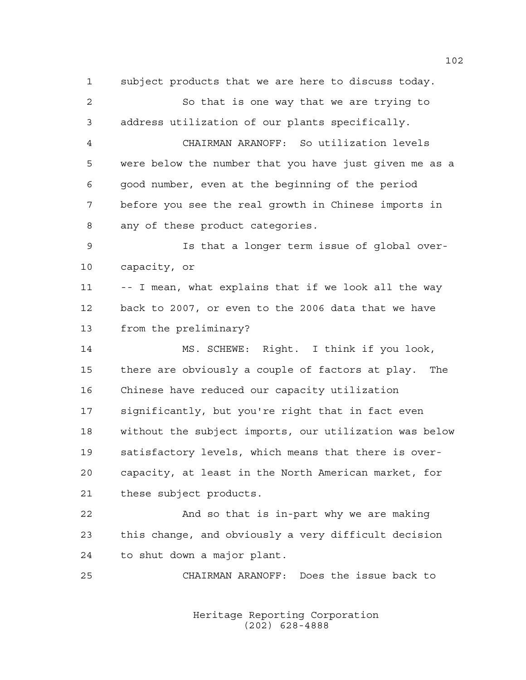subject products that we are here to discuss today. So that is one way that we are trying to address utilization of our plants specifically. CHAIRMAN ARANOFF: So utilization levels were below the number that you have just given me as a good number, even at the beginning of the period before you see the real growth in Chinese imports in any of these product categories. Is that a longer term issue of global over- capacity, or -- I mean, what explains that if we look all the way back to 2007, or even to the 2006 data that we have from the preliminary? MS. SCHEWE: Right. I think if you look, there are obviously a couple of factors at play. The Chinese have reduced our capacity utilization significantly, but you're right that in fact even without the subject imports, our utilization was below satisfactory levels, which means that there is over- capacity, at least in the North American market, for these subject products. And so that is in-part why we are making this change, and obviously a very difficult decision to shut down a major plant. CHAIRMAN ARANOFF: Does the issue back to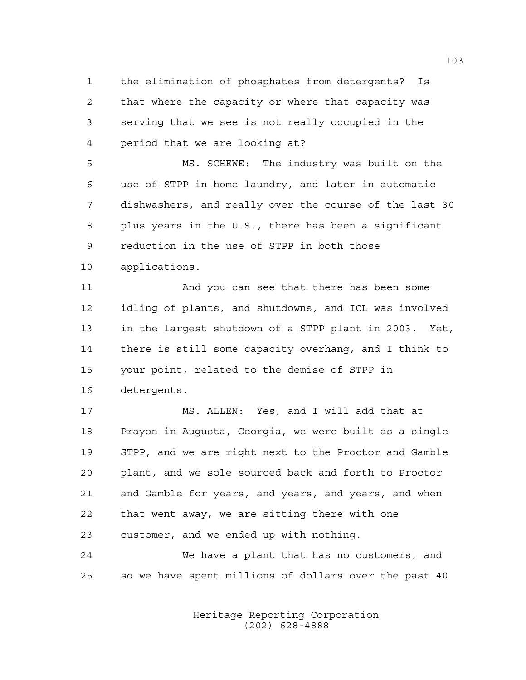the elimination of phosphates from detergents? Is that where the capacity or where that capacity was serving that we see is not really occupied in the period that we are looking at?

 MS. SCHEWE: The industry was built on the use of STPP in home laundry, and later in automatic dishwashers, and really over the course of the last 30 plus years in the U.S., there has been a significant reduction in the use of STPP in both those applications.

 And you can see that there has been some idling of plants, and shutdowns, and ICL was involved in the largest shutdown of a STPP plant in 2003. Yet, there is still some capacity overhang, and I think to your point, related to the demise of STPP in detergents.

 MS. ALLEN: Yes, and I will add that at Prayon in Augusta, Georgia, we were built as a single STPP, and we are right next to the Proctor and Gamble plant, and we sole sourced back and forth to Proctor and Gamble for years, and years, and years, and when that went away, we are sitting there with one customer, and we ended up with nothing.

 We have a plant that has no customers, and so we have spent millions of dollars over the past 40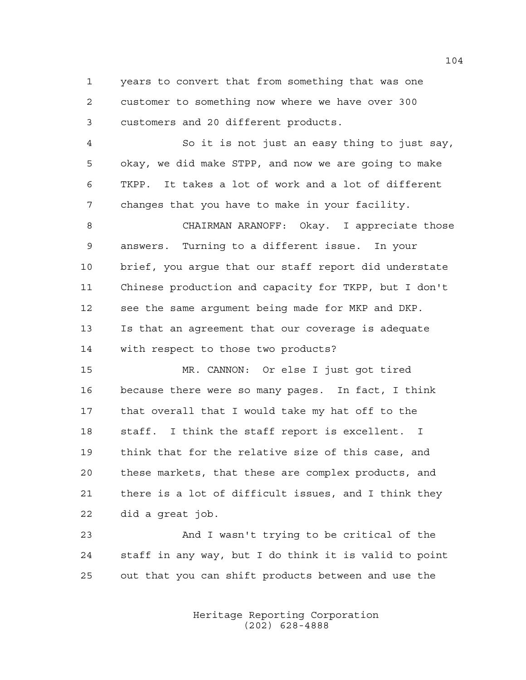years to convert that from something that was one customer to something now where we have over 300 customers and 20 different products.

 So it is not just an easy thing to just say, okay, we did make STPP, and now we are going to make TKPP. It takes a lot of work and a lot of different changes that you have to make in your facility.

 CHAIRMAN ARANOFF: Okay. I appreciate those answers. Turning to a different issue. In your brief, you argue that our staff report did understate Chinese production and capacity for TKPP, but I don't see the same argument being made for MKP and DKP. Is that an agreement that our coverage is adequate with respect to those two products?

 MR. CANNON: Or else I just got tired because there were so many pages. In fact, I think that overall that I would take my hat off to the staff. I think the staff report is excellent. I think that for the relative size of this case, and these markets, that these are complex products, and there is a lot of difficult issues, and I think they did a great job.

 And I wasn't trying to be critical of the staff in any way, but I do think it is valid to point out that you can shift products between and use the

> Heritage Reporting Corporation (202) 628-4888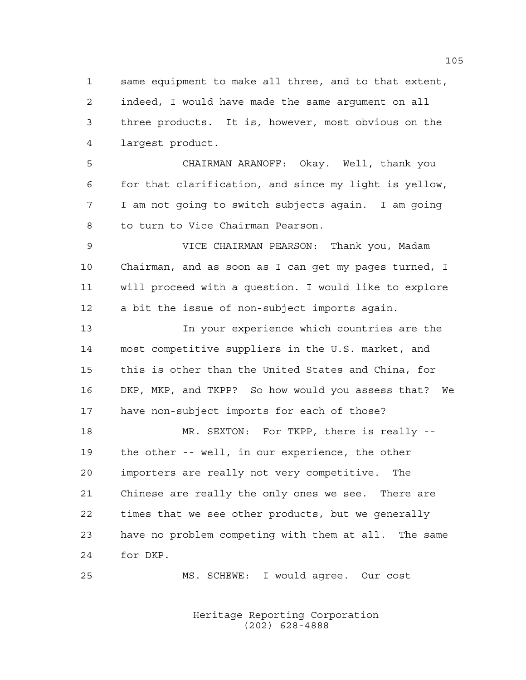same equipment to make all three, and to that extent, indeed, I would have made the same argument on all three products. It is, however, most obvious on the largest product.

 CHAIRMAN ARANOFF: Okay. Well, thank you for that clarification, and since my light is yellow, I am not going to switch subjects again. I am going to turn to Vice Chairman Pearson.

 VICE CHAIRMAN PEARSON: Thank you, Madam Chairman, and as soon as I can get my pages turned, I will proceed with a question. I would like to explore a bit the issue of non-subject imports again.

 In your experience which countries are the most competitive suppliers in the U.S. market, and this is other than the United States and China, for DKP, MKP, and TKPP? So how would you assess that? We have non-subject imports for each of those?

18 MR. SEXTON: For TKPP, there is really -- the other -- well, in our experience, the other importers are really not very competitive. The Chinese are really the only ones we see. There are times that we see other products, but we generally have no problem competing with them at all. The same for DKP.

MS. SCHEWE: I would agree. Our cost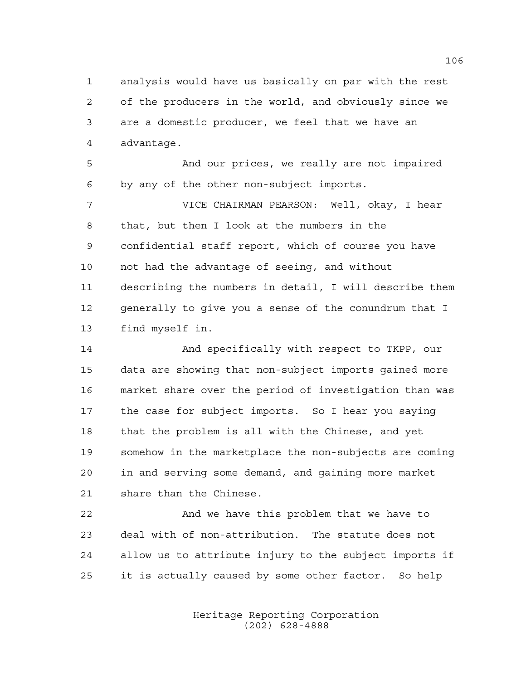analysis would have us basically on par with the rest of the producers in the world, and obviously since we are a domestic producer, we feel that we have an advantage.

 And our prices, we really are not impaired by any of the other non-subject imports.

 VICE CHAIRMAN PEARSON: Well, okay, I hear that, but then I look at the numbers in the confidential staff report, which of course you have not had the advantage of seeing, and without describing the numbers in detail, I will describe them generally to give you a sense of the conundrum that I find myself in.

14 And specifically with respect to TKPP, our data are showing that non-subject imports gained more market share over the period of investigation than was the case for subject imports. So I hear you saying that the problem is all with the Chinese, and yet somehow in the marketplace the non-subjects are coming in and serving some demand, and gaining more market share than the Chinese.

 And we have this problem that we have to deal with of non-attribution. The statute does not allow us to attribute injury to the subject imports if it is actually caused by some other factor. So help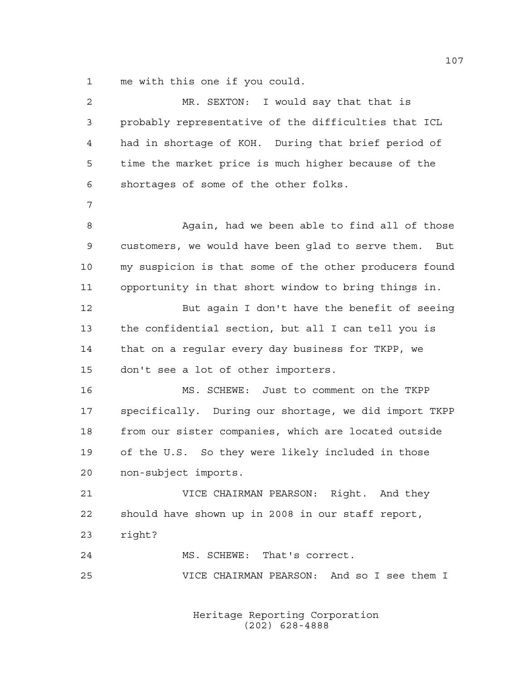me with this one if you could.

| $\overline{2}$ | MR. SEXTON: I would say that that is                   |
|----------------|--------------------------------------------------------|
| 3              | probably representative of the difficulties that ICL   |
| 4              | had in shortage of KOH. During that brief period of    |
| 5              | time the market price is much higher because of the    |
| 6              | shortages of some of the other folks.                  |
| 7              |                                                        |
| 8              | Again, had we been able to find all of those           |
| $\mathsf 9$    | customers, we would have been glad to serve them. But  |
| 10             | my suspicion is that some of the other producers found |
| 11             | opportunity in that short window to bring things in.   |
| 12             | But again I don't have the benefit of seeing           |
| 13             | the confidential section, but all I can tell you is    |
| 14             | that on a regular every day business for TKPP, we      |
| 15             | don't see a lot of other importers.                    |
| 16             | MS. SCHEWE: Just to comment on the TKPP                |
| 17             | specifically. During our shortage, we did import TKPP  |
| 18             | from our sister companies, which are located outside   |
| 19             | of the U.S. So they were likely included in those      |
| 20             | non-subject imports.                                   |
| 21             | VICE CHAIRMAN PEARSON: Right. And they                 |
| 22             | should have shown up in 2008 in our staff report,      |
| 23             | right?                                                 |
| 24             | MS. SCHEWE: That's correct.                            |
| 25             | VICE CHAIRMAN PEARSON: And so I see them I             |
|                |                                                        |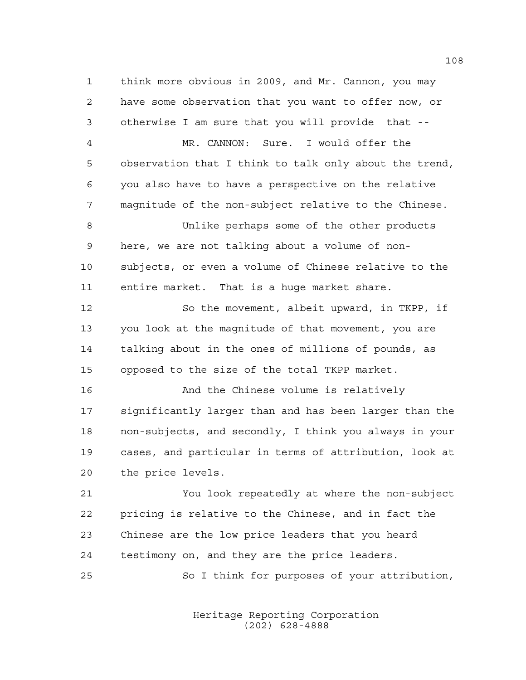think more obvious in 2009, and Mr. Cannon, you may have some observation that you want to offer now, or otherwise I am sure that you will provide that --

 MR. CANNON: Sure. I would offer the observation that I think to talk only about the trend, you also have to have a perspective on the relative magnitude of the non-subject relative to the Chinese.

 Unlike perhaps some of the other products here, we are not talking about a volume of non- subjects, or even a volume of Chinese relative to the entire market. That is a huge market share.

 So the movement, albeit upward, in TKPP, if you look at the magnitude of that movement, you are talking about in the ones of millions of pounds, as opposed to the size of the total TKPP market.

 And the Chinese volume is relatively significantly larger than and has been larger than the non-subjects, and secondly, I think you always in your cases, and particular in terms of attribution, look at the price levels.

 You look repeatedly at where the non-subject pricing is relative to the Chinese, and in fact the Chinese are the low price leaders that you heard testimony on, and they are the price leaders.

So I think for purposes of your attribution,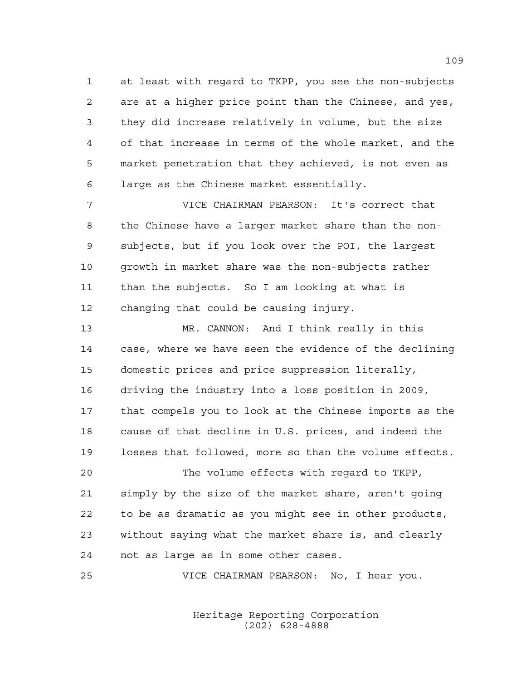at least with regard to TKPP, you see the non-subjects are at a higher price point than the Chinese, and yes, they did increase relatively in volume, but the size of that increase in terms of the whole market, and the market penetration that they achieved, is not even as large as the Chinese market essentially.

 VICE CHAIRMAN PEARSON: It's correct that the Chinese have a larger market share than the non- subjects, but if you look over the POI, the largest growth in market share was the non-subjects rather than the subjects. So I am looking at what is changing that could be causing injury.

 MR. CANNON: And I think really in this case, where we have seen the evidence of the declining domestic prices and price suppression literally, driving the industry into a loss position in 2009, that compels you to look at the Chinese imports as the cause of that decline in U.S. prices, and indeed the losses that followed, more so than the volume effects.

 The volume effects with regard to TKPP, simply by the size of the market share, aren't going to be as dramatic as you might see in other products, without saying what the market share is, and clearly not as large as in some other cases.

VICE CHAIRMAN PEARSON: No, I hear you.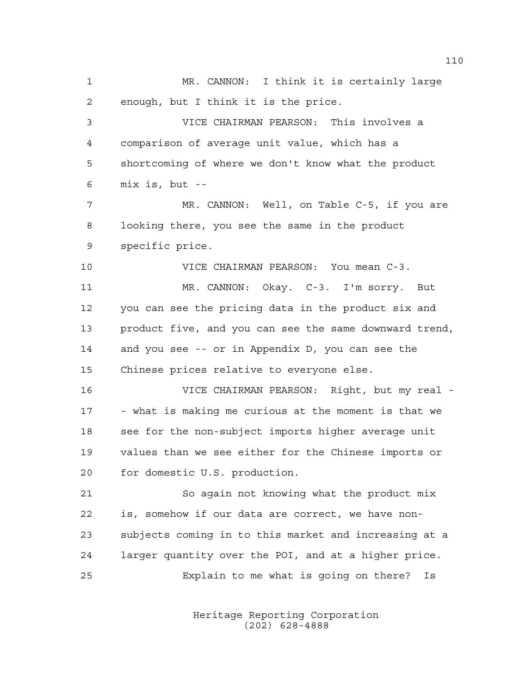MR. CANNON: I think it is certainly large enough, but I think it is the price. VICE CHAIRMAN PEARSON: This involves a comparison of average unit value, which has a shortcoming of where we don't know what the product mix is, but -- MR. CANNON: Well, on Table C-5, if you are looking there, you see the same in the product specific price. VICE CHAIRMAN PEARSON: You mean C-3. MR. CANNON: Okay. C-3. I'm sorry. But you can see the pricing data in the product six and product five, and you can see the same downward trend, and you see -- or in Appendix D, you can see the Chinese prices relative to everyone else. VICE CHAIRMAN PEARSON: Right, but my real - - what is making me curious at the moment is that we see for the non-subject imports higher average unit values than we see either for the Chinese imports or for domestic U.S. production. So again not knowing what the product mix is, somehow if our data are correct, we have non- subjects coming in to this market and increasing at a larger quantity over the POI, and at a higher price. Explain to me what is going on there? Is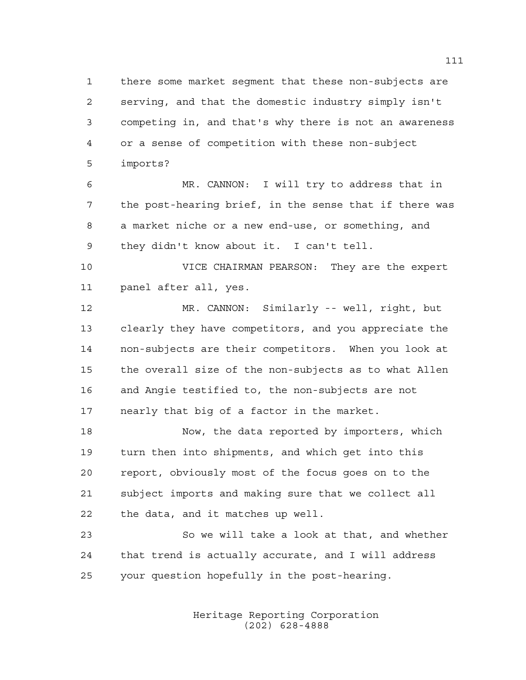there some market segment that these non-subjects are serving, and that the domestic industry simply isn't competing in, and that's why there is not an awareness or a sense of competition with these non-subject imports?

 MR. CANNON: I will try to address that in the post-hearing brief, in the sense that if there was a market niche or a new end-use, or something, and they didn't know about it. I can't tell.

 VICE CHAIRMAN PEARSON: They are the expert panel after all, yes.

 MR. CANNON: Similarly -- well, right, but clearly they have competitors, and you appreciate the non-subjects are their competitors. When you look at the overall size of the non-subjects as to what Allen and Angie testified to, the non-subjects are not nearly that big of a factor in the market.

18 Now, the data reported by importers, which turn then into shipments, and which get into this report, obviously most of the focus goes on to the subject imports and making sure that we collect all the data, and it matches up well.

 So we will take a look at that, and whether that trend is actually accurate, and I will address your question hopefully in the post-hearing.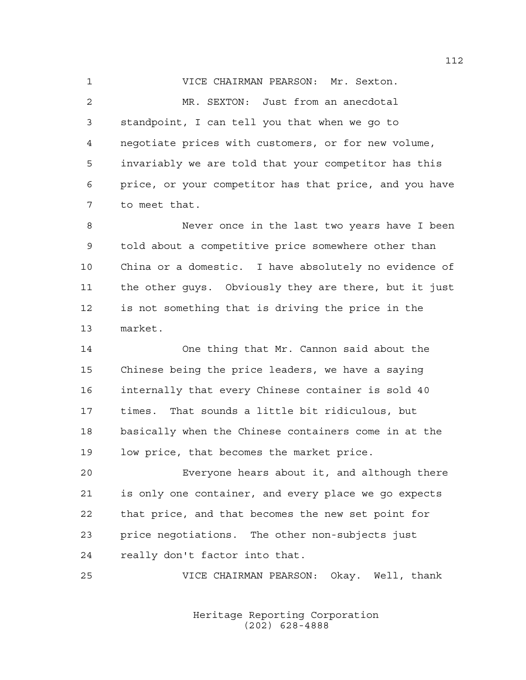VICE CHAIRMAN PEARSON: Mr. Sexton. MR. SEXTON: Just from an anecdotal standpoint, I can tell you that when we go to negotiate prices with customers, or for new volume, invariably we are told that your competitor has this price, or your competitor has that price, and you have to meet that.

 Never once in the last two years have I been told about a competitive price somewhere other than China or a domestic. I have absolutely no evidence of the other guys. Obviously they are there, but it just is not something that is driving the price in the market.

 One thing that Mr. Cannon said about the Chinese being the price leaders, we have a saying internally that every Chinese container is sold 40 times. That sounds a little bit ridiculous, but basically when the Chinese containers come in at the low price, that becomes the market price.

 Everyone hears about it, and although there is only one container, and every place we go expects that price, and that becomes the new set point for price negotiations. The other non-subjects just really don't factor into that.

VICE CHAIRMAN PEARSON: Okay. Well, thank

Heritage Reporting Corporation (202) 628-4888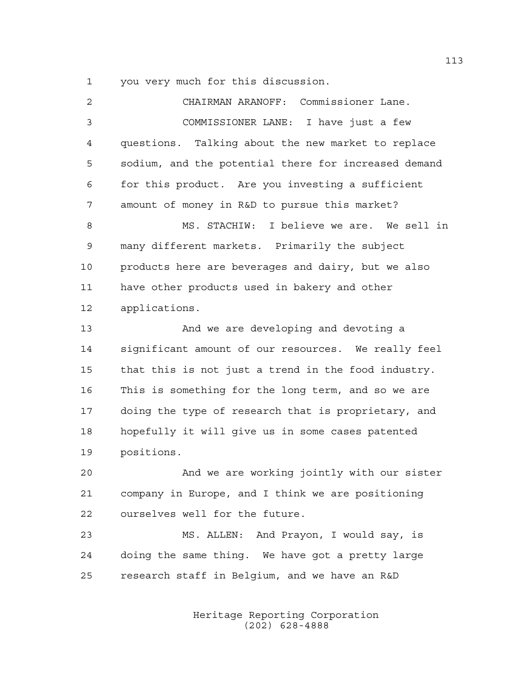you very much for this discussion.

| $\overline{2}$ | CHAIRMAN ARANOFF: Commissioner Lane.                 |
|----------------|------------------------------------------------------|
| 3              | COMMISSIONER LANE: I have just a few                 |
| 4              | questions. Talking about the new market to replace   |
| 5              | sodium, and the potential there for increased demand |
| 6              | for this product. Are you investing a sufficient     |
| 7              | amount of money in R&D to pursue this market?        |
| 8              | MS. STACHIW: I believe we are. We sell in            |
| 9              | many different markets. Primarily the subject        |
| 10             | products here are beverages and dairy, but we also   |
| 11             | have other products used in bakery and other         |
| 12             | applications.                                        |
| 13             | And we are developing and devoting a                 |
| 14             | significant amount of our resources. We really feel  |
| 15             | that this is not just a trend in the food industry.  |
| 16             | This is something for the long term, and so we are   |
| 17             | doing the type of research that is proprietary, and  |
| 18             | hopefully it will give us in some cases patented     |
| 19             | positions.                                           |
| 20             | And we are working jointly with our sister           |
| 21             | company in Europe, and I think we are positioning    |
| 22             | ourselves well for the future.                       |
| 23             | MS. ALLEN: And Prayon, I would say, is               |
| 24             | doing the same thing. We have got a pretty large     |
| 25             | research staff in Belgium, and we have an R&D        |

Heritage Reporting Corporation (202) 628-4888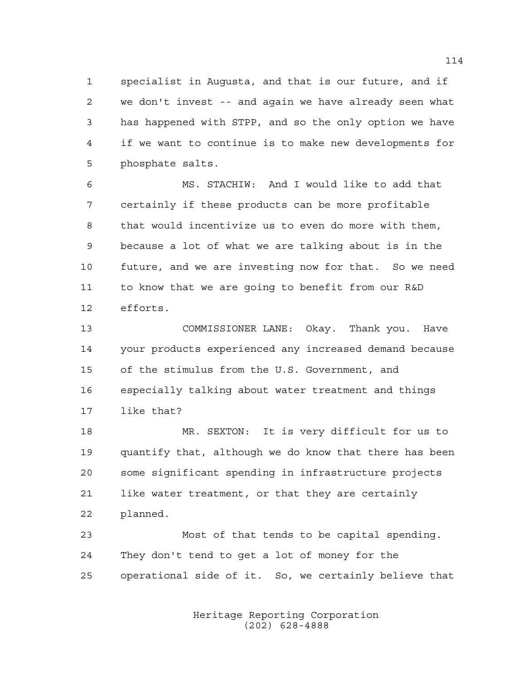specialist in Augusta, and that is our future, and if we don't invest -- and again we have already seen what has happened with STPP, and so the only option we have if we want to continue is to make new developments for phosphate salts.

 MS. STACHIW: And I would like to add that certainly if these products can be more profitable that would incentivize us to even do more with them, because a lot of what we are talking about is in the future, and we are investing now for that. So we need to know that we are going to benefit from our R&D efforts.

 COMMISSIONER LANE: Okay. Thank you. Have your products experienced any increased demand because of the stimulus from the U.S. Government, and especially talking about water treatment and things like that?

 MR. SEXTON: It is very difficult for us to quantify that, although we do know that there has been some significant spending in infrastructure projects like water treatment, or that they are certainly planned.

 Most of that tends to be capital spending. They don't tend to get a lot of money for the operational side of it. So, we certainly believe that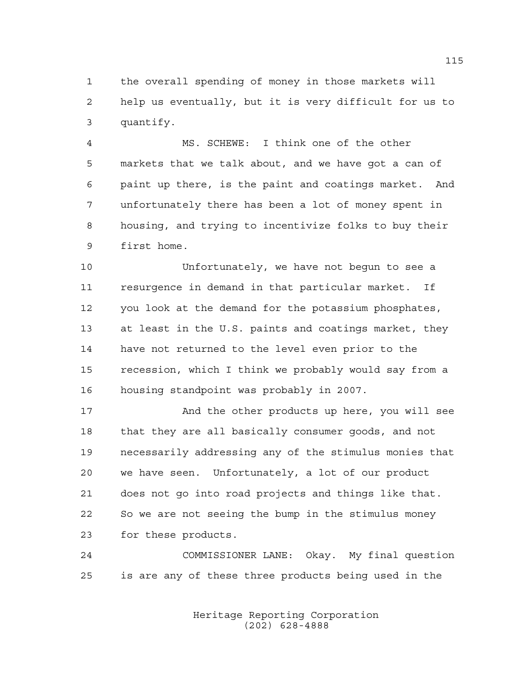the overall spending of money in those markets will help us eventually, but it is very difficult for us to quantify.

 MS. SCHEWE: I think one of the other markets that we talk about, and we have got a can of paint up there, is the paint and coatings market. And unfortunately there has been a lot of money spent in housing, and trying to incentivize folks to buy their first home.

 Unfortunately, we have not begun to see a resurgence in demand in that particular market. If you look at the demand for the potassium phosphates, at least in the U.S. paints and coatings market, they have not returned to the level even prior to the recession, which I think we probably would say from a housing standpoint was probably in 2007.

17 And the other products up here, you will see that they are all basically consumer goods, and not necessarily addressing any of the stimulus monies that we have seen. Unfortunately, a lot of our product does not go into road projects and things like that. So we are not seeing the bump in the stimulus money for these products.

 COMMISSIONER LANE: Okay. My final question is are any of these three products being used in the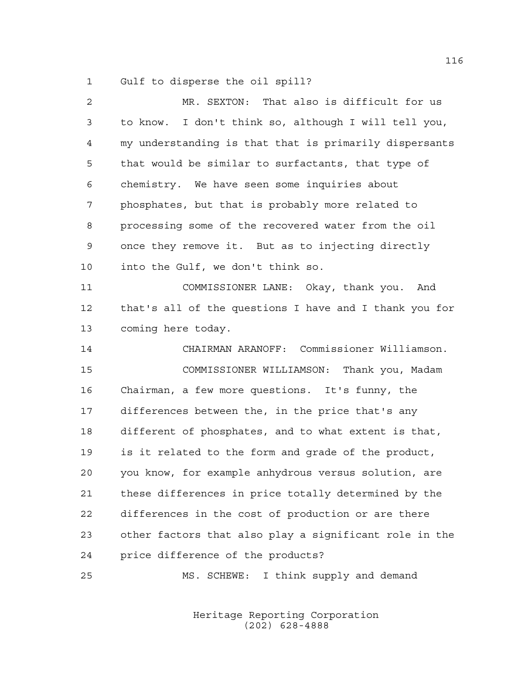Gulf to disperse the oil spill?

| 2  | MR. SEXTON: That also is difficult for us              |
|----|--------------------------------------------------------|
| 3  | to know. I don't think so, although I will tell you,   |
| 4  | my understanding is that that is primarily dispersants |
| 5  | that would be similar to surfactants, that type of     |
| 6  | chemistry. We have seen some inquiries about           |
| 7  | phosphates, but that is probably more related to       |
| 8  | processing some of the recovered water from the oil    |
| 9  | once they remove it. But as to injecting directly      |
| 10 | into the Gulf, we don't think so.                      |
| 11 | COMMISSIONER LANE: Okay, thank you. And                |
| 12 | that's all of the questions I have and I thank you for |
| 13 | coming here today.                                     |
| 14 | CHAIRMAN ARANOFF: Commissioner Williamson.             |
| 15 | COMMISSIONER WILLIAMSON: Thank you, Madam              |
| 16 | Chairman, a few more questions. It's funny, the        |
| 17 | differences between the, in the price that's any       |
| 18 | different of phosphates, and to what extent is that,   |
| 19 | is it related to the form and grade of the product,    |
| 20 | you know, for example anhydrous versus solution, are   |
| 21 | these differences in price totally determined by the   |
| 22 | differences in the cost of production or are there     |
| 23 | other factors that also play a significant role in the |
| 24 | price difference of the products?                      |
|    |                                                        |

MS. SCHEWE: I think supply and demand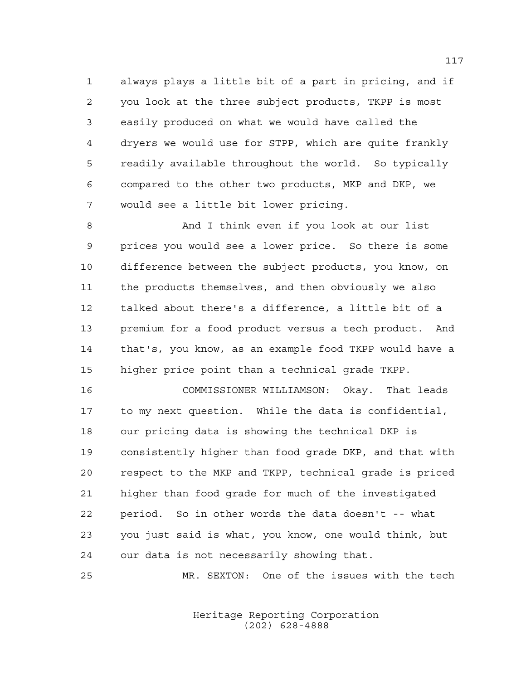always plays a little bit of a part in pricing, and if you look at the three subject products, TKPP is most easily produced on what we would have called the dryers we would use for STPP, which are quite frankly readily available throughout the world. So typically compared to the other two products, MKP and DKP, we would see a little bit lower pricing.

 And I think even if you look at our list prices you would see a lower price. So there is some difference between the subject products, you know, on the products themselves, and then obviously we also talked about there's a difference, a little bit of a premium for a food product versus a tech product. And that's, you know, as an example food TKPP would have a higher price point than a technical grade TKPP.

 COMMISSIONER WILLIAMSON: Okay. That leads to my next question. While the data is confidential, our pricing data is showing the technical DKP is consistently higher than food grade DKP, and that with respect to the MKP and TKPP, technical grade is priced higher than food grade for much of the investigated period. So in other words the data doesn't -- what you just said is what, you know, one would think, but our data is not necessarily showing that.

MR. SEXTON: One of the issues with the tech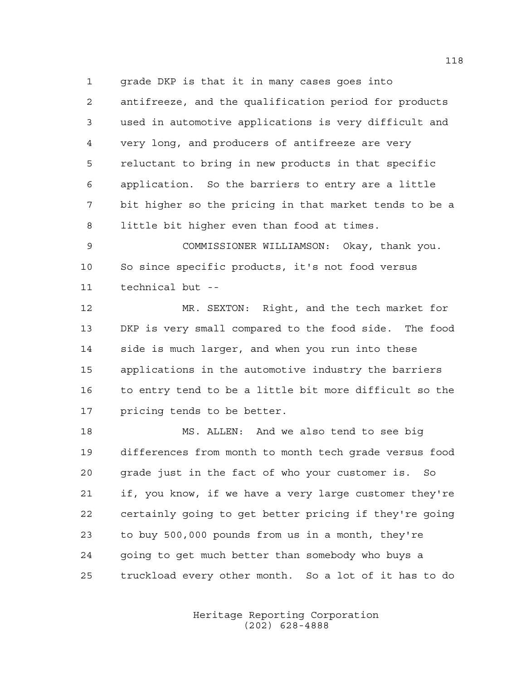grade DKP is that it in many cases goes into antifreeze, and the qualification period for products used in automotive applications is very difficult and very long, and producers of antifreeze are very reluctant to bring in new products in that specific application. So the barriers to entry are a little bit higher so the pricing in that market tends to be a little bit higher even than food at times.

 COMMISSIONER WILLIAMSON: Okay, thank you. So since specific products, it's not food versus technical but --

 MR. SEXTON: Right, and the tech market for DKP is very small compared to the food side. The food side is much larger, and when you run into these applications in the automotive industry the barriers to entry tend to be a little bit more difficult so the pricing tends to be better.

 MS. ALLEN: And we also tend to see big differences from month to month tech grade versus food grade just in the fact of who your customer is. So if, you know, if we have a very large customer they're certainly going to get better pricing if they're going to buy 500,000 pounds from us in a month, they're going to get much better than somebody who buys a truckload every other month. So a lot of it has to do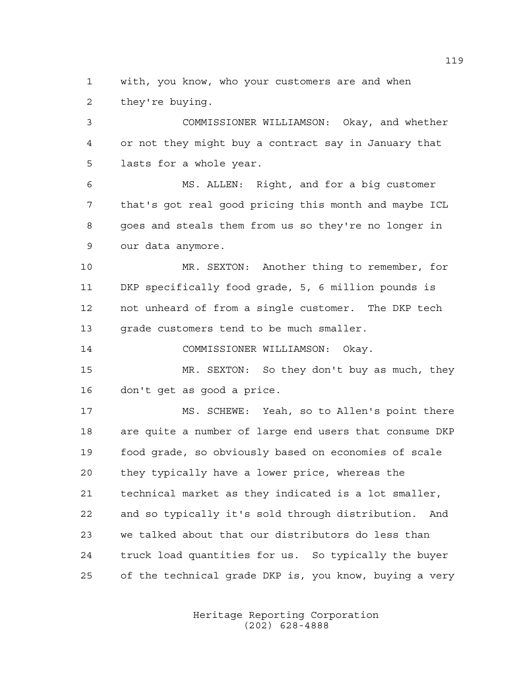with, you know, who your customers are and when they're buying.

 COMMISSIONER WILLIAMSON: Okay, and whether or not they might buy a contract say in January that lasts for a whole year.

 MS. ALLEN: Right, and for a big customer that's got real good pricing this month and maybe ICL goes and steals them from us so they're no longer in our data anymore.

 MR. SEXTON: Another thing to remember, for DKP specifically food grade, 5, 6 million pounds is not unheard of from a single customer. The DKP tech 13 grade customers tend to be much smaller.

COMMISSIONER WILLIAMSON: Okay.

 MR. SEXTON: So they don't buy as much, they don't get as good a price.

 MS. SCHEWE: Yeah, so to Allen's point there are quite a number of large end users that consume DKP food grade, so obviously based on economies of scale they typically have a lower price, whereas the technical market as they indicated is a lot smaller, and so typically it's sold through distribution. And we talked about that our distributors do less than truck load quantities for us. So typically the buyer of the technical grade DKP is, you know, buying a very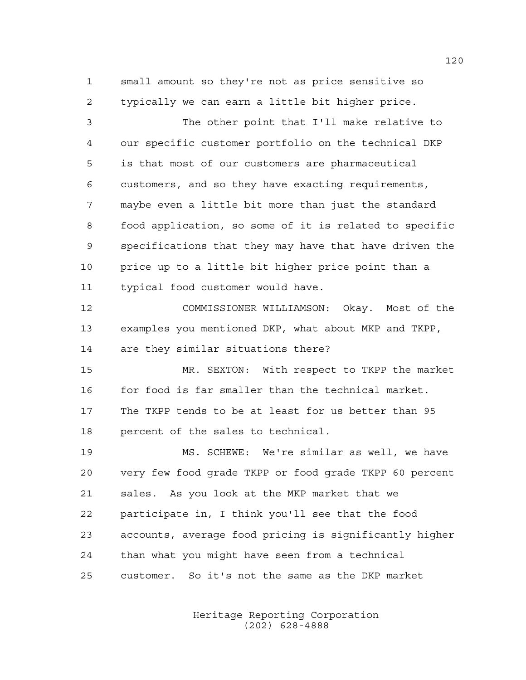small amount so they're not as price sensitive so typically we can earn a little bit higher price.

 The other point that I'll make relative to our specific customer portfolio on the technical DKP is that most of our customers are pharmaceutical customers, and so they have exacting requirements, maybe even a little bit more than just the standard food application, so some of it is related to specific specifications that they may have that have driven the price up to a little bit higher price point than a typical food customer would have.

 COMMISSIONER WILLIAMSON: Okay. Most of the examples you mentioned DKP, what about MKP and TKPP, are they similar situations there?

 MR. SEXTON: With respect to TKPP the market 16 for food is far smaller than the technical market. The TKPP tends to be at least for us better than 95 percent of the sales to technical.

 MS. SCHEWE: We're similar as well, we have very few food grade TKPP or food grade TKPP 60 percent sales. As you look at the MKP market that we participate in, I think you'll see that the food accounts, average food pricing is significantly higher than what you might have seen from a technical customer. So it's not the same as the DKP market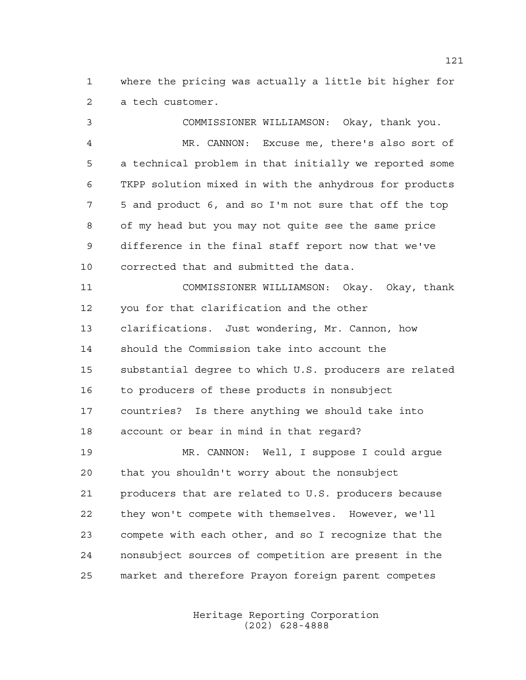where the pricing was actually a little bit higher for a tech customer.

 COMMISSIONER WILLIAMSON: Okay, thank you. MR. CANNON: Excuse me, there's also sort of a technical problem in that initially we reported some TKPP solution mixed in with the anhydrous for products 5 and product 6, and so I'm not sure that off the top of my head but you may not quite see the same price difference in the final staff report now that we've corrected that and submitted the data. COMMISSIONER WILLIAMSON: Okay. Okay, thank you for that clarification and the other clarifications. Just wondering, Mr. Cannon, how should the Commission take into account the substantial degree to which U.S. producers are related to producers of these products in nonsubject countries? Is there anything we should take into account or bear in mind in that regard? MR. CANNON: Well, I suppose I could argue that you shouldn't worry about the nonsubject producers that are related to U.S. producers because they won't compete with themselves. However, we'll compete with each other, and so I recognize that the nonsubject sources of competition are present in the

> Heritage Reporting Corporation (202) 628-4888

market and therefore Prayon foreign parent competes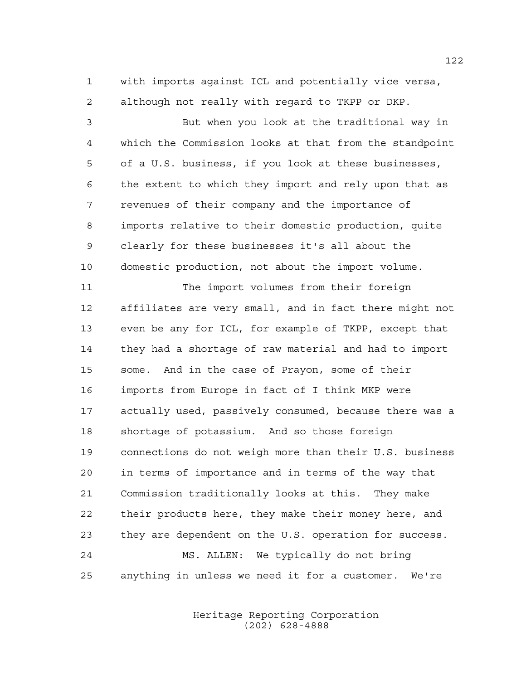with imports against ICL and potentially vice versa, although not really with regard to TKPP or DKP.

 But when you look at the traditional way in which the Commission looks at that from the standpoint of a U.S. business, if you look at these businesses, the extent to which they import and rely upon that as revenues of their company and the importance of imports relative to their domestic production, quite clearly for these businesses it's all about the domestic production, not about the import volume.

 The import volumes from their foreign affiliates are very small, and in fact there might not even be any for ICL, for example of TKPP, except that they had a shortage of raw material and had to import some. And in the case of Prayon, some of their imports from Europe in fact of I think MKP were actually used, passively consumed, because there was a shortage of potassium. And so those foreign connections do not weigh more than their U.S. business in terms of importance and in terms of the way that Commission traditionally looks at this. They make their products here, they make their money here, and they are dependent on the U.S. operation for success. MS. ALLEN: We typically do not bring anything in unless we need it for a customer. We're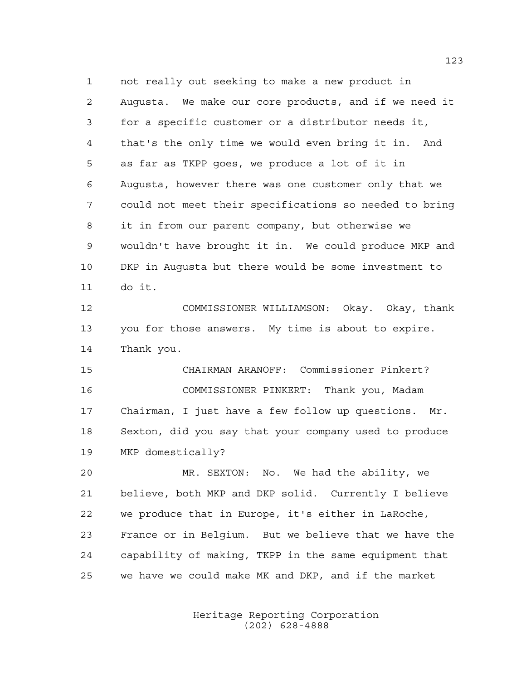not really out seeking to make a new product in Augusta. We make our core products, and if we need it for a specific customer or a distributor needs it, that's the only time we would even bring it in. And as far as TKPP goes, we produce a lot of it in Augusta, however there was one customer only that we could not meet their specifications so needed to bring it in from our parent company, but otherwise we wouldn't have brought it in. We could produce MKP and DKP in Augusta but there would be some investment to do it.

 COMMISSIONER WILLIAMSON: Okay. Okay, thank you for those answers. My time is about to expire. Thank you.

 CHAIRMAN ARANOFF: Commissioner Pinkert? COMMISSIONER PINKERT: Thank you, Madam Chairman, I just have a few follow up questions. Mr. Sexton, did you say that your company used to produce MKP domestically?

 MR. SEXTON: No. We had the ability, we believe, both MKP and DKP solid. Currently I believe we produce that in Europe, it's either in LaRoche, France or in Belgium. But we believe that we have the capability of making, TKPP in the same equipment that we have we could make MK and DKP, and if the market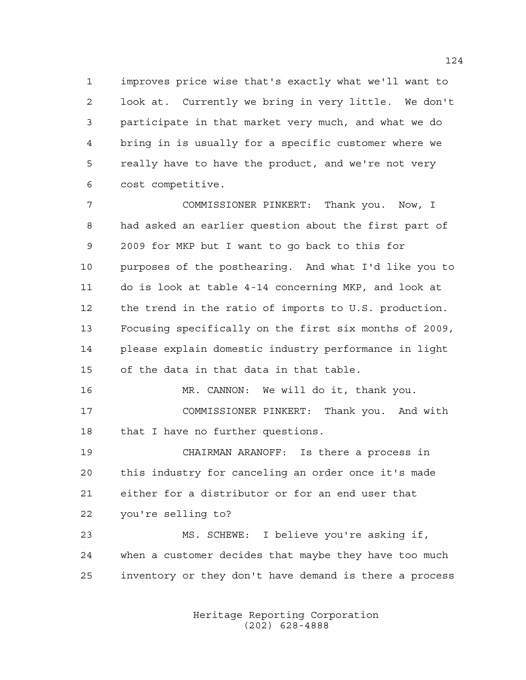improves price wise that's exactly what we'll want to look at. Currently we bring in very little. We don't participate in that market very much, and what we do bring in is usually for a specific customer where we really have to have the product, and we're not very cost competitive.

 COMMISSIONER PINKERT: Thank you. Now, I had asked an earlier question about the first part of 2009 for MKP but I want to go back to this for purposes of the posthearing. And what I'd like you to do is look at table 4-14 concerning MKP, and look at the trend in the ratio of imports to U.S. production. Focusing specifically on the first six months of 2009, please explain domestic industry performance in light of the data in that data in that table.

 MR. CANNON: We will do it, thank you. COMMISSIONER PINKERT: Thank you. And with 18 that I have no further questions.

 CHAIRMAN ARANOFF: Is there a process in this industry for canceling an order once it's made either for a distributor or for an end user that you're selling to?

 MS. SCHEWE: I believe you're asking if, when a customer decides that maybe they have too much inventory or they don't have demand is there a process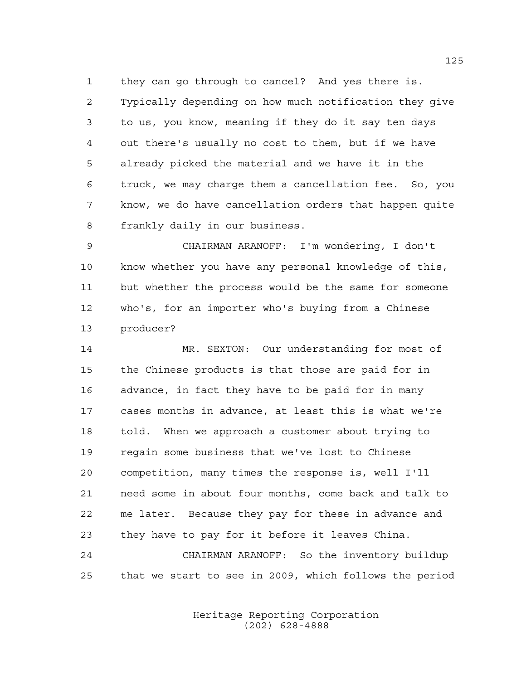they can go through to cancel? And yes there is. Typically depending on how much notification they give to us, you know, meaning if they do it say ten days out there's usually no cost to them, but if we have already picked the material and we have it in the truck, we may charge them a cancellation fee. So, you know, we do have cancellation orders that happen quite frankly daily in our business.

 CHAIRMAN ARANOFF: I'm wondering, I don't know whether you have any personal knowledge of this, but whether the process would be the same for someone who's, for an importer who's buying from a Chinese producer?

 MR. SEXTON: Our understanding for most of the Chinese products is that those are paid for in advance, in fact they have to be paid for in many cases months in advance, at least this is what we're told. When we approach a customer about trying to regain some business that we've lost to Chinese competition, many times the response is, well I'll need some in about four months, come back and talk to me later. Because they pay for these in advance and they have to pay for it before it leaves China.

 CHAIRMAN ARANOFF: So the inventory buildup that we start to see in 2009, which follows the period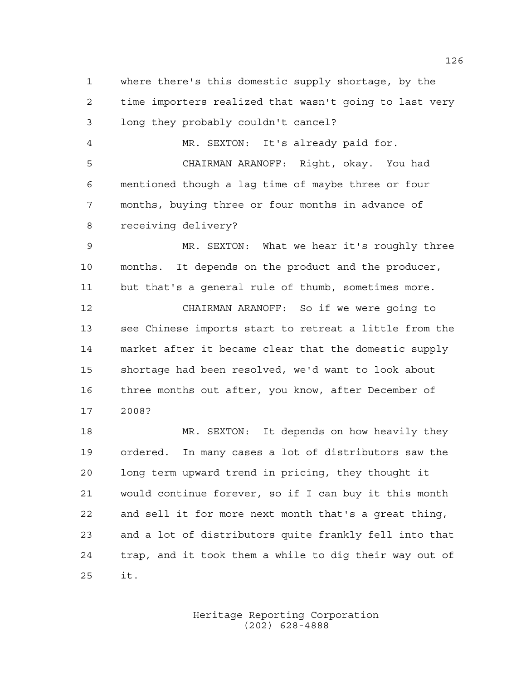where there's this domestic supply shortage, by the time importers realized that wasn't going to last very long they probably couldn't cancel? MR. SEXTON: It's already paid for. CHAIRMAN ARANOFF: Right, okay. You had mentioned though a lag time of maybe three or four months, buying three or four months in advance of receiving delivery? MR. SEXTON: What we hear it's roughly three months. It depends on the product and the producer, but that's a general rule of thumb, sometimes more. CHAIRMAN ARANOFF: So if we were going to see Chinese imports start to retreat a little from the market after it became clear that the domestic supply shortage had been resolved, we'd want to look about three months out after, you know, after December of 2008? 18 MR. SEXTON: It depends on how heavily they ordered. In many cases a lot of distributors saw the long term upward trend in pricing, they thought it would continue forever, so if I can buy it this month and sell it for more next month that's a great thing, and a lot of distributors quite frankly fell into that trap, and it took them a while to dig their way out of it.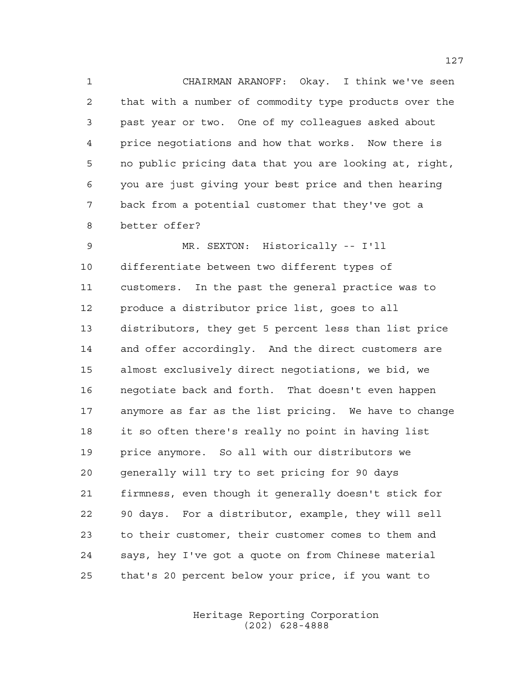CHAIRMAN ARANOFF: Okay. I think we've seen that with a number of commodity type products over the past year or two. One of my colleagues asked about price negotiations and how that works. Now there is no public pricing data that you are looking at, right, you are just giving your best price and then hearing back from a potential customer that they've got a better offer?

 MR. SEXTON: Historically -- I'll differentiate between two different types of customers. In the past the general practice was to produce a distributor price list, goes to all distributors, they get 5 percent less than list price and offer accordingly. And the direct customers are almost exclusively direct negotiations, we bid, we negotiate back and forth. That doesn't even happen anymore as far as the list pricing. We have to change it so often there's really no point in having list price anymore. So all with our distributors we generally will try to set pricing for 90 days firmness, even though it generally doesn't stick for 90 days. For a distributor, example, they will sell to their customer, their customer comes to them and says, hey I've got a quote on from Chinese material that's 20 percent below your price, if you want to

> Heritage Reporting Corporation (202) 628-4888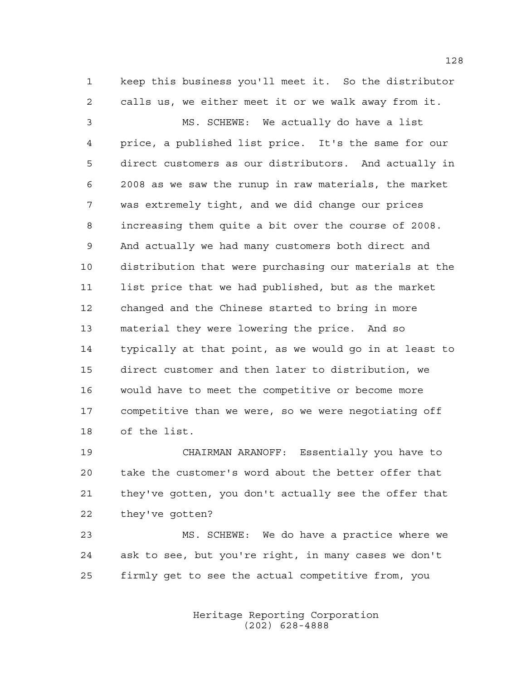keep this business you'll meet it. So the distributor calls us, we either meet it or we walk away from it.

 MS. SCHEWE: We actually do have a list price, a published list price. It's the same for our direct customers as our distributors. And actually in 2008 as we saw the runup in raw materials, the market was extremely tight, and we did change our prices increasing them quite a bit over the course of 2008. And actually we had many customers both direct and distribution that were purchasing our materials at the list price that we had published, but as the market changed and the Chinese started to bring in more material they were lowering the price. And so typically at that point, as we would go in at least to direct customer and then later to distribution, we would have to meet the competitive or become more competitive than we were, so we were negotiating off of the list.

 CHAIRMAN ARANOFF: Essentially you have to take the customer's word about the better offer that they've gotten, you don't actually see the offer that they've gotten?

 MS. SCHEWE: We do have a practice where we ask to see, but you're right, in many cases we don't firmly get to see the actual competitive from, you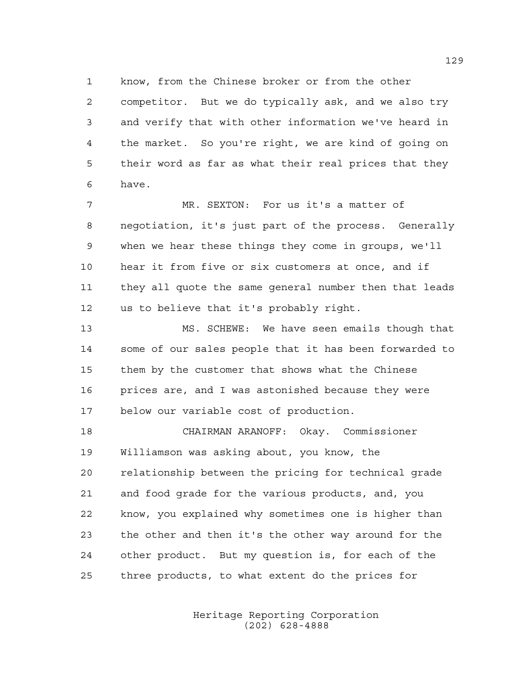know, from the Chinese broker or from the other

 competitor. But we do typically ask, and we also try and verify that with other information we've heard in the market. So you're right, we are kind of going on their word as far as what their real prices that they have.

 MR. SEXTON: For us it's a matter of negotiation, it's just part of the process. Generally when we hear these things they come in groups, we'll hear it from five or six customers at once, and if they all quote the same general number then that leads us to believe that it's probably right.

 MS. SCHEWE: We have seen emails though that some of our sales people that it has been forwarded to them by the customer that shows what the Chinese 16 prices are, and I was astonished because they were below our variable cost of production.

 CHAIRMAN ARANOFF: Okay. Commissioner Williamson was asking about, you know, the relationship between the pricing for technical grade and food grade for the various products, and, you know, you explained why sometimes one is higher than the other and then it's the other way around for the other product. But my question is, for each of the three products, to what extent do the prices for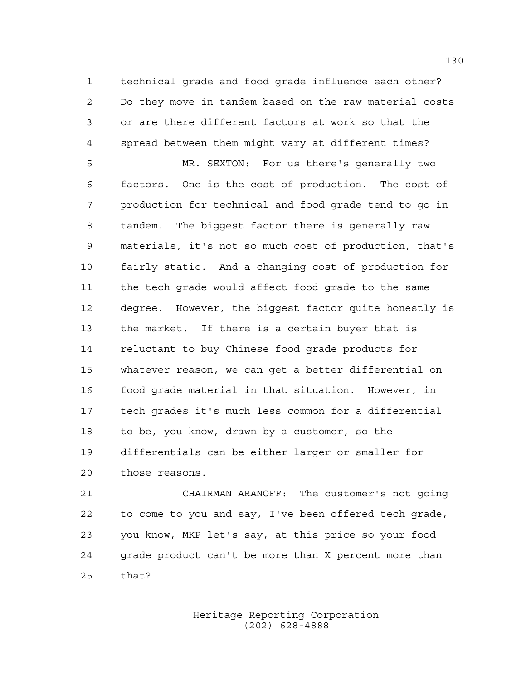technical grade and food grade influence each other? Do they move in tandem based on the raw material costs or are there different factors at work so that the spread between them might vary at different times?

 MR. SEXTON: For us there's generally two factors. One is the cost of production. The cost of production for technical and food grade tend to go in tandem. The biggest factor there is generally raw materials, it's not so much cost of production, that's fairly static. And a changing cost of production for the tech grade would affect food grade to the same degree. However, the biggest factor quite honestly is the market. If there is a certain buyer that is reluctant to buy Chinese food grade products for whatever reason, we can get a better differential on food grade material in that situation. However, in tech grades it's much less common for a differential to be, you know, drawn by a customer, so the differentials can be either larger or smaller for those reasons.

 CHAIRMAN ARANOFF: The customer's not going to come to you and say, I've been offered tech grade, you know, MKP let's say, at this price so your food grade product can't be more than X percent more than that?

> Heritage Reporting Corporation (202) 628-4888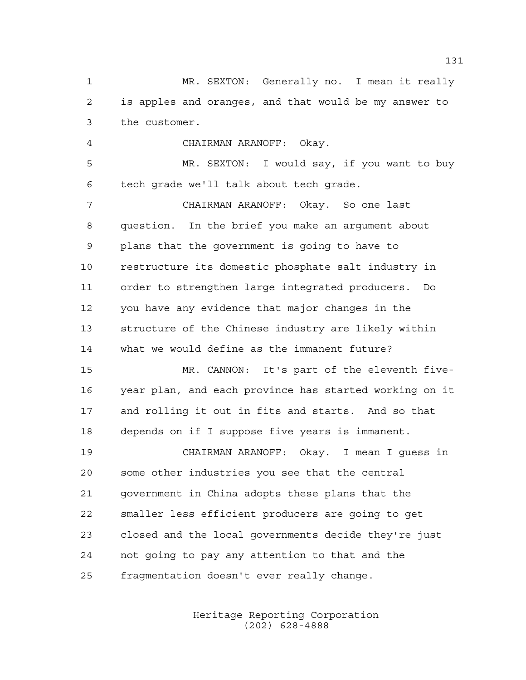MR. SEXTON: Generally no. I mean it really is apples and oranges, and that would be my answer to the customer.

 CHAIRMAN ARANOFF: Okay. MR. SEXTON: I would say, if you want to buy

 tech grade we'll talk about tech grade. CHAIRMAN ARANOFF: Okay. So one last

 question. In the brief you make an argument about plans that the government is going to have to restructure its domestic phosphate salt industry in order to strengthen large integrated producers. Do you have any evidence that major changes in the structure of the Chinese industry are likely within what we would define as the immanent future?

 MR. CANNON: It's part of the eleventh five- year plan, and each province has started working on it and rolling it out in fits and starts. And so that depends on if I suppose five years is immanent.

 CHAIRMAN ARANOFF: Okay. I mean I guess in some other industries you see that the central government in China adopts these plans that the smaller less efficient producers are going to get closed and the local governments decide they're just not going to pay any attention to that and the fragmentation doesn't ever really change.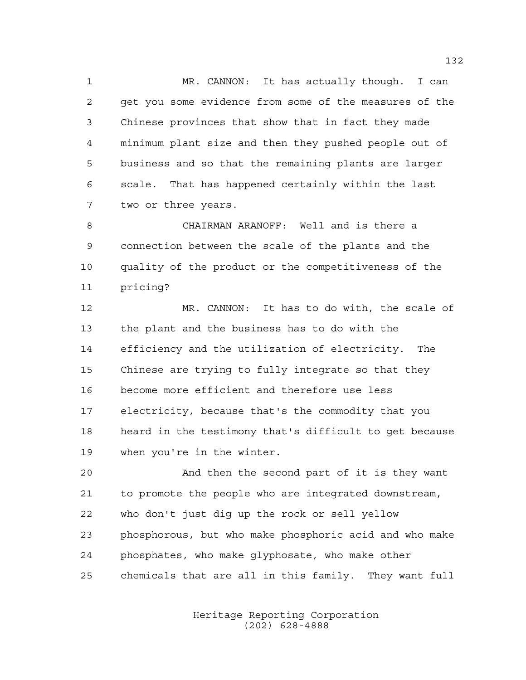MR. CANNON: It has actually though. I can get you some evidence from some of the measures of the Chinese provinces that show that in fact they made minimum plant size and then they pushed people out of business and so that the remaining plants are larger scale. That has happened certainly within the last two or three years.

 CHAIRMAN ARANOFF: Well and is there a connection between the scale of the plants and the quality of the product or the competitiveness of the pricing?

 MR. CANNON: It has to do with, the scale of the plant and the business has to do with the efficiency and the utilization of electricity. The Chinese are trying to fully integrate so that they become more efficient and therefore use less electricity, because that's the commodity that you heard in the testimony that's difficult to get because when you're in the winter.

 And then the second part of it is they want to promote the people who are integrated downstream, who don't just dig up the rock or sell yellow phosphorous, but who make phosphoric acid and who make phosphates, who make glyphosate, who make other chemicals that are all in this family. They want full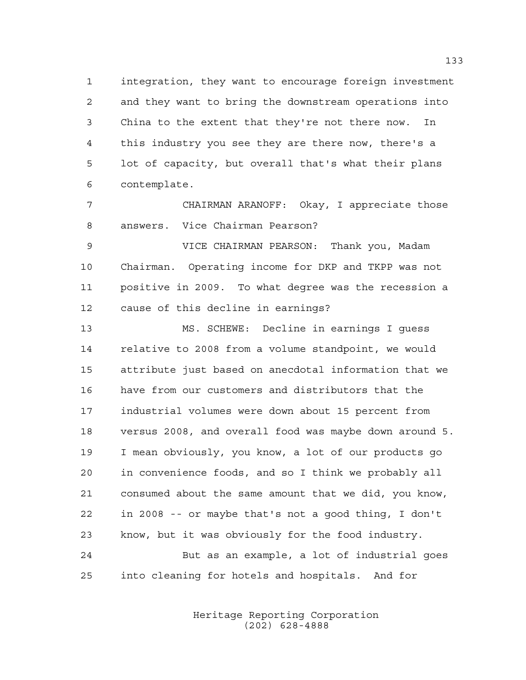integration, they want to encourage foreign investment and they want to bring the downstream operations into China to the extent that they're not there now. In this industry you see they are there now, there's a lot of capacity, but overall that's what their plans contemplate.

 CHAIRMAN ARANOFF: Okay, I appreciate those answers. Vice Chairman Pearson?

 VICE CHAIRMAN PEARSON: Thank you, Madam Chairman. Operating income for DKP and TKPP was not positive in 2009. To what degree was the recession a cause of this decline in earnings?

 MS. SCHEWE: Decline in earnings I guess relative to 2008 from a volume standpoint, we would attribute just based on anecdotal information that we have from our customers and distributors that the industrial volumes were down about 15 percent from versus 2008, and overall food was maybe down around 5. I mean obviously, you know, a lot of our products go in convenience foods, and so I think we probably all consumed about the same amount that we did, you know, in 2008 -- or maybe that's not a good thing, I don't know, but it was obviously for the food industry. But as an example, a lot of industrial goes

into cleaning for hotels and hospitals. And for

Heritage Reporting Corporation (202) 628-4888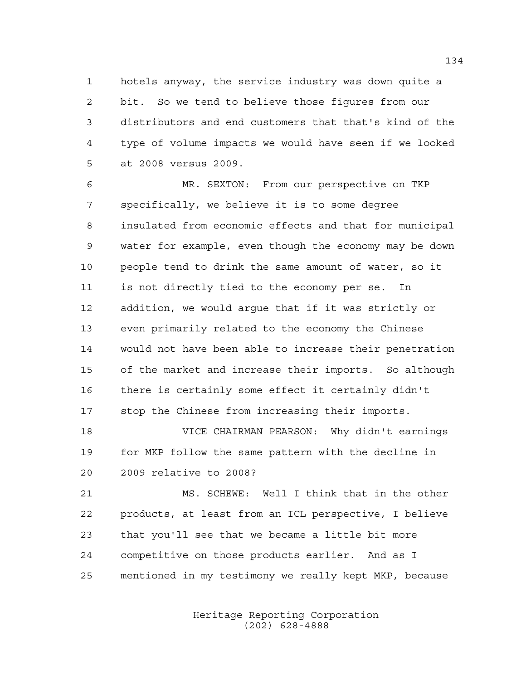hotels anyway, the service industry was down quite a bit. So we tend to believe those figures from our distributors and end customers that that's kind of the type of volume impacts we would have seen if we looked at 2008 versus 2009.

 MR. SEXTON: From our perspective on TKP specifically, we believe it is to some degree insulated from economic effects and that for municipal water for example, even though the economy may be down people tend to drink the same amount of water, so it is not directly tied to the economy per se. In addition, we would argue that if it was strictly or even primarily related to the economy the Chinese would not have been able to increase their penetration of the market and increase their imports. So although there is certainly some effect it certainly didn't stop the Chinese from increasing their imports.

 VICE CHAIRMAN PEARSON: Why didn't earnings for MKP follow the same pattern with the decline in 2009 relative to 2008?

 MS. SCHEWE: Well I think that in the other products, at least from an ICL perspective, I believe that you'll see that we became a little bit more competitive on those products earlier. And as I mentioned in my testimony we really kept MKP, because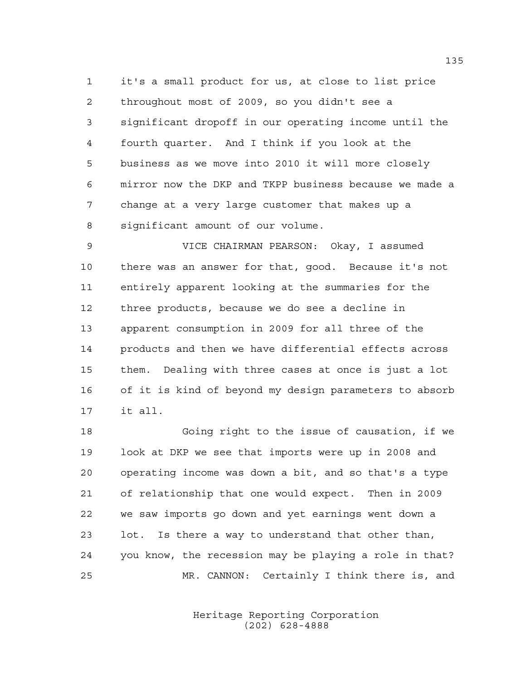it's a small product for us, at close to list price throughout most of 2009, so you didn't see a significant dropoff in our operating income until the fourth quarter. And I think if you look at the business as we move into 2010 it will more closely mirror now the DKP and TKPP business because we made a change at a very large customer that makes up a significant amount of our volume.

 VICE CHAIRMAN PEARSON: Okay, I assumed there was an answer for that, good. Because it's not entirely apparent looking at the summaries for the three products, because we do see a decline in apparent consumption in 2009 for all three of the products and then we have differential effects across them. Dealing with three cases at once is just a lot of it is kind of beyond my design parameters to absorb it all.

 Going right to the issue of causation, if we look at DKP we see that imports were up in 2008 and operating income was down a bit, and so that's a type of relationship that one would expect. Then in 2009 we saw imports go down and yet earnings went down a lot. Is there a way to understand that other than, you know, the recession may be playing a role in that? MR. CANNON: Certainly I think there is, and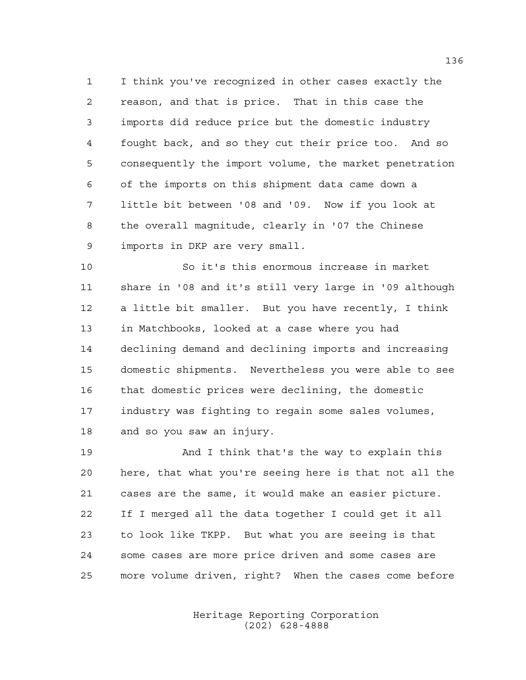I think you've recognized in other cases exactly the reason, and that is price. That in this case the imports did reduce price but the domestic industry fought back, and so they cut their price too. And so consequently the import volume, the market penetration of the imports on this shipment data came down a little bit between '08 and '09. Now if you look at the overall magnitude, clearly in '07 the Chinese imports in DKP are very small.

 So it's this enormous increase in market share in '08 and it's still very large in '09 although a little bit smaller. But you have recently, I think in Matchbooks, looked at a case where you had declining demand and declining imports and increasing domestic shipments. Nevertheless you were able to see that domestic prices were declining, the domestic industry was fighting to regain some sales volumes, and so you saw an injury.

 And I think that's the way to explain this here, that what you're seeing here is that not all the cases are the same, it would make an easier picture. If I merged all the data together I could get it all to look like TKPP. But what you are seeing is that some cases are more price driven and some cases are more volume driven, right? When the cases come before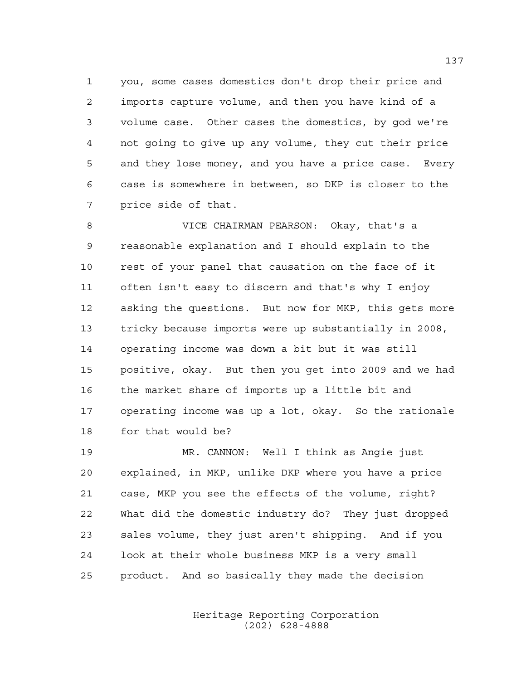you, some cases domestics don't drop their price and imports capture volume, and then you have kind of a volume case. Other cases the domestics, by god we're not going to give up any volume, they cut their price and they lose money, and you have a price case. Every case is somewhere in between, so DKP is closer to the price side of that.

 VICE CHAIRMAN PEARSON: Okay, that's a reasonable explanation and I should explain to the rest of your panel that causation on the face of it often isn't easy to discern and that's why I enjoy asking the questions. But now for MKP, this gets more tricky because imports were up substantially in 2008, operating income was down a bit but it was still positive, okay. But then you get into 2009 and we had the market share of imports up a little bit and operating income was up a lot, okay. So the rationale for that would be?

 MR. CANNON: Well I think as Angie just explained, in MKP, unlike DKP where you have a price case, MKP you see the effects of the volume, right? What did the domestic industry do? They just dropped sales volume, they just aren't shipping. And if you look at their whole business MKP is a very small product. And so basically they made the decision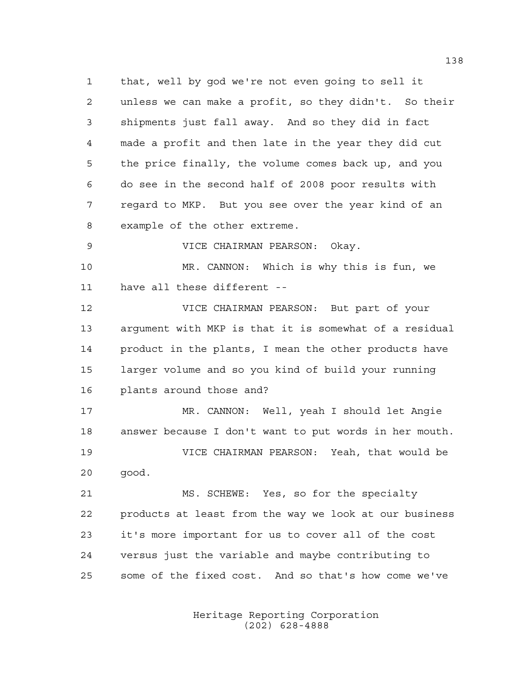that, well by god we're not even going to sell it unless we can make a profit, so they didn't. So their shipments just fall away. And so they did in fact made a profit and then late in the year they did cut the price finally, the volume comes back up, and you do see in the second half of 2008 poor results with regard to MKP. But you see over the year kind of an example of the other extreme.

VICE CHAIRMAN PEARSON: Okay.

 MR. CANNON: Which is why this is fun, we have all these different --

 VICE CHAIRMAN PEARSON: But part of your argument with MKP is that it is somewhat of a residual product in the plants, I mean the other products have larger volume and so you kind of build your running plants around those and?

 MR. CANNON: Well, yeah I should let Angie answer because I don't want to put words in her mouth. VICE CHAIRMAN PEARSON: Yeah, that would be good.

 MS. SCHEWE: Yes, so for the specialty products at least from the way we look at our business it's more important for us to cover all of the cost versus just the variable and maybe contributing to some of the fixed cost. And so that's how come we've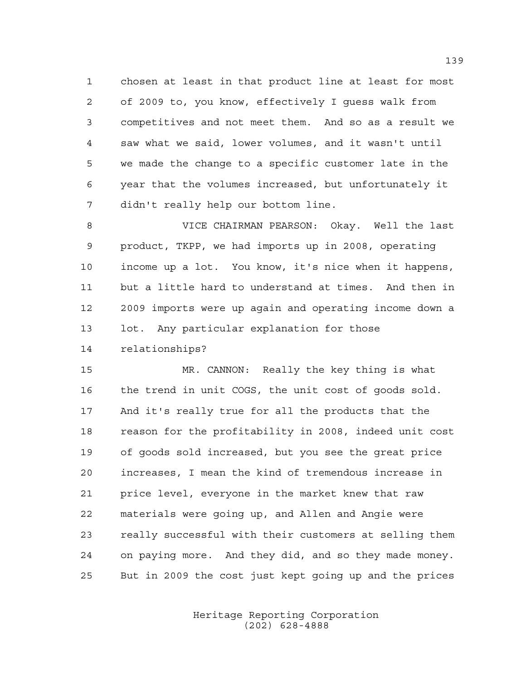chosen at least in that product line at least for most of 2009 to, you know, effectively I guess walk from competitives and not meet them. And so as a result we saw what we said, lower volumes, and it wasn't until we made the change to a specific customer late in the year that the volumes increased, but unfortunately it didn't really help our bottom line.

 VICE CHAIRMAN PEARSON: Okay. Well the last product, TKPP, we had imports up in 2008, operating income up a lot. You know, it's nice when it happens, but a little hard to understand at times. And then in 2009 imports were up again and operating income down a lot. Any particular explanation for those relationships?

 MR. CANNON: Really the key thing is what the trend in unit COGS, the unit cost of goods sold. And it's really true for all the products that the reason for the profitability in 2008, indeed unit cost of goods sold increased, but you see the great price increases, I mean the kind of tremendous increase in price level, everyone in the market knew that raw materials were going up, and Allen and Angie were really successful with their customers at selling them on paying more. And they did, and so they made money. But in 2009 the cost just kept going up and the prices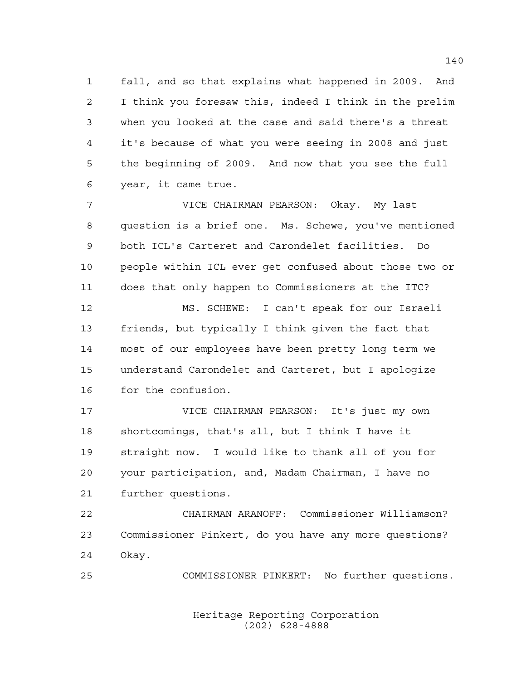fall, and so that explains what happened in 2009. And I think you foresaw this, indeed I think in the prelim when you looked at the case and said there's a threat it's because of what you were seeing in 2008 and just the beginning of 2009. And now that you see the full year, it came true.

 VICE CHAIRMAN PEARSON: Okay. My last question is a brief one. Ms. Schewe, you've mentioned both ICL's Carteret and Carondelet facilities. Do people within ICL ever get confused about those two or does that only happen to Commissioners at the ITC? MS. SCHEWE: I can't speak for our Israeli friends, but typically I think given the fact that most of our employees have been pretty long term we understand Carondelet and Carteret, but I apologize

for the confusion.

 VICE CHAIRMAN PEARSON: It's just my own shortcomings, that's all, but I think I have it straight now. I would like to thank all of you for your participation, and, Madam Chairman, I have no further questions.

 CHAIRMAN ARANOFF: Commissioner Williamson? Commissioner Pinkert, do you have any more questions? Okay.

COMMISSIONER PINKERT: No further questions.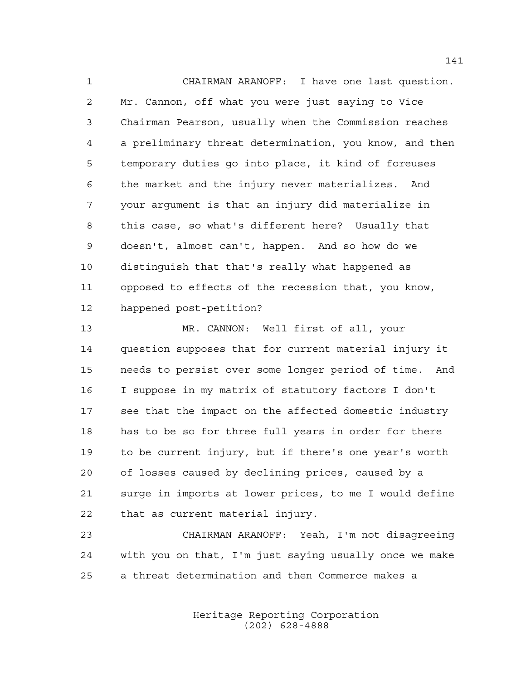CHAIRMAN ARANOFF: I have one last question. Mr. Cannon, off what you were just saying to Vice Chairman Pearson, usually when the Commission reaches a preliminary threat determination, you know, and then temporary duties go into place, it kind of foreuses the market and the injury never materializes. And your argument is that an injury did materialize in this case, so what's different here? Usually that doesn't, almost can't, happen. And so how do we distinguish that that's really what happened as opposed to effects of the recession that, you know, happened post-petition?

 MR. CANNON: Well first of all, your question supposes that for current material injury it needs to persist over some longer period of time. And I suppose in my matrix of statutory factors I don't see that the impact on the affected domestic industry has to be so for three full years in order for there to be current injury, but if there's one year's worth of losses caused by declining prices, caused by a surge in imports at lower prices, to me I would define that as current material injury.

 CHAIRMAN ARANOFF: Yeah, I'm not disagreeing with you on that, I'm just saying usually once we make a threat determination and then Commerce makes a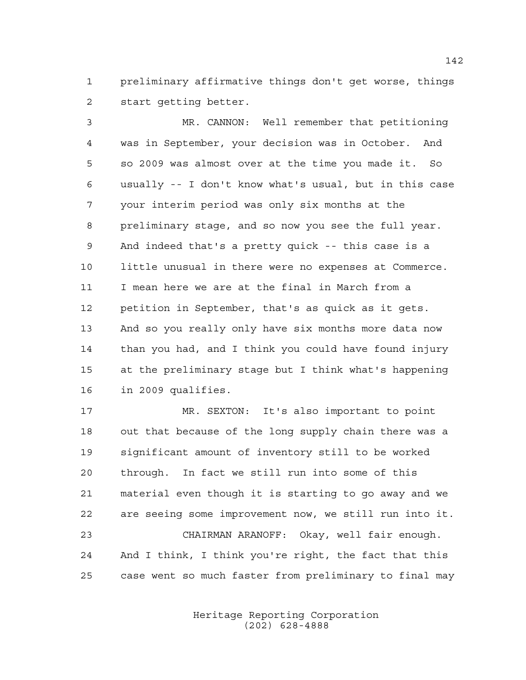preliminary affirmative things don't get worse, things start getting better.

 MR. CANNON: Well remember that petitioning was in September, your decision was in October. And so 2009 was almost over at the time you made it. So usually -- I don't know what's usual, but in this case your interim period was only six months at the preliminary stage, and so now you see the full year. And indeed that's a pretty quick -- this case is a little unusual in there were no expenses at Commerce. I mean here we are at the final in March from a petition in September, that's as quick as it gets. And so you really only have six months more data now than you had, and I think you could have found injury at the preliminary stage but I think what's happening in 2009 qualifies.

 MR. SEXTON: It's also important to point out that because of the long supply chain there was a significant amount of inventory still to be worked through. In fact we still run into some of this material even though it is starting to go away and we are seeing some improvement now, we still run into it. CHAIRMAN ARANOFF: Okay, well fair enough. And I think, I think you're right, the fact that this case went so much faster from preliminary to final may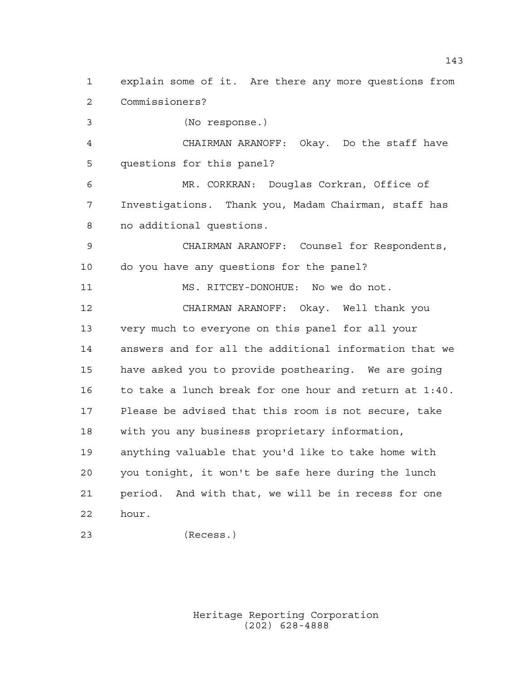explain some of it. Are there any more questions from Commissioners? (No response.) CHAIRMAN ARANOFF: Okay. Do the staff have questions for this panel? MR. CORKRAN: Douglas Corkran, Office of Investigations. Thank you, Madam Chairman, staff has no additional questions. CHAIRMAN ARANOFF: Counsel for Respondents, do you have any questions for the panel? MS. RITCEY-DONOHUE: No we do not. CHAIRMAN ARANOFF: Okay. Well thank you very much to everyone on this panel for all your answers and for all the additional information that we have asked you to provide posthearing. We are going to take a lunch break for one hour and return at 1:40. Please be advised that this room is not secure, take with you any business proprietary information, anything valuable that you'd like to take home with you tonight, it won't be safe here during the lunch period. And with that, we will be in recess for one hour.

(Recess.)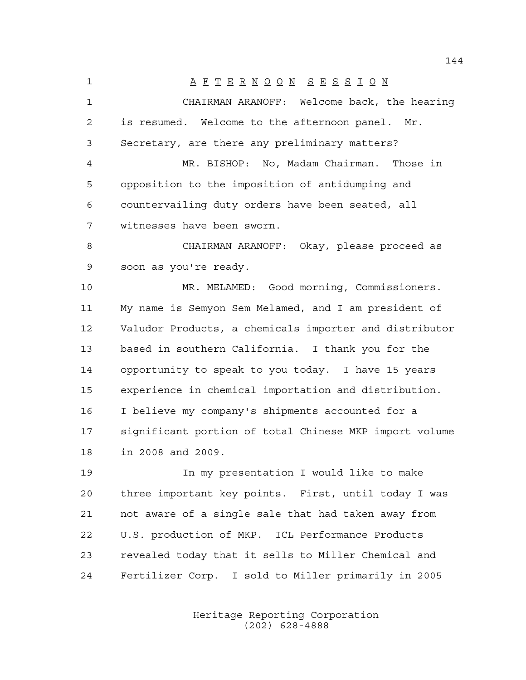A F T E R N O O N S E S S I O N CHAIRMAN ARANOFF: Welcome back, the hearing is resumed. Welcome to the afternoon panel. Mr. Secretary, are there any preliminary matters? MR. BISHOP: No, Madam Chairman. Those in opposition to the imposition of antidumping and countervailing duty orders have been seated, all witnesses have been sworn. CHAIRMAN ARANOFF: Okay, please proceed as soon as you're ready. MR. MELAMED: Good morning, Commissioners. My name is Semyon Sem Melamed, and I am president of Valudor Products, a chemicals importer and distributor based in southern California. I thank you for the opportunity to speak to you today. I have 15 years experience in chemical importation and distribution. I believe my company's shipments accounted for a significant portion of total Chinese MKP import volume in 2008 and 2009. In my presentation I would like to make

 three important key points. First, until today I was not aware of a single sale that had taken away from U.S. production of MKP. ICL Performance Products revealed today that it sells to Miller Chemical and Fertilizer Corp. I sold to Miller primarily in 2005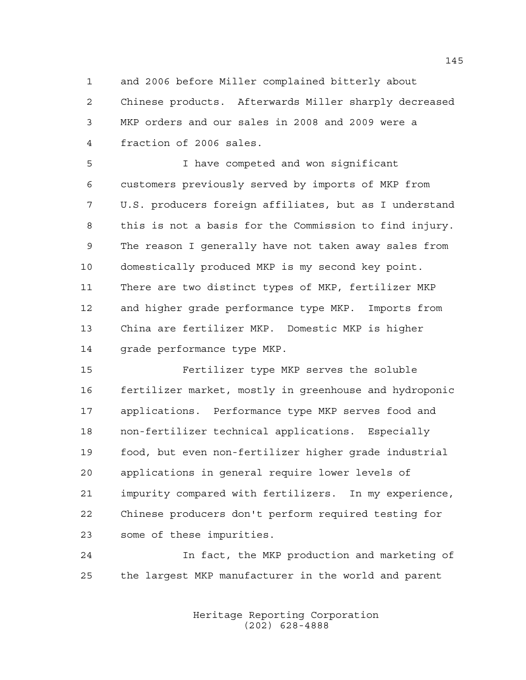and 2006 before Miller complained bitterly about Chinese products. Afterwards Miller sharply decreased MKP orders and our sales in 2008 and 2009 were a fraction of 2006 sales.

 I have competed and won significant customers previously served by imports of MKP from U.S. producers foreign affiliates, but as I understand this is not a basis for the Commission to find injury. The reason I generally have not taken away sales from domestically produced MKP is my second key point. There are two distinct types of MKP, fertilizer MKP and higher grade performance type MKP. Imports from China are fertilizer MKP. Domestic MKP is higher grade performance type MKP.

 Fertilizer type MKP serves the soluble fertilizer market, mostly in greenhouse and hydroponic applications. Performance type MKP serves food and non-fertilizer technical applications. Especially food, but even non-fertilizer higher grade industrial applications in general require lower levels of impurity compared with fertilizers. In my experience, Chinese producers don't perform required testing for some of these impurities.

 In fact, the MKP production and marketing of the largest MKP manufacturer in the world and parent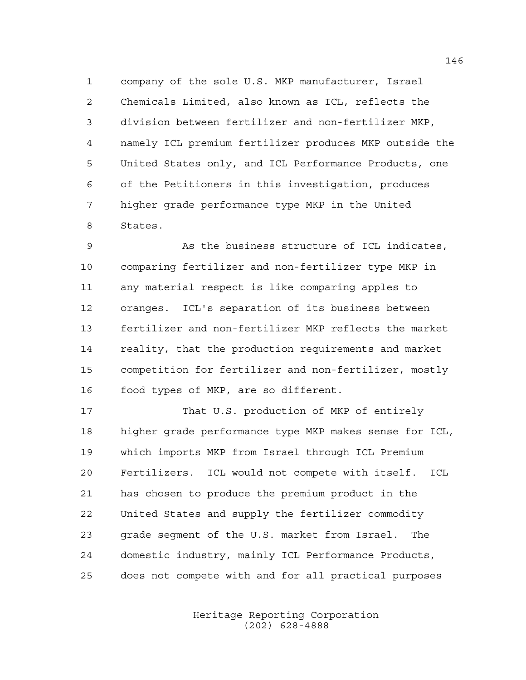company of the sole U.S. MKP manufacturer, Israel Chemicals Limited, also known as ICL, reflects the division between fertilizer and non-fertilizer MKP, namely ICL premium fertilizer produces MKP outside the United States only, and ICL Performance Products, one of the Petitioners in this investigation, produces higher grade performance type MKP in the United States.

 As the business structure of ICL indicates, comparing fertilizer and non-fertilizer type MKP in any material respect is like comparing apples to oranges. ICL's separation of its business between fertilizer and non-fertilizer MKP reflects the market reality, that the production requirements and market competition for fertilizer and non-fertilizer, mostly food types of MKP, are so different.

 That U.S. production of MKP of entirely higher grade performance type MKP makes sense for ICL, which imports MKP from Israel through ICL Premium Fertilizers. ICL would not compete with itself. ICL has chosen to produce the premium product in the United States and supply the fertilizer commodity grade segment of the U.S. market from Israel. The domestic industry, mainly ICL Performance Products, does not compete with and for all practical purposes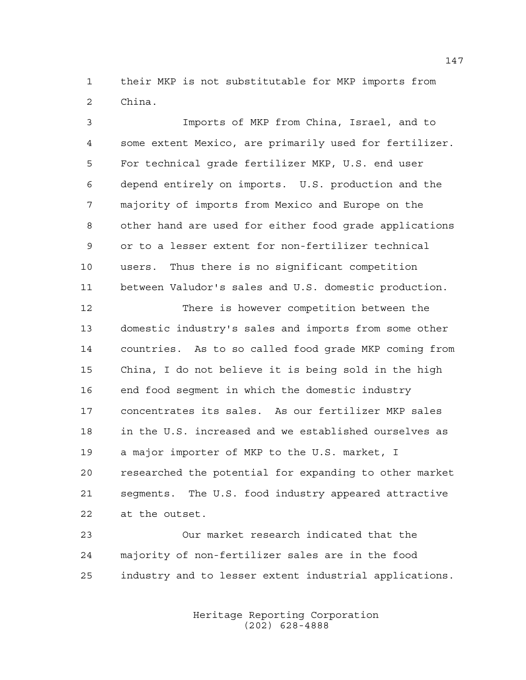their MKP is not substitutable for MKP imports from China.

 Imports of MKP from China, Israel, and to some extent Mexico, are primarily used for fertilizer. For technical grade fertilizer MKP, U.S. end user depend entirely on imports. U.S. production and the majority of imports from Mexico and Europe on the other hand are used for either food grade applications or to a lesser extent for non-fertilizer technical users. Thus there is no significant competition between Valudor's sales and U.S. domestic production.

 There is however competition between the domestic industry's sales and imports from some other countries. As to so called food grade MKP coming from China, I do not believe it is being sold in the high end food segment in which the domestic industry concentrates its sales. As our fertilizer MKP sales in the U.S. increased and we established ourselves as a major importer of MKP to the U.S. market, I researched the potential for expanding to other market segments. The U.S. food industry appeared attractive at the outset.

 Our market research indicated that the majority of non-fertilizer sales are in the food industry and to lesser extent industrial applications.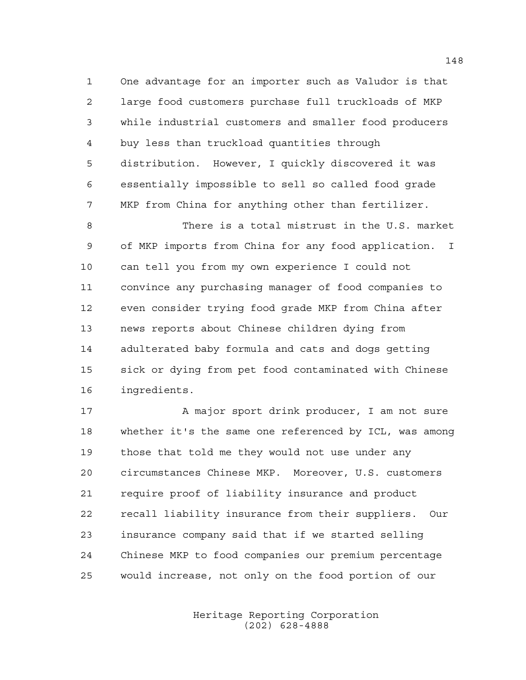One advantage for an importer such as Valudor is that large food customers purchase full truckloads of MKP while industrial customers and smaller food producers buy less than truckload quantities through distribution. However, I quickly discovered it was essentially impossible to sell so called food grade MKP from China for anything other than fertilizer.

 There is a total mistrust in the U.S. market of MKP imports from China for any food application. I can tell you from my own experience I could not convince any purchasing manager of food companies to even consider trying food grade MKP from China after news reports about Chinese children dying from adulterated baby formula and cats and dogs getting sick or dying from pet food contaminated with Chinese ingredients.

17 A major sport drink producer, I am not sure whether it's the same one referenced by ICL, was among those that told me they would not use under any circumstances Chinese MKP. Moreover, U.S. customers require proof of liability insurance and product recall liability insurance from their suppliers. Our insurance company said that if we started selling Chinese MKP to food companies our premium percentage would increase, not only on the food portion of our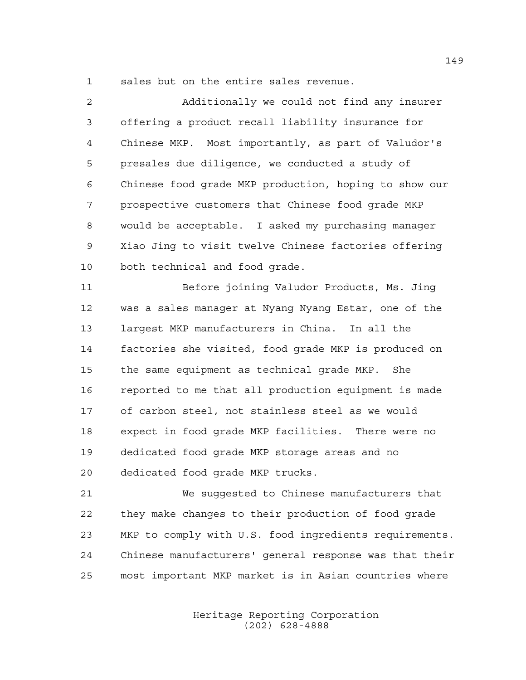sales but on the entire sales revenue.

| 2              | Additionally we could not find any insurer            |
|----------------|-------------------------------------------------------|
| 3              | offering a product recall liability insurance for     |
| $\overline{4}$ | Chinese MKP. Most importantly, as part of Valudor's   |
| 5              | presales due diligence, we conducted a study of       |
| 6              | Chinese food grade MKP production, hoping to show our |
| 7              | prospective customers that Chinese food grade MKP     |
| 8              | would be acceptable. I asked my purchasing manager    |
| 9              | Xiao Jing to visit twelve Chinese factories offering  |
| 10             | both technical and food grade.                        |
| 11             | Before joining Valudor Products, Ms. Jing             |
| 12             | was a sales manager at Nyang Nyang Estar, one of the  |
| 13             | largest MKP manufacturers in China. In all the        |
| 14             | factories she visited, food grade MKP is produced on  |
| 15             | the same equipment as technical grade MKP. She        |
| 16             | reported to me that all production equipment is made  |
| 17             | of carbon steel, not stainless steel as we would      |
| 18             | expect in food grade MKP facilities. There were no    |
| 19             | dedicated food grade MKP storage areas and no         |
| 20             | dedicated food grade MKP trucks.                      |
| 21             | We suggested to Chinese manufacturers that            |

 they make changes to their production of food grade MKP to comply with U.S. food ingredients requirements. Chinese manufacturers' general response was that their most important MKP market is in Asian countries where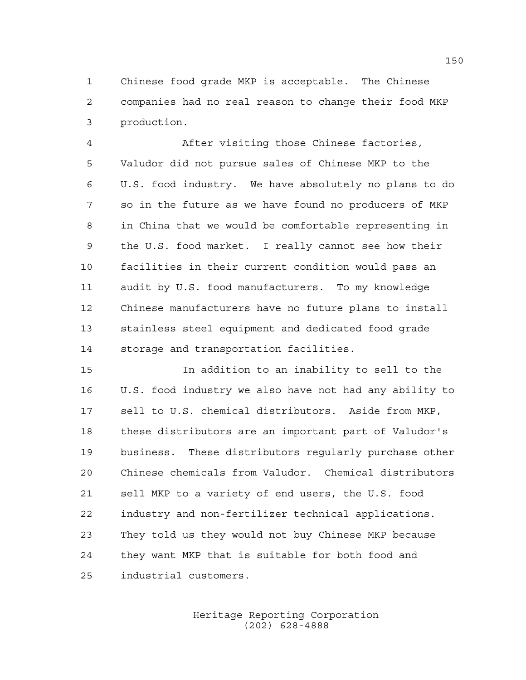Chinese food grade MKP is acceptable. The Chinese companies had no real reason to change their food MKP production.

 After visiting those Chinese factories, Valudor did not pursue sales of Chinese MKP to the U.S. food industry. We have absolutely no plans to do so in the future as we have found no producers of MKP in China that we would be comfortable representing in the U.S. food market. I really cannot see how their facilities in their current condition would pass an audit by U.S. food manufacturers. To my knowledge Chinese manufacturers have no future plans to install stainless steel equipment and dedicated food grade storage and transportation facilities.

 In addition to an inability to sell to the U.S. food industry we also have not had any ability to sell to U.S. chemical distributors. Aside from MKP, these distributors are an important part of Valudor's business. These distributors regularly purchase other Chinese chemicals from Valudor. Chemical distributors sell MKP to a variety of end users, the U.S. food industry and non-fertilizer technical applications. They told us they would not buy Chinese MKP because they want MKP that is suitable for both food and industrial customers.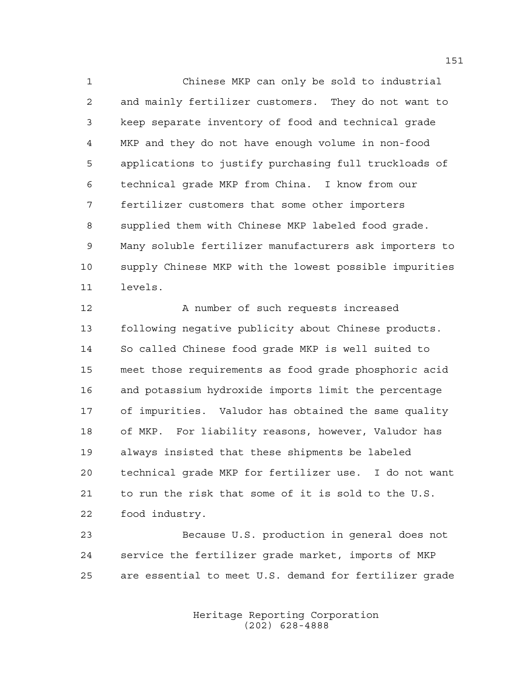Chinese MKP can only be sold to industrial and mainly fertilizer customers. They do not want to keep separate inventory of food and technical grade MKP and they do not have enough volume in non-food applications to justify purchasing full truckloads of technical grade MKP from China. I know from our fertilizer customers that some other importers supplied them with Chinese MKP labeled food grade. Many soluble fertilizer manufacturers ask importers to supply Chinese MKP with the lowest possible impurities levels.

12 A number of such requests increased following negative publicity about Chinese products. So called Chinese food grade MKP is well suited to meet those requirements as food grade phosphoric acid and potassium hydroxide imports limit the percentage of impurities. Valudor has obtained the same quality of MKP. For liability reasons, however, Valudor has always insisted that these shipments be labeled technical grade MKP for fertilizer use. I do not want to run the risk that some of it is sold to the U.S. food industry.

 Because U.S. production in general does not service the fertilizer grade market, imports of MKP are essential to meet U.S. demand for fertilizer grade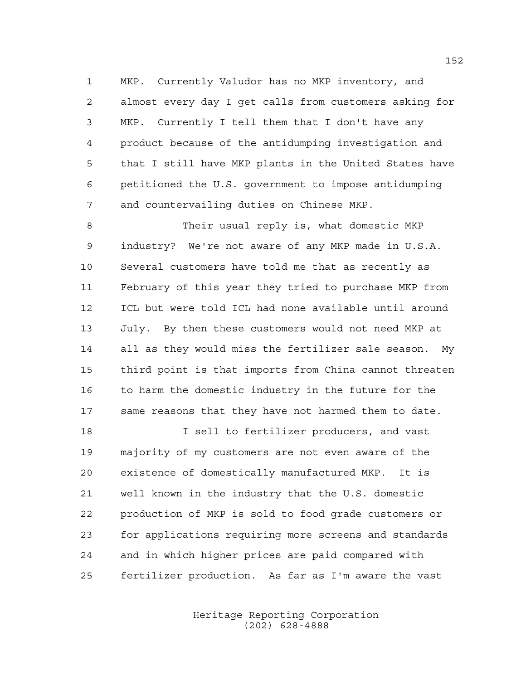MKP. Currently Valudor has no MKP inventory, and almost every day I get calls from customers asking for MKP. Currently I tell them that I don't have any product because of the antidumping investigation and that I still have MKP plants in the United States have petitioned the U.S. government to impose antidumping and countervailing duties on Chinese MKP.

 Their usual reply is, what domestic MKP industry? We're not aware of any MKP made in U.S.A. Several customers have told me that as recently as February of this year they tried to purchase MKP from ICL but were told ICL had none available until around July. By then these customers would not need MKP at all as they would miss the fertilizer sale season. My third point is that imports from China cannot threaten 16 to harm the domestic industry in the future for the same reasons that they have not harmed them to date.

**I sell to fertilizer producers, and vast**  majority of my customers are not even aware of the existence of domestically manufactured MKP. It is well known in the industry that the U.S. domestic production of MKP is sold to food grade customers or for applications requiring more screens and standards and in which higher prices are paid compared with fertilizer production. As far as I'm aware the vast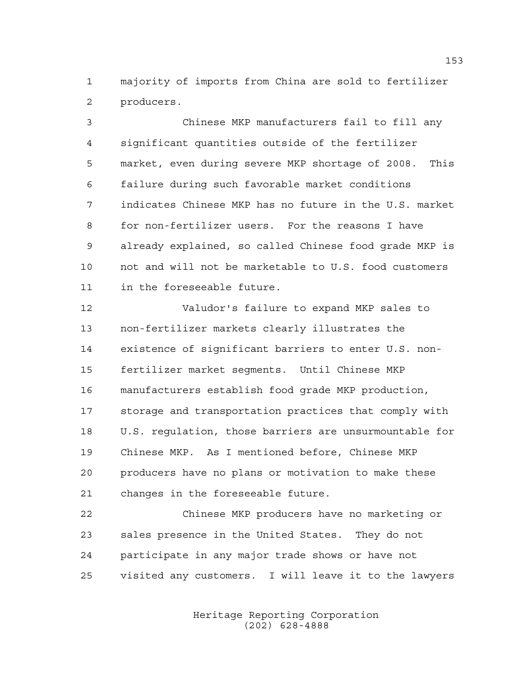majority of imports from China are sold to fertilizer producers.

 Chinese MKP manufacturers fail to fill any significant quantities outside of the fertilizer market, even during severe MKP shortage of 2008. This failure during such favorable market conditions indicates Chinese MKP has no future in the U.S. market for non-fertilizer users. For the reasons I have already explained, so called Chinese food grade MKP is not and will not be marketable to U.S. food customers in the foreseeable future.

 Valudor's failure to expand MKP sales to non-fertilizer markets clearly illustrates the existence of significant barriers to enter U.S. non- fertilizer market segments. Until Chinese MKP manufacturers establish food grade MKP production, storage and transportation practices that comply with U.S. regulation, those barriers are unsurmountable for Chinese MKP. As I mentioned before, Chinese MKP producers have no plans or motivation to make these changes in the foreseeable future.

 Chinese MKP producers have no marketing or sales presence in the United States. They do not participate in any major trade shows or have not visited any customers. I will leave it to the lawyers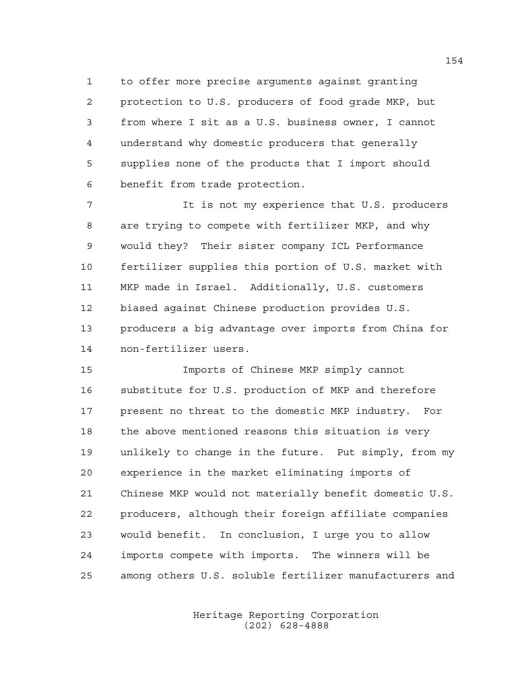to offer more precise arguments against granting protection to U.S. producers of food grade MKP, but from where I sit as a U.S. business owner, I cannot understand why domestic producers that generally supplies none of the products that I import should benefit from trade protection.

 It is not my experience that U.S. producers are trying to compete with fertilizer MKP, and why would they? Their sister company ICL Performance fertilizer supplies this portion of U.S. market with MKP made in Israel. Additionally, U.S. customers biased against Chinese production provides U.S. producers a big advantage over imports from China for non-fertilizer users.

 Imports of Chinese MKP simply cannot substitute for U.S. production of MKP and therefore present no threat to the domestic MKP industry. For the above mentioned reasons this situation is very unlikely to change in the future. Put simply, from my experience in the market eliminating imports of Chinese MKP would not materially benefit domestic U.S. producers, although their foreign affiliate companies would benefit. In conclusion, I urge you to allow imports compete with imports. The winners will be among others U.S. soluble fertilizer manufacturers and

> Heritage Reporting Corporation (202) 628-4888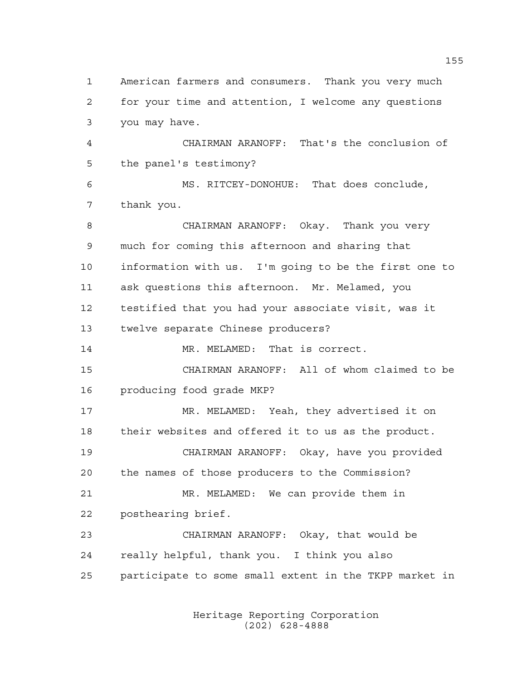American farmers and consumers. Thank you very much for your time and attention, I welcome any questions you may have. CHAIRMAN ARANOFF: That's the conclusion of the panel's testimony? MS. RITCEY-DONOHUE: That does conclude, thank you. CHAIRMAN ARANOFF: Okay. Thank you very much for coming this afternoon and sharing that information with us. I'm going to be the first one to ask questions this afternoon. Mr. Melamed, you testified that you had your associate visit, was it twelve separate Chinese producers? MR. MELAMED: That is correct. CHAIRMAN ARANOFF: All of whom claimed to be producing food grade MKP? MR. MELAMED: Yeah, they advertised it on their websites and offered it to us as the product. CHAIRMAN ARANOFF: Okay, have you provided the names of those producers to the Commission? MR. MELAMED: We can provide them in posthearing brief. CHAIRMAN ARANOFF: Okay, that would be really helpful, thank you. I think you also participate to some small extent in the TKPP market in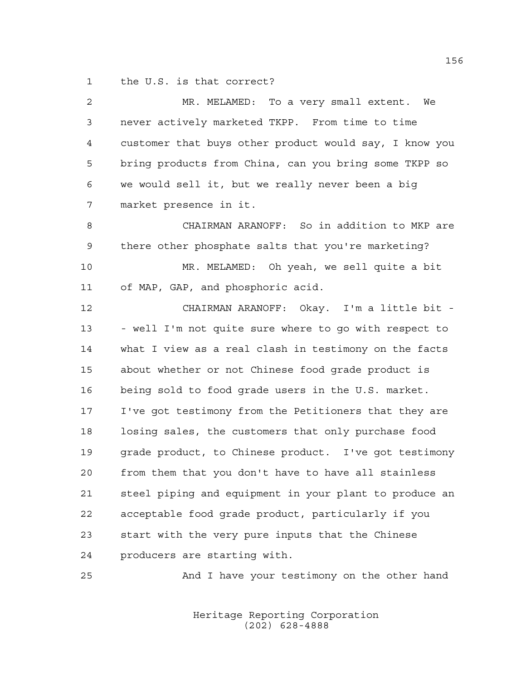the U.S. is that correct?

| $\overline{a}$ | MR. MELAMED: To a very small extent. We                |
|----------------|--------------------------------------------------------|
| 3              | never actively marketed TKPP. From time to time        |
| 4              | customer that buys other product would say, I know you |
| 5              | bring products from China, can you bring some TKPP so  |
| 6              | we would sell it, but we really never been a big       |
| 7              | market presence in it.                                 |
| 8              | CHAIRMAN ARANOFF: So in addition to MKP are            |
| $\mathsf 9$    | there other phosphate salts that you're marketing?     |
| 10             | MR. MELAMED: Oh yeah, we sell quite a bit              |
| 11             | of MAP, GAP, and phosphoric acid.                      |
| 12             | CHAIRMAN ARANOFF: Okay. I'm a little bit -             |
| 13             | - well I'm not quite sure where to go with respect to  |
| 14             | what I view as a real clash in testimony on the facts  |
| 15             | about whether or not Chinese food grade product is     |
| 16             | being sold to food grade users in the U.S. market.     |
| 17             | I've got testimony from the Petitioners that they are  |
| 18             | losing sales, the customers that only purchase food    |
| 19             | grade product, to Chinese product. I've got testimony  |
| 20             | from them that you don't have to have all stainless    |
| 21             | steel piping and equipment in your plant to produce an |
| 22             | acceptable food grade product, particularly if you     |
| 23             | start with the very pure inputs that the Chinese       |
| 24             | producers are starting with.                           |
|                |                                                        |

And I have your testimony on the other hand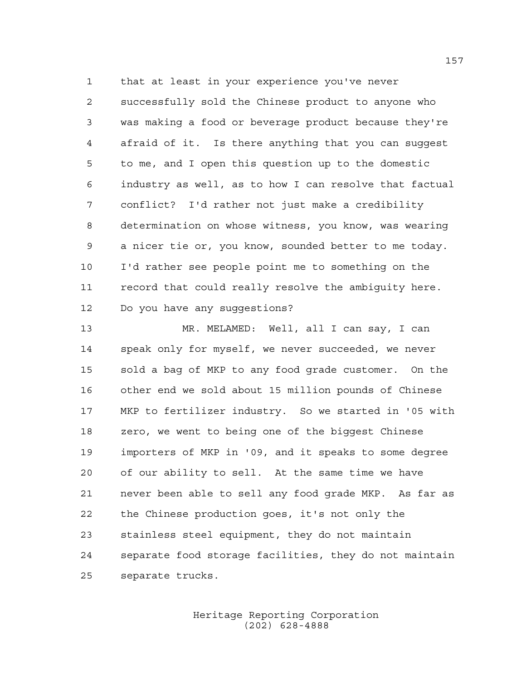that at least in your experience you've never successfully sold the Chinese product to anyone who was making a food or beverage product because they're afraid of it. Is there anything that you can suggest to me, and I open this question up to the domestic industry as well, as to how I can resolve that factual conflict? I'd rather not just make a credibility determination on whose witness, you know, was wearing a nicer tie or, you know, sounded better to me today. I'd rather see people point me to something on the record that could really resolve the ambiguity here. Do you have any suggestions?

 MR. MELAMED: Well, all I can say, I can speak only for myself, we never succeeded, we never sold a bag of MKP to any food grade customer. On the other end we sold about 15 million pounds of Chinese MKP to fertilizer industry. So we started in '05 with zero, we went to being one of the biggest Chinese importers of MKP in '09, and it speaks to some degree of our ability to sell. At the same time we have never been able to sell any food grade MKP. As far as the Chinese production goes, it's not only the stainless steel equipment, they do not maintain separate food storage facilities, they do not maintain separate trucks.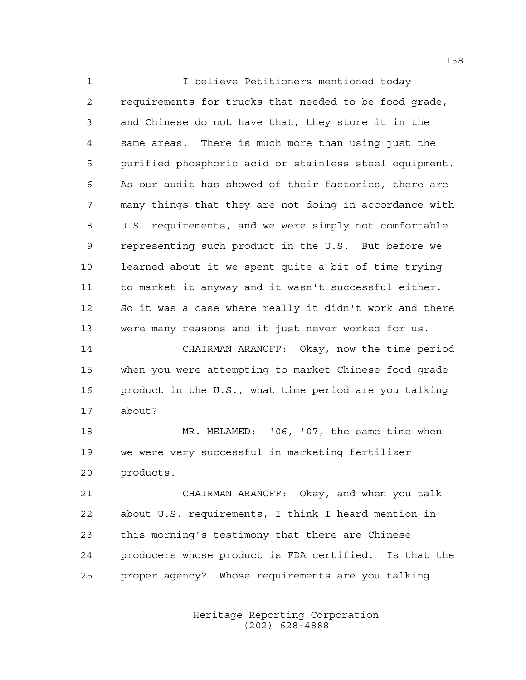I believe Petitioners mentioned today requirements for trucks that needed to be food grade, and Chinese do not have that, they store it in the same areas. There is much more than using just the purified phosphoric acid or stainless steel equipment. As our audit has showed of their factories, there are many things that they are not doing in accordance with U.S. requirements, and we were simply not comfortable representing such product in the U.S. But before we learned about it we spent quite a bit of time trying to market it anyway and it wasn't successful either. So it was a case where really it didn't work and there were many reasons and it just never worked for us.

 CHAIRMAN ARANOFF: Okay, now the time period when you were attempting to market Chinese food grade product in the U.S., what time period are you talking about?

 MR. MELAMED: '06, '07, the same time when we were very successful in marketing fertilizer products.

 CHAIRMAN ARANOFF: Okay, and when you talk about U.S. requirements, I think I heard mention in this morning's testimony that there are Chinese producers whose product is FDA certified. Is that the proper agency? Whose requirements are you talking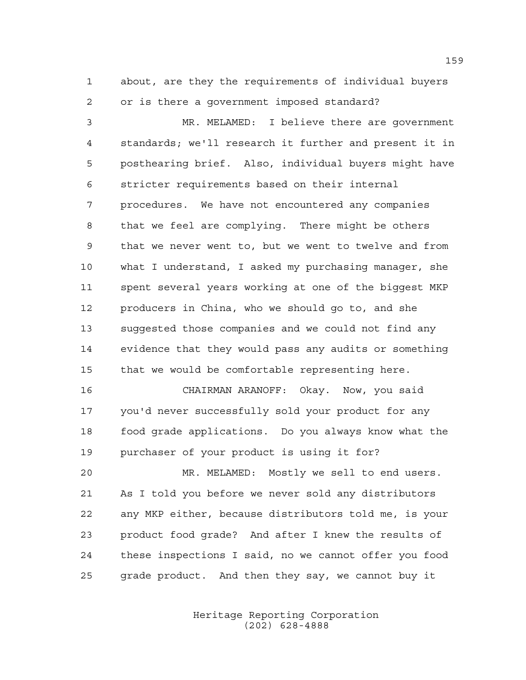about, are they the requirements of individual buyers or is there a government imposed standard?

 MR. MELAMED: I believe there are government standards; we'll research it further and present it in posthearing brief. Also, individual buyers might have stricter requirements based on their internal procedures. We have not encountered any companies that we feel are complying. There might be others that we never went to, but we went to twelve and from what I understand, I asked my purchasing manager, she spent several years working at one of the biggest MKP producers in China, who we should go to, and she suggested those companies and we could not find any evidence that they would pass any audits or something that we would be comfortable representing here.

 CHAIRMAN ARANOFF: Okay. Now, you said you'd never successfully sold your product for any food grade applications. Do you always know what the purchaser of your product is using it for?

 MR. MELAMED: Mostly we sell to end users. As I told you before we never sold any distributors any MKP either, because distributors told me, is your product food grade? And after I knew the results of these inspections I said, no we cannot offer you food grade product. And then they say, we cannot buy it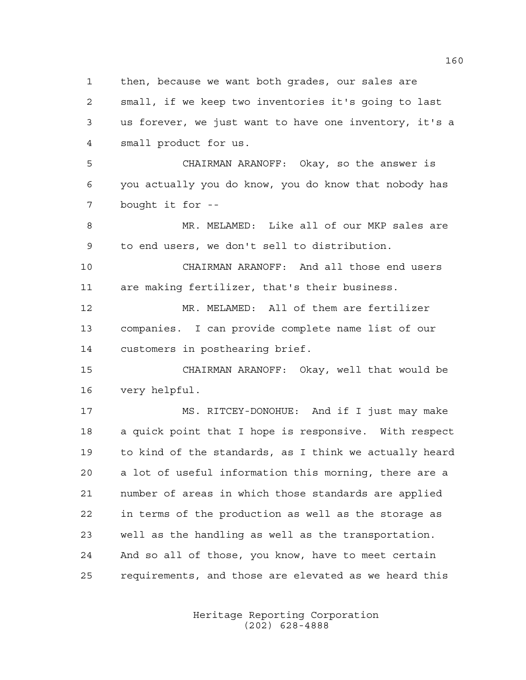then, because we want both grades, our sales are

 small, if we keep two inventories it's going to last us forever, we just want to have one inventory, it's a small product for us.

 CHAIRMAN ARANOFF: Okay, so the answer is you actually you do know, you do know that nobody has bought it for --

 MR. MELAMED: Like all of our MKP sales are to end users, we don't sell to distribution.

 CHAIRMAN ARANOFF: And all those end users are making fertilizer, that's their business.

 MR. MELAMED: All of them are fertilizer companies. I can provide complete name list of our customers in posthearing brief.

 CHAIRMAN ARANOFF: Okay, well that would be very helpful.

 MS. RITCEY-DONOHUE: And if I just may make a quick point that I hope is responsive. With respect to kind of the standards, as I think we actually heard a lot of useful information this morning, there are a number of areas in which those standards are applied in terms of the production as well as the storage as well as the handling as well as the transportation. And so all of those, you know, have to meet certain requirements, and those are elevated as we heard this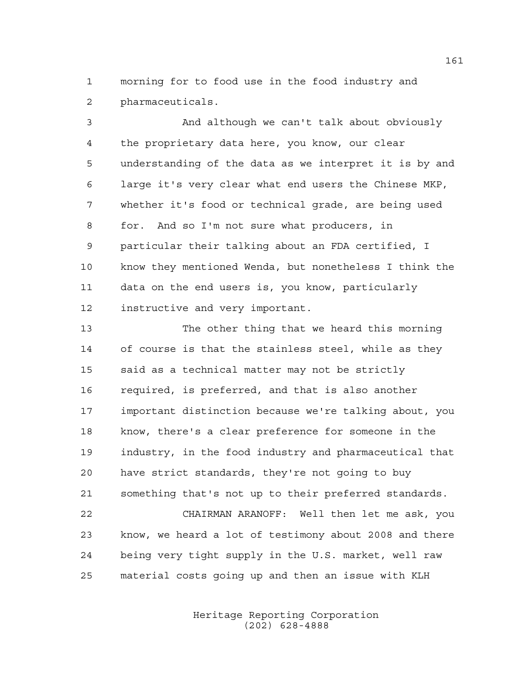morning for to food use in the food industry and pharmaceuticals.

 And although we can't talk about obviously the proprietary data here, you know, our clear understanding of the data as we interpret it is by and large it's very clear what end users the Chinese MKP, whether it's food or technical grade, are being used for. And so I'm not sure what producers, in particular their talking about an FDA certified, I know they mentioned Wenda, but nonetheless I think the data on the end users is, you know, particularly instructive and very important.

 The other thing that we heard this morning of course is that the stainless steel, while as they said as a technical matter may not be strictly required, is preferred, and that is also another important distinction because we're talking about, you know, there's a clear preference for someone in the industry, in the food industry and pharmaceutical that have strict standards, they're not going to buy something that's not up to their preferred standards. CHAIRMAN ARANOFF: Well then let me ask, you know, we heard a lot of testimony about 2008 and there being very tight supply in the U.S. market, well raw

material costs going up and then an issue with KLH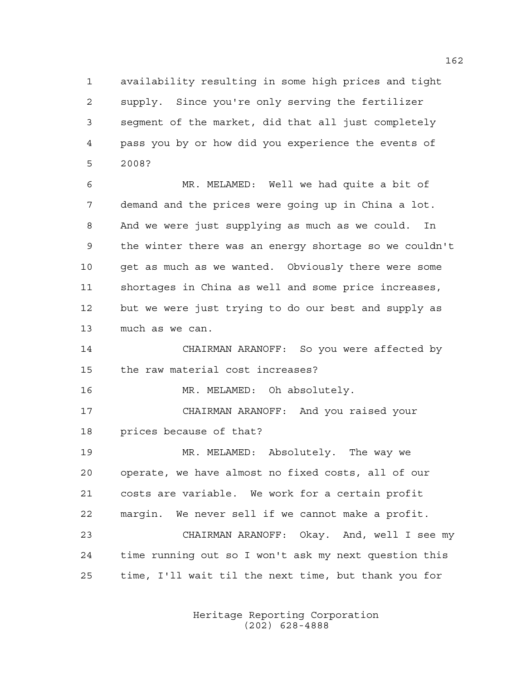availability resulting in some high prices and tight supply. Since you're only serving the fertilizer segment of the market, did that all just completely pass you by or how did you experience the events of 2008?

 MR. MELAMED: Well we had quite a bit of demand and the prices were going up in China a lot. And we were just supplying as much as we could. In the winter there was an energy shortage so we couldn't get as much as we wanted. Obviously there were some shortages in China as well and some price increases, but we were just trying to do our best and supply as much as we can.

 CHAIRMAN ARANOFF: So you were affected by the raw material cost increases?

16 MR. MELAMED: Oh absolutely.

 CHAIRMAN ARANOFF: And you raised your prices because of that?

 MR. MELAMED: Absolutely. The way we operate, we have almost no fixed costs, all of our costs are variable. We work for a certain profit margin. We never sell if we cannot make a profit. CHAIRMAN ARANOFF: Okay. And, well I see my time running out so I won't ask my next question this time, I'll wait til the next time, but thank you for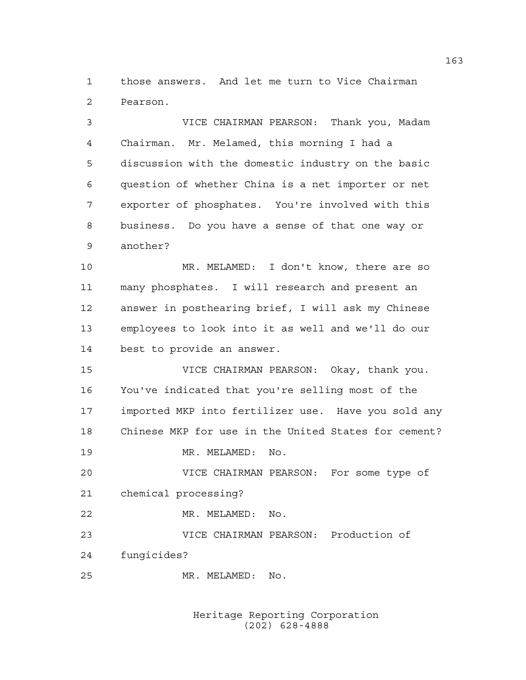those answers. And let me turn to Vice Chairman Pearson.

 VICE CHAIRMAN PEARSON: Thank you, Madam Chairman. Mr. Melamed, this morning I had a discussion with the domestic industry on the basic question of whether China is a net importer or net exporter of phosphates. You're involved with this business. Do you have a sense of that one way or another?

 MR. MELAMED: I don't know, there are so many phosphates. I will research and present an answer in posthearing brief, I will ask my Chinese employees to look into it as well and we'll do our best to provide an answer.

 VICE CHAIRMAN PEARSON: Okay, thank you. You've indicated that you're selling most of the imported MKP into fertilizer use. Have you sold any Chinese MKP for use in the United States for cement?

MR. MELAMED: No.

 VICE CHAIRMAN PEARSON: For some type of chemical processing?

MR. MELAMED: No.

 VICE CHAIRMAN PEARSON: Production of fungicides?

MR. MELAMED: No.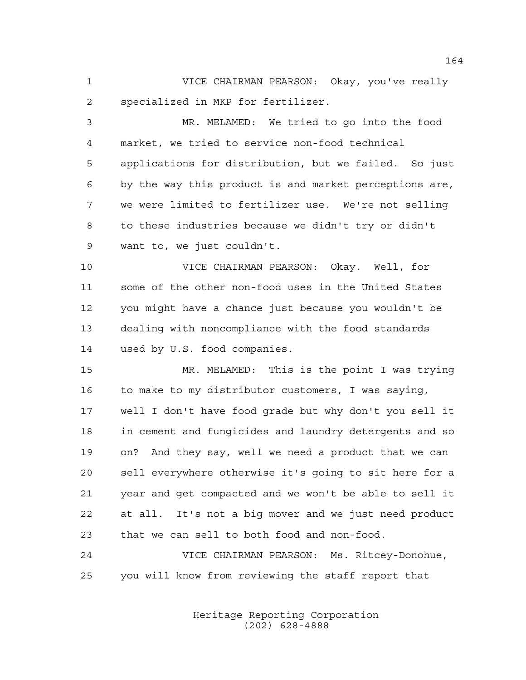VICE CHAIRMAN PEARSON: Okay, you've really specialized in MKP for fertilizer.

 MR. MELAMED: We tried to go into the food market, we tried to service non-food technical applications for distribution, but we failed. So just by the way this product is and market perceptions are, we were limited to fertilizer use. We're not selling to these industries because we didn't try or didn't want to, we just couldn't.

 VICE CHAIRMAN PEARSON: Okay. Well, for some of the other non-food uses in the United States you might have a chance just because you wouldn't be dealing with noncompliance with the food standards used by U.S. food companies.

 MR. MELAMED: This is the point I was trying to make to my distributor customers, I was saying, well I don't have food grade but why don't you sell it in cement and fungicides and laundry detergents and so on? And they say, well we need a product that we can sell everywhere otherwise it's going to sit here for a year and get compacted and we won't be able to sell it at all. It's not a big mover and we just need product that we can sell to both food and non-food.

 VICE CHAIRMAN PEARSON: Ms. Ritcey-Donohue, you will know from reviewing the staff report that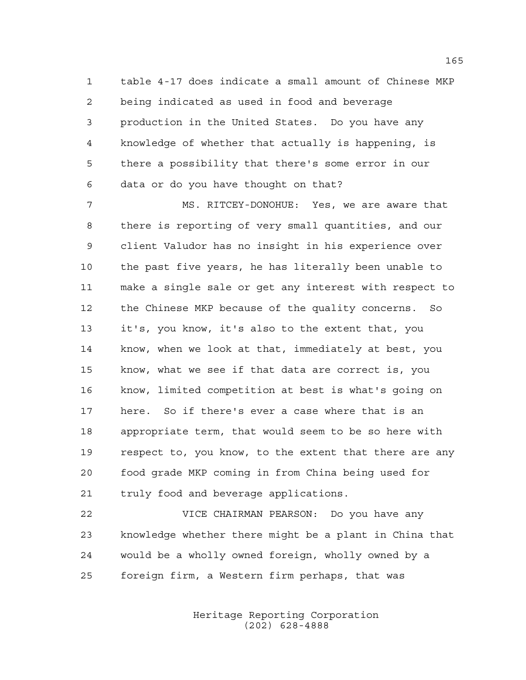table 4-17 does indicate a small amount of Chinese MKP being indicated as used in food and beverage production in the United States. Do you have any knowledge of whether that actually is happening, is there a possibility that there's some error in our data or do you have thought on that?

 MS. RITCEY-DONOHUE: Yes, we are aware that there is reporting of very small quantities, and our client Valudor has no insight in his experience over the past five years, he has literally been unable to make a single sale or get any interest with respect to the Chinese MKP because of the quality concerns. So it's, you know, it's also to the extent that, you know, when we look at that, immediately at best, you know, what we see if that data are correct is, you know, limited competition at best is what's going on here. So if there's ever a case where that is an appropriate term, that would seem to be so here with respect to, you know, to the extent that there are any food grade MKP coming in from China being used for truly food and beverage applications.

 VICE CHAIRMAN PEARSON: Do you have any knowledge whether there might be a plant in China that would be a wholly owned foreign, wholly owned by a foreign firm, a Western firm perhaps, that was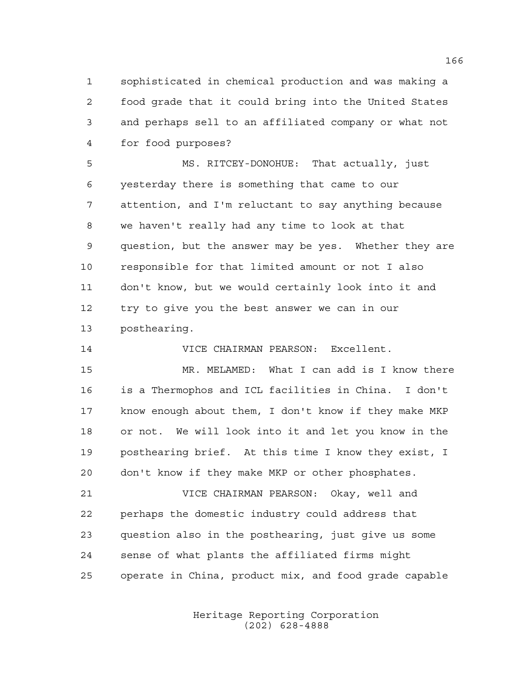sophisticated in chemical production and was making a food grade that it could bring into the United States and perhaps sell to an affiliated company or what not for food purposes?

 MS. RITCEY-DONOHUE: That actually, just yesterday there is something that came to our attention, and I'm reluctant to say anything because we haven't really had any time to look at that question, but the answer may be yes. Whether they are responsible for that limited amount or not I also don't know, but we would certainly look into it and try to give you the best answer we can in our posthearing.

VICE CHAIRMAN PEARSON: Excellent.

 MR. MELAMED: What I can add is I know there is a Thermophos and ICL facilities in China. I don't know enough about them, I don't know if they make MKP or not. We will look into it and let you know in the posthearing brief. At this time I know they exist, I don't know if they make MKP or other phosphates.

 VICE CHAIRMAN PEARSON: Okay, well and perhaps the domestic industry could address that question also in the posthearing, just give us some sense of what plants the affiliated firms might operate in China, product mix, and food grade capable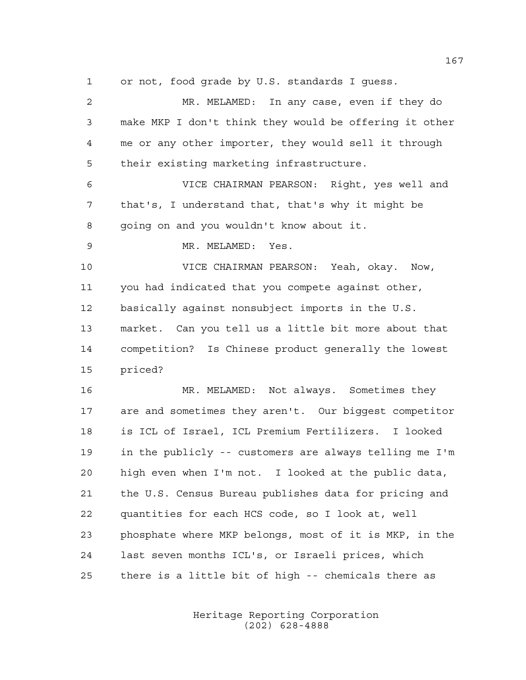or not, food grade by U.S. standards I guess.

 MR. MELAMED: In any case, even if they do make MKP I don't think they would be offering it other me or any other importer, they would sell it through their existing marketing infrastructure. VICE CHAIRMAN PEARSON: Right, yes well and that's, I understand that, that's why it might be going on and you wouldn't know about it. MR. MELAMED: Yes. VICE CHAIRMAN PEARSON: Yeah, okay. Now, you had indicated that you compete against other, basically against nonsubject imports in the U.S. market. Can you tell us a little bit more about that competition? Is Chinese product generally the lowest priced? MR. MELAMED: Not always. Sometimes they are and sometimes they aren't. Our biggest competitor is ICL of Israel, ICL Premium Fertilizers. I looked in the publicly -- customers are always telling me I'm high even when I'm not. I looked at the public data, the U.S. Census Bureau publishes data for pricing and quantities for each HCS code, so I look at, well phosphate where MKP belongs, most of it is MKP, in the last seven months ICL's, or Israeli prices, which

> Heritage Reporting Corporation (202) 628-4888

there is a little bit of high -- chemicals there as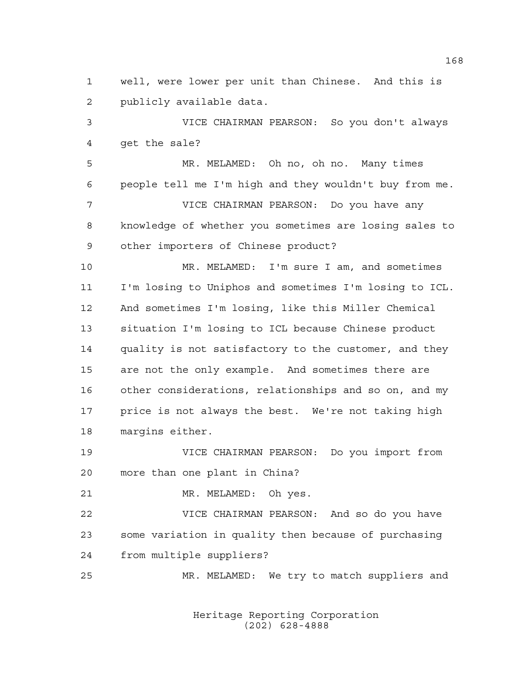well, were lower per unit than Chinese. And this is publicly available data.

 VICE CHAIRMAN PEARSON: So you don't always get the sale?

 MR. MELAMED: Oh no, oh no. Many times people tell me I'm high and they wouldn't buy from me. VICE CHAIRMAN PEARSON: Do you have any knowledge of whether you sometimes are losing sales to other importers of Chinese product?

 MR. MELAMED: I'm sure I am, and sometimes I'm losing to Uniphos and sometimes I'm losing to ICL. And sometimes I'm losing, like this Miller Chemical situation I'm losing to ICL because Chinese product quality is not satisfactory to the customer, and they are not the only example. And sometimes there are other considerations, relationships and so on, and my price is not always the best. We're not taking high margins either.

 VICE CHAIRMAN PEARSON: Do you import from more than one plant in China?

MR. MELAMED: Oh yes.

 VICE CHAIRMAN PEARSON: And so do you have some variation in quality then because of purchasing from multiple suppliers?

MR. MELAMED: We try to match suppliers and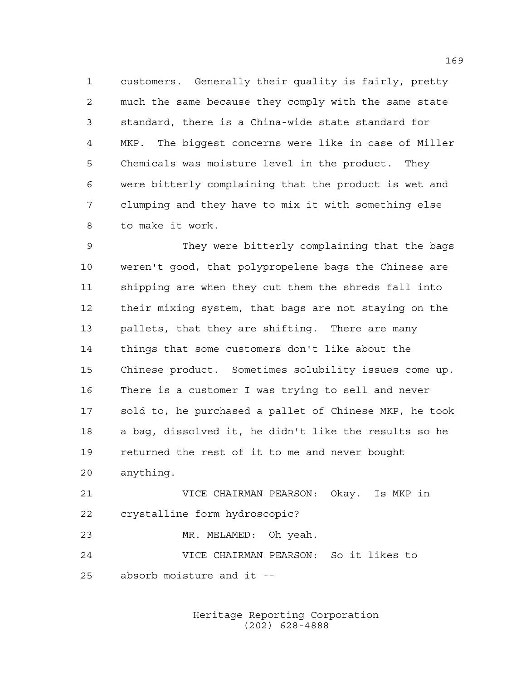customers. Generally their quality is fairly, pretty much the same because they comply with the same state standard, there is a China-wide state standard for MKP. The biggest concerns were like in case of Miller Chemicals was moisture level in the product. They were bitterly complaining that the product is wet and clumping and they have to mix it with something else to make it work.

 They were bitterly complaining that the bags weren't good, that polypropelene bags the Chinese are shipping are when they cut them the shreds fall into their mixing system, that bags are not staying on the pallets, that they are shifting. There are many things that some customers don't like about the Chinese product. Sometimes solubility issues come up. There is a customer I was trying to sell and never sold to, he purchased a pallet of Chinese MKP, he took a bag, dissolved it, he didn't like the results so he returned the rest of it to me and never bought anything.

 VICE CHAIRMAN PEARSON: Okay. Is MKP in crystalline form hydroscopic?

MR. MELAMED: Oh yeah.

 VICE CHAIRMAN PEARSON: So it likes to absorb moisture and it --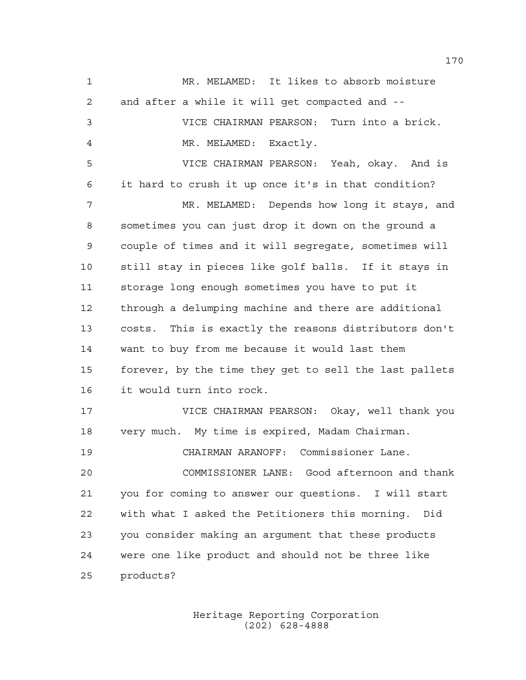MR. MELAMED: It likes to absorb moisture and after a while it will get compacted and -- VICE CHAIRMAN PEARSON: Turn into a brick. MR. MELAMED: Exactly. VICE CHAIRMAN PEARSON: Yeah, okay. And is it hard to crush it up once it's in that condition? MR. MELAMED: Depends how long it stays, and sometimes you can just drop it down on the ground a couple of times and it will segregate, sometimes will still stay in pieces like golf balls. If it stays in storage long enough sometimes you have to put it through a delumping machine and there are additional costs. This is exactly the reasons distributors don't want to buy from me because it would last them forever, by the time they get to sell the last pallets it would turn into rock. VICE CHAIRMAN PEARSON: Okay, well thank you very much. My time is expired, Madam Chairman. CHAIRMAN ARANOFF: Commissioner Lane. COMMISSIONER LANE: Good afternoon and thank you for coming to answer our questions. I will start with what I asked the Petitioners this morning. Did you consider making an argument that these products were one like product and should not be three like products?

> Heritage Reporting Corporation (202) 628-4888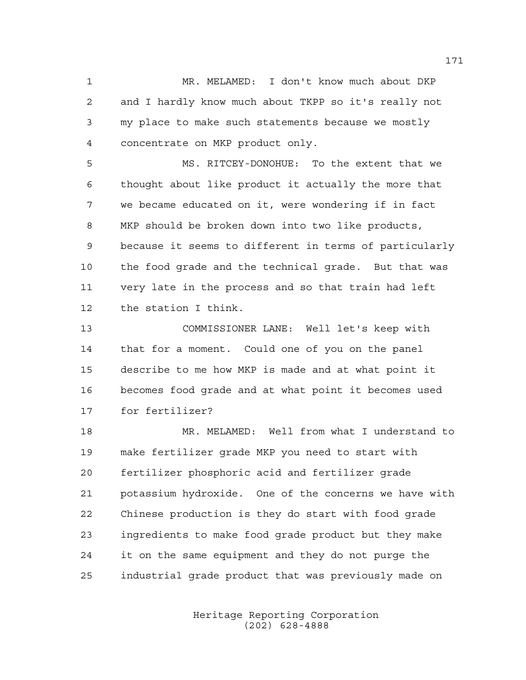MR. MELAMED: I don't know much about DKP and I hardly know much about TKPP so it's really not my place to make such statements because we mostly concentrate on MKP product only.

 MS. RITCEY-DONOHUE: To the extent that we thought about like product it actually the more that we became educated on it, were wondering if in fact MKP should be broken down into two like products, because it seems to different in terms of particularly the food grade and the technical grade. But that was very late in the process and so that train had left the station I think.

 COMMISSIONER LANE: Well let's keep with that for a moment. Could one of you on the panel describe to me how MKP is made and at what point it becomes food grade and at what point it becomes used for fertilizer?

 MR. MELAMED: Well from what I understand to make fertilizer grade MKP you need to start with fertilizer phosphoric acid and fertilizer grade potassium hydroxide. One of the concerns we have with Chinese production is they do start with food grade ingredients to make food grade product but they make it on the same equipment and they do not purge the industrial grade product that was previously made on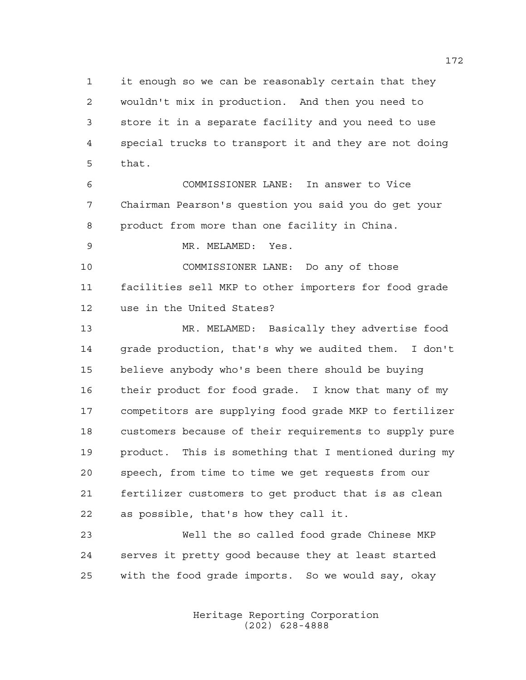it enough so we can be reasonably certain that they wouldn't mix in production. And then you need to store it in a separate facility and you need to use special trucks to transport it and they are not doing that.

 COMMISSIONER LANE: In answer to Vice Chairman Pearson's question you said you do get your product from more than one facility in China.

MR. MELAMED: Yes.

 COMMISSIONER LANE: Do any of those facilities sell MKP to other importers for food grade use in the United States?

 MR. MELAMED: Basically they advertise food grade production, that's why we audited them. I don't believe anybody who's been there should be buying their product for food grade. I know that many of my competitors are supplying food grade MKP to fertilizer customers because of their requirements to supply pure product. This is something that I mentioned during my speech, from time to time we get requests from our fertilizer customers to get product that is as clean as possible, that's how they call it.

 Well the so called food grade Chinese MKP serves it pretty good because they at least started with the food grade imports. So we would say, okay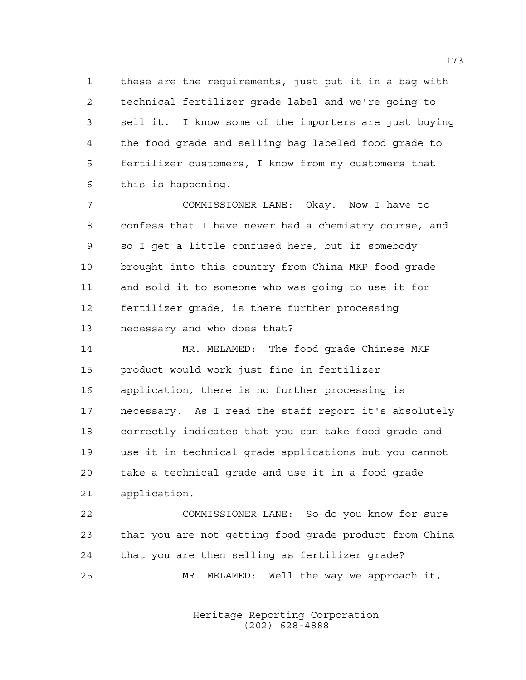these are the requirements, just put it in a bag with technical fertilizer grade label and we're going to sell it. I know some of the importers are just buying the food grade and selling bag labeled food grade to fertilizer customers, I know from my customers that this is happening.

 COMMISSIONER LANE: Okay. Now I have to confess that I have never had a chemistry course, and so I get a little confused here, but if somebody brought into this country from China MKP food grade and sold it to someone who was going to use it for fertilizer grade, is there further processing necessary and who does that?

 MR. MELAMED: The food grade Chinese MKP product would work just fine in fertilizer application, there is no further processing is necessary. As I read the staff report it's absolutely correctly indicates that you can take food grade and use it in technical grade applications but you cannot take a technical grade and use it in a food grade application.

 COMMISSIONER LANE: So do you know for sure that you are not getting food grade product from China that you are then selling as fertilizer grade? MR. MELAMED: Well the way we approach it,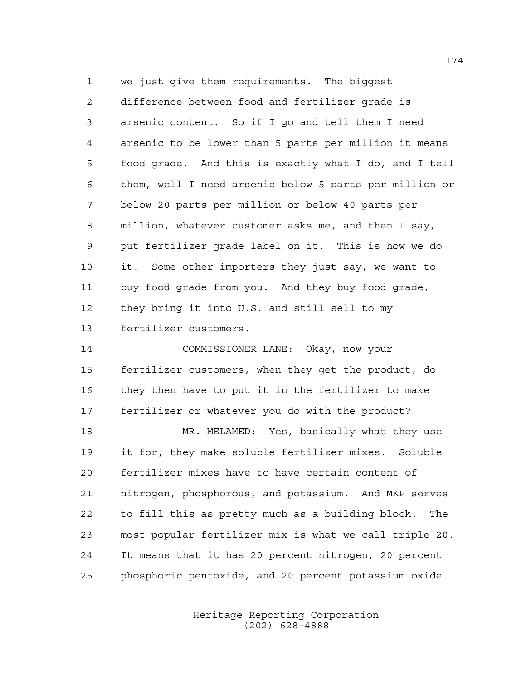we just give them requirements. The biggest difference between food and fertilizer grade is arsenic content. So if I go and tell them I need arsenic to be lower than 5 parts per million it means food grade. And this is exactly what I do, and I tell them, well I need arsenic below 5 parts per million or below 20 parts per million or below 40 parts per million, whatever customer asks me, and then I say, put fertilizer grade label on it. This is how we do it. Some other importers they just say, we want to buy food grade from you. And they buy food grade, they bring it into U.S. and still sell to my fertilizer customers.

 COMMISSIONER LANE: Okay, now your fertilizer customers, when they get the product, do they then have to put it in the fertilizer to make fertilizer or whatever you do with the product? MR. MELAMED: Yes, basically what they use it for, they make soluble fertilizer mixes. Soluble fertilizer mixes have to have certain content of nitrogen, phosphorous, and potassium. And MKP serves to fill this as pretty much as a building block. The most popular fertilizer mix is what we call triple 20. It means that it has 20 percent nitrogen, 20 percent phosphoric pentoxide, and 20 percent potassium oxide.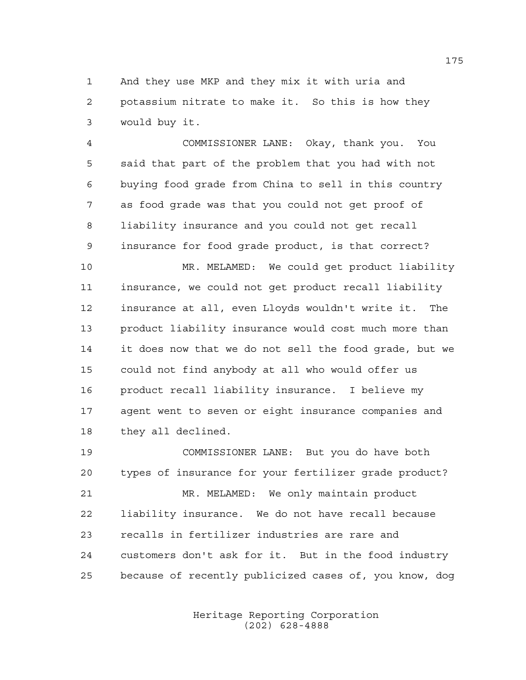And they use MKP and they mix it with uria and potassium nitrate to make it. So this is how they would buy it.

 COMMISSIONER LANE: Okay, thank you. You said that part of the problem that you had with not buying food grade from China to sell in this country as food grade was that you could not get proof of liability insurance and you could not get recall insurance for food grade product, is that correct?

 MR. MELAMED: We could get product liability insurance, we could not get product recall liability insurance at all, even Lloyds wouldn't write it. The product liability insurance would cost much more than it does now that we do not sell the food grade, but we could not find anybody at all who would offer us product recall liability insurance. I believe my agent went to seven or eight insurance companies and they all declined.

 COMMISSIONER LANE: But you do have both types of insurance for your fertilizer grade product? MR. MELAMED: We only maintain product liability insurance. We do not have recall because recalls in fertilizer industries are rare and customers don't ask for it. But in the food industry because of recently publicized cases of, you know, dog

> Heritage Reporting Corporation (202) 628-4888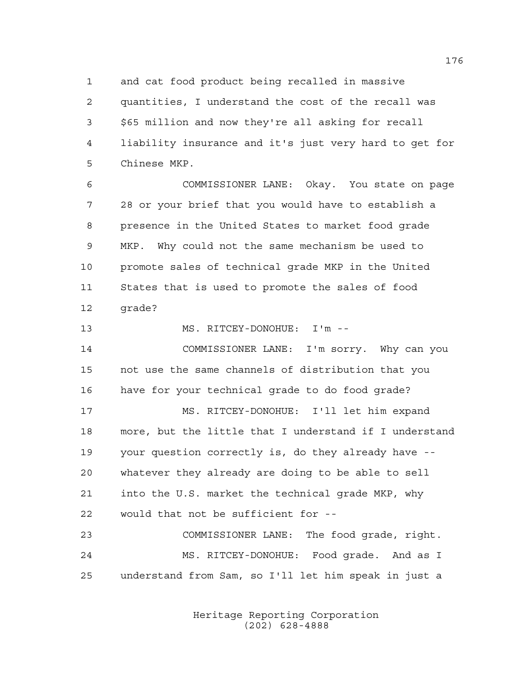and cat food product being recalled in massive quantities, I understand the cost of the recall was \$65 million and now they're all asking for recall liability insurance and it's just very hard to get for Chinese MKP.

 COMMISSIONER LANE: Okay. You state on page 28 or your brief that you would have to establish a presence in the United States to market food grade MKP. Why could not the same mechanism be used to promote sales of technical grade MKP in the United States that is used to promote the sales of food grade?

MS. RITCEY-DONOHUE: I'm --

 COMMISSIONER LANE: I'm sorry. Why can you not use the same channels of distribution that you have for your technical grade to do food grade?

 MS. RITCEY-DONOHUE: I'll let him expand more, but the little that I understand if I understand your question correctly is, do they already have -- whatever they already are doing to be able to sell into the U.S. market the technical grade MKP, why would that not be sufficient for --

 COMMISSIONER LANE: The food grade, right. MS. RITCEY-DONOHUE: Food grade. And as I understand from Sam, so I'll let him speak in just a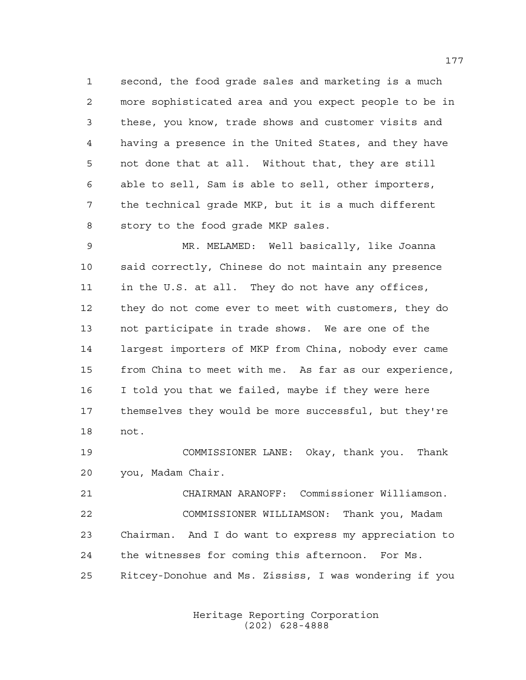second, the food grade sales and marketing is a much more sophisticated area and you expect people to be in these, you know, trade shows and customer visits and having a presence in the United States, and they have not done that at all. Without that, they are still able to sell, Sam is able to sell, other importers, the technical grade MKP, but it is a much different story to the food grade MKP sales.

 MR. MELAMED: Well basically, like Joanna said correctly, Chinese do not maintain any presence in the U.S. at all. They do not have any offices, they do not come ever to meet with customers, they do not participate in trade shows. We are one of the largest importers of MKP from China, nobody ever came from China to meet with me. As far as our experience, I told you that we failed, maybe if they were here themselves they would be more successful, but they're not.

 COMMISSIONER LANE: Okay, thank you. Thank you, Madam Chair.

 CHAIRMAN ARANOFF: Commissioner Williamson. COMMISSIONER WILLIAMSON: Thank you, Madam Chairman. And I do want to express my appreciation to the witnesses for coming this afternoon. For Ms. Ritcey-Donohue and Ms. Zississ, I was wondering if you

> Heritage Reporting Corporation (202) 628-4888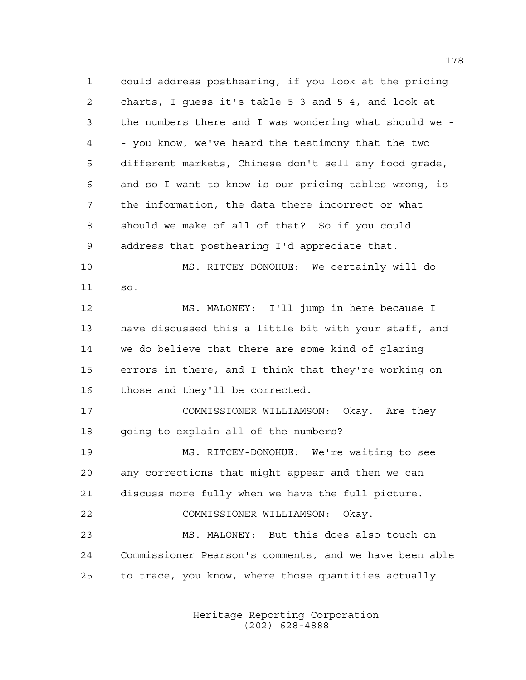could address posthearing, if you look at the pricing charts, I guess it's table 5-3 and 5-4, and look at the numbers there and I was wondering what should we - - you know, we've heard the testimony that the two different markets, Chinese don't sell any food grade, and so I want to know is our pricing tables wrong, is the information, the data there incorrect or what should we make of all of that? So if you could address that posthearing I'd appreciate that. MS. RITCEY-DONOHUE: We certainly will do so. MS. MALONEY: I'll jump in here because I have discussed this a little bit with your staff, and

 we do believe that there are some kind of glaring errors in there, and I think that they're working on those and they'll be corrected.

 COMMISSIONER WILLIAMSON: Okay. Are they going to explain all of the numbers?

 MS. RITCEY-DONOHUE: We're waiting to see any corrections that might appear and then we can discuss more fully when we have the full picture.

 COMMISSIONER WILLIAMSON: Okay. MS. MALONEY: But this does also touch on Commissioner Pearson's comments, and we have been able to trace, you know, where those quantities actually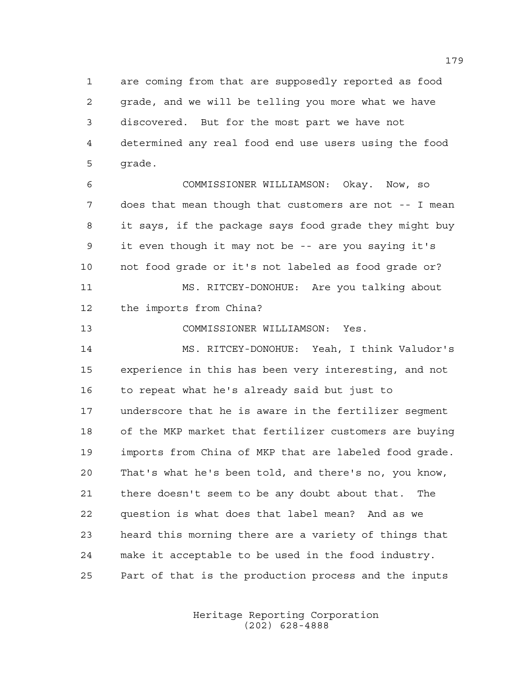are coming from that are supposedly reported as food grade, and we will be telling you more what we have discovered. But for the most part we have not determined any real food end use users using the food grade.

 COMMISSIONER WILLIAMSON: Okay. Now, so does that mean though that customers are not -- I mean it says, if the package says food grade they might buy it even though it may not be -- are you saying it's not food grade or it's not labeled as food grade or? MS. RITCEY-DONOHUE: Are you talking about

the imports from China?

COMMISSIONER WILLIAMSON: Yes.

 MS. RITCEY-DONOHUE: Yeah, I think Valudor's experience in this has been very interesting, and not to repeat what he's already said but just to underscore that he is aware in the fertilizer segment of the MKP market that fertilizer customers are buying imports from China of MKP that are labeled food grade. That's what he's been told, and there's no, you know, there doesn't seem to be any doubt about that. The question is what does that label mean? And as we heard this morning there are a variety of things that make it acceptable to be used in the food industry. Part of that is the production process and the inputs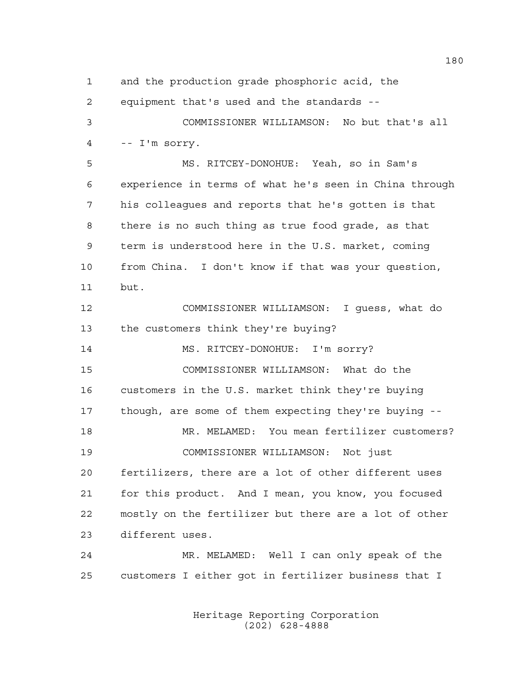and the production grade phosphoric acid, the equipment that's used and the standards -- COMMISSIONER WILLIAMSON: No but that's all -- I'm sorry. MS. RITCEY-DONOHUE: Yeah, so in Sam's experience in terms of what he's seen in China through his colleagues and reports that he's gotten is that there is no such thing as true food grade, as that term is understood here in the U.S. market, coming from China. I don't know if that was your question, but. COMMISSIONER WILLIAMSON: I guess, what do the customers think they're buying? 14 MS. RITCEY-DONOHUE: I'm sorry? COMMISSIONER WILLIAMSON: What do the customers in the U.S. market think they're buying though, are some of them expecting they're buying -- MR. MELAMED: You mean fertilizer customers? COMMISSIONER WILLIAMSON: Not just fertilizers, there are a lot of other different uses for this product. And I mean, you know, you focused mostly on the fertilizer but there are a lot of other different uses. MR. MELAMED: Well I can only speak of the customers I either got in fertilizer business that I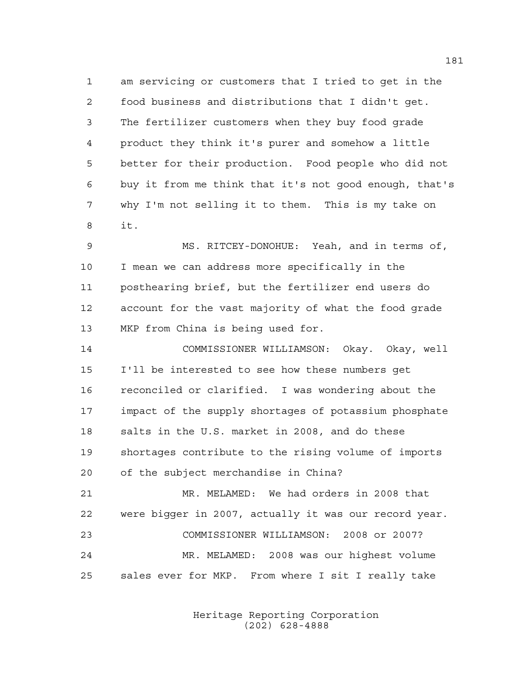am servicing or customers that I tried to get in the food business and distributions that I didn't get. The fertilizer customers when they buy food grade product they think it's purer and somehow a little better for their production. Food people who did not buy it from me think that it's not good enough, that's why I'm not selling it to them. This is my take on it.

 MS. RITCEY-DONOHUE: Yeah, and in terms of, I mean we can address more specifically in the posthearing brief, but the fertilizer end users do account for the vast majority of what the food grade MKP from China is being used for.

 COMMISSIONER WILLIAMSON: Okay. Okay, well I'll be interested to see how these numbers get reconciled or clarified. I was wondering about the impact of the supply shortages of potassium phosphate salts in the U.S. market in 2008, and do these shortages contribute to the rising volume of imports of the subject merchandise in China?

 MR. MELAMED: We had orders in 2008 that were bigger in 2007, actually it was our record year. COMMISSIONER WILLIAMSON: 2008 or 2007? MR. MELAMED: 2008 was our highest volume sales ever for MKP. From where I sit I really take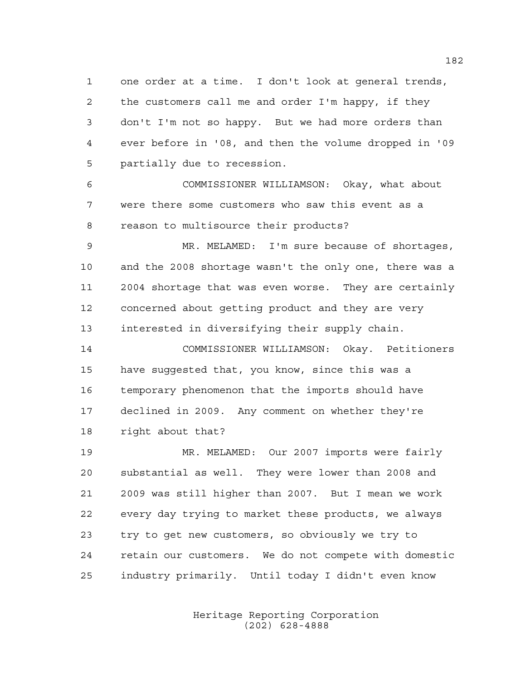one order at a time. I don't look at general trends, the customers call me and order I'm happy, if they don't I'm not so happy. But we had more orders than ever before in '08, and then the volume dropped in '09 partially due to recession.

 COMMISSIONER WILLIAMSON: Okay, what about were there some customers who saw this event as a reason to multisource their products?

 MR. MELAMED: I'm sure because of shortages, and the 2008 shortage wasn't the only one, there was a 2004 shortage that was even worse. They are certainly concerned about getting product and they are very interested in diversifying their supply chain.

 COMMISSIONER WILLIAMSON: Okay. Petitioners have suggested that, you know, since this was a temporary phenomenon that the imports should have declined in 2009. Any comment on whether they're right about that?

 MR. MELAMED: Our 2007 imports were fairly substantial as well. They were lower than 2008 and 2009 was still higher than 2007. But I mean we work every day trying to market these products, we always try to get new customers, so obviously we try to retain our customers. We do not compete with domestic industry primarily. Until today I didn't even know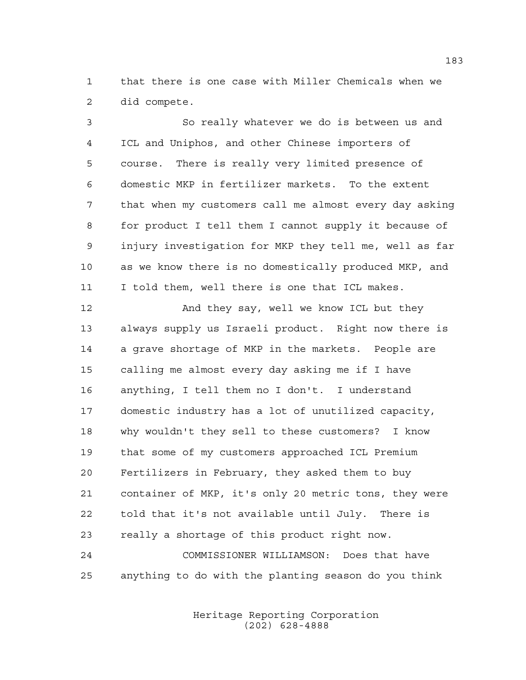that there is one case with Miller Chemicals when we did compete.

 So really whatever we do is between us and ICL and Uniphos, and other Chinese importers of course. There is really very limited presence of domestic MKP in fertilizer markets. To the extent that when my customers call me almost every day asking for product I tell them I cannot supply it because of injury investigation for MKP they tell me, well as far as we know there is no domestically produced MKP, and I told them, well there is one that ICL makes. 12 And they say, well we know ICL but they always supply us Israeli product. Right now there is a grave shortage of MKP in the markets. People are calling me almost every day asking me if I have anything, I tell them no I don't. I understand domestic industry has a lot of unutilized capacity, why wouldn't they sell to these customers? I know that some of my customers approached ICL Premium Fertilizers in February, they asked them to buy container of MKP, it's only 20 metric tons, they were told that it's not available until July. There is really a shortage of this product right now. COMMISSIONER WILLIAMSON: Does that have anything to do with the planting season do you think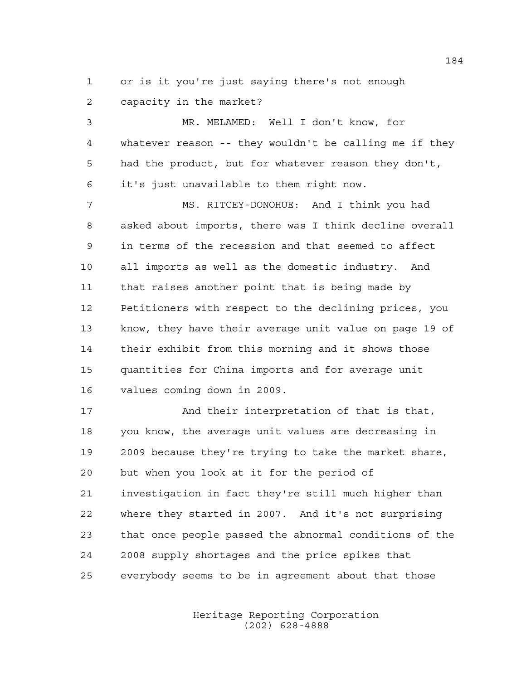or is it you're just saying there's not enough capacity in the market?

 MR. MELAMED: Well I don't know, for whatever reason -- they wouldn't be calling me if they had the product, but for whatever reason they don't, it's just unavailable to them right now.

 MS. RITCEY-DONOHUE: And I think you had asked about imports, there was I think decline overall in terms of the recession and that seemed to affect all imports as well as the domestic industry. And that raises another point that is being made by Petitioners with respect to the declining prices, you know, they have their average unit value on page 19 of their exhibit from this morning and it shows those quantities for China imports and for average unit values coming down in 2009.

17 And their interpretation of that is that, you know, the average unit values are decreasing in 2009 because they're trying to take the market share, but when you look at it for the period of investigation in fact they're still much higher than where they started in 2007. And it's not surprising that once people passed the abnormal conditions of the 2008 supply shortages and the price spikes that everybody seems to be in agreement about that those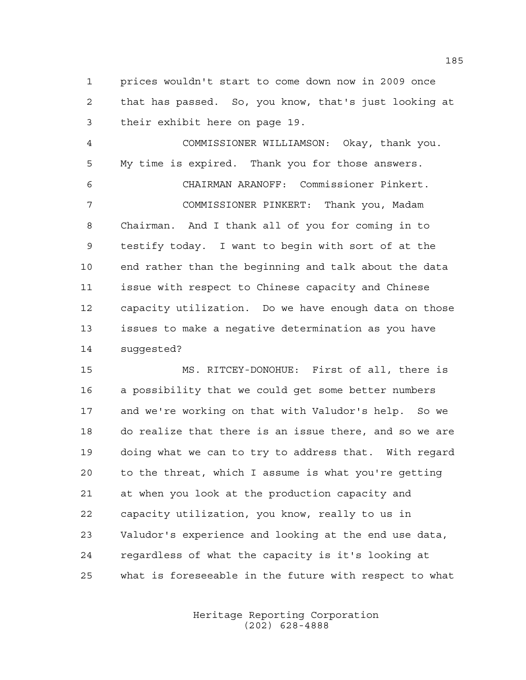prices wouldn't start to come down now in 2009 once that has passed. So, you know, that's just looking at their exhibit here on page 19.

 COMMISSIONER WILLIAMSON: Okay, thank you. My time is expired. Thank you for those answers. CHAIRMAN ARANOFF: Commissioner Pinkert. COMMISSIONER PINKERT: Thank you, Madam Chairman. And I thank all of you for coming in to testify today. I want to begin with sort of at the end rather than the beginning and talk about the data issue with respect to Chinese capacity and Chinese capacity utilization. Do we have enough data on those issues to make a negative determination as you have suggested?

 MS. RITCEY-DONOHUE: First of all, there is a possibility that we could get some better numbers and we're working on that with Valudor's help. So we do realize that there is an issue there, and so we are doing what we can to try to address that. With regard to the threat, which I assume is what you're getting at when you look at the production capacity and capacity utilization, you know, really to us in Valudor's experience and looking at the end use data, regardless of what the capacity is it's looking at what is foreseeable in the future with respect to what

> Heritage Reporting Corporation (202) 628-4888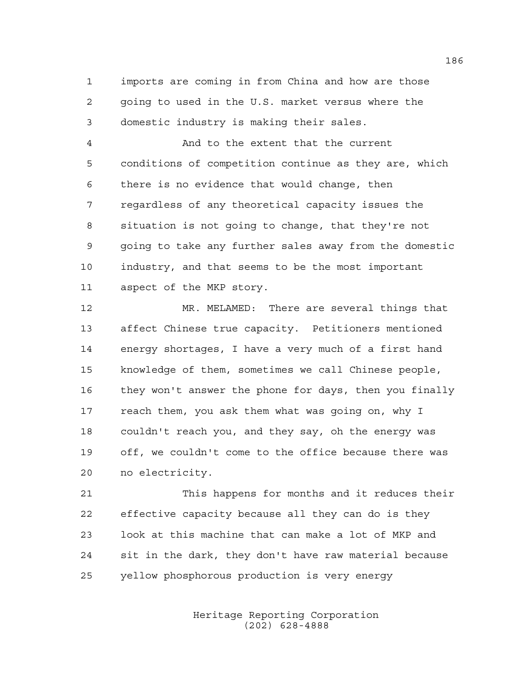imports are coming in from China and how are those going to used in the U.S. market versus where the domestic industry is making their sales.

 And to the extent that the current conditions of competition continue as they are, which there is no evidence that would change, then regardless of any theoretical capacity issues the situation is not going to change, that they're not going to take any further sales away from the domestic industry, and that seems to be the most important aspect of the MKP story.

 MR. MELAMED: There are several things that affect Chinese true capacity. Petitioners mentioned energy shortages, I have a very much of a first hand knowledge of them, sometimes we call Chinese people, they won't answer the phone for days, then you finally reach them, you ask them what was going on, why I couldn't reach you, and they say, oh the energy was off, we couldn't come to the office because there was no electricity.

 This happens for months and it reduces their effective capacity because all they can do is they look at this machine that can make a lot of MKP and sit in the dark, they don't have raw material because yellow phosphorous production is very energy

> Heritage Reporting Corporation (202) 628-4888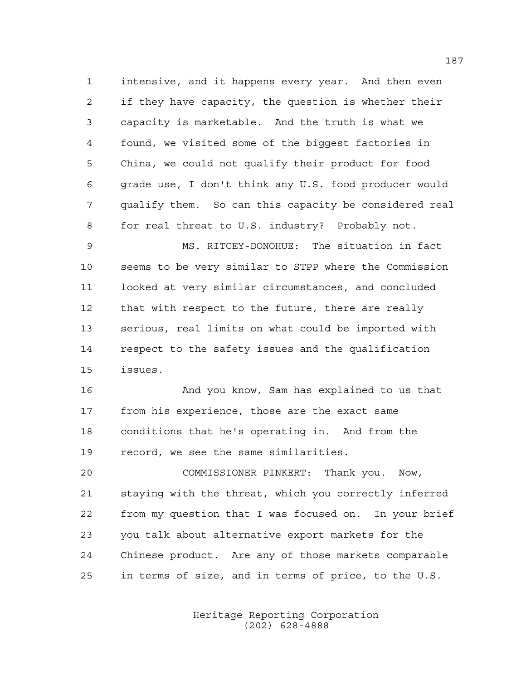intensive, and it happens every year. And then even if they have capacity, the question is whether their capacity is marketable. And the truth is what we found, we visited some of the biggest factories in China, we could not qualify their product for food grade use, I don't think any U.S. food producer would qualify them. So can this capacity be considered real for real threat to U.S. industry? Probably not.

 MS. RITCEY-DONOHUE: The situation in fact seems to be very similar to STPP where the Commission looked at very similar circumstances, and concluded that with respect to the future, there are really serious, real limits on what could be imported with respect to the safety issues and the qualification issues.

 And you know, Sam has explained to us that from his experience, those are the exact same conditions that he's operating in. And from the record, we see the same similarities.

 COMMISSIONER PINKERT: Thank you. Now, staying with the threat, which you correctly inferred from my question that I was focused on. In your brief you talk about alternative export markets for the Chinese product. Are any of those markets comparable in terms of size, and in terms of price, to the U.S.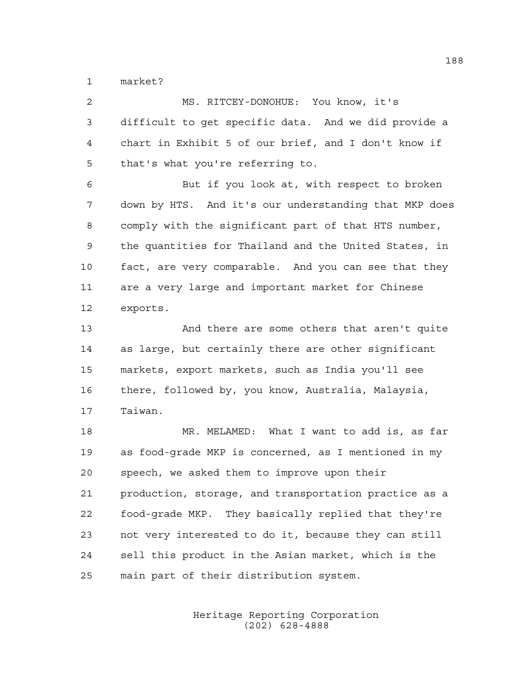market?

| 2  | MS. RITCEY-DONOHUE: You know, it's                    |
|----|-------------------------------------------------------|
| 3  | difficult to get specific data. And we did provide a  |
| 4  | chart in Exhibit 5 of our brief, and I don't know if  |
| 5  | that's what you're referring to.                      |
| 6  | But if you look at, with respect to broken            |
| 7  | down by HTS. And it's our understanding that MKP does |
| 8  | comply with the significant part of that HTS number,  |
| 9  | the quantities for Thailand and the United States, in |
| 10 | fact, are very comparable. And you can see that they  |
| 11 | are a very large and important market for Chinese     |
| 12 | exports.                                              |
| 13 | And there are some others that aren't quite           |
| 14 | as large, but certainly there are other significant   |
| 15 | markets, export markets, such as India you'll see     |
| 16 | there, followed by, you know, Australia, Malaysia,    |
| 17 | Taiwan.                                               |
| 18 | MR. MELAMED: What I want to add is, as far            |
| 19 | as food-grade MKP is concerned, as I mentioned in my  |
| 20 | speech, we asked them to improve upon their           |
| 21 | production, storage, and transportation practice as a |
| 22 | food-grade MKP. They basically replied that they're   |
| 23 | not very interested to do it, because they can still  |
| 24 | sell this product in the Asian market, which is the   |
| 25 | main part of their distribution system.               |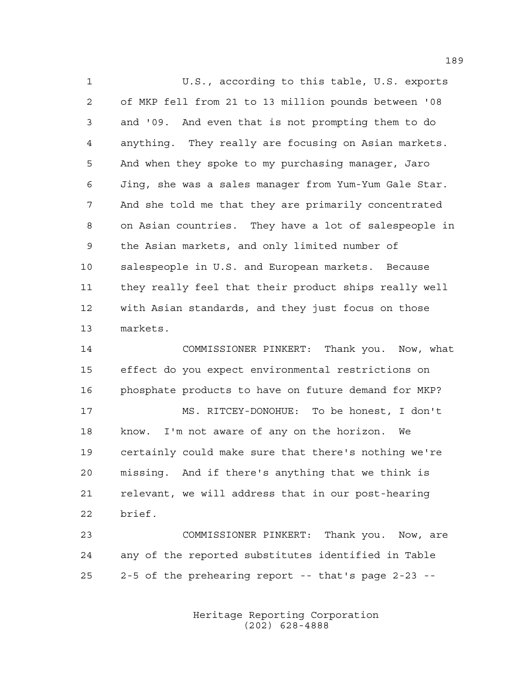U.S., according to this table, U.S. exports of MKP fell from 21 to 13 million pounds between '08 and '09. And even that is not prompting them to do anything. They really are focusing on Asian markets. And when they spoke to my purchasing manager, Jaro Jing, she was a sales manager from Yum-Yum Gale Star. And she told me that they are primarily concentrated on Asian countries. They have a lot of salespeople in the Asian markets, and only limited number of salespeople in U.S. and European markets. Because they really feel that their product ships really well with Asian standards, and they just focus on those markets.

 COMMISSIONER PINKERT: Thank you. Now, what effect do you expect environmental restrictions on phosphate products to have on future demand for MKP? MS. RITCEY-DONOHUE: To be honest, I don't

 know. I'm not aware of any on the horizon. We certainly could make sure that there's nothing we're missing. And if there's anything that we think is relevant, we will address that in our post-hearing brief.

 COMMISSIONER PINKERT: Thank you. Now, are any of the reported substitutes identified in Table 2-5 of the prehearing report -- that's page 2-23 --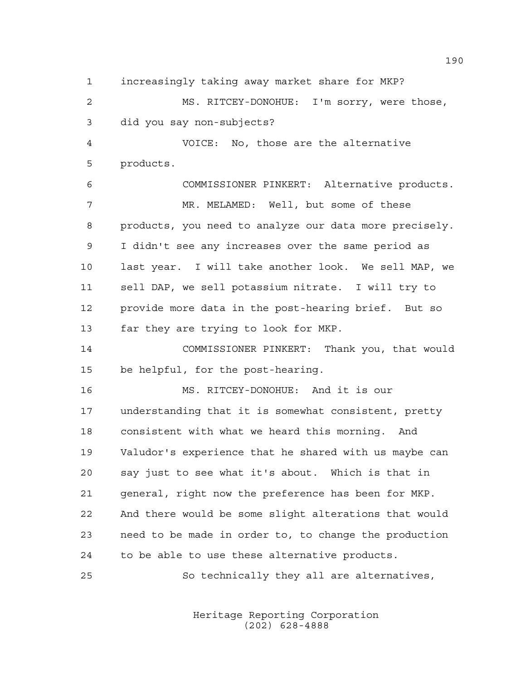increasingly taking away market share for MKP? MS. RITCEY-DONOHUE: I'm sorry, were those, did you say non-subjects? VOICE: No, those are the alternative products. COMMISSIONER PINKERT: Alternative products. MR. MELAMED: Well, but some of these products, you need to analyze our data more precisely. I didn't see any increases over the same period as last year. I will take another look. We sell MAP, we sell DAP, we sell potassium nitrate. I will try to provide more data in the post-hearing brief. But so far they are trying to look for MKP. COMMISSIONER PINKERT: Thank you, that would be helpful, for the post-hearing.

 MS. RITCEY-DONOHUE: And it is our understanding that it is somewhat consistent, pretty consistent with what we heard this morning. And Valudor's experience that he shared with us maybe can say just to see what it's about. Which is that in general, right now the preference has been for MKP. And there would be some slight alterations that would need to be made in order to, to change the production to be able to use these alternative products.

So technically they all are alternatives,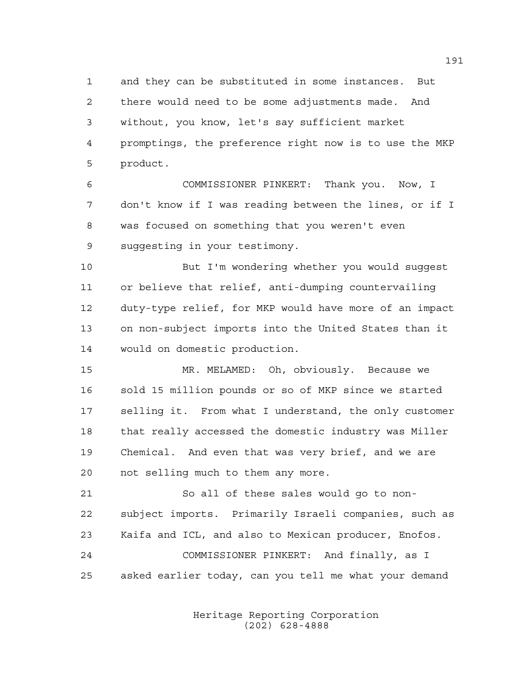and they can be substituted in some instances. But there would need to be some adjustments made. And without, you know, let's say sufficient market promptings, the preference right now is to use the MKP product.

 COMMISSIONER PINKERT: Thank you. Now, I don't know if I was reading between the lines, or if I was focused on something that you weren't even suggesting in your testimony.

 But I'm wondering whether you would suggest or believe that relief, anti-dumping countervailing duty-type relief, for MKP would have more of an impact on non-subject imports into the United States than it would on domestic production.

 MR. MELAMED: Oh, obviously. Because we sold 15 million pounds or so of MKP since we started selling it. From what I understand, the only customer that really accessed the domestic industry was Miller Chemical. And even that was very brief, and we are not selling much to them any more.

 So all of these sales would go to non- subject imports. Primarily Israeli companies, such as Kaifa and ICL, and also to Mexican producer, Enofos. COMMISSIONER PINKERT: And finally, as I asked earlier today, can you tell me what your demand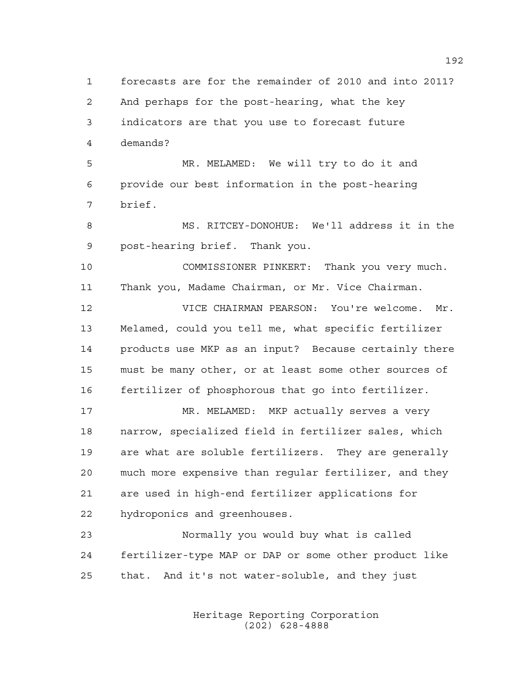forecasts are for the remainder of 2010 and into 2011? And perhaps for the post-hearing, what the key indicators are that you use to forecast future demands? MR. MELAMED: We will try to do it and provide our best information in the post-hearing brief. MS. RITCEY-DONOHUE: We'll address it in the post-hearing brief. Thank you. COMMISSIONER PINKERT: Thank you very much. Thank you, Madame Chairman, or Mr. Vice Chairman. VICE CHAIRMAN PEARSON: You're welcome. Mr. Melamed, could you tell me, what specific fertilizer products use MKP as an input? Because certainly there must be many other, or at least some other sources of fertilizer of phosphorous that go into fertilizer. MR. MELAMED: MKP actually serves a very narrow, specialized field in fertilizer sales, which are what are soluble fertilizers. They are generally much more expensive than regular fertilizer, and they are used in high-end fertilizer applications for hydroponics and greenhouses. Normally you would buy what is called fertilizer-type MAP or DAP or some other product like that. And it's not water-soluble, and they just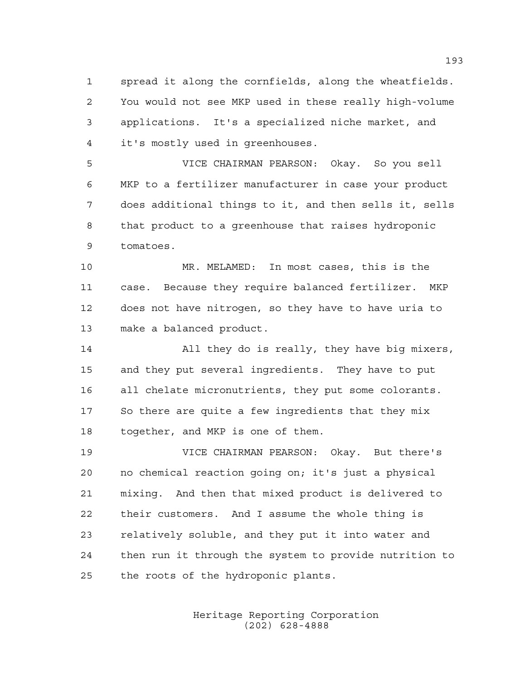spread it along the cornfields, along the wheatfields. You would not see MKP used in these really high-volume applications. It's a specialized niche market, and it's mostly used in greenhouses.

 VICE CHAIRMAN PEARSON: Okay. So you sell MKP to a fertilizer manufacturer in case your product does additional things to it, and then sells it, sells that product to a greenhouse that raises hydroponic tomatoes.

 MR. MELAMED: In most cases, this is the case. Because they require balanced fertilizer. MKP does not have nitrogen, so they have to have uria to make a balanced product.

 All they do is really, they have big mixers, and they put several ingredients. They have to put all chelate micronutrients, they put some colorants. So there are quite a few ingredients that they mix together, and MKP is one of them.

 VICE CHAIRMAN PEARSON: Okay. But there's no chemical reaction going on; it's just a physical mixing. And then that mixed product is delivered to their customers. And I assume the whole thing is relatively soluble, and they put it into water and then run it through the system to provide nutrition to the roots of the hydroponic plants.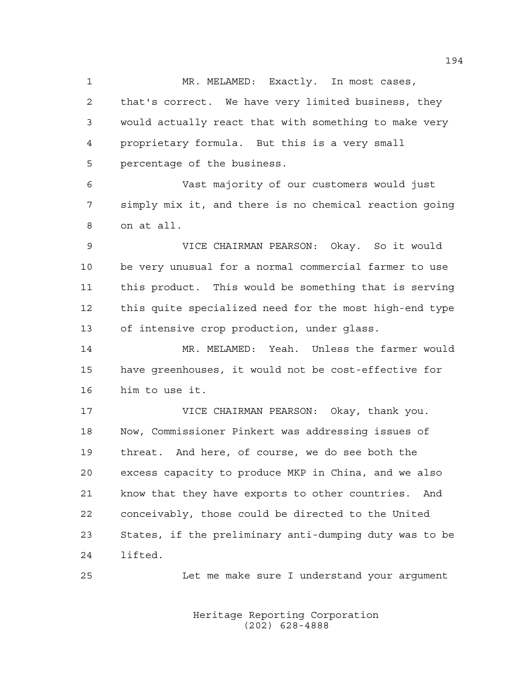1 MR. MELAMED: Exactly. In most cases, that's correct. We have very limited business, they would actually react that with something to make very proprietary formula. But this is a very small percentage of the business.

 Vast majority of our customers would just simply mix it, and there is no chemical reaction going on at all.

 VICE CHAIRMAN PEARSON: Okay. So it would be very unusual for a normal commercial farmer to use this product. This would be something that is serving this quite specialized need for the most high-end type of intensive crop production, under glass.

 MR. MELAMED: Yeah. Unless the farmer would have greenhouses, it would not be cost-effective for him to use it.

 VICE CHAIRMAN PEARSON: Okay, thank you. Now, Commissioner Pinkert was addressing issues of threat. And here, of course, we do see both the excess capacity to produce MKP in China, and we also know that they have exports to other countries. And conceivably, those could be directed to the United States, if the preliminary anti-dumping duty was to be lifted.

Let me make sure I understand your argument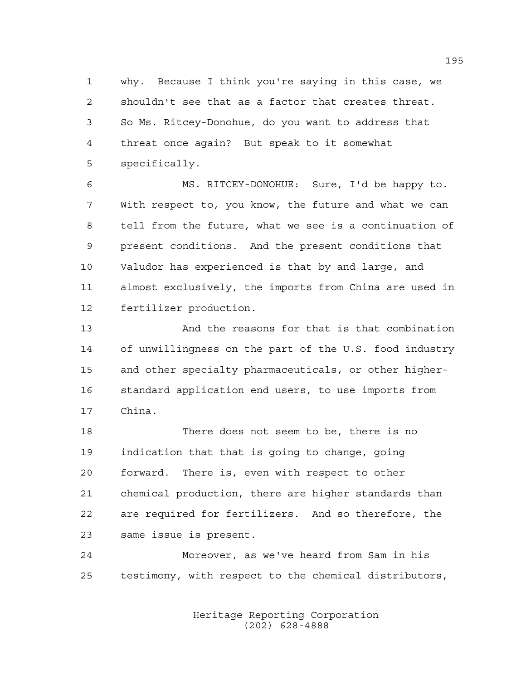why. Because I think you're saying in this case, we shouldn't see that as a factor that creates threat. So Ms. Ritcey-Donohue, do you want to address that threat once again? But speak to it somewhat specifically.

 MS. RITCEY-DONOHUE: Sure, I'd be happy to. With respect to, you know, the future and what we can tell from the future, what we see is a continuation of present conditions. And the present conditions that Valudor has experienced is that by and large, and almost exclusively, the imports from China are used in fertilizer production.

 And the reasons for that is that combination of unwillingness on the part of the U.S. food industry and other specialty pharmaceuticals, or other higher- standard application end users, to use imports from China.

 There does not seem to be, there is no indication that that is going to change, going forward. There is, even with respect to other chemical production, there are higher standards than are required for fertilizers. And so therefore, the same issue is present.

 Moreover, as we've heard from Sam in his testimony, with respect to the chemical distributors,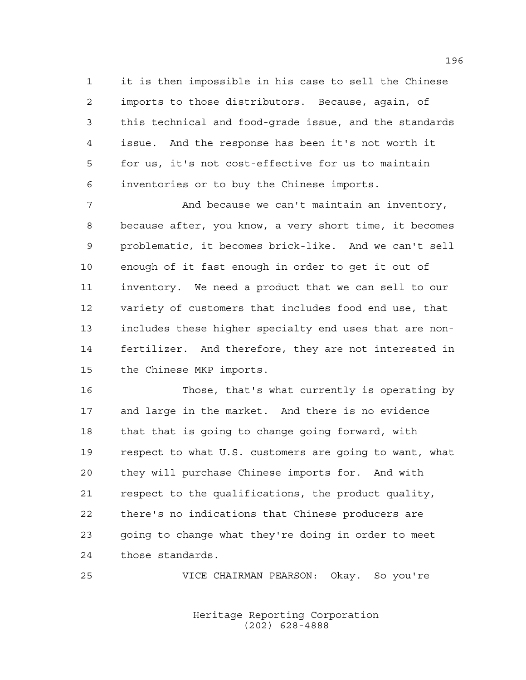it is then impossible in his case to sell the Chinese imports to those distributors. Because, again, of this technical and food-grade issue, and the standards issue. And the response has been it's not worth it for us, it's not cost-effective for us to maintain inventories or to buy the Chinese imports.

 And because we can't maintain an inventory, because after, you know, a very short time, it becomes problematic, it becomes brick-like. And we can't sell enough of it fast enough in order to get it out of inventory. We need a product that we can sell to our variety of customers that includes food end use, that includes these higher specialty end uses that are non- fertilizer. And therefore, they are not interested in the Chinese MKP imports.

 Those, that's what currently is operating by and large in the market. And there is no evidence that that is going to change going forward, with respect to what U.S. customers are going to want, what they will purchase Chinese imports for. And with respect to the qualifications, the product quality, there's no indications that Chinese producers are going to change what they're doing in order to meet those standards.

VICE CHAIRMAN PEARSON: Okay. So you're

Heritage Reporting Corporation (202) 628-4888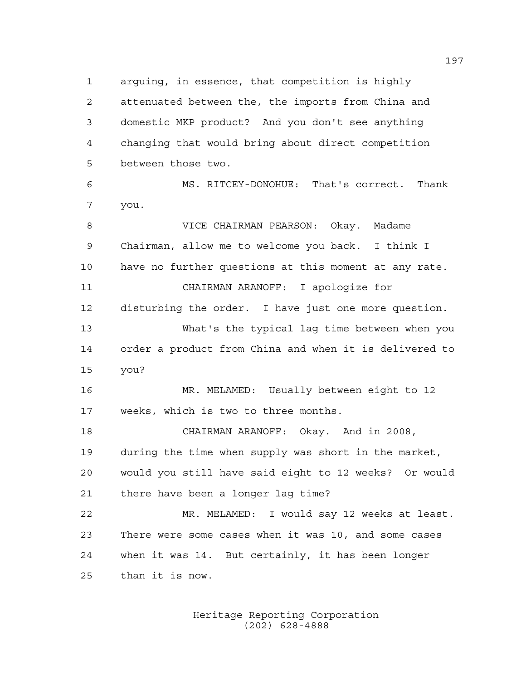arguing, in essence, that competition is highly attenuated between the, the imports from China and domestic MKP product? And you don't see anything changing that would bring about direct competition between those two. MS. RITCEY-DONOHUE: That's correct. Thank you. VICE CHAIRMAN PEARSON: Okay. Madame Chairman, allow me to welcome you back. I think I have no further questions at this moment at any rate. CHAIRMAN ARANOFF: I apologize for disturbing the order. I have just one more question. What's the typical lag time between when you order a product from China and when it is delivered to you? MR. MELAMED: Usually between eight to 12 weeks, which is two to three months. CHAIRMAN ARANOFF: Okay. And in 2008, during the time when supply was short in the market, would you still have said eight to 12 weeks? Or would there have been a longer lag time? MR. MELAMED: I would say 12 weeks at least. There were some cases when it was 10, and some cases when it was 14. But certainly, it has been longer than it is now.

> Heritage Reporting Corporation (202) 628-4888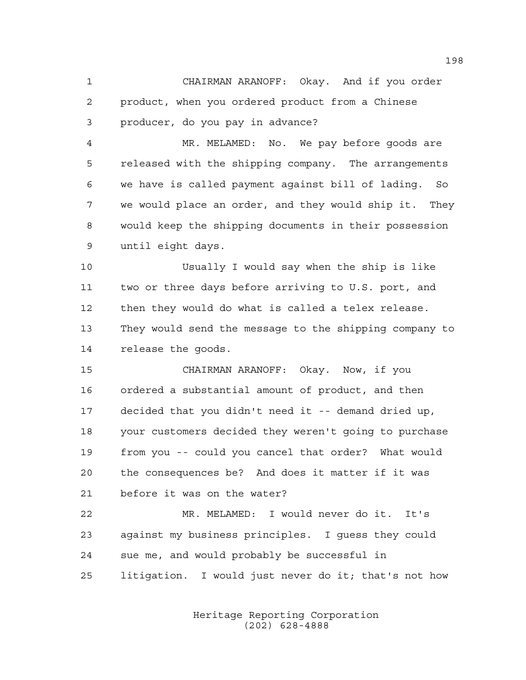CHAIRMAN ARANOFF: Okay. And if you order product, when you ordered product from a Chinese producer, do you pay in advance?

 MR. MELAMED: No. We pay before goods are released with the shipping company. The arrangements we have is called payment against bill of lading. So we would place an order, and they would ship it. They would keep the shipping documents in their possession until eight days.

 Usually I would say when the ship is like two or three days before arriving to U.S. port, and then they would do what is called a telex release. They would send the message to the shipping company to release the goods.

 CHAIRMAN ARANOFF: Okay. Now, if you ordered a substantial amount of product, and then decided that you didn't need it -- demand dried up, your customers decided they weren't going to purchase from you -- could you cancel that order? What would the consequences be? And does it matter if it was before it was on the water?

 MR. MELAMED: I would never do it. It's against my business principles. I guess they could sue me, and would probably be successful in litigation. I would just never do it; that's not how

> Heritage Reporting Corporation (202) 628-4888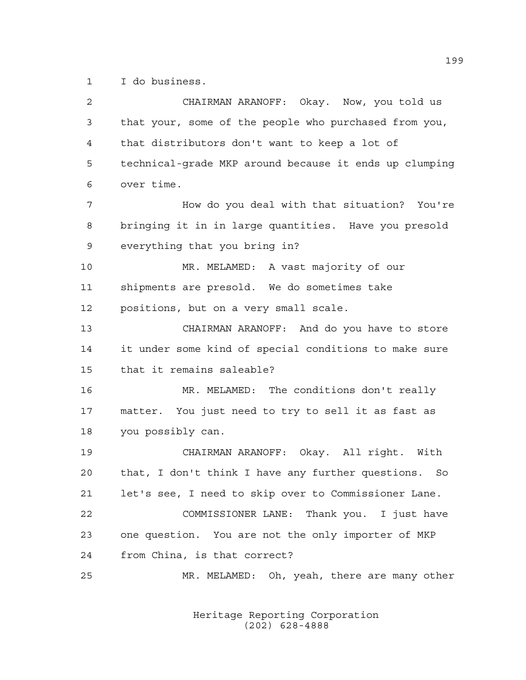I do business.

| 2  | CHAIRMAN ARANOFF: Okay. Now, you told us               |
|----|--------------------------------------------------------|
| 3  | that your, some of the people who purchased from you,  |
| 4  | that distributors don't want to keep a lot of          |
| 5  | technical-grade MKP around because it ends up clumping |
| 6  | over time.                                             |
| 7  | How do you deal with that situation? You're            |
| 8  | bringing it in in large quantities. Have you presold   |
| 9  | everything that you bring in?                          |
| 10 | MR. MELAMED: A vast majority of our                    |
| 11 | shipments are presold. We do sometimes take            |
| 12 | positions, but on a very small scale.                  |
| 13 | CHAIRMAN ARANOFF: And do you have to store             |
| 14 | it under some kind of special conditions to make sure  |
| 15 | that it remains saleable?                              |
| 16 | MR. MELAMED: The conditions don't really               |
| 17 | matter. You just need to try to sell it as fast as     |
| 18 | you possibly can.                                      |
| 19 | CHAIRMAN ARANOFF: Okay. All right. With                |
| 20 | that, I don't think I have any further questions. So   |
| 21 | let's see, I need to skip over to Commissioner Lane.   |
| 22 | COMMISSIONER LANE: Thank you. I just have              |
| 23 | one question. You are not the only importer of MKP     |
| 24 | from China, is that correct?                           |
| 25 | MR. MELAMED: Oh, yeah, there are many other            |
|    |                                                        |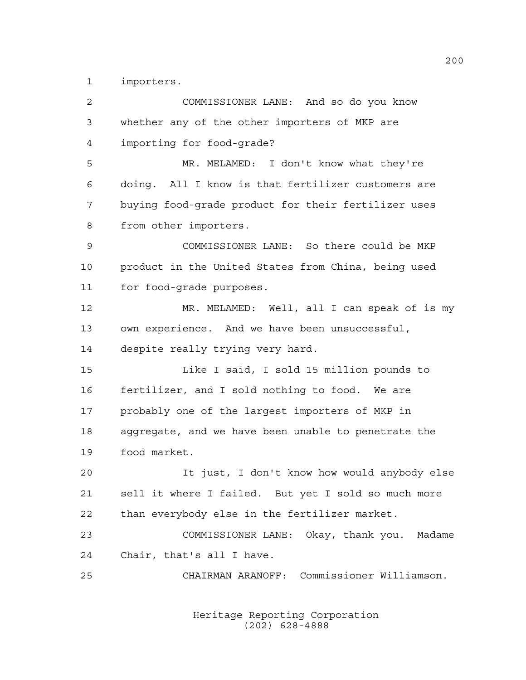importers.

| $\overline{a}$ | COMMISSIONER LANE: And so do you know               |
|----------------|-----------------------------------------------------|
| 3              | whether any of the other importers of MKP are       |
| 4              | importing for food-grade?                           |
| 5              | MR. MELAMED: I don't know what they're              |
| 6              | doing. All I know is that fertilizer customers are  |
| 7              | buying food-grade product for their fertilizer uses |
| 8              | from other importers.                               |
| 9              | COMMISSIONER LANE: So there could be MKP            |
| 10             | product in the United States from China, being used |
| 11             | for food-grade purposes.                            |
| 12             | MR. MELAMED: Well, all I can speak of is my         |
| 13             | own experience. And we have been unsuccessful,      |
| 14             | despite really trying very hard.                    |
| 15             | Like I said, I sold 15 million pounds to            |
| 16             | fertilizer, and I sold nothing to food. We are      |
| 17             | probably one of the largest importers of MKP in     |
| 18             | aggregate, and we have been unable to penetrate the |
| 19             | food market.                                        |
| 20             | It just, I don't know how would anybody else        |
| 21             | sell it where I failed. But yet I sold so much more |
| 22             | than everybody else in the fertilizer market.       |
| 23             | COMMISSIONER LANE: Okay, thank you. Madame          |
| 24             | Chair, that's all I have.                           |
| 25             | CHAIRMAN ARANOFF: Commissioner Williamson.          |
|                |                                                     |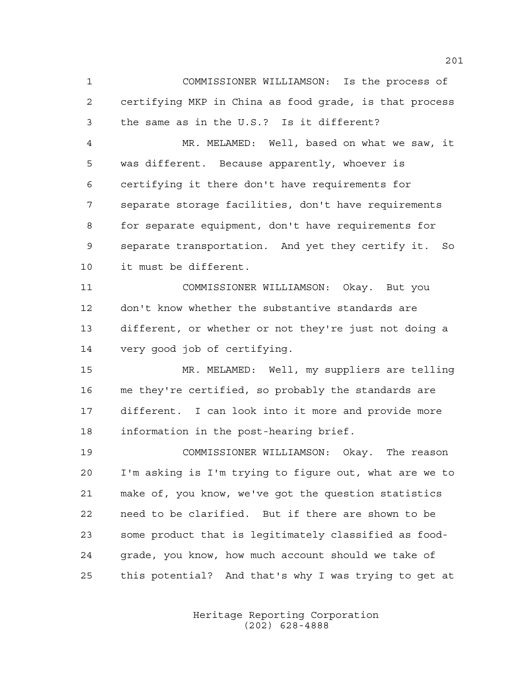COMMISSIONER WILLIAMSON: Is the process of certifying MKP in China as food grade, is that process the same as in the U.S.? Is it different?

 MR. MELAMED: Well, based on what we saw, it was different. Because apparently, whoever is certifying it there don't have requirements for separate storage facilities, don't have requirements for separate equipment, don't have requirements for separate transportation. And yet they certify it. So it must be different.

 COMMISSIONER WILLIAMSON: Okay. But you don't know whether the substantive standards are different, or whether or not they're just not doing a very good job of certifying.

 MR. MELAMED: Well, my suppliers are telling me they're certified, so probably the standards are different. I can look into it more and provide more information in the post-hearing brief.

 COMMISSIONER WILLIAMSON: Okay. The reason I'm asking is I'm trying to figure out, what are we to make of, you know, we've got the question statistics need to be clarified. But if there are shown to be some product that is legitimately classified as food- grade, you know, how much account should we take of this potential? And that's why I was trying to get at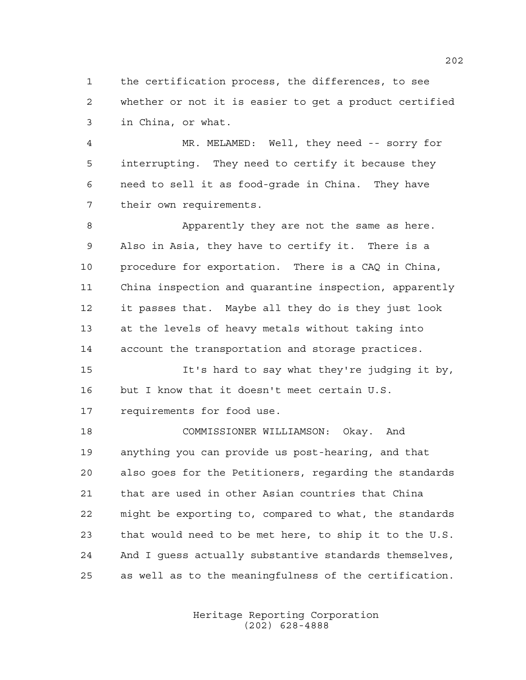the certification process, the differences, to see whether or not it is easier to get a product certified in China, or what.

 MR. MELAMED: Well, they need -- sorry for interrupting. They need to certify it because they need to sell it as food-grade in China. They have their own requirements.

 Apparently they are not the same as here. Also in Asia, they have to certify it. There is a procedure for exportation. There is a CAQ in China, China inspection and quarantine inspection, apparently it passes that. Maybe all they do is they just look at the levels of heavy metals without taking into account the transportation and storage practices.

 It's hard to say what they're judging it by, but I know that it doesn't meet certain U.S. requirements for food use.

 COMMISSIONER WILLIAMSON: Okay. And anything you can provide us post-hearing, and that also goes for the Petitioners, regarding the standards that are used in other Asian countries that China might be exporting to, compared to what, the standards that would need to be met here, to ship it to the U.S. And I guess actually substantive standards themselves, as well as to the meaningfulness of the certification.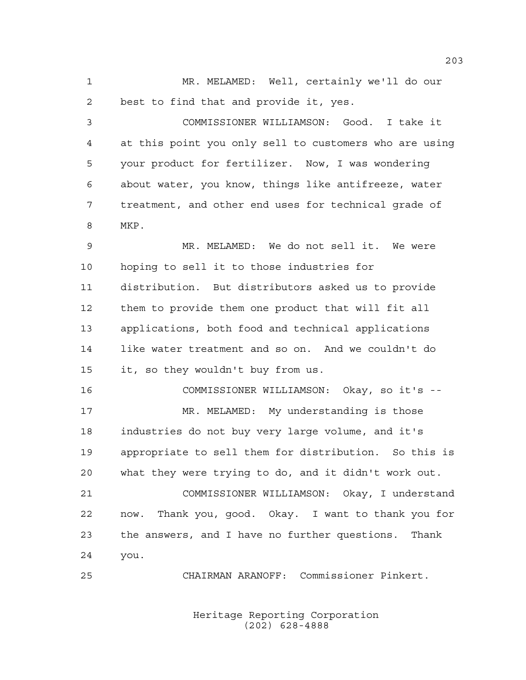MR. MELAMED: Well, certainly we'll do our best to find that and provide it, yes.

 COMMISSIONER WILLIAMSON: Good. I take it at this point you only sell to customers who are using your product for fertilizer. Now, I was wondering about water, you know, things like antifreeze, water treatment, and other end uses for technical grade of MKP.

 MR. MELAMED: We do not sell it. We were hoping to sell it to those industries for distribution. But distributors asked us to provide them to provide them one product that will fit all applications, both food and technical applications like water treatment and so on. And we couldn't do it, so they wouldn't buy from us.

 COMMISSIONER WILLIAMSON: Okay, so it's -- 17 MR. MELAMED: My understanding is those industries do not buy very large volume, and it's appropriate to sell them for distribution. So this is what they were trying to do, and it didn't work out.

 COMMISSIONER WILLIAMSON: Okay, I understand now. Thank you, good. Okay. I want to thank you for the answers, and I have no further questions. Thank you.

CHAIRMAN ARANOFF: Commissioner Pinkert.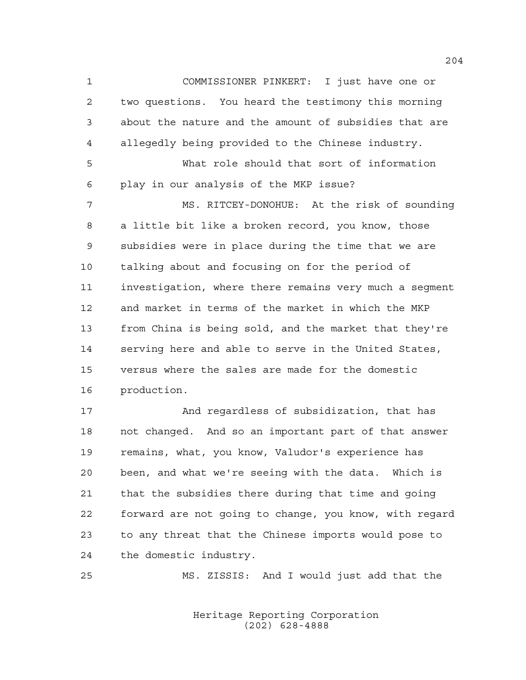COMMISSIONER PINKERT: I just have one or two questions. You heard the testimony this morning about the nature and the amount of subsidies that are allegedly being provided to the Chinese industry. What role should that sort of information play in our analysis of the MKP issue? MS. RITCEY-DONOHUE: At the risk of sounding a little bit like a broken record, you know, those subsidies were in place during the time that we are talking about and focusing on for the period of investigation, where there remains very much a segment and market in terms of the market in which the MKP from China is being sold, and the market that they're serving here and able to serve in the United States, versus where the sales are made for the domestic production.

 And regardless of subsidization, that has not changed. And so an important part of that answer remains, what, you know, Valudor's experience has been, and what we're seeing with the data. Which is that the subsidies there during that time and going forward are not going to change, you know, with regard to any threat that the Chinese imports would pose to the domestic industry.

MS. ZISSIS: And I would just add that the

Heritage Reporting Corporation (202) 628-4888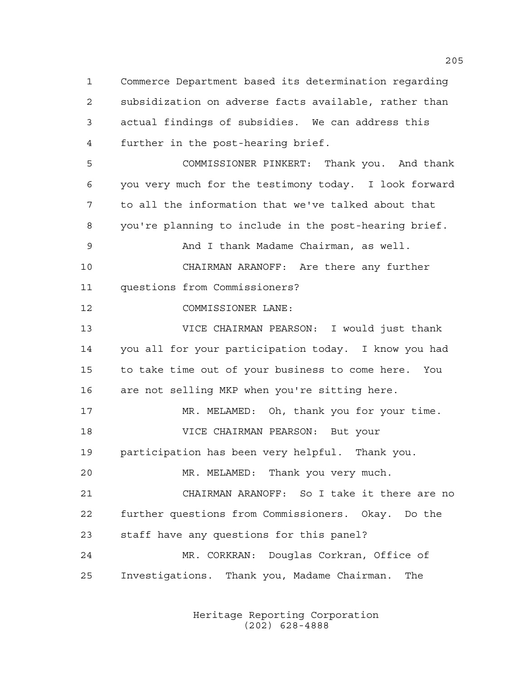Commerce Department based its determination regarding subsidization on adverse facts available, rather than actual findings of subsidies. We can address this further in the post-hearing brief. COMMISSIONER PINKERT: Thank you. And thank you very much for the testimony today. I look forward to all the information that we've talked about that you're planning to include in the post-hearing brief. And I thank Madame Chairman, as well. CHAIRMAN ARANOFF: Are there any further questions from Commissioners?

COMMISSIONER LANE:

 VICE CHAIRMAN PEARSON: I would just thank you all for your participation today. I know you had to take time out of your business to come here. You are not selling MKP when you're sitting here.

17 MR. MELAMED: Oh, thank you for your time. VICE CHAIRMAN PEARSON: But your participation has been very helpful. Thank you. MR. MELAMED: Thank you very much.

 CHAIRMAN ARANOFF: So I take it there are no further questions from Commissioners. Okay. Do the staff have any questions for this panel?

 MR. CORKRAN: Douglas Corkran, Office of Investigations. Thank you, Madame Chairman. The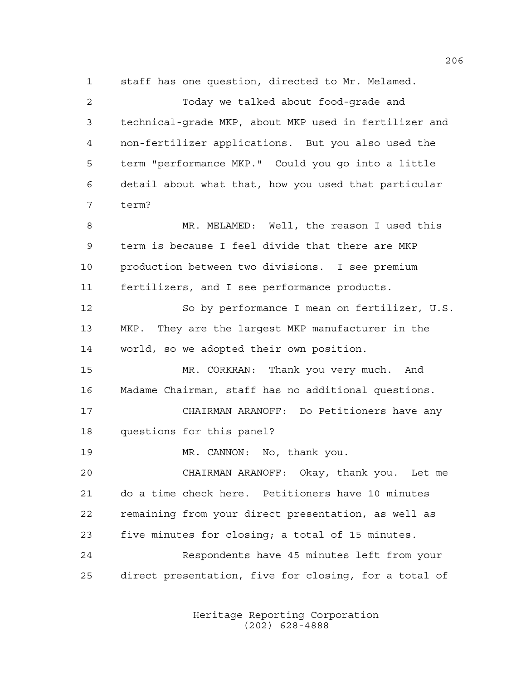staff has one question, directed to Mr. Melamed. Today we talked about food-grade and technical-grade MKP, about MKP used in fertilizer and non-fertilizer applications. But you also used the term "performance MKP." Could you go into a little detail about what that, how you used that particular term? MR. MELAMED: Well, the reason I used this term is because I feel divide that there are MKP production between two divisions. I see premium fertilizers, and I see performance products. So by performance I mean on fertilizer, U.S. MKP. They are the largest MKP manufacturer in the world, so we adopted their own position. MR. CORKRAN: Thank you very much. And Madame Chairman, staff has no additional questions. CHAIRMAN ARANOFF: Do Petitioners have any questions for this panel? MR. CANNON: No, thank you. CHAIRMAN ARANOFF: Okay, thank you. Let me do a time check here. Petitioners have 10 minutes remaining from your direct presentation, as well as five minutes for closing; a total of 15 minutes. Respondents have 45 minutes left from your direct presentation, five for closing, for a total of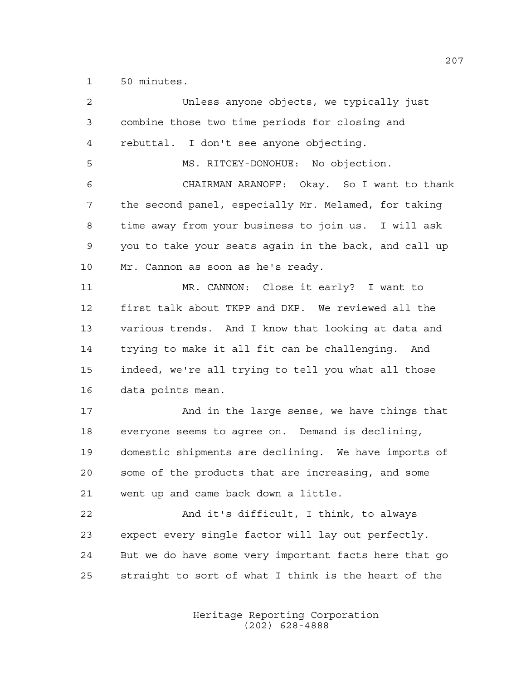50 minutes.

| 2  | Unless anyone objects, we typically just              |
|----|-------------------------------------------------------|
| 3  | combine those two time periods for closing and        |
| 4  | rebuttal. I don't see anyone objecting.               |
| 5  | MS. RITCEY-DONOHUE: No objection.                     |
| 6  | CHAIRMAN ARANOFF: Okay. So I want to thank            |
| 7  | the second panel, especially Mr. Melamed, for taking  |
| 8  | time away from your business to join us. I will ask   |
| 9  | you to take your seats again in the back, and call up |
| 10 | Mr. Cannon as soon as he's ready.                     |
| 11 | MR. CANNON: Close it early? I want to                 |
| 12 | first talk about TKPP and DKP. We reviewed all the    |
| 13 | various trends. And I know that looking at data and   |
| 14 | trying to make it all fit can be challenging. And     |
| 15 | indeed, we're all trying to tell you what all those   |
| 16 | data points mean.                                     |
| 17 | And in the large sense, we have things that           |
| 18 | everyone seems to agree on. Demand is declining,      |
| 19 | domestic shipments are declining. We have imports of  |
| 20 | some of the products that are increasing, and some    |
| 21 | went up and came back down a little.                  |
| 22 | And it's difficult, I think, to always                |
| 23 | expect every single factor will lay out perfectly.    |
| 24 | But we do have some very important facts here that go |
| 25 | straight to sort of what I think is the heart of the  |
|    |                                                       |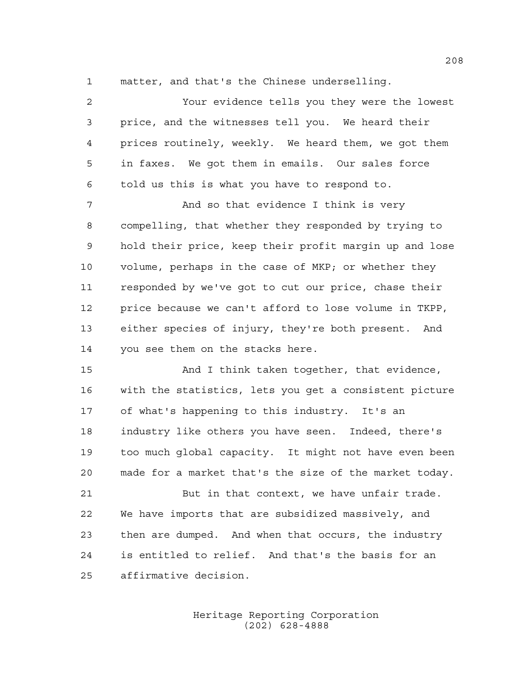matter, and that's the Chinese underselling.

| $\overline{a}$ | Your evidence tells you they were the lowest           |
|----------------|--------------------------------------------------------|
| 3              | price, and the witnesses tell you. We heard their      |
| 4              | prices routinely, weekly. We heard them, we got them   |
| 5              | in faxes. We got them in emails. Our sales force       |
| 6              | told us this is what you have to respond to.           |
| 7              | And so that evidence I think is very                   |
| 8              | compelling, that whether they responded by trying to   |
| 9              | hold their price, keep their profit margin up and lose |
| 10             | volume, perhaps in the case of MKP; or whether they    |
| 11             | responded by we've got to cut our price, chase their   |
| 12             | price because we can't afford to lose volume in TKPP,  |
| 13             | either species of injury, they're both present. And    |
| 14             | you see them on the stacks here.                       |
| 15             | And I think taken together, that evidence,             |
| 16             | with the statistics, lets you get a consistent picture |
| 17             | of what's happening to this industry. It's an          |
| 18             | industry like others you have seen. Indeed, there's    |
| 19             | too much global capacity. It might not have even been  |

made for a market that's the size of the market today.

21 But in that context, we have unfair trade. We have imports that are subsidized massively, and then are dumped. And when that occurs, the industry is entitled to relief. And that's the basis for an affirmative decision.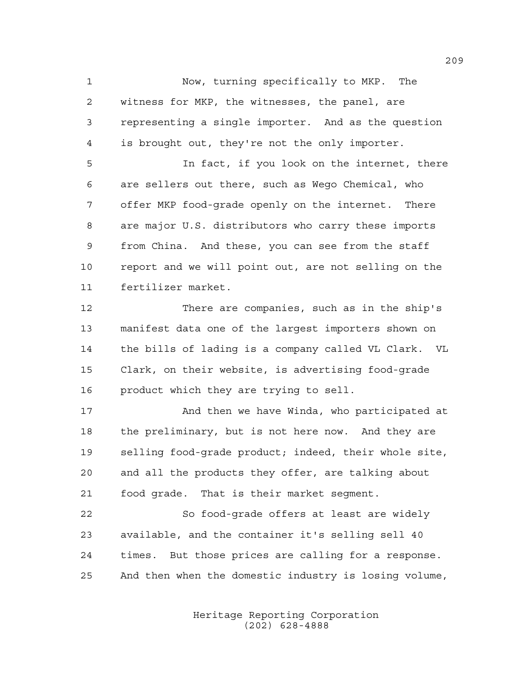Now, turning specifically to MKP. The witness for MKP, the witnesses, the panel, are representing a single importer. And as the question is brought out, they're not the only importer. In fact, if you look on the internet, there are sellers out there, such as Wego Chemical, who offer MKP food-grade openly on the internet. There are major U.S. distributors who carry these imports from China. And these, you can see from the staff report and we will point out, are not selling on the fertilizer market.

 There are companies, such as in the ship's manifest data one of the largest importers shown on the bills of lading is a company called VL Clark. VL Clark, on their website, is advertising food-grade product which they are trying to sell.

17 And then we have Winda, who participated at the preliminary, but is not here now. And they are selling food-grade product; indeed, their whole site, and all the products they offer, are talking about food grade. That is their market segment.

 So food-grade offers at least are widely available, and the container it's selling sell 40 times. But those prices are calling for a response. And then when the domestic industry is losing volume,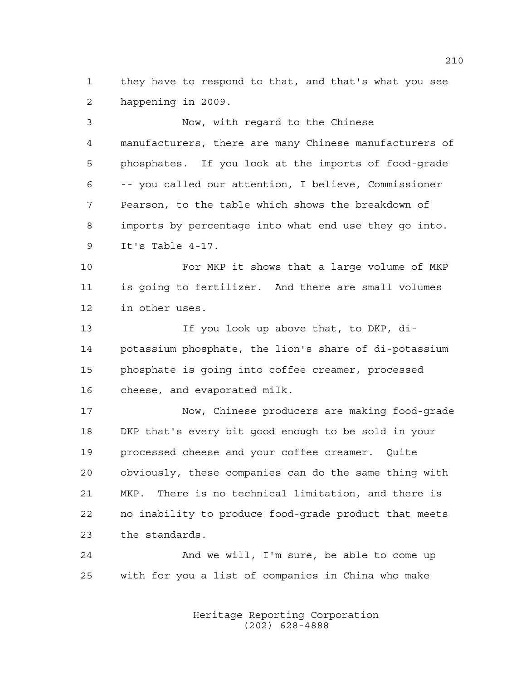they have to respond to that, and that's what you see happening in 2009.

 Now, with regard to the Chinese manufacturers, there are many Chinese manufacturers of phosphates. If you look at the imports of food-grade -- you called our attention, I believe, Commissioner Pearson, to the table which shows the breakdown of imports by percentage into what end use they go into. It's Table 4-17.

 For MKP it shows that a large volume of MKP is going to fertilizer. And there are small volumes in other uses.

 If you look up above that, to DKP, di- potassium phosphate, the lion's share of di-potassium phosphate is going into coffee creamer, processed cheese, and evaporated milk.

 Now, Chinese producers are making food-grade DKP that's every bit good enough to be sold in your processed cheese and your coffee creamer. Quite obviously, these companies can do the same thing with MKP. There is no technical limitation, and there is no inability to produce food-grade product that meets the standards.

 And we will, I'm sure, be able to come up with for you a list of companies in China who make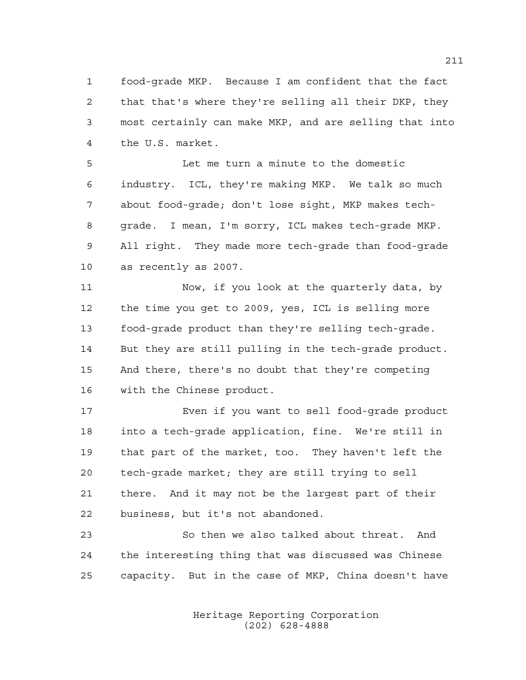food-grade MKP. Because I am confident that the fact that that's where they're selling all their DKP, they most certainly can make MKP, and are selling that into the U.S. market.

 Let me turn a minute to the domestic industry. ICL, they're making MKP. We talk so much about food-grade; don't lose sight, MKP makes tech- grade. I mean, I'm sorry, ICL makes tech-grade MKP. All right. They made more tech-grade than food-grade as recently as 2007.

 Now, if you look at the quarterly data, by the time you get to 2009, yes, ICL is selling more food-grade product than they're selling tech-grade. But they are still pulling in the tech-grade product. And there, there's no doubt that they're competing with the Chinese product.

 Even if you want to sell food-grade product into a tech-grade application, fine. We're still in that part of the market, too. They haven't left the tech-grade market; they are still trying to sell there. And it may not be the largest part of their business, but it's not abandoned.

 So then we also talked about threat. And the interesting thing that was discussed was Chinese capacity. But in the case of MKP, China doesn't have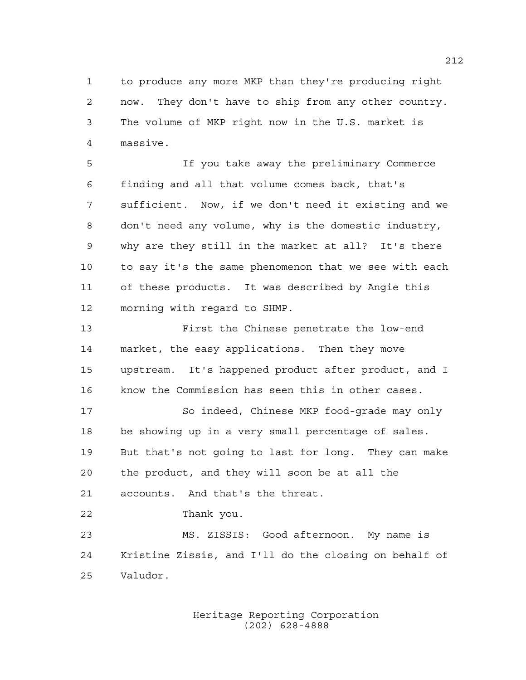to produce any more MKP than they're producing right now. They don't have to ship from any other country. The volume of MKP right now in the U.S. market is massive.

 If you take away the preliminary Commerce finding and all that volume comes back, that's sufficient. Now, if we don't need it existing and we don't need any volume, why is the domestic industry, why are they still in the market at all? It's there to say it's the same phenomenon that we see with each of these products. It was described by Angie this morning with regard to SHMP.

 First the Chinese penetrate the low-end market, the easy applications. Then they move upstream. It's happened product after product, and I know the Commission has seen this in other cases.

 So indeed, Chinese MKP food-grade may only be showing up in a very small percentage of sales. But that's not going to last for long. They can make the product, and they will soon be at all the accounts. And that's the threat.

Thank you.

 MS. ZISSIS: Good afternoon. My name is Kristine Zissis, and I'll do the closing on behalf of Valudor.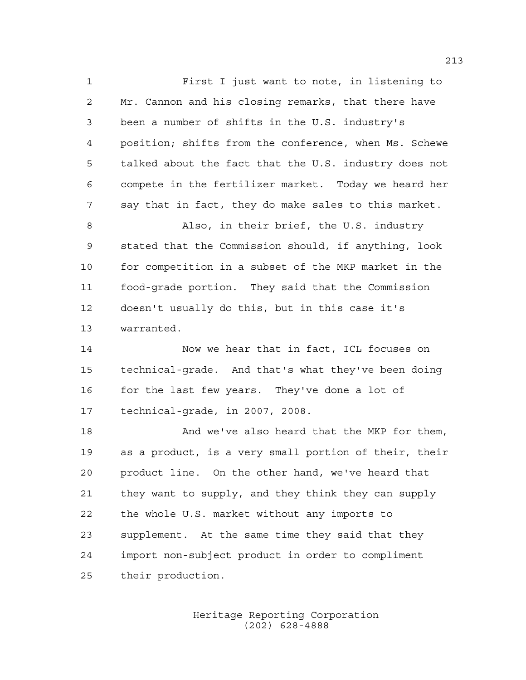First I just want to note, in listening to Mr. Cannon and his closing remarks, that there have been a number of shifts in the U.S. industry's position; shifts from the conference, when Ms. Schewe talked about the fact that the U.S. industry does not compete in the fertilizer market. Today we heard her say that in fact, they do make sales to this market. Also, in their brief, the U.S. industry

 stated that the Commission should, if anything, look for competition in a subset of the MKP market in the food-grade portion. They said that the Commission doesn't usually do this, but in this case it's warranted.

 Now we hear that in fact, ICL focuses on technical-grade. And that's what they've been doing 16 for the last few years. They've done a lot of technical-grade, in 2007, 2008.

 And we've also heard that the MKP for them, as a product, is a very small portion of their, their product line. On the other hand, we've heard that they want to supply, and they think they can supply the whole U.S. market without any imports to supplement. At the same time they said that they import non-subject product in order to compliment their production.

> Heritage Reporting Corporation (202) 628-4888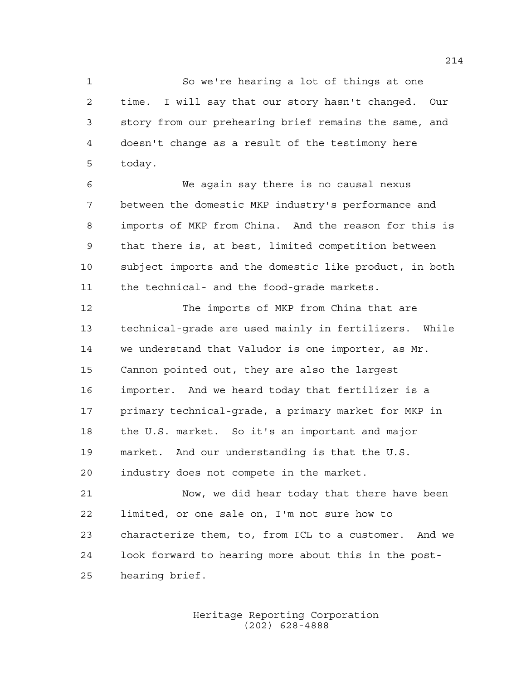So we're hearing a lot of things at one time. I will say that our story hasn't changed. Our story from our prehearing brief remains the same, and doesn't change as a result of the testimony here today.

 We again say there is no causal nexus between the domestic MKP industry's performance and imports of MKP from China. And the reason for this is that there is, at best, limited competition between subject imports and the domestic like product, in both the technical- and the food-grade markets.

 The imports of MKP from China that are technical-grade are used mainly in fertilizers. While we understand that Valudor is one importer, as Mr. Cannon pointed out, they are also the largest importer. And we heard today that fertilizer is a primary technical-grade, a primary market for MKP in the U.S. market. So it's an important and major market. And our understanding is that the U.S. industry does not compete in the market.

 Now, we did hear today that there have been limited, or one sale on, I'm not sure how to characterize them, to, from ICL to a customer. And we look forward to hearing more about this in the post-hearing brief.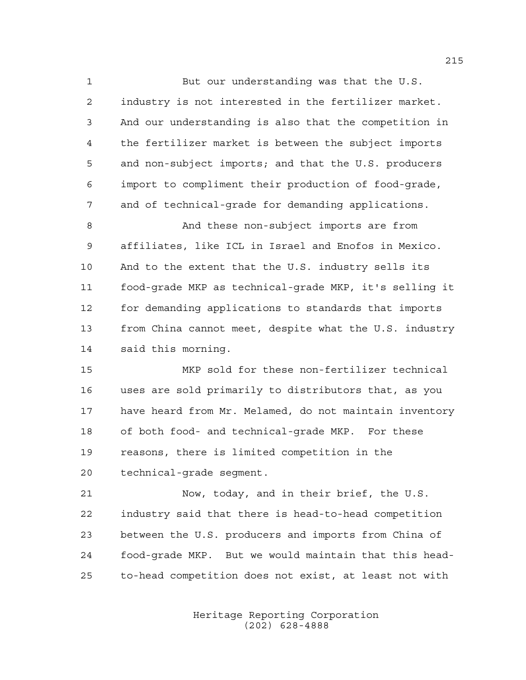But our understanding was that the U.S. industry is not interested in the fertilizer market. And our understanding is also that the competition in the fertilizer market is between the subject imports and non-subject imports; and that the U.S. producers import to compliment their production of food-grade, and of technical-grade for demanding applications.

 And these non-subject imports are from affiliates, like ICL in Israel and Enofos in Mexico. And to the extent that the U.S. industry sells its food-grade MKP as technical-grade MKP, it's selling it for demanding applications to standards that imports from China cannot meet, despite what the U.S. industry said this morning.

 MKP sold for these non-fertilizer technical uses are sold primarily to distributors that, as you have heard from Mr. Melamed, do not maintain inventory of both food- and technical-grade MKP. For these reasons, there is limited competition in the technical-grade segment.

 Now, today, and in their brief, the U.S. industry said that there is head-to-head competition between the U.S. producers and imports from China of food-grade MKP. But we would maintain that this head-to-head competition does not exist, at least not with

> Heritage Reporting Corporation (202) 628-4888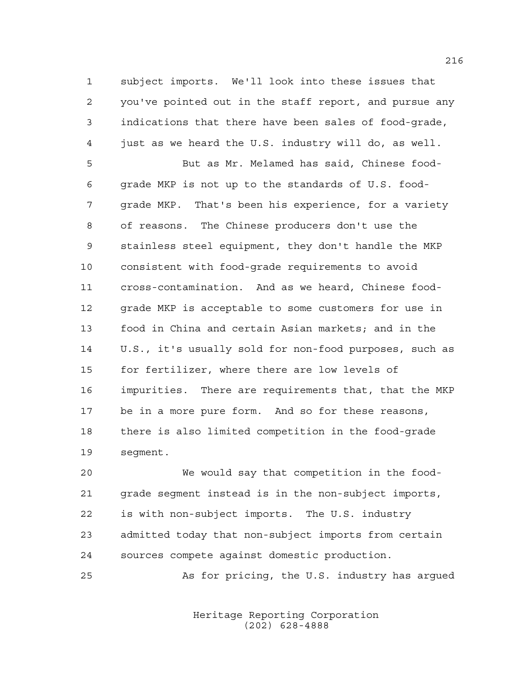subject imports. We'll look into these issues that you've pointed out in the staff report, and pursue any indications that there have been sales of food-grade, just as we heard the U.S. industry will do, as well.

 But as Mr. Melamed has said, Chinese food- grade MKP is not up to the standards of U.S. food- grade MKP. That's been his experience, for a variety of reasons. The Chinese producers don't use the stainless steel equipment, they don't handle the MKP consistent with food-grade requirements to avoid cross-contamination. And as we heard, Chinese food- grade MKP is acceptable to some customers for use in food in China and certain Asian markets; and in the U.S., it's usually sold for non-food purposes, such as for fertilizer, where there are low levels of impurities. There are requirements that, that the MKP be in a more pure form. And so for these reasons, there is also limited competition in the food-grade segment.

 We would say that competition in the food- grade segment instead is in the non-subject imports, is with non-subject imports. The U.S. industry admitted today that non-subject imports from certain sources compete against domestic production.

As for pricing, the U.S. industry has argued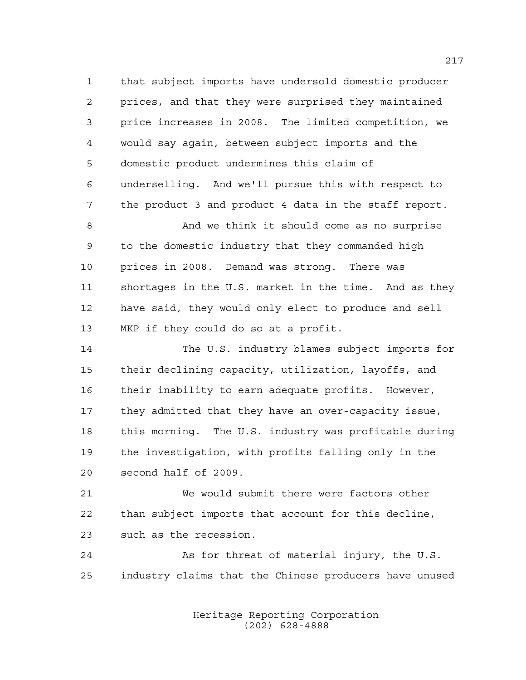that subject imports have undersold domestic producer prices, and that they were surprised they maintained price increases in 2008. The limited competition, we would say again, between subject imports and the domestic product undermines this claim of underselling. And we'll pursue this with respect to the product 3 and product 4 data in the staff report.

 And we think it should come as no surprise to the domestic industry that they commanded high prices in 2008. Demand was strong. There was shortages in the U.S. market in the time. And as they have said, they would only elect to produce and sell MKP if they could do so at a profit.

 The U.S. industry blames subject imports for their declining capacity, utilization, layoffs, and their inability to earn adequate profits. However, they admitted that they have an over-capacity issue, this morning. The U.S. industry was profitable during the investigation, with profits falling only in the second half of 2009.

 We would submit there were factors other than subject imports that account for this decline, such as the recession.

24 As for threat of material injury, the U.S. industry claims that the Chinese producers have unused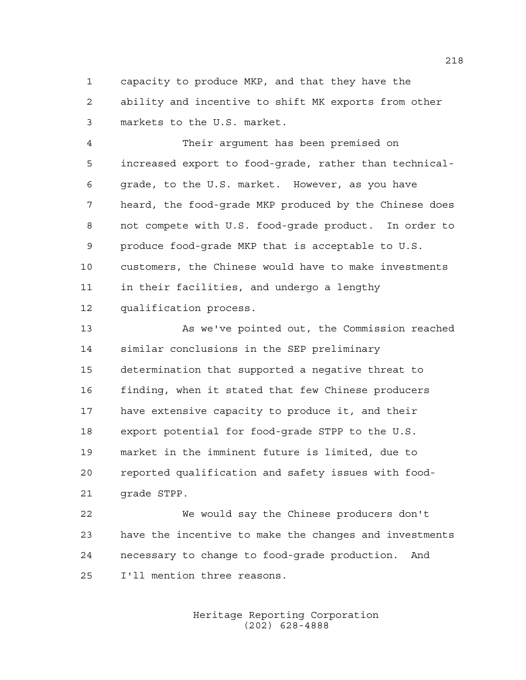capacity to produce MKP, and that they have the ability and incentive to shift MK exports from other markets to the U.S. market.

 Their argument has been premised on increased export to food-grade, rather than technical- grade, to the U.S. market. However, as you have heard, the food-grade MKP produced by the Chinese does not compete with U.S. food-grade product. In order to produce food-grade MKP that is acceptable to U.S. customers, the Chinese would have to make investments in their facilities, and undergo a lengthy qualification process.

 As we've pointed out, the Commission reached similar conclusions in the SEP preliminary determination that supported a negative threat to finding, when it stated that few Chinese producers have extensive capacity to produce it, and their export potential for food-grade STPP to the U.S. market in the imminent future is limited, due to reported qualification and safety issues with food-grade STPP.

 We would say the Chinese producers don't have the incentive to make the changes and investments necessary to change to food-grade production. And I'll mention three reasons.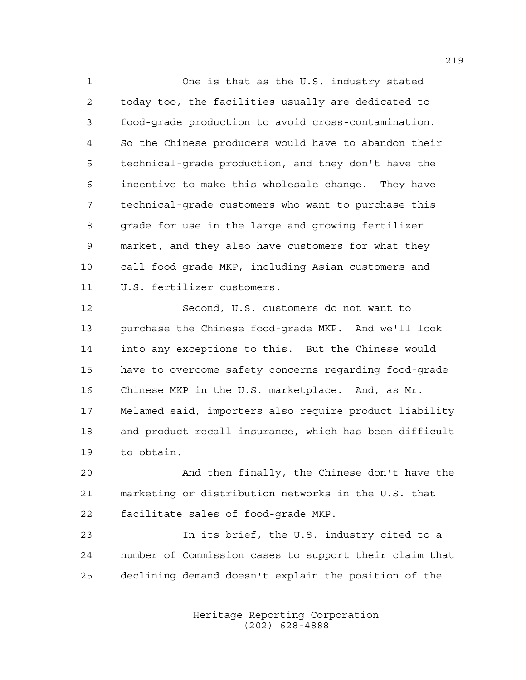One is that as the U.S. industry stated today too, the facilities usually are dedicated to food-grade production to avoid cross-contamination. So the Chinese producers would have to abandon their technical-grade production, and they don't have the incentive to make this wholesale change. They have technical-grade customers who want to purchase this 8 grade for use in the large and growing fertilizer market, and they also have customers for what they call food-grade MKP, including Asian customers and U.S. fertilizer customers.

 Second, U.S. customers do not want to purchase the Chinese food-grade MKP. And we'll look into any exceptions to this. But the Chinese would have to overcome safety concerns regarding food-grade Chinese MKP in the U.S. marketplace. And, as Mr. Melamed said, importers also require product liability and product recall insurance, which has been difficult to obtain.

 And then finally, the Chinese don't have the marketing or distribution networks in the U.S. that facilitate sales of food-grade MKP.

 In its brief, the U.S. industry cited to a number of Commission cases to support their claim that declining demand doesn't explain the position of the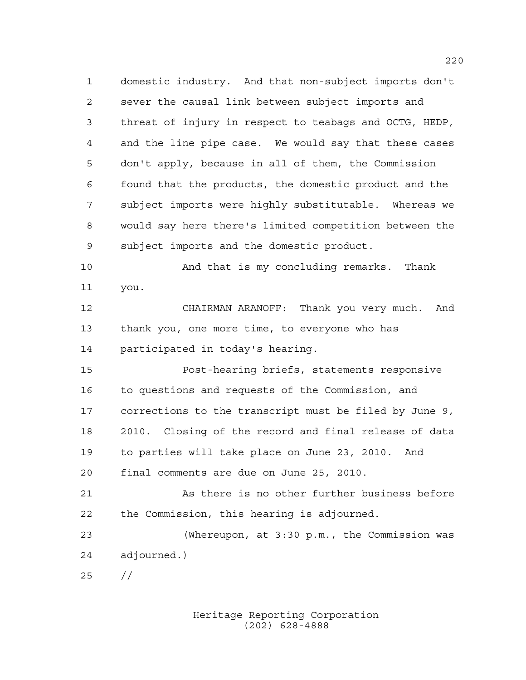domestic industry. And that non-subject imports don't sever the causal link between subject imports and threat of injury in respect to teabags and OCTG, HEDP, and the line pipe case. We would say that these cases don't apply, because in all of them, the Commission found that the products, the domestic product and the subject imports were highly substitutable. Whereas we would say here there's limited competition between the subject imports and the domestic product.

 And that is my concluding remarks. Thank you.

 CHAIRMAN ARANOFF: Thank you very much. And thank you, one more time, to everyone who has participated in today's hearing.

 Post-hearing briefs, statements responsive to questions and requests of the Commission, and corrections to the transcript must be filed by June 9, 2010. Closing of the record and final release of data to parties will take place on June 23, 2010. And final comments are due on June 25, 2010.

 As there is no other further business before the Commission, this hearing is adjourned.

 (Whereupon, at 3:30 p.m., the Commission was adjourned.)

//